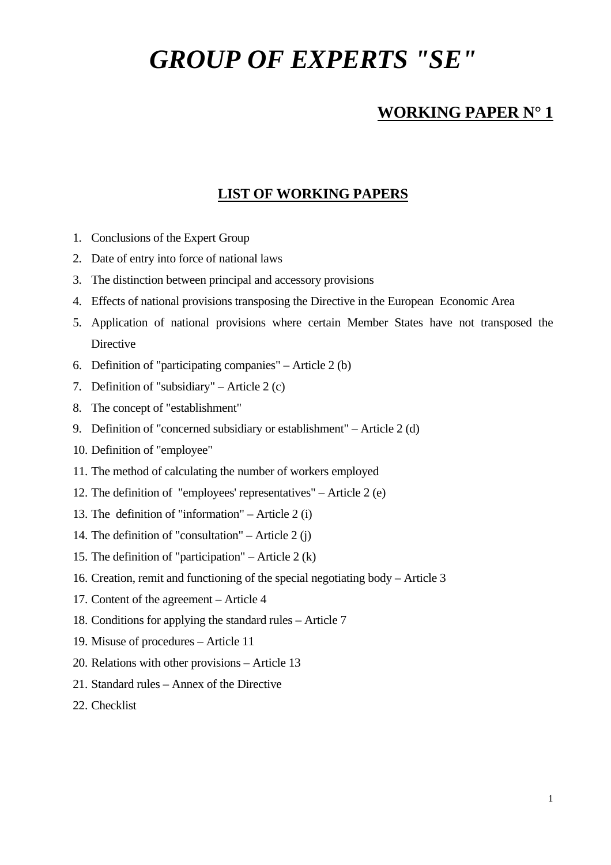# *GROUP OF EXPERTS "SE"*

# **WORKING PAPER N° 1**

## **LIST OF WORKING PAPERS**

- 1. Conclusions of the Expert Group
- 2. Date of entry into force of national laws
- 3. The distinction between principal and accessory provisions
- 4. Effects of national provisions transposing the Directive in the European Economic Area
- 5. Application of national provisions where certain Member States have not transposed the **Directive**
- 6. Definition of "participating companies" Article 2 (b)
- 7. Definition of "subsidiary" Article 2 (c)
- 8. The concept of "establishment"
- 9. Definition of "concerned subsidiary or establishment" Article 2 (d)
- 10. Definition of "employee"
- 11. The method of calculating the number of workers employed
- 12. The definition of "employees' representatives" Article 2 (e)
- 13. The definition of "information" Article 2 (i)
- 14. The definition of "consultation" Article 2 (j)
- 15. The definition of "participation" Article 2  $(k)$
- 16. Creation, remit and functioning of the special negotiating body Article 3
- 17. Content of the agreement Article 4
- 18. Conditions for applying the standard rules Article 7
- 19. Misuse of procedures Article 11
- 20. Relations with other provisions Article 13
- 21. Standard rules Annex of the Directive
- 22. Checklist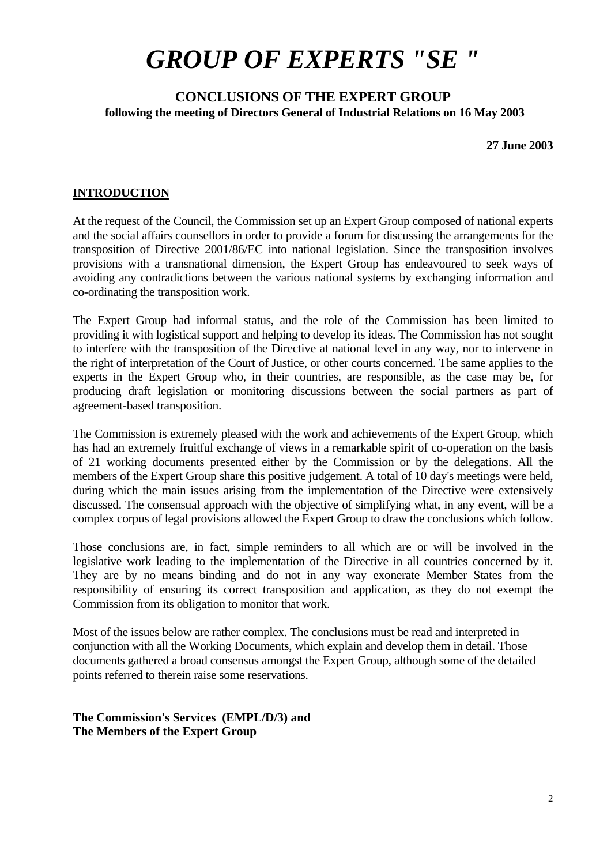# *GROUP OF EXPERTS "SE "*

## **CONCLUSIONS OF THE EXPERT GROUP following the meeting of Directors General of Industrial Relations on 16 May 2003**

**27 June 2003** 

#### **INTRODUCTION**

At the request of the Council, the Commission set up an Expert Group composed of national experts and the social affairs counsellors in order to provide a forum for discussing the arrangements for the transposition of Directive 2001/86/EC into national legislation. Since the transposition involves provisions with a transnational dimension, the Expert Group has endeavoured to seek ways of avoiding any contradictions between the various national systems by exchanging information and co-ordinating the transposition work.

The Expert Group had informal status, and the role of the Commission has been limited to providing it with logistical support and helping to develop its ideas. The Commission has not sought to interfere with the transposition of the Directive at national level in any way, nor to intervene in the right of interpretation of the Court of Justice, or other courts concerned. The same applies to the experts in the Expert Group who, in their countries, are responsible, as the case may be, for producing draft legislation or monitoring discussions between the social partners as part of agreement-based transposition.

The Commission is extremely pleased with the work and achievements of the Expert Group, which has had an extremely fruitful exchange of views in a remarkable spirit of co-operation on the basis of 21 working documents presented either by the Commission or by the delegations. All the members of the Expert Group share this positive judgement. A total of 10 day's meetings were held, during which the main issues arising from the implementation of the Directive were extensively discussed. The consensual approach with the objective of simplifying what, in any event, will be a complex corpus of legal provisions allowed the Expert Group to draw the conclusions which follow.

Those conclusions are, in fact, simple reminders to all which are or will be involved in the legislative work leading to the implementation of the Directive in all countries concerned by it. They are by no means binding and do not in any way exonerate Member States from the responsibility of ensuring its correct transposition and application, as they do not exempt the Commission from its obligation to monitor that work.

Most of the issues below are rather complex. The conclusions must be read and interpreted in conjunction with all the Working Documents, which explain and develop them in detail. Those documents gathered a broad consensus amongst the Expert Group, although some of the detailed points referred to therein raise some reservations.

**The Commission's Services (EMPL/D/3) and The Members of the Expert Group**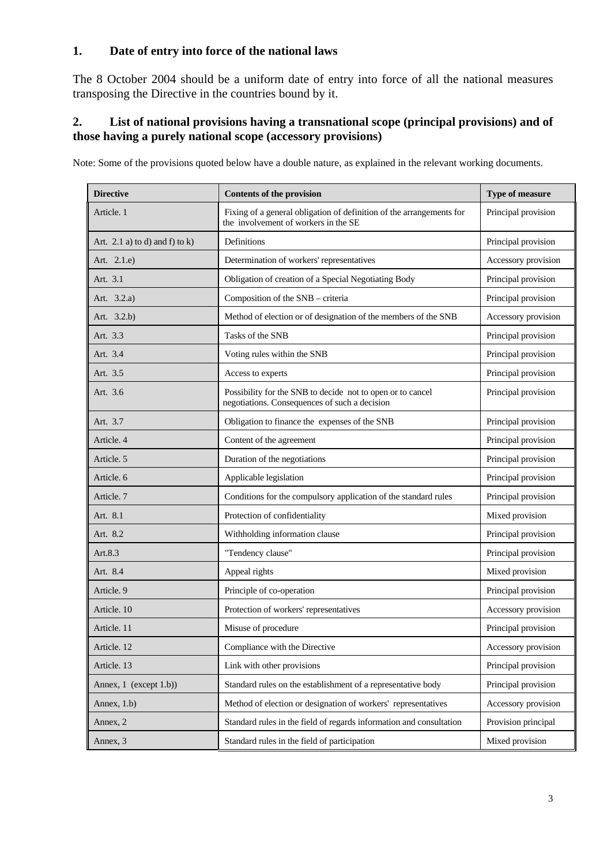### **1. Date of entry into force of the national laws**

The 8 October 2004 should be a uniform date of entry into force of all the national measures transposing the Directive in the countries bound by it.

## **2. List of national provisions having a transnational scope (principal provisions) and of those having a purely national scope (accessory provisions)**

Note: Some of the provisions quoted below have a double nature, as explained in the relevant working documents.

| <b>Directive</b>                  | <b>Contents of the provision</b>                                                                                                    | Type of measure     |
|-----------------------------------|-------------------------------------------------------------------------------------------------------------------------------------|---------------------|
| Article. 1                        | Fixing of a general obligation of definition of the arrangements for<br>Principal provision<br>the involvement of workers in the SE |                     |
| Art. 2.1 a) to d) and f) to $k$ ) | Definitions                                                                                                                         | Principal provision |
| Art. 2.1.e)                       | Determination of workers' representatives                                                                                           | Accessory provision |
| Art. 3.1                          | Obligation of creation of a Special Negotiating Body                                                                                | Principal provision |
| Art. 3.2.a)                       | Composition of the SNB - criteria                                                                                                   | Principal provision |
| Art. 3.2.b)                       | Method of election or of designation of the members of the SNB                                                                      | Accessory provision |
| Art. 3.3                          | Tasks of the SNB                                                                                                                    | Principal provision |
| Art. 3.4                          | Voting rules within the SNB                                                                                                         | Principal provision |
| Art. 3.5                          | Access to experts                                                                                                                   | Principal provision |
| Art. 3.6                          | Possibility for the SNB to decide not to open or to cancel<br>negotiations. Consequences of such a decision                         | Principal provision |
| Art. 3.7                          | Obligation to finance the expenses of the SNB                                                                                       | Principal provision |
| Article. 4                        | Content of the agreement                                                                                                            | Principal provision |
| Article. 5                        | Duration of the negotiations                                                                                                        | Principal provision |
| Article. 6                        | Applicable legislation                                                                                                              | Principal provision |
| Article. 7                        | Conditions for the compulsory application of the standard rules                                                                     | Principal provision |
| Art. 8.1                          | Protection of confidentiality                                                                                                       | Mixed provision     |
| Art. 8.2                          | Withholding information clause                                                                                                      | Principal provision |
| Art.8.3                           | "Tendency clause"                                                                                                                   | Principal provision |
| Art. 8.4                          | Appeal rights                                                                                                                       | Mixed provision     |
| Article. 9                        | Principle of co-operation                                                                                                           | Principal provision |
| Article. 10                       | Protection of workers' representatives                                                                                              | Accessory provision |
| Article. 11                       | Misuse of procedure                                                                                                                 | Principal provision |
| Article. 12                       | Compliance with the Directive                                                                                                       | Accessory provision |
| Article. 13                       | Link with other provisions                                                                                                          | Principal provision |
| Annex, 1 (except 1.b))            | Standard rules on the establishment of a representative body                                                                        | Principal provision |
| Annex, 1.b)                       | Method of election or designation of workers' representatives                                                                       | Accessory provision |
| Annex, 2                          | Standard rules in the field of regards information and consultation                                                                 | Provision principal |
| Annex, 3                          | Standard rules in the field of participation                                                                                        | Mixed provision     |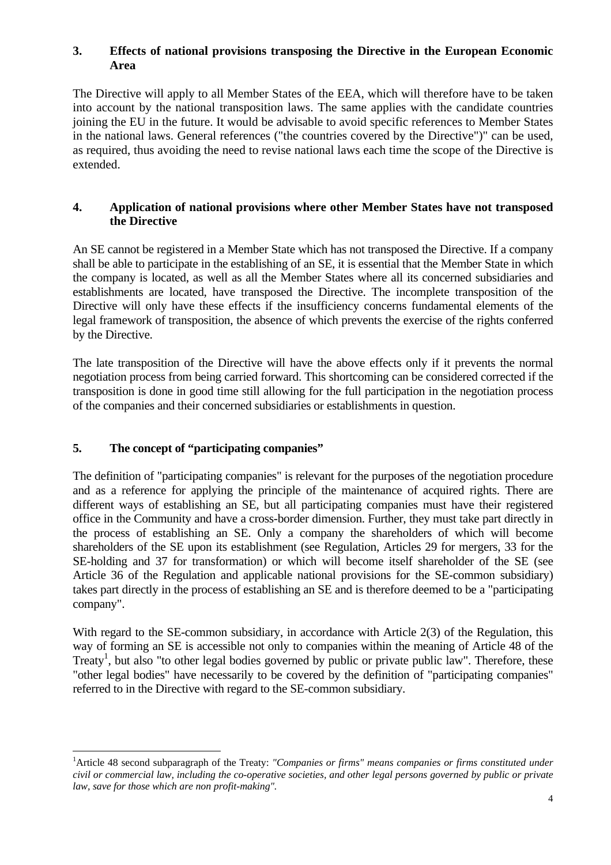### **3. Effects of national provisions transposing the Directive in the European Economic Area**

The Directive will apply to all Member States of the EEA, which will therefore have to be taken into account by the national transposition laws. The same applies with the candidate countries joining the EU in the future. It would be advisable to avoid specific references to Member States in the national laws. General references ("the countries covered by the Directive")" can be used, as required, thus avoiding the need to revise national laws each time the scope of the Directive is extended.

## **4. Application of national provisions where other Member States have not transposed the Directive**

An SE cannot be registered in a Member State which has not transposed the Directive. If a company shall be able to participate in the establishing of an SE, it is essential that the Member State in which the company is located, as well as all the Member States where all its concerned subsidiaries and establishments are located, have transposed the Directive. The incomplete transposition of the Directive will only have these effects if the insufficiency concerns fundamental elements of the legal framework of transposition, the absence of which prevents the exercise of the rights conferred by the Directive.

The late transposition of the Directive will have the above effects only if it prevents the normal negotiation process from being carried forward. This shortcoming can be considered corrected if the transposition is done in good time still allowing for the full participation in the negotiation process of the companies and their concerned subsidiaries or establishments in question.

## **5. The concept of "participating companies"**

 $\overline{a}$ 

The definition of "participating companies" is relevant for the purposes of the negotiation procedure and as a reference for applying the principle of the maintenance of acquired rights. There are different ways of establishing an SE, but all participating companies must have their registered office in the Community and have a cross-border dimension. Further, they must take part directly in the process of establishing an SE. Only a company the shareholders of which will become shareholders of the SE upon its establishment (see Regulation, Articles 29 for mergers, 33 for the SE-holding and 37 for transformation) or which will become itself shareholder of the SE (see Article 36 of the Regulation and applicable national provisions for the SE-common subsidiary) takes part directly in the process of establishing an SE and is therefore deemed to be a "participating company".

With regard to the SE-common subsidiary, in accordance with Article 2(3) of the Regulation, this way of forming an SE is accessible not only to companies within the meaning of Article 48 of the Treaty<sup>1</sup>, but also "to other legal bodies governed by public or private public law". Therefore, these "other legal bodies" have necessarily to be covered by the definition of "participating companies" referred to in the Directive with regard to the SE-common subsidiary.

<span id="page-3-0"></span><sup>&</sup>lt;sup>1</sup> Article 48 second subparagraph of the Treaty: *"Companies or firms" means companies or firms constituted under civil or commercial law, including the co-operative societies, and other legal persons governed by public or private law, save for those which are non profit-making".*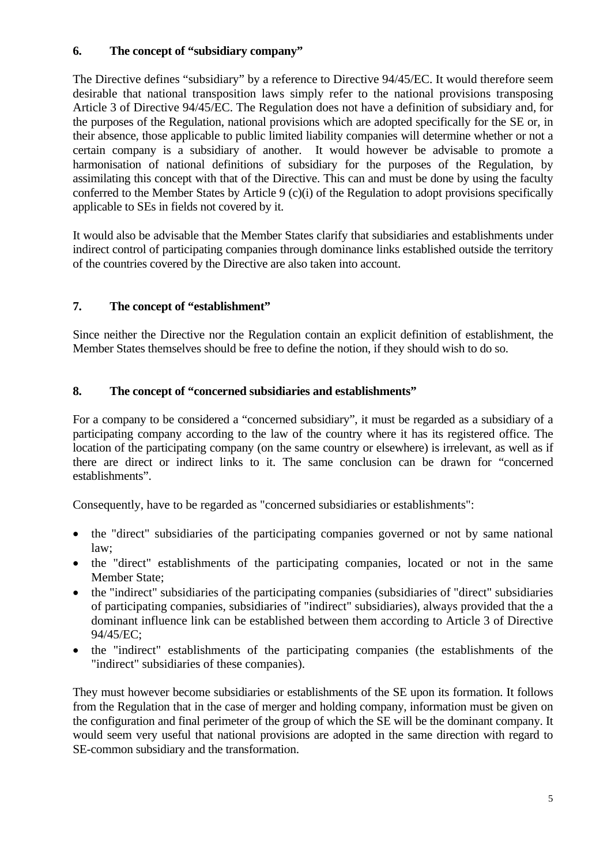## **6. The concept of "subsidiary company"**

The Directive defines "subsidiary" by a reference to Directive 94/45/EC. It would therefore seem desirable that national transposition laws simply refer to the national provisions transposing Article 3 of Directive 94/45/EC. The Regulation does not have a definition of subsidiary and, for the purposes of the Regulation, national provisions which are adopted specifically for the SE or, in their absence, those applicable to public limited liability companies will determine whether or not a certain company is a subsidiary of another. It would however be advisable to promote a harmonisation of national definitions of subsidiary for the purposes of the Regulation, by assimilating this concept with that of the Directive. This can and must be done by using the faculty conferred to the Member States by Article 9 (c)(i) of the Regulation to adopt provisions specifically applicable to SEs in fields not covered by it.

It would also be advisable that the Member States clarify that subsidiaries and establishments under indirect control of participating companies through dominance links established outside the territory of the countries covered by the Directive are also taken into account.

## **7. The concept of "establishment"**

Since neither the Directive nor the Regulation contain an explicit definition of establishment, the Member States themselves should be free to define the notion, if they should wish to do so.

## **8. The concept of "concerned subsidiaries and establishments"**

For a company to be considered a "concerned subsidiary", it must be regarded as a subsidiary of a participating company according to the law of the country where it has its registered office. The location of the participating company (on the same country or elsewhere) is irrelevant, as well as if there are direct or indirect links to it. The same conclusion can be drawn for "concerned establishments".

Consequently, have to be regarded as "concerned subsidiaries or establishments":

- the "direct" subsidiaries of the participating companies governed or not by same national law;
- the "direct" establishments of the participating companies, located or not in the same Member State;
- the "indirect" subsidiaries of the participating companies (subsidiaries of "direct" subsidiaries of participating companies, subsidiaries of "indirect" subsidiaries), always provided that the a dominant influence link can be established between them according to Article 3 of Directive 94/45/EC;
- the "indirect" establishments of the participating companies (the establishments of the "indirect" subsidiaries of these companies).

They must however become subsidiaries or establishments of the SE upon its formation. It follows from the Regulation that in the case of merger and holding company, information must be given on the configuration and final perimeter of the group of which the SE will be the dominant company. It would seem very useful that national provisions are adopted in the same direction with regard to SE-common subsidiary and the transformation.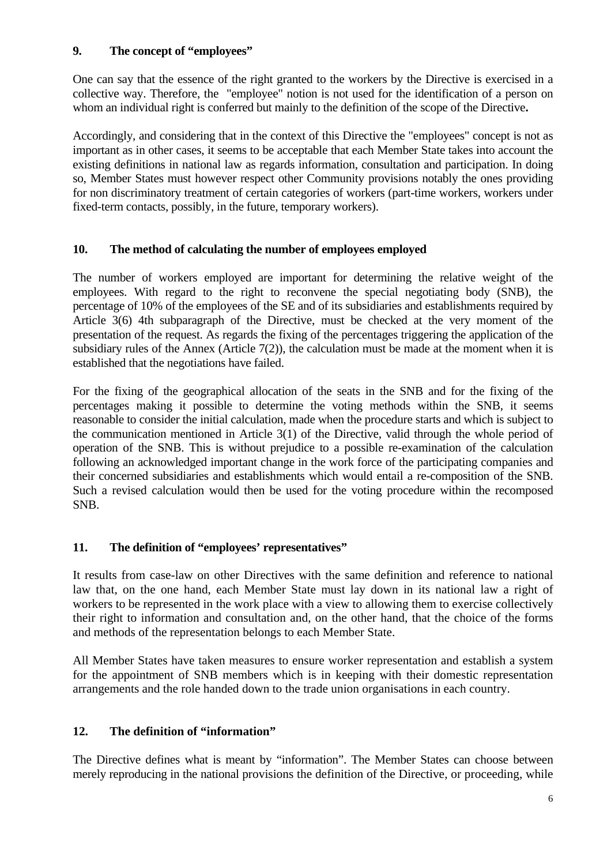## **9. The concept of "employees"**

One can say that the essence of the right granted to the workers by the Directive is exercised in a collective way. Therefore, the "employee" notion is not used for the identification of a person on whom an individual right is conferred but mainly to the definition of the scope of the Directive**.** 

Accordingly, and considering that in the context of this Directive the "employees" concept is not as important as in other cases, it seems to be acceptable that each Member State takes into account the existing definitions in national law as regards information, consultation and participation. In doing so, Member States must however respect other Community provisions notably the ones providing for non discriminatory treatment of certain categories of workers (part-time workers, workers under fixed-term contacts, possibly, in the future, temporary workers).

## **10. The method of calculating the number of employees employed**

The number of workers employed are important for determining the relative weight of the employees. With regard to the right to reconvene the special negotiating body (SNB), the percentage of 10% of the employees of the SE and of its subsidiaries and establishments required by Article 3(6) 4th subparagraph of the Directive, must be checked at the very moment of the presentation of the request. As regards the fixing of the percentages triggering the application of the subsidiary rules of the Annex (Article  $7(2)$ ), the calculation must be made at the moment when it is established that the negotiations have failed.

For the fixing of the geographical allocation of the seats in the SNB and for the fixing of the percentages making it possible to determine the voting methods within the SNB, it seems reasonable to consider the initial calculation, made when the procedure starts and which is subject to the communication mentioned in Article 3(1) of the Directive, valid through the whole period of operation of the SNB. This is without prejudice to a possible re-examination of the calculation following an acknowledged important change in the work force of the participating companies and their concerned subsidiaries and establishments which would entail a re-composition of the SNB. Such a revised calculation would then be used for the voting procedure within the recomposed SNB.

## **11. The definition of "employees' representatives"**

It results from case-law on other Directives with the same definition and reference to national law that, on the one hand, each Member State must lay down in its national law a right of workers to be represented in the work place with a view to allowing them to exercise collectively their right to information and consultation and, on the other hand, that the choice of the forms and methods of the representation belongs to each Member State.

All Member States have taken measures to ensure worker representation and establish a system for the appointment of SNB members which is in keeping with their domestic representation arrangements and the role handed down to the trade union organisations in each country.

## **12. The definition of "information"**

The Directive defines what is meant by "information". The Member States can choose between merely reproducing in the national provisions the definition of the Directive, or proceeding, while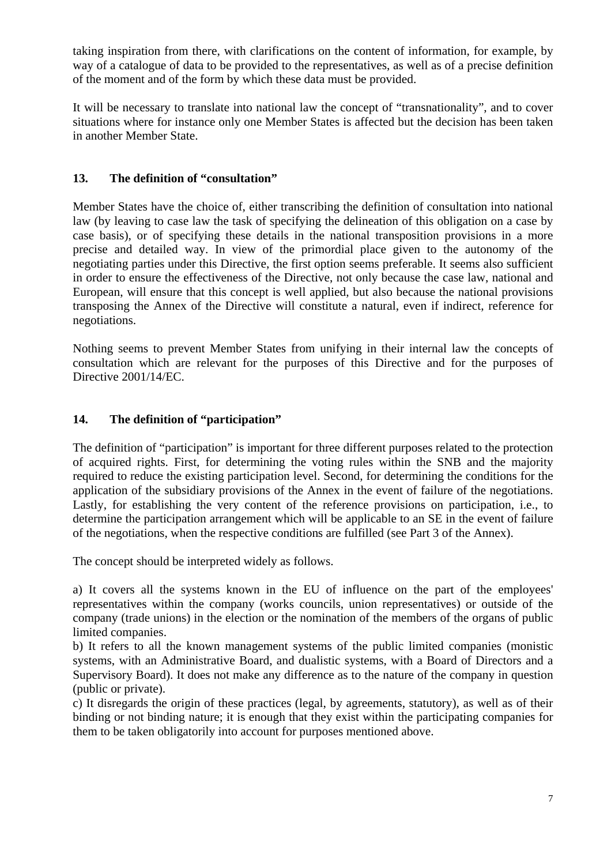taking inspiration from there, with clarifications on the content of information, for example, by way of a catalogue of data to be provided to the representatives, as well as of a precise definition of the moment and of the form by which these data must be provided.

It will be necessary to translate into national law the concept of "transnationality", and to cover situations where for instance only one Member States is affected but the decision has been taken in another Member State.

## **13. The definition of "consultation"**

Member States have the choice of, either transcribing the definition of consultation into national law (by leaving to case law the task of specifying the delineation of this obligation on a case by case basis), or of specifying these details in the national transposition provisions in a more precise and detailed way. In view of the primordial place given to the autonomy of the negotiating parties under this Directive, the first option seems preferable. It seems also sufficient in order to ensure the effectiveness of the Directive, not only because the case law, national and European, will ensure that this concept is well applied, but also because the national provisions transposing the Annex of the Directive will constitute a natural, even if indirect, reference for negotiations.

Nothing seems to prevent Member States from unifying in their internal law the concepts of consultation which are relevant for the purposes of this Directive and for the purposes of Directive 2001/14/EC.

### **14. The definition of "participation"**

The definition of "participation" is important for three different purposes related to the protection of acquired rights. First, for determining the voting rules within the SNB and the majority required to reduce the existing participation level. Second, for determining the conditions for the application of the subsidiary provisions of the Annex in the event of failure of the negotiations. Lastly, for establishing the very content of the reference provisions on participation, i.e., to determine the participation arrangement which will be applicable to an SE in the event of failure of the negotiations, when the respective conditions are fulfilled (see Part 3 of the Annex).

The concept should be interpreted widely as follows.

a) It covers all the systems known in the EU of influence on the part of the employees' representatives within the company (works councils, union representatives) or outside of the company (trade unions) in the election or the nomination of the members of the organs of public limited companies.

b) It refers to all the known management systems of the public limited companies (monistic systems, with an Administrative Board, and dualistic systems, with a Board of Directors and a Supervisory Board). It does not make any difference as to the nature of the company in question (public or private).

c) It disregards the origin of these practices (legal, by agreements, statutory), as well as of their binding or not binding nature; it is enough that they exist within the participating companies for them to be taken obligatorily into account for purposes mentioned above.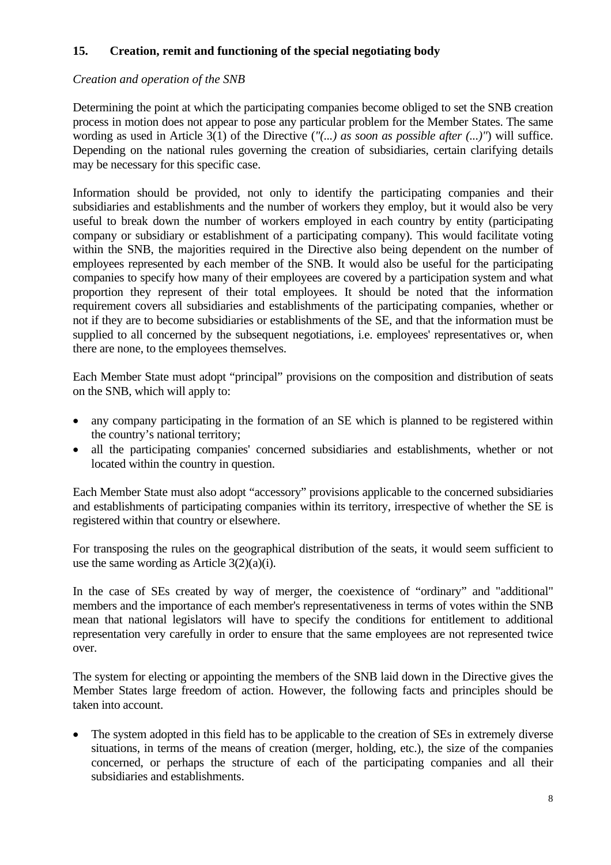## **15. Creation, remit and functioning of the special negotiating body**

## *Creation and operation of the SNB*

Determining the point at which the participating companies become obliged to set the SNB creation process in motion does not appear to pose any particular problem for the Member States. The same wording as used in Article 3(1) of the Directive (*"(...) as soon as possible after (...)"*) will suffice. Depending on the national rules governing the creation of subsidiaries, certain clarifying details may be necessary for this specific case.

Information should be provided, not only to identify the participating companies and their subsidiaries and establishments and the number of workers they employ, but it would also be very useful to break down the number of workers employed in each country by entity (participating company or subsidiary or establishment of a participating company). This would facilitate voting within the SNB, the majorities required in the Directive also being dependent on the number of employees represented by each member of the SNB. It would also be useful for the participating companies to specify how many of their employees are covered by a participation system and what proportion they represent of their total employees. It should be noted that the information requirement covers all subsidiaries and establishments of the participating companies, whether or not if they are to become subsidiaries or establishments of the SE, and that the information must be supplied to all concerned by the subsequent negotiations, i.e. employees' representatives or, when there are none, to the employees themselves.

Each Member State must adopt "principal" provisions on the composition and distribution of seats on the SNB, which will apply to:

- any company participating in the formation of an SE which is planned to be registered within the country's national territory;
- all the participating companies' concerned subsidiaries and establishments, whether or not located within the country in question.

Each Member State must also adopt "accessory" provisions applicable to the concerned subsidiaries and establishments of participating companies within its territory, irrespective of whether the SE is registered within that country or elsewhere.

For transposing the rules on the geographical distribution of the seats, it would seem sufficient to use the same wording as Article  $3(2)(a)(i)$ .

In the case of SEs created by way of merger, the coexistence of "ordinary" and "additional" members and the importance of each member's representativeness in terms of votes within the SNB mean that national legislators will have to specify the conditions for entitlement to additional representation very carefully in order to ensure that the same employees are not represented twice over.

The system for electing or appointing the members of the SNB laid down in the Directive gives the Member States large freedom of action. However, the following facts and principles should be taken into account.

The system adopted in this field has to be applicable to the creation of SEs in extremely diverse situations, in terms of the means of creation (merger, holding, etc.), the size of the companies concerned, or perhaps the structure of each of the participating companies and all their subsidiaries and establishments.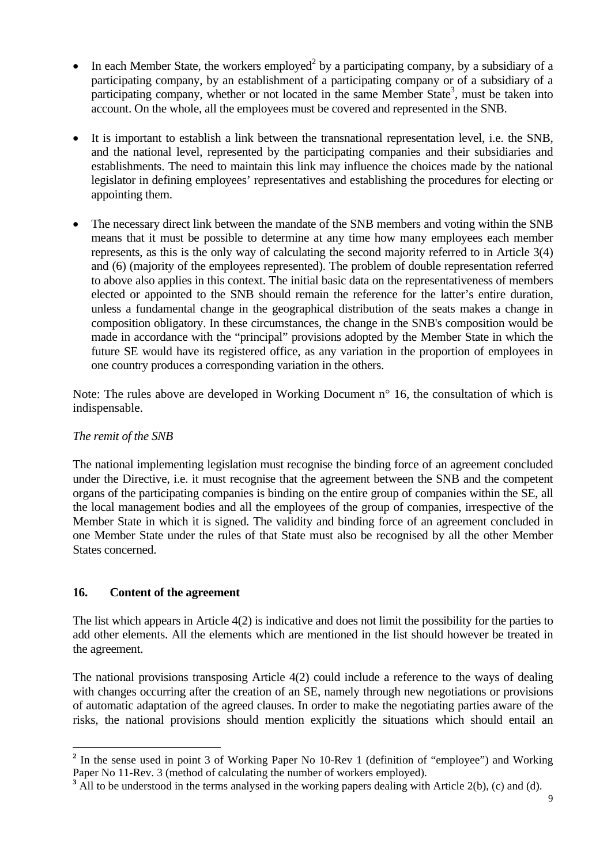- In each Member State, the workers employed<sup>2</sup> by a participating company, by a subsidiary of a participating company, by an establishment of a participating company or of a subsidiary of a participating company, whether or not located in the same Member State<sup>3</sup>, must be taken into account. On the whole, all the employees must be covered and represented in the SNB.
- It is important to establish a link between the transnational representation level, i.e. the SNB, and the national level, represented by the participating companies and their subsidiaries and establishments. The need to maintain this link may influence the choices made by the national legislator in defining employees' representatives and establishing the procedures for electing or appointing them.
- The necessary direct link between the mandate of the SNB members and voting within the SNB means that it must be possible to determine at any time how many employees each member represents, as this is the only way of calculating the second majority referred to in Article 3(4) and (6) (majority of the employees represented). The problem of double representation referred to above also applies in this context. The initial basic data on the representativeness of members elected or appointed to the SNB should remain the reference for the latter's entire duration, unless a fundamental change in the geographical distribution of the seats makes a change in composition obligatory. In these circumstances, the change in the SNB's composition would be made in accordance with the "principal" provisions adopted by the Member State in which the future SE would have its registered office, as any variation in the proportion of employees in one country produces a corresponding variation in the others.

Note: The rules above are developed in Working Document  $n^{\circ}$  16, the consultation of which is indispensable.

## *The remit of the SNB*

 $\overline{a}$ 

The national implementing legislation must recognise the binding force of an agreement concluded under the Directive, i.e. it must recognise that the agreement between the SNB and the competent organs of the participating companies is binding on the entire group of companies within the SE, all the local management bodies and all the employees of the group of companies, irrespective of the Member State in which it is signed. The validity and binding force of an agreement concluded in one Member State under the rules of that State must also be recognised by all the other Member States concerned.

## **16. Content of the agreement**

The list which appears in Article 4(2) is indicative and does not limit the possibility for the parties to add other elements. All the elements which are mentioned in the list should however be treated in the agreement.

The national provisions transposing Article 4(2) could include a reference to the ways of dealing with changes occurring after the creation of an SE, namely through new negotiations or provisions of automatic adaptation of the agreed clauses. In order to make the negotiating parties aware of the risks, the national provisions should mention explicitly the situations which should entail an

<span id="page-8-0"></span><sup>&</sup>lt;sup>2</sup> In the sense used in point 3 of Working Paper No 10-Rev 1 (definition of "employee") and Working Paper No 11-Rev. 3 (method of calculating the number of workers employed).

<span id="page-8-1"></span><sup>&</sup>lt;sup>3</sup> All to be understood in the terms analysed in the working papers dealing with Article 2(b), (c) and (d).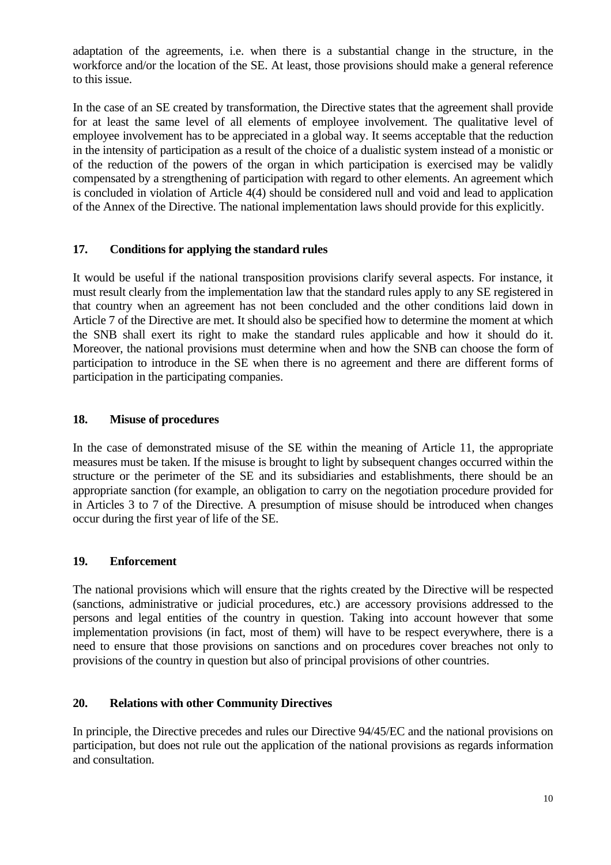adaptation of the agreements, i.e. when there is a substantial change in the structure, in the workforce and/or the location of the SE. At least, those provisions should make a general reference to this issue.

In the case of an SE created by transformation, the Directive states that the agreement shall provide for at least the same level of all elements of employee involvement. The qualitative level of employee involvement has to be appreciated in a global way. It seems acceptable that the reduction in the intensity of participation as a result of the choice of a dualistic system instead of a monistic or of the reduction of the powers of the organ in which participation is exercised may be validly compensated by a strengthening of participation with regard to other elements. An agreement which is concluded in violation of Article 4(4) should be considered null and void and lead to application of the Annex of the Directive. The national implementation laws should provide for this explicitly.

## **17. Conditions for applying the standard rules**

It would be useful if the national transposition provisions clarify several aspects. For instance, it must result clearly from the implementation law that the standard rules apply to any SE registered in that country when an agreement has not been concluded and the other conditions laid down in Article 7 of the Directive are met. It should also be specified how to determine the moment at which the SNB shall exert its right to make the standard rules applicable and how it should do it. Moreover, the national provisions must determine when and how the SNB can choose the form of participation to introduce in the SE when there is no agreement and there are different forms of participation in the participating companies.

#### **18. Misuse of procedures**

In the case of demonstrated misuse of the SE within the meaning of Article 11, the appropriate measures must be taken. If the misuse is brought to light by subsequent changes occurred within the structure or the perimeter of the SE and its subsidiaries and establishments, there should be an appropriate sanction (for example, an obligation to carry on the negotiation procedure provided for in Articles 3 to 7 of the Directive. A presumption of misuse should be introduced when changes occur during the first year of life of the SE.

#### **19. Enforcement**

The national provisions which will ensure that the rights created by the Directive will be respected (sanctions, administrative or judicial procedures, etc.) are accessory provisions addressed to the persons and legal entities of the country in question. Taking into account however that some implementation provisions (in fact, most of them) will have to be respect everywhere, there is a need to ensure that those provisions on sanctions and on procedures cover breaches not only to provisions of the country in question but also of principal provisions of other countries.

#### **20. Relations with other Community Directives**

In principle, the Directive precedes and rules our Directive 94/45/EC and the national provisions on participation, but does not rule out the application of the national provisions as regards information and consultation.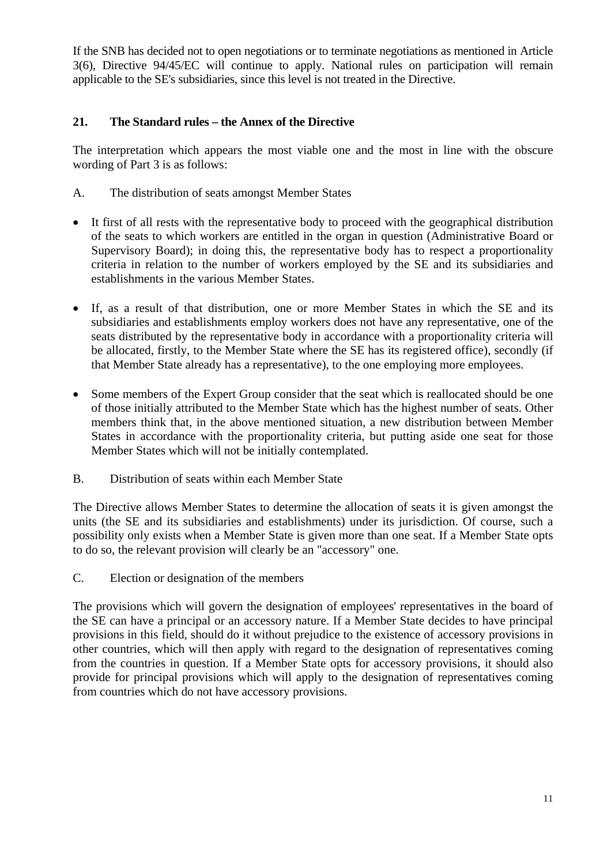If the SNB has decided not to open negotiations or to terminate negotiations as mentioned in Article 3(6), Directive 94/45/EC will continue to apply. National rules on participation will remain applicable to the SE's subsidiaries, since this level is not treated in the Directive.

## **21. The Standard rules – the Annex of the Directive**

The interpretation which appears the most viable one and the most in line with the obscure wording of Part 3 is as follows:

- A. The distribution of seats amongst Member States
- It first of all rests with the representative body to proceed with the geographical distribution of the seats to which workers are entitled in the organ in question (Administrative Board or Supervisory Board); in doing this, the representative body has to respect a proportionality criteria in relation to the number of workers employed by the SE and its subsidiaries and establishments in the various Member States.
- If, as a result of that distribution, one or more Member States in which the SE and its subsidiaries and establishments employ workers does not have any representative, one of the seats distributed by the representative body in accordance with a proportionality criteria will be allocated, firstly, to the Member State where the SE has its registered office), secondly (if that Member State already has a representative), to the one employing more employees.
- Some members of the Expert Group consider that the seat which is reallocated should be one of those initially attributed to the Member State which has the highest number of seats. Other members think that, in the above mentioned situation, a new distribution between Member States in accordance with the proportionality criteria, but putting aside one seat for those Member States which will not be initially contemplated.
- B. Distribution of seats within each Member State

The Directive allows Member States to determine the allocation of seats it is given amongst the units (the SE and its subsidiaries and establishments) under its jurisdiction. Of course, such a possibility only exists when a Member State is given more than one seat. If a Member State opts to do so, the relevant provision will clearly be an "accessory" one.

C. Election or designation of the members

The provisions which will govern the designation of employees' representatives in the board of the SE can have a principal or an accessory nature. If a Member State decides to have principal provisions in this field, should do it without prejudice to the existence of accessory provisions in other countries, which will then apply with regard to the designation of representatives coming from the countries in question. If a Member State opts for accessory provisions, it should also provide for principal provisions which will apply to the designation of representatives coming from countries which do not have accessory provisions.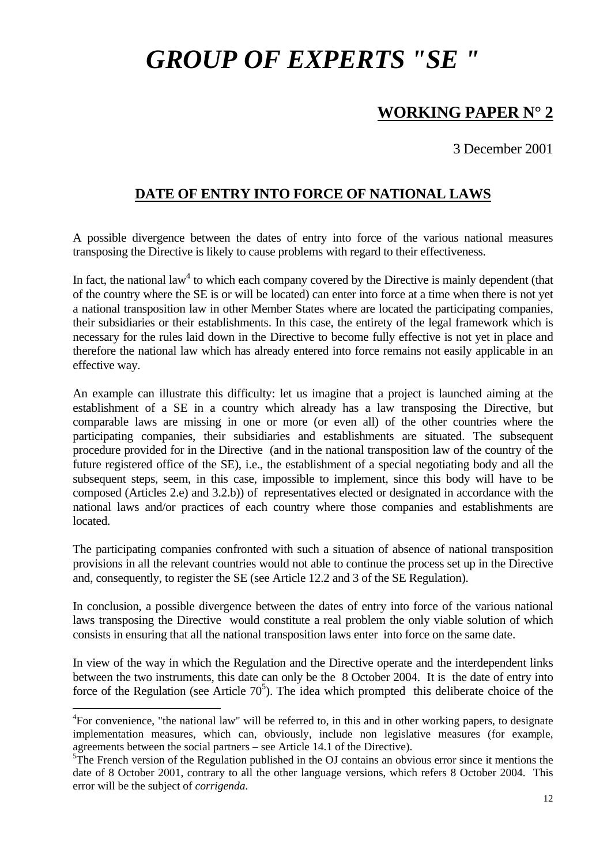# *GROUP OF EXPERTS "SE "*

# **WORKING PAPER N° 2**

3 December 2001

## **DATE OF ENTRY INTO FORCE OF NATIONAL LAWS**

A possible divergence between the dates of entry into force of the various national measures transposing the Directive is likely to cause problems with regard to their effectiveness.

In fact, the national law<sup>4</sup> to which each company covered by the Directive is mainly dependent (that of the country where the SE is or will be located) can enter into force at a time when there is not yet a national transposition law in other Member States where are located the participating companies, their subsidiaries or their establishments. In this case, the entirety of the legal framework which is necessary for the rules laid down in the Directive to become fully effective is not yet in place and therefore the national law which has already entered into force remains not easily applicable in an effective way.

An example can illustrate this difficulty: let us imagine that a project is launched aiming at the establishment of a SE in a country which already has a law transposing the Directive, but comparable laws are missing in one or more (or even all) of the other countries where the participating companies, their subsidiaries and establishments are situated. The subsequent procedure provided for in the Directive (and in the national transposition law of the country of the future registered office of the SE), i.e., the establishment of a special negotiating body and all the subsequent steps, seem, in this case, impossible to implement, since this body will have to be composed (Articles 2.e) and 3.2.b)) of representatives elected or designated in accordance with the national laws and/or practices of each country where those companies and establishments are located.

The participating companies confronted with such a situation of absence of national transposition provisions in all the relevant countries would not able to continue the process set up in the Directive and, consequently, to register the SE (see Article 12.2 and 3 of the SE Regulation).

In conclusion, a possible divergence between the dates of entry into force of the various national laws transposing the Directive would constitute a real problem the only viable solution of which consists in ensuring that all the national transposition laws enter into force on the same date.

In view of the way in which the Regulation and the Directive operate and the interdependent links between the two instruments, this date can only be the 8 October 2004. It is the date of entry into force of the Regulation (see Article  $70<sup>5</sup>$ ). The idea which prompted this deliberate choice of the

<span id="page-11-0"></span><sup>&</sup>lt;sup>4</sup>For convenience, "the national law" will be referred to, in this and in other working papers, to designate implementation measures, which can, obviously, include non legislative measures (for example, agreements between the social partners – see Article 14.1 of the Directive). 5

<span id="page-11-1"></span> ${}^{5}$ The French version of the Regulation published in the OJ contains an obvious error since it mentions the date of 8 October 2001, contrary to all the other language versions, which refers 8 October 2004. This error will be the subject of *corrigenda.*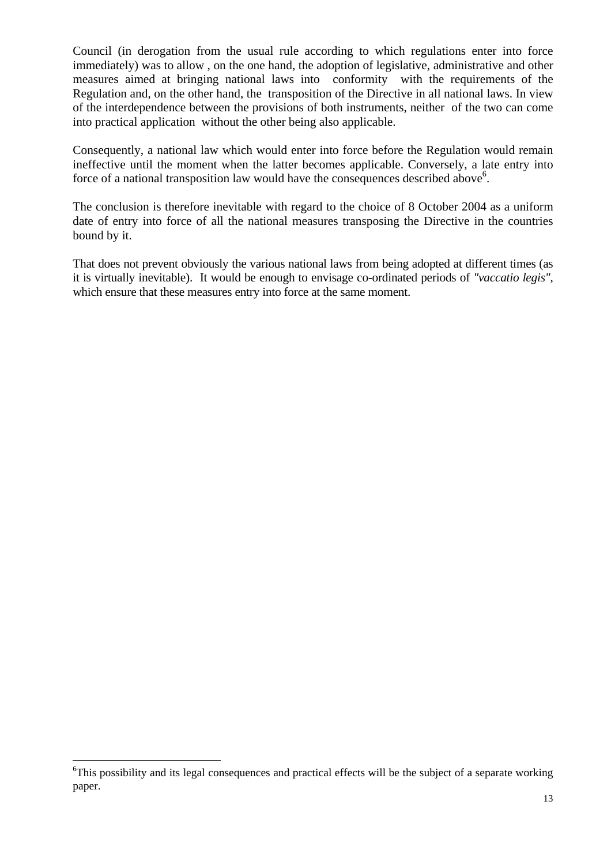Council (in derogation from the usual rule according to which regulations enter into force immediately) was to allow , on the one hand, the adoption of legislative, administrative and other measures aimed at bringing national laws into conformity with the requirements of the Regulation and, on the other hand, the transposition of the Directive in all national laws. In view of the interdependence between the provisions of both instruments, neither of the two can come into practical application without the other being also applicable.

Consequently, a national law which would enter into force before the Regulation would remain ineffective until the moment when the latter becomes applicable. Conversely, a late entry into force of a national transposition law would have the consequences described above<sup>6</sup>.

The conclusion is therefore inevitable with regard to the choice of 8 October 2004 as a uniform date of entry into force of all the national measures transposing the Directive in the countries bound by it.

That does not prevent obviously the various national laws from being adopted at different times (as it is virtually inevitable). It would be enough to envisage co-ordinated periods of *"vaccatio legis"*, which ensure that these measures entry into force at the same moment.

<span id="page-12-0"></span><sup>&</sup>lt;sup>6</sup>This possibility and its legal consequences and practical effects will be the subject of a separate working paper.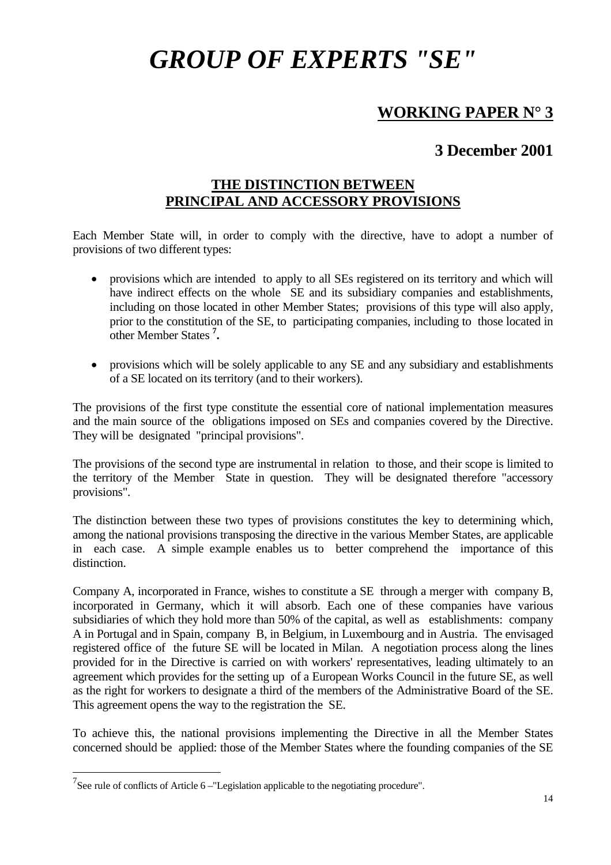# *GROUP OF EXPERTS "SE"*

# **WORKING PAPER N° 3**

# **3 December 2001**

## **THE DISTINCTION BETWEEN PRINCIPAL AND ACCESSORY PROVISIONS**

Each Member State will, in order to comply with the directive, have to adopt a number of provisions of two different types:

- provisions which are intended to apply to all SEs registered on its territory and which will have indirect effects on the whole SE and its subsidiary companies and establishments, including on those located in other Member States; provisions of this type will also apply, prior to the constitution of the SE, to participating companies, including to those located in other Member States **[7](#page-13-0) .**
- provisions which will be solely applicable to any SE and any subsidiary and establishments of a SE located on its territory (and to their workers).

The provisions of the first type constitute the essential core of national implementation measures and the main source of the obligations imposed on SEs and companies covered by the Directive. They will be designated "principal provisions".

The provisions of the second type are instrumental in relation to those, and their scope is limited to the territory of the Member State in question. They will be designated therefore "accessory provisions".

The distinction between these two types of provisions constitutes the key to determining which, among the national provisions transposing the directive in the various Member States, are applicable in each case. A simple example enables us to better comprehend the importance of this distinction.

Company A, incorporated in France, wishes to constitute a SE through a merger with company B, incorporated in Germany, which it will absorb. Each one of these companies have various subsidiaries of which they hold more than 50% of the capital, as well as establishments: company A in Portugal and in Spain, company B, in Belgium, in Luxembourg and in Austria. The envisaged registered office of the future SE will be located in Milan. A negotiation process along the lines provided for in the Directive is carried on with workers' representatives, leading ultimately to an agreement which provides for the setting up of a European Works Council in the future SE, as well as the right for workers to designate a third of the members of the Administrative Board of the SE. This agreement opens the way to the registration the SE.

To achieve this, the national provisions implementing the Directive in all the Member States concerned should be applied: those of the Member States where the founding companies of the SE

<span id="page-13-0"></span><sup>&</sup>lt;sup>7</sup>See rule of conflicts of Article 6 – "Legislation applicable to the negotiating procedure".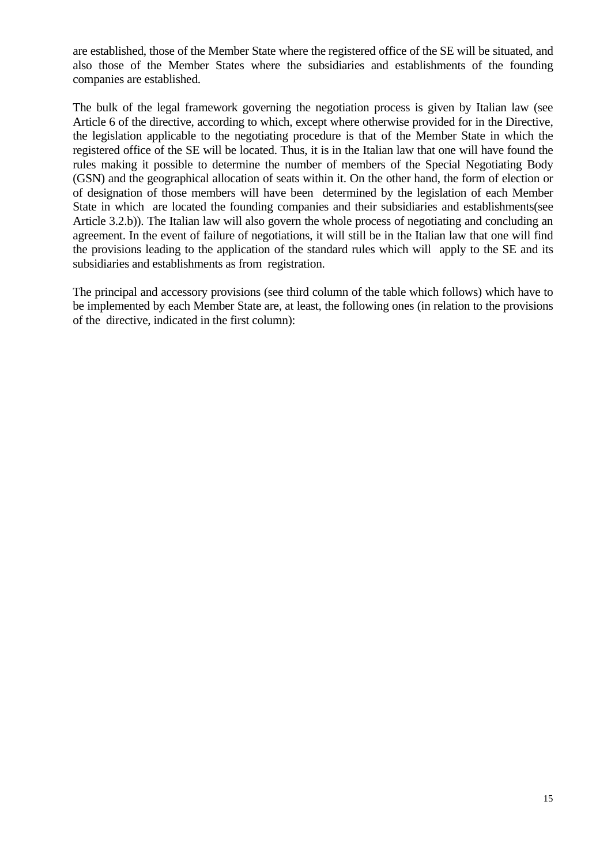are established, those of the Member State where the registered office of the SE will be situated, and also those of the Member States where the subsidiaries and establishments of the founding companies are established.

The bulk of the legal framework governing the negotiation process is given by Italian law (see Article 6 of the directive, according to which, except where otherwise provided for in the Directive, the legislation applicable to the negotiating procedure is that of the Member State in which the registered office of the SE will be located. Thus, it is in the Italian law that one will have found the rules making it possible to determine the number of members of the Special Negotiating Body (GSN) and the geographical allocation of seats within it. On the other hand, the form of election or of designation of those members will have been determined by the legislation of each Member State in which are located the founding companies and their subsidiaries and establishments(see Article 3.2.b)). The Italian law will also govern the whole process of negotiating and concluding an agreement. In the event of failure of negotiations, it will still be in the Italian law that one will find the provisions leading to the application of the standard rules which will apply to the SE and its subsidiaries and establishments as from registration.

The principal and accessory provisions (see third column of the table which follows) which have to be implemented by each Member State are, at least, the following ones (in relation to the provisions of the directive, indicated in the first column):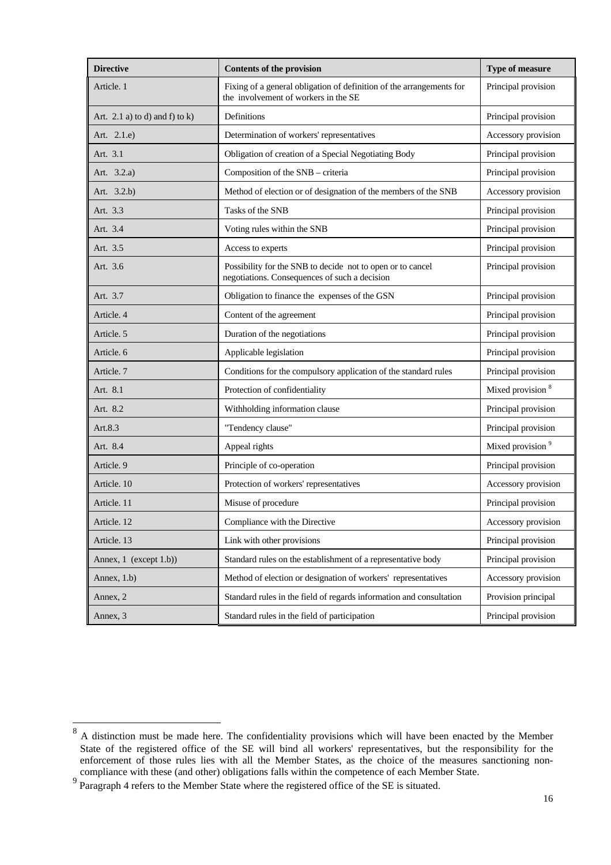| <b>Directive</b>                  | <b>Contents of the provision</b>                                                                                                    | Type of measure              |
|-----------------------------------|-------------------------------------------------------------------------------------------------------------------------------------|------------------------------|
| Article. 1                        | Fixing of a general obligation of definition of the arrangements for<br>Principal provision<br>the involvement of workers in the SE |                              |
| Art. 2.1 a) to d) and f) to $k$ ) | Definitions                                                                                                                         | Principal provision          |
| Art. 2.1.e)                       | Determination of workers' representatives                                                                                           | Accessory provision          |
| Art. 3.1                          | Obligation of creation of a Special Negotiating Body                                                                                | Principal provision          |
| Art. 3.2.a)                       | Composition of the SNB - criteria<br>Principal provision                                                                            |                              |
| Art. 3.2.b)                       | Method of election or of designation of the members of the SNB                                                                      | Accessory provision          |
| Art. 3.3                          | Tasks of the SNB                                                                                                                    | Principal provision          |
| Art. 3.4                          | Voting rules within the SNB                                                                                                         | Principal provision          |
| Art. 3.5                          | Access to experts                                                                                                                   | Principal provision          |
| Art. 3.6                          | Possibility for the SNB to decide not to open or to cancel<br>negotiations. Consequences of such a decision                         | Principal provision          |
| Art. 3.7                          | Obligation to finance the expenses of the GSN                                                                                       | Principal provision          |
| Article. 4                        | Content of the agreement                                                                                                            | Principal provision          |
| Article, 5                        | Duration of the negotiations                                                                                                        | Principal provision          |
| Article. 6                        | Applicable legislation                                                                                                              | Principal provision          |
| Article. 7                        | Conditions for the compulsory application of the standard rules                                                                     | Principal provision          |
| Art. 8.1                          | Protection of confidentiality                                                                                                       | Mixed provision <sup>8</sup> |
| Art. 8.2                          | Withholding information clause                                                                                                      | Principal provision          |
| Art.8.3                           | "Tendency clause"                                                                                                                   | Principal provision          |
| Art. 8.4                          | Appeal rights                                                                                                                       | Mixed provision <sup>9</sup> |
| Article. 9                        | Principle of co-operation                                                                                                           | Principal provision          |
| Article. 10                       | Protection of workers' representatives                                                                                              | Accessory provision          |
| Article. 11                       | Misuse of procedure                                                                                                                 | Principal provision          |
| Article. 12                       | Compliance with the Directive                                                                                                       | Accessory provision          |
| Article. 13                       | Link with other provisions                                                                                                          | Principal provision          |
| Annex, 1 (except 1.b))            | Standard rules on the establishment of a representative body                                                                        | Principal provision          |
| Annex, 1.b)                       | Method of election or designation of workers' representatives                                                                       | Accessory provision          |
| Annex, 2                          | Standard rules in the field of regards information and consultation                                                                 | Provision principal          |
| Annex, 3                          | Standard rules in the field of participation                                                                                        | Principal provision          |

<span id="page-15-0"></span><sup>&</sup>lt;sup>8</sup> A distinction must be made here. The confidentiality provisions which will have been enacted by the Member State of the registered office of the SE will bind all workers' representatives, but the responsibility for the enforcement of those rules lies with all the Member States, as the choice of the measures sanctioning noncompliance with these (and other) obligations falls within the competence of each Member State.

<span id="page-15-1"></span><sup>&</sup>lt;sup>9</sup> Paragraph 4 refers to the Member State where the registered office of the SE is situated.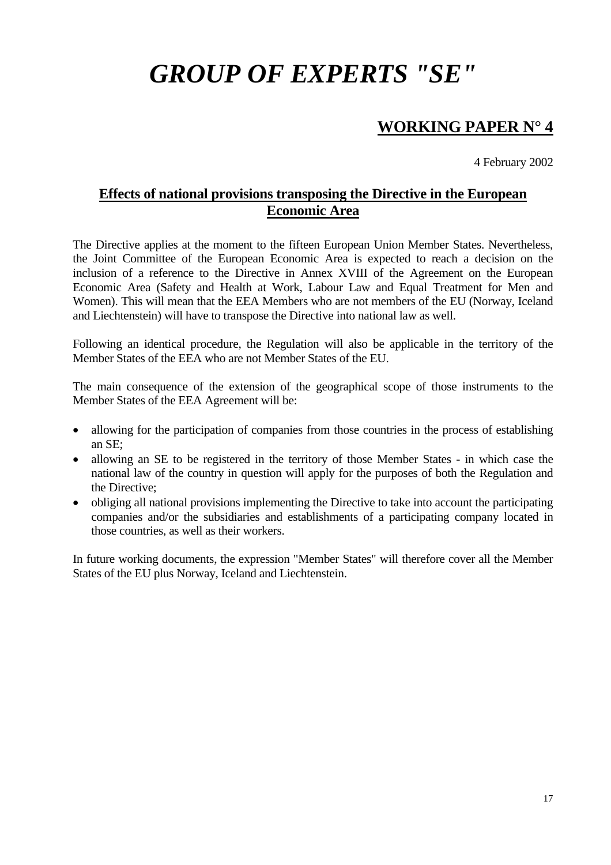# *GROUP OF EXPERTS "SE"*

# **WORKING PAPER N° 4**

4 February 2002

## **Effects of national provisions transposing the Directive in the European Economic Area**

The Directive applies at the moment to the fifteen European Union Member States. Nevertheless, the Joint Committee of the European Economic Area is expected to reach a decision on the inclusion of a reference to the Directive in Annex XVIII of the Agreement on the European Economic Area (Safety and Health at Work, Labour Law and Equal Treatment for Men and Women). This will mean that the EEA Members who are not members of the EU (Norway, Iceland and Liechtenstein) will have to transpose the Directive into national law as well.

Following an identical procedure, the Regulation will also be applicable in the territory of the Member States of the EEA who are not Member States of the EU.

The main consequence of the extension of the geographical scope of those instruments to the Member States of the EEA Agreement will be:

- allowing for the participation of companies from those countries in the process of establishing an SE;
- allowing an SE to be registered in the territory of those Member States in which case the national law of the country in question will apply for the purposes of both the Regulation and the Directive;
- obliging all national provisions implementing the Directive to take into account the participating companies and/or the subsidiaries and establishments of a participating company located in those countries, as well as their workers.

In future working documents, the expression "Member States" will therefore cover all the Member States of the EU plus Norway, Iceland and Liechtenstein.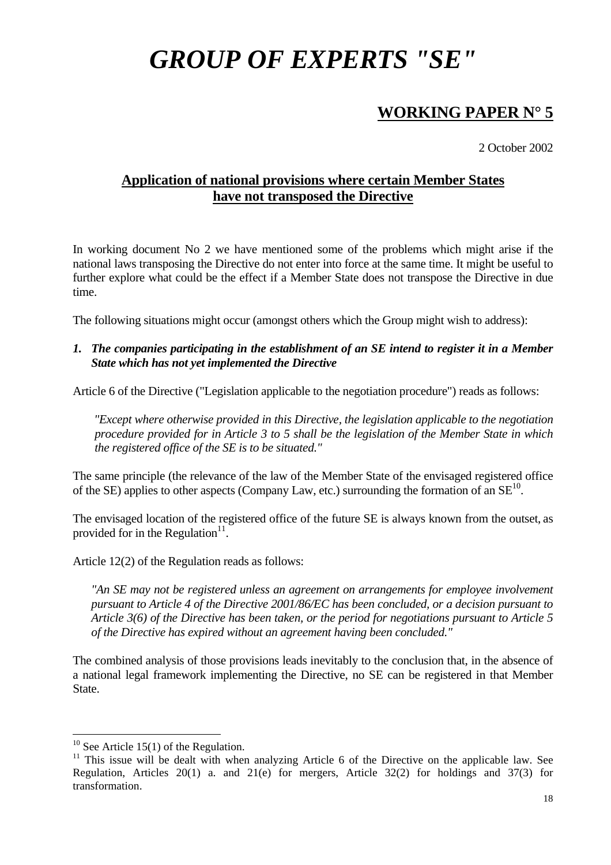# *GROUP OF EXPERTS "SE"*

# **WORKING PAPER N° 5**

2 October 2002

## **Application of national provisions where certain Member States have not transposed the Directive**

In working document No 2 we have mentioned some of the problems which might arise if the national laws transposing the Directive do not enter into force at the same time. It might be useful to further explore what could be the effect if a Member State does not transpose the Directive in due time.

The following situations might occur (amongst others which the Group might wish to address):

### *1. The companies participating in the establishment of an SE intend to register it in a Member State which has not yet implemented the Directive*

Article 6 of the Directive ("Legislation applicable to the negotiation procedure") reads as follows:

*"Except where otherwise provided in this Directive, the legislation applicable to the negotiation procedure provided for in Article 3 to 5 shall be the legislation of the Member State in which the registered office of the SE is to be situated."* 

The same principle (the relevance of the law of the Member State of the envisaged registered office of the SE) applies to other aspects (Company Law, etc.) surrounding the formation of an  $SE^{10}$ .

The envisaged location of the registered office of the future SE is always known from the outset, as provided for in the Regulation<sup>11</sup>.

Article 12(2) of the Regulation reads as follows:

*"An SE may not be registered unless an agreement on arrangements for employee involvement pursuant to Article 4 of the Directive 2001/86/EC has been concluded, or a decision pursuant to Article 3(6) of the Directive has been taken, or the period for negotiations pursuant to Article 5 of the Directive has expired without an agreement having been concluded."* 

The combined analysis of those provisions leads inevitably to the conclusion that, in the absence of a national legal framework implementing the Directive, no SE can be registered in that Member State.

<span id="page-17-0"></span> $10$  See Article 15(1) of the Regulation.

<span id="page-17-1"></span> $11$  This issue will be dealt with when analyzing Article 6 of the Directive on the applicable law. See Regulation, Articles 20(1) a. and 21(e) for mergers, Article 32(2) for holdings and 37(3) for transformation.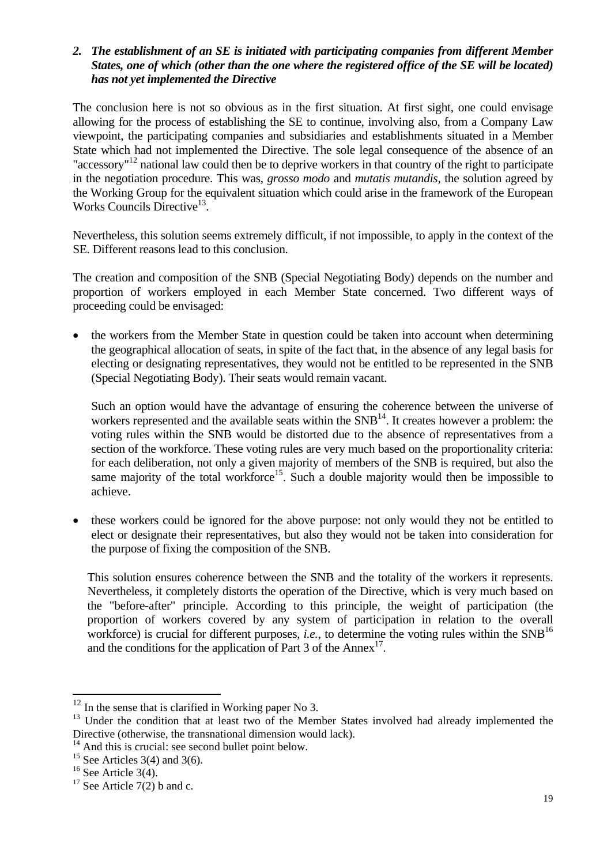### *2. The establishment of an SE is initiated with participating companies from different Member States, one of which (other than the one where the registered office of the SE will be located) has not yet implemented the Directive*

The conclusion here is not so obvious as in the first situation. At first sight, one could envisage allowing for the process of establishing the SE to continue, involving also, from a Company Law viewpoint, the participating companies and subsidiaries and establishments situated in a Member State which had not implemented the Directive. The sole legal consequence of the absence of an "accessory"<sup>12</sup> national law could then be to deprive workers in that country of the right to participate in the negotiation procedure. This was, *grosso modo* and *mutatis mutandis*, the solution agreed by the Working Group for the equivalent situation which could arise in the framework of the European Works Councils Directive<sup>13</sup>.

Nevertheless, this solution seems extremely difficult, if not impossible, to apply in the context of the SE. Different reasons lead to this conclusion.

The creation and composition of the SNB (Special Negotiating Body) depends on the number and proportion of workers employed in each Member State concerned. Two different ways of proceeding could be envisaged:

• the workers from the Member State in question could be taken into account when determining the geographical allocation of seats, in spite of the fact that, in the absence of any legal basis for electing or designating representatives, they would not be entitled to be represented in the SNB (Special Negotiating Body). Their seats would remain vacant.

Such an option would have the advantage of ensuring the coherence between the universe of workers represented and the available seats within the  $SNB<sup>14</sup>$ . It creates however a problem: the voting rules within the SNB would be distorted due to the absence of representatives from a section of the workforce. These voting rules are very much based on the proportionality criteria: for each deliberation, not only a given majority of members of the SNB is required, but also the same majority of the total workforce<sup>15</sup>. Such a double majority would then be impossible to achieve.

• these workers could be ignored for the above purpose: not only would they not be entitled to elect or designate their representatives, but also they would not be taken into consideration for the purpose of fixing the composition of the SNB.

This solution ensures coherence between the SNB and the totality of the workers it represents. Nevertheless, it completely distorts the operation of the Directive, which is very much based on the "before-after" principle. According to this principle, the weight of participation (the proportion of workers covered by any system of participation in relation to the overall workforce) is crucial for different purposes, *i.e.*, to determine the voting rules within the  $SNB<sup>16</sup>$  $SNB<sup>16</sup>$  $SNB<sup>16</sup>$ and the conditions for the application of Part  $3$  of the Annex<sup>17</sup>.

<span id="page-18-0"></span> $12$  In the sense that is clarified in Working paper No 3.

<span id="page-18-1"></span><sup>&</sup>lt;sup>13</sup> Under the condition that at least two of the Member States involved had already implemented the Directive (otherwise, the transnational dimension would lack).

<span id="page-18-2"></span> $14$  And this is crucial: see second bullet point below.

<span id="page-18-3"></span><sup>&</sup>lt;sup>15</sup> See Articles 3(4) and 3(6).

<span id="page-18-4"></span> $16$  See Article 3(4).

<span id="page-18-5"></span><sup>&</sup>lt;sup>17</sup> See Article  $7(2)$  b and c.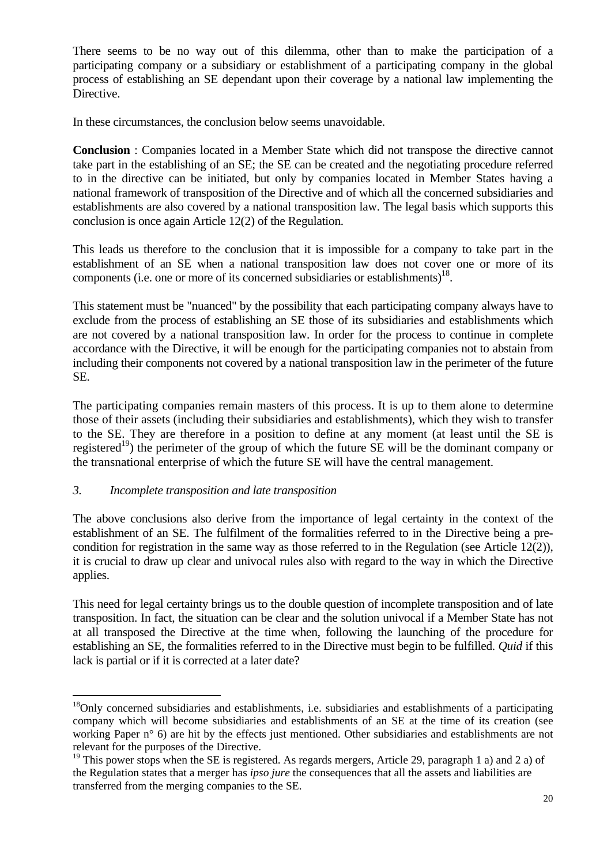There seems to be no way out of this dilemma, other than to make the participation of a participating company or a subsidiary or establishment of a participating company in the global process of establishing an SE dependant upon their coverage by a national law implementing the Directive.

In these circumstances, the conclusion below seems unavoidable.

**Conclusion** : Companies located in a Member State which did not transpose the directive cannot take part in the establishing of an SE; the SE can be created and the negotiating procedure referred to in the directive can be initiated, but only by companies located in Member States having a national framework of transposition of the Directive and of which all the concerned subsidiaries and establishments are also covered by a national transposition law. The legal basis which supports this conclusion is once again Article 12(2) of the Regulation.

This leads us therefore to the conclusion that it is impossible for a company to take part in the establishment of an SE when a national transposition law does not cover one or more of its components (i.e. one or more of its concerned subsidiaries or establishments)<sup>18</sup>.

This statement must be "nuanced" by the possibility that each participating company always have to exclude from the process of establishing an SE those of its subsidiaries and establishments which are not covered by a national transposition law. In order for the process to continue in complete accordance with the Directive, it will be enough for the participating companies not to abstain from including their components not covered by a national transposition law in the perimeter of the future SE.

The participating companies remain masters of this process. It is up to them alone to determine those of their assets (including their subsidiaries and establishments), which they wish to transfer to the SE. They are therefore in a position to define at any moment (at least until the SE is registered<sup>19</sup>) the perimeter of the group of which the future SE will be the dominant company or the transnational enterprise of which the future SE will have the central management.

## *3. Incomplete transposition and late transposition*

 $\overline{a}$ 

The above conclusions also derive from the importance of legal certainty in the context of the establishment of an SE. The fulfilment of the formalities referred to in the Directive being a precondition for registration in the same way as those referred to in the Regulation (see Article 12(2)), it is crucial to draw up clear and univocal rules also with regard to the way in which the Directive applies.

This need for legal certainty brings us to the double question of incomplete transposition and of late transposition. In fact, the situation can be clear and the solution univocal if a Member State has not at all transposed the Directive at the time when, following the launching of the procedure for establishing an SE, the formalities referred to in the Directive must begin to be fulfilled. *Quid* if this lack is partial or if it is corrected at a later date?

<span id="page-19-0"></span> $18$ Only concerned subsidiaries and establishments, i.e. subsidiaries and establishments of a participating company which will become subsidiaries and establishments of an SE at the time of its creation (see working Paper n° 6) are hit by the effects just mentioned. Other subsidiaries and establishments are not relevant for the purposes of the Directive.<br><sup>19</sup> This power stops when the SE is registered. As regards mergers, Article 29, paragraph 1 a) and 2 a) of

<span id="page-19-1"></span>the Regulation states that a merger has *ipso jure* the consequences that all the assets and liabilities are transferred from the merging companies to the SE.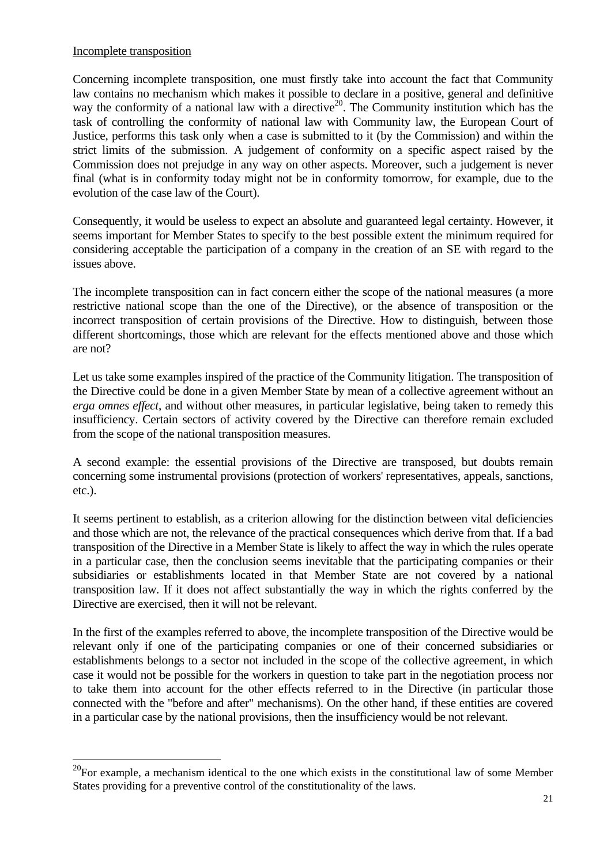### Incomplete transposition

 $\overline{a}$ 

Concerning incomplete transposition, one must firstly take into account the fact that Community law contains no mechanism which makes it possible to declare in a positive, general and definitive way the conformity of a national law with a directive<sup>20</sup>. The Community institution which has the task of controlling the conformity of national law with Community law, the European Court of Justice, performs this task only when a case is submitted to it (by the Commission) and within the strict limits of the submission. A judgement of conformity on a specific aspect raised by the Commission does not prejudge in any way on other aspects. Moreover, such a judgement is never final (what is in conformity today might not be in conformity tomorrow, for example, due to the evolution of the case law of the Court).

Consequently, it would be useless to expect an absolute and guaranteed legal certainty. However, it seems important for Member States to specify to the best possible extent the minimum required for considering acceptable the participation of a company in the creation of an SE with regard to the issues above.

The incomplete transposition can in fact concern either the scope of the national measures (a more restrictive national scope than the one of the Directive), or the absence of transposition or the incorrect transposition of certain provisions of the Directive. How to distinguish, between those different shortcomings, those which are relevant for the effects mentioned above and those which are not?

Let us take some examples inspired of the practice of the Community litigation. The transposition of the Directive could be done in a given Member State by mean of a collective agreement without an *erga omnes effect*, and without other measures, in particular legislative, being taken to remedy this insufficiency. Certain sectors of activity covered by the Directive can therefore remain excluded from the scope of the national transposition measures.

A second example: the essential provisions of the Directive are transposed, but doubts remain concerning some instrumental provisions (protection of workers' representatives, appeals, sanctions, etc.).

It seems pertinent to establish, as a criterion allowing for the distinction between vital deficiencies and those which are not, the relevance of the practical consequences which derive from that. If a bad transposition of the Directive in a Member State is likely to affect the way in which the rules operate in a particular case, then the conclusion seems inevitable that the participating companies or their subsidiaries or establishments located in that Member State are not covered by a national transposition law. If it does not affect substantially the way in which the rights conferred by the Directive are exercised, then it will not be relevant.

In the first of the examples referred to above, the incomplete transposition of the Directive would be relevant only if one of the participating companies or one of their concerned subsidiaries or establishments belongs to a sector not included in the scope of the collective agreement, in which case it would not be possible for the workers in question to take part in the negotiation process nor to take them into account for the other effects referred to in the Directive (in particular those connected with the "before and after" mechanisms). On the other hand, if these entities are covered in a particular case by the national provisions, then the insufficiency would be not relevant.

<span id="page-20-0"></span> $20$ For example, a mechanism identical to the one which exists in the constitutional law of some Member States providing for a preventive control of the constitutionality of the laws.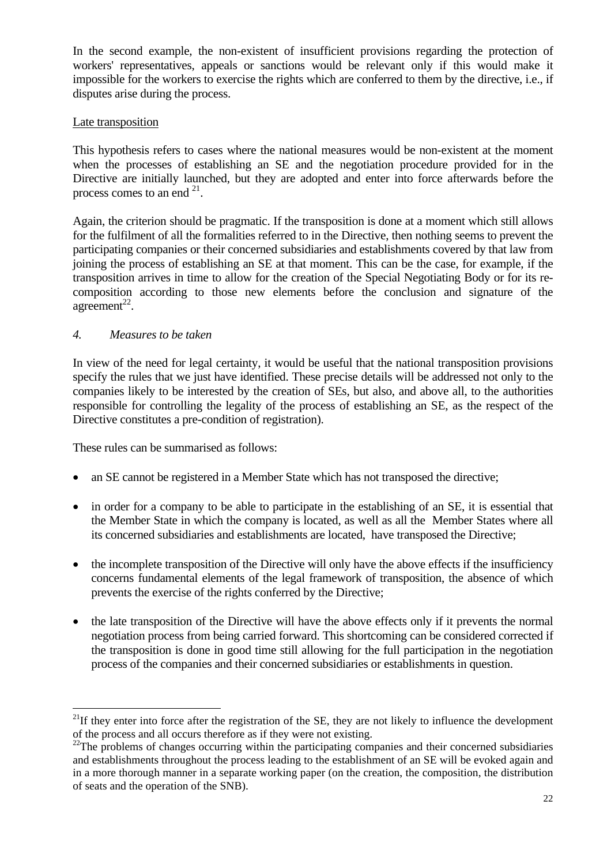In the second example, the non-existent of insufficient provisions regarding the protection of workers' representatives, appeals or sanctions would be relevant only if this would make it impossible for the workers to exercise the rights which are conferred to them by the directive, i.e., if disputes arise during the process.

### Late transposition

This hypothesis refers to cases where the national measures would be non-existent at the moment when the processes of establishing an SE and the negotiation procedure provided for in the Directive are initially launched, but they are adopted and enter into force afterwards before the process comes to an end  $^{21}$ .

Again, the criterion should be pragmatic. If the transposition is done at a moment which still allows for the fulfilment of all the formalities referred to in the Directive, then nothing seems to prevent the participating companies or their concerned subsidiaries and establishments covered by that law from joining the process of establishing an SE at that moment. This can be the case, for example, if the transposition arrives in time to allow for the creation of the Special Negotiating Body or for its recomposition according to those new elements before the conclusion and signature of the agreement<sup>22</sup>.

### *4. Measures to be taken*

 $\overline{a}$ 

In view of the need for legal certainty, it would be useful that the national transposition provisions specify the rules that we just have identified. These precise details will be addressed not only to the companies likely to be interested by the creation of SEs, but also, and above all, to the authorities responsible for controlling the legality of the process of establishing an SE, as the respect of the Directive constitutes a pre-condition of registration).

These rules can be summarised as follows:

- an SE cannot be registered in a Member State which has not transposed the directive;
- in order for a company to be able to participate in the establishing of an SE, it is essential that the Member State in which the company is located, as well as all the Member States where all its concerned subsidiaries and establishments are located, have transposed the Directive;
- the incomplete transposition of the Directive will only have the above effects if the insufficiency concerns fundamental elements of the legal framework of transposition, the absence of which prevents the exercise of the rights conferred by the Directive;
- the late transposition of the Directive will have the above effects only if it prevents the normal negotiation process from being carried forward. This shortcoming can be considered corrected if the transposition is done in good time still allowing for the full participation in the negotiation process of the companies and their concerned subsidiaries or establishments in question.

<span id="page-21-0"></span> $^{21}$ If they enter into force after the registration of the SE, they are not likely to influence the development of the process and all occurs therefore as if they were not existing.<br><sup>22</sup>The problems of changes occurring within the participating companies and their concerned subsidiaries

<span id="page-21-1"></span>and establishments throughout the process leading to the establishment of an SE will be evoked again and in a more thorough manner in a separate working paper (on the creation, the composition, the distribution of seats and the operation of the SNB).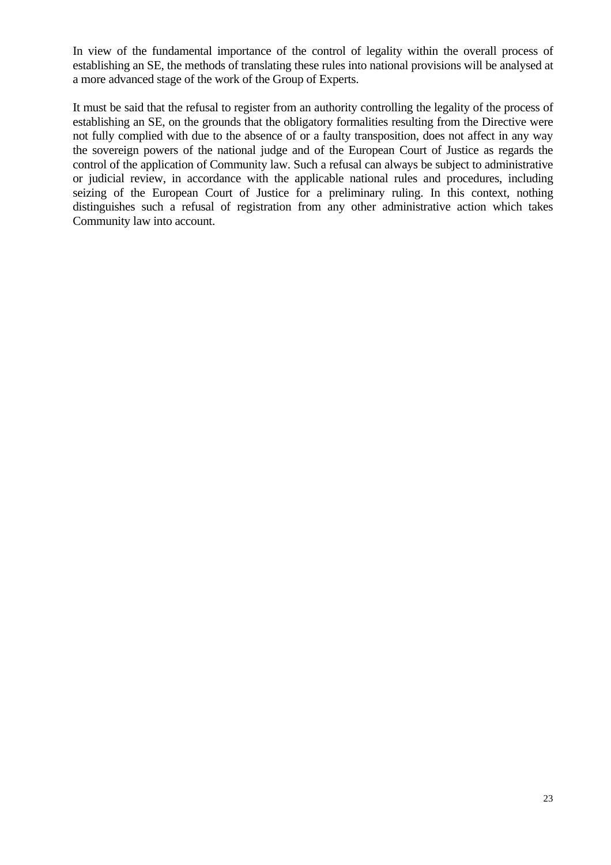In view of the fundamental importance of the control of legality within the overall process of establishing an SE, the methods of translating these rules into national provisions will be analysed at a more advanced stage of the work of the Group of Experts.

It must be said that the refusal to register from an authority controlling the legality of the process of establishing an SE, on the grounds that the obligatory formalities resulting from the Directive were not fully complied with due to the absence of or a faulty transposition, does not affect in any way the sovereign powers of the national judge and of the European Court of Justice as regards the control of the application of Community law. Such a refusal can always be subject to administrative or judicial review, in accordance with the applicable national rules and procedures, including seizing of the European Court of Justice for a preliminary ruling. In this context, nothing distinguishes such a refusal of registration from any other administrative action which takes Community law into account.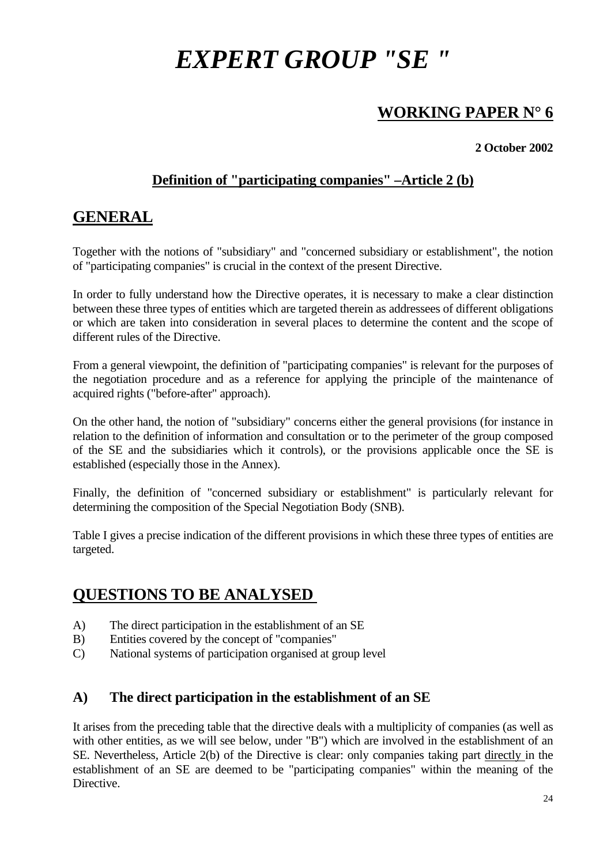# *EXPERT GROUP "SE "*

# **WORKING PAPER N° 6**

## **2 October 2002**

# **Definition of "participating companies" –Article 2 (b)**

# **GENERAL**

Together with the notions of "subsidiary" and "concerned subsidiary or establishment", the notion of "participating companies" is crucial in the context of the present Directive.

In order to fully understand how the Directive operates, it is necessary to make a clear distinction between these three types of entities which are targeted therein as addressees of different obligations or which are taken into consideration in several places to determine the content and the scope of different rules of the Directive.

From a general viewpoint, the definition of "participating companies" is relevant for the purposes of the negotiation procedure and as a reference for applying the principle of the maintenance of acquired rights ("before-after" approach).

On the other hand, the notion of "subsidiary" concerns either the general provisions (for instance in relation to the definition of information and consultation or to the perimeter of the group composed of the SE and the subsidiaries which it controls), or the provisions applicable once the SE is established (especially those in the Annex).

Finally, the definition of "concerned subsidiary or establishment" is particularly relevant for determining the composition of the Special Negotiation Body (SNB).

Table I gives a precise indication of the different provisions in which these three types of entities are targeted.

# **QUESTIONS TO BE ANALYSED**

- A) The direct participation in the establishment of an SE
- B) Entities covered by the concept of "companies"
- C) National systems of participation organised at group level

## **A) The direct participation in the establishment of an SE**

It arises from the preceding table that the directive deals with a multiplicity of companies (as well as with other entities, as we will see below, under "B") which are involved in the establishment of an SE. Nevertheless, Article 2(b) of the Directive is clear: only companies taking part directly in the establishment of an SE are deemed to be "participating companies" within the meaning of the **Directive**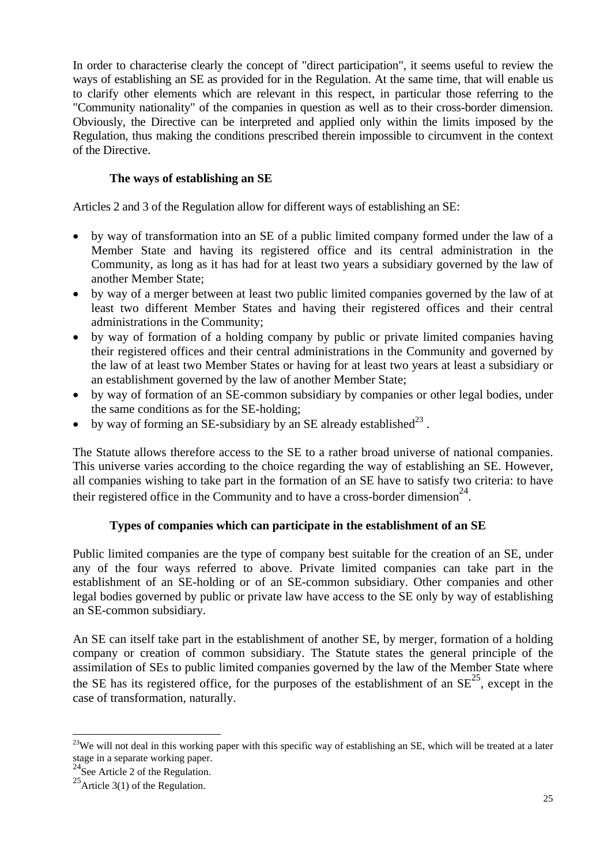In order to characterise clearly the concept of "direct participation", it seems useful to review the ways of establishing an SE as provided for in the Regulation. At the same time, that will enable us to clarify other elements which are relevant in this respect, in particular those referring to the "Community nationality" of the companies in question as well as to their cross-border dimension. Obviously, the Directive can be interpreted and applied only within the limits imposed by the Regulation, thus making the conditions prescribed therein impossible to circumvent in the context of the Directive.

## **The ways of establishing an SE**

Articles 2 and 3 of the Regulation allow for different ways of establishing an SE:

- by way of transformation into an SE of a public limited company formed under the law of a Member State and having its registered office and its central administration in the Community, as long as it has had for at least two years a subsidiary governed by the law of another Member State;
- by way of a merger between at least two public limited companies governed by the law of at least two different Member States and having their registered offices and their central administrations in the Community;
- by way of formation of a holding company by public or private limited companies having their registered offices and their central administrations in the Community and governed by the law of at least two Member States or having for at least two years at least a subsidiary or an establishment governed by the law of another Member State;
- by way of formation of an SE-common subsidiary by companies or other legal bodies, under the same conditions as for the SE-holding;
- by way of forming an SE-subsidiary by an SE already established $^{23}$ .

The Statute allows therefore access to the SE to a rather broad universe of national companies. This universe varies according to the choice regarding the way of establishing an SE. However, all companies wishing to take part in the formation of an SE have to satisfy two criteria: to have their registered office in the Community and to have a cross-border dimension<sup>24</sup>.

## **Types of companies which can participate in the establishment of an SE**

Public limited companies are the type of company best suitable for the creation of an SE, under any of the four ways referred to above. Private limited companies can take part in the establishment of an SE-holding or of an SE-common subsidiary. Other companies and other legal bodies governed by public or private law have access to the SE only by way of establishing an SE-common subsidiary.

An SE can itself take part in the establishment of another SE, by merger, formation of a holding company or creation of common subsidiary. The Statute states the general principle of the assimilation of SEs to public limited companies governed by the law of the Member State where the SE has its registered office, for the purposes of the establishment of an  $SE^{25}$ , except in the case of transformation, naturally.

<span id="page-24-0"></span> $\overline{a}$  $23$ We will not deal in this working paper with this specific way of establishing an SE, which will be treated at a later stage in a separate working paper.<br><sup>24</sup>See Article 2 of the Regulation.<br><sup>25</sup>Article 3(1) of the Regulation.

<span id="page-24-1"></span>

<span id="page-24-2"></span>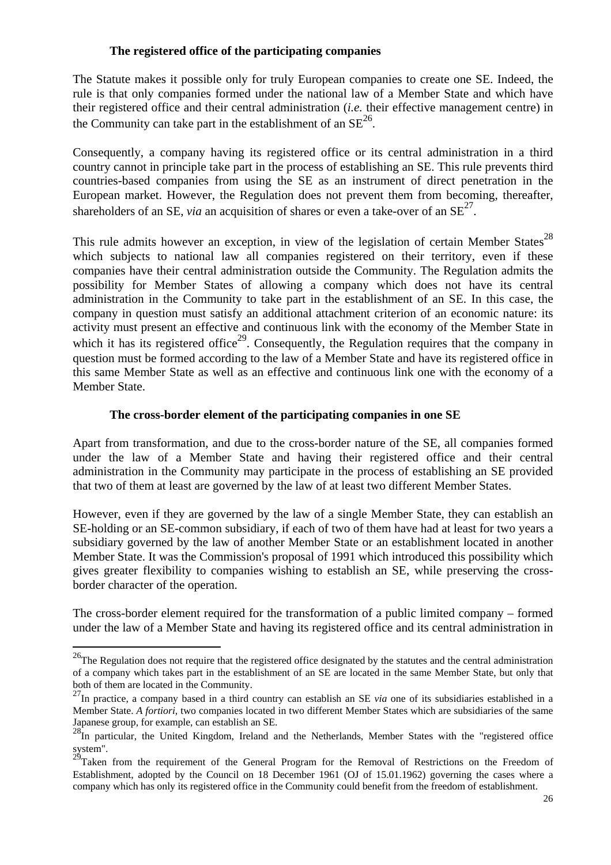#### **The registered office of the participating companies**

The Statute makes it possible only for truly European companies to create one SE. Indeed, the rule is that only companies formed under the national law of a Member State and which have their registered office and their central administration (*i.e.* their effective management centre) in the Community can take part in the establishment of an  $SE^{26}$ .

Consequently, a company having its registered office or its central administration in a third country cannot in principle take part in the process of establishing an SE. This rule prevents third countries-based companies from using the SE as an instrument of direct penetration in the European market. However, the Regulation does not prevent them from becoming, thereafter, shareholders of an SE, *via* an acquisition of shares or even a take-over of an  $SE^{27}$ .

This rule admits however an exception, in view of the legislation of certain Member States<sup>[28](#page-25-2)</sup> which subjects to national law all companies registered on their territory, even if these companies have their central administration outside the Community. The Regulation admits the possibility for Member States of allowing a company which does not have its central administration in the Community to take part in the establishment of an SE. In this case, the company in question must satisfy an additional attachment criterion of an economic nature: its activity must present an effective and continuous link with the economy of the Member State in which it has its registered office<sup>29</sup>. Consequently, the Regulation requires that the company in question must be formed according to the law of a Member State and have its registered office in this same Member State as well as an effective and continuous link one with the economy of a Member State.

#### **The cross-border element of the participating companies in one SE**

Apart from transformation, and due to the cross-border nature of the SE, all companies formed under the law of a Member State and having their registered office and their central administration in the Community may participate in the process of establishing an SE provided that two of them at least are governed by the law of at least two different Member States.

However, even if they are governed by the law of a single Member State, they can establish an SE-holding or an SE-common subsidiary, if each of two of them have had at least for two years a subsidiary governed by the law of another Member State or an establishment located in another Member State. It was the Commission's proposal of 1991 which introduced this possibility which gives greater flexibility to companies wishing to establish an SE, while preserving the crossborder character of the operation.

The cross-border element required for the transformation of a public limited company – formed under the law of a Member State and having its registered office and its central administration in

<span id="page-25-0"></span> $^{26}$ The Regulation does not require that the registered office designated by the statutes and the central administration of a company which takes part in the establishment of an SE are located in the same Member State, but only that both of them are located in the Community.<br><sup>27</sup>In practice, a company based in a third country can establish an SE *via* one of its subsidiaries established in a

<span id="page-25-1"></span>Member State. *A fortiori,* two companies located in two different Member States which are subsidiaries of the same

<span id="page-25-2"></span>Japanese group, for example, can establish an SE.<br><sup>28</sup>In particular, the United Kingdom, Ireland and the Netherlands, Member States with the "registered office

<span id="page-25-3"></span>system".<br><sup>29</sup>Taken from the requirement of the General Program for the Removal of Restrictions on the Freedom of Establishment, adopted by the Council on 18 December 1961 (OJ of 15.01.1962) governing the cases where a company which has only its registered office in the Community could benefit from the freedom of establishment.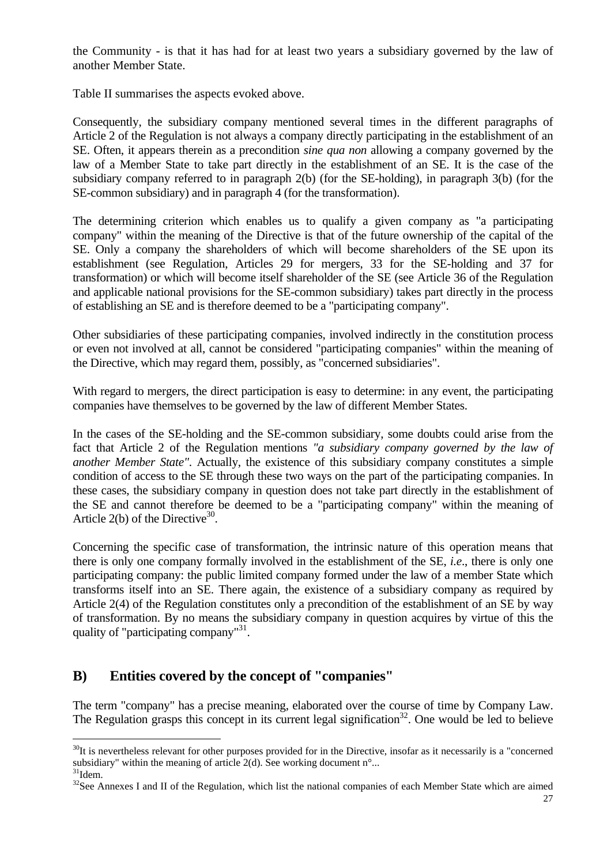<span id="page-26-2"></span>the Community - is that it has had for at least two years a subsidiary governed by the law of another Member State.

Table II summarises the aspects evoked above.

Consequently, the subsidiary company mentioned several times in the different paragraphs of Article 2 of the Regulation is not always a company directly participating in the establishment of an SE. Often, it appears therein as a precondition *sine qua non* allowing a company governed by the law of a Member State to take part directly in the establishment of an SE. It is the case of the subsidiary company referred to in paragraph 2(b) (for the SE-holding), in paragraph 3(b) (for the SE-common subsidiary) and in paragraph 4 (for the transformation).

The determining criterion which enables us to qualify a given company as "a participating company" within the meaning of the Directive is that of the future ownership of the capital of the SE. Only a company the shareholders of which will become shareholders of the SE upon its establishment (see Regulation, Articles 29 for mergers, 33 for the SE-holding and 37 for transformation) or which will become itself shareholder of the SE (see Article 36 of the Regulation and applicable national provisions for the SE-common subsidiary) takes part directly in the process of establishing an SE and is therefore deemed to be a "participating company".

Other subsidiaries of these participating companies, involved indirectly in the constitution process or even not involved at all, cannot be considered "participating companies" within the meaning of the Directive, which may regard them, possibly, as "concerned subsidiaries".

With regard to mergers, the direct participation is easy to determine: in any event, the participating companies have themselves to be governed by the law of different Member States.

In the cases of the SE-holding and the SE-common subsidiary, some doubts could arise from the fact that Article 2 of the Regulation mentions *"a subsidiary company governed by the law of another Member State"*. Actually, the existence of this subsidiary company constitutes a simple condition of access to the SE through these two ways on the part of the participating companies. In these cases, the subsidiary company in question does not take part directly in the establishment of the SE and cannot therefore be deemed to be a "participating company" within the meaning of Article  $2(b)$  of the Directive<sup>30</sup>.

Concerning the specific case of transformation, the intrinsic nature of this operation means that there is only one company formally involved in the establishment of the SE, *i.e*., there is only one participating company: the public limited company formed under the law of a member State which transforms itself into an SE. There again, the existence of a subsidiary company as required by Article 2(4) of the Regulation constitutes only a precondition of the establishment of an SE by way of transformation. By no means the subsidiary company in question acquires by virtue of this the quality of "participating company"<sup>31</sup>.

## **B) Entities covered by the concept of "companies"**

The term "company" has a precise meaning, elaborated over the course of time by Company Law. The Regulation grasps this concept in its current legal signification<sup>32</sup>. One would be led to believe

<span id="page-26-0"></span> $\overline{a}$  $30$ It is nevertheless relevant for other purposes provided for in the Directive, insofar as it necessarily is a "concerned" subsidiary" within the meaning of article 2(d). See working document n°...  $31$ <br> $32$ See Annexes I and II of the Regulation, which list the national companies of each Member State which are aimed

<span id="page-26-1"></span>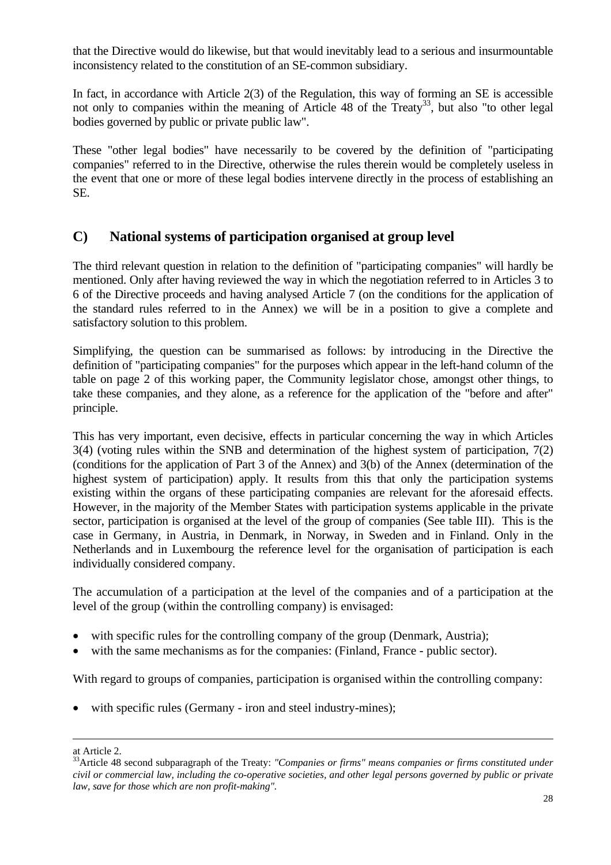that the Directive would do likewise, but that would inevitably lead to a serious and insurmountable inconsistency related to the constitution of an SE-common subsidiary.

In fact, in accordance with Article 2(3) of the Regulation, this way of forming an SE is accessible not only to companies within the meaning of Article 48 of the Treaty<sup>33</sup>, but also "to other legal bodies governed by public or private public law".

These "other legal bodies" have necessarily to be covered by the definition of "participating companies" referred to in the Directive, otherwise the rules therein would be completely useless in the event that one or more of these legal bodies intervene directly in the process of establishing an SE.

## **C) National systems of participation organised at group level**

The third relevant question in relation to the definition of "participating companies" will hardly be mentioned. Only after having reviewed the way in which the negotiation referred to in Articles 3 to 6 of the Directive proceeds and having analysed Article 7 (on the conditions for the application of the standard rules referred to in the Annex) we will be in a position to give a complete and satisfactory solution to this problem.

Simplifying, the question can be summarised as follows: by introducing in the Directive the definition of "participating companies" for the purposes which appear in the left-hand column of the table on page 2 of this working paper, the Community legislator chose, amongst other things, to take these companies, and they alone, as a reference for the application of the "before and after" principle.

This has very important, even decisive, effects in particular concerning the way in which Articles 3(4) (voting rules within the SNB and determination of the highest system of participation, 7(2) (conditions for the application of Part 3 of the Annex) and 3(b) of the Annex (determination of the highest system of participation) apply. It results from this that only the participation systems existing within the organs of these participating companies are relevant for the aforesaid effects. However, in the majority of the Member States with participation systems applicable in the private sector, participation is organised at the level of the group of companies (See table III). This is the case in Germany, in Austria, in Denmark, in Norway, in Sweden and in Finland. Only in the Netherlands and in Luxembourg the reference level for the organisation of participation is each individually considered company.

The accumulation of a participation at the level of the companies and of a participation at the level of the group (within the controlling company) is envisaged:

- with specific rules for the controlling company of the group (Denmark, Austria);
- with the same mechanisms as for the companies: (Finland, France public sector).

With regard to groups of companies, participation is organised within the controlling company:

with specific rules (Germany - iron and steel industry-mines);

<span id="page-27-0"></span>

at Article 2.<br><sup>33</sup>Article 48 second subparagraph of the Treaty: *"Companies or firms" means companies or firms constituted under civil or commercial law, including the co-operative societies, and other legal persons governed by public or private law, save for those which are non profit-making".*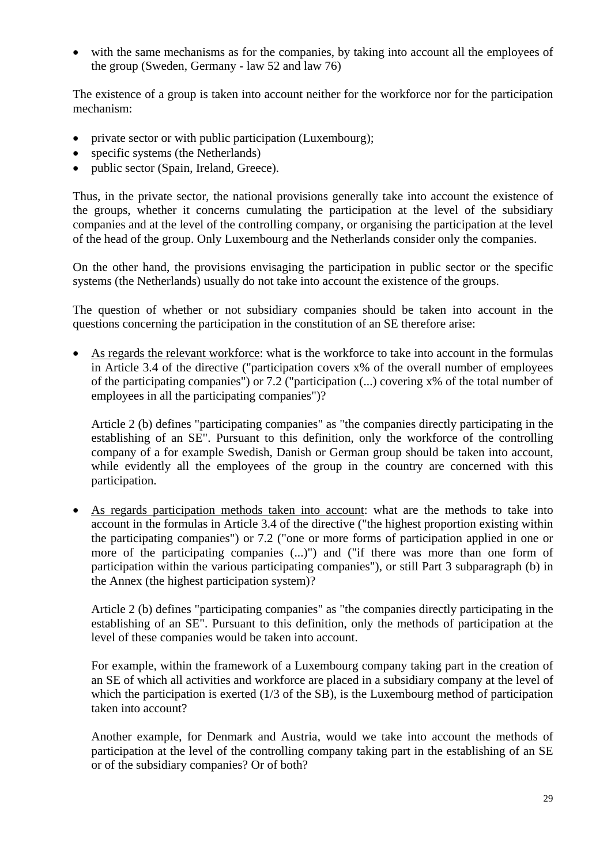• with the same mechanisms as for the companies, by taking into account all the employees of the group (Sweden, Germany - law 52 and law 76)

The existence of a group is taken into account neither for the workforce nor for the participation mechanism:

- private sector or with public participation (Luxembourg);
- specific systems (the Netherlands)
- public sector (Spain, Ireland, Greece).

Thus, in the private sector, the national provisions generally take into account the existence of the groups, whether it concerns cumulating the participation at the level of the subsidiary companies and at the level of the controlling company, or organising the participation at the level of the head of the group. Only Luxembourg and the Netherlands consider only the companies.

On the other hand, the provisions envisaging the participation in public sector or the specific systems (the Netherlands) usually do not take into account the existence of the groups.

The question of whether or not subsidiary companies should be taken into account in the questions concerning the participation in the constitution of an SE therefore arise:

• As regards the relevant workforce: what is the workforce to take into account in the formulas in Article 3.4 of the directive ("participation covers x% of the overall number of employees of the participating companies") or 7.2 ("participation (...) covering x% of the total number of employees in all the participating companies")?

Article 2 (b) defines "participating companies" as "the companies directly participating in the establishing of an SE". Pursuant to this definition, only the workforce of the controlling company of a for example Swedish, Danish or German group should be taken into account, while evidently all the employees of the group in the country are concerned with this participation.

• As regards participation methods taken into account: what are the methods to take into account in the formulas in Article 3.4 of the directive ("the highest proportion existing within the participating companies") or 7.2 ("one or more forms of participation applied in one or more of the participating companies (...)") and ("if there was more than one form of participation within the various participating companies"), or still Part 3 subparagraph (b) in the Annex (the highest participation system)?

Article 2 (b) defines "participating companies" as "the companies directly participating in the establishing of an SE". Pursuant to this definition, only the methods of participation at the level of these companies would be taken into account.

For example, within the framework of a Luxembourg company taking part in the creation of an SE of which all activities and workforce are placed in a subsidiary company at the level of which the participation is exerted (1/3 of the SB), is the Luxembourg method of participation taken into account?

Another example, for Denmark and Austria, would we take into account the methods of participation at the level of the controlling company taking part in the establishing of an SE or of the subsidiary companies? Or of both?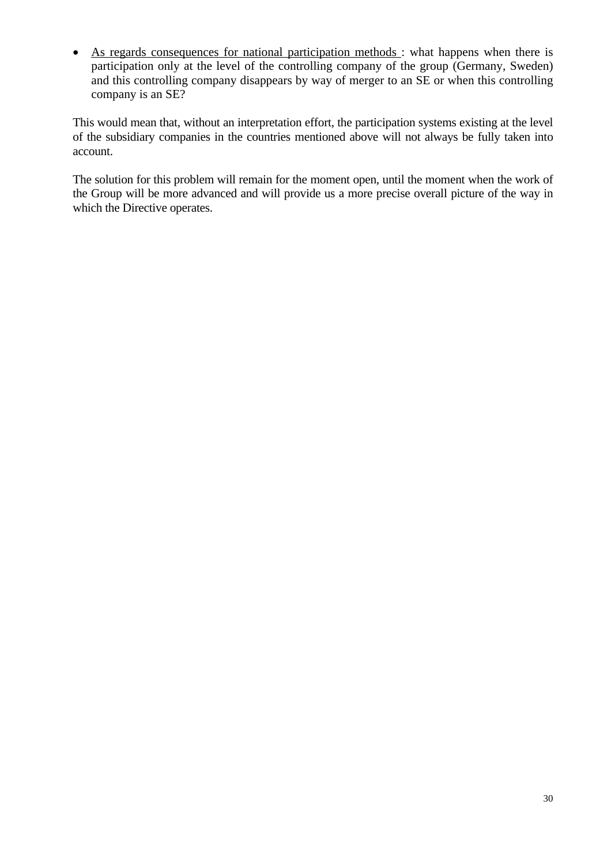• As regards consequences for national participation methods : what happens when there is participation only at the level of the controlling company of the group (Germany, Sweden) and this controlling company disappears by way of merger to an SE or when this controlling company is an SE?

This would mean that, without an interpretation effort, the participation systems existing at the level of the subsidiary companies in the countries mentioned above will not always be fully taken into account.

The solution for this problem will remain for the moment open, until the moment when the work of the Group will be more advanced and will provide us a more precise overall picture of the way in which the Directive operates.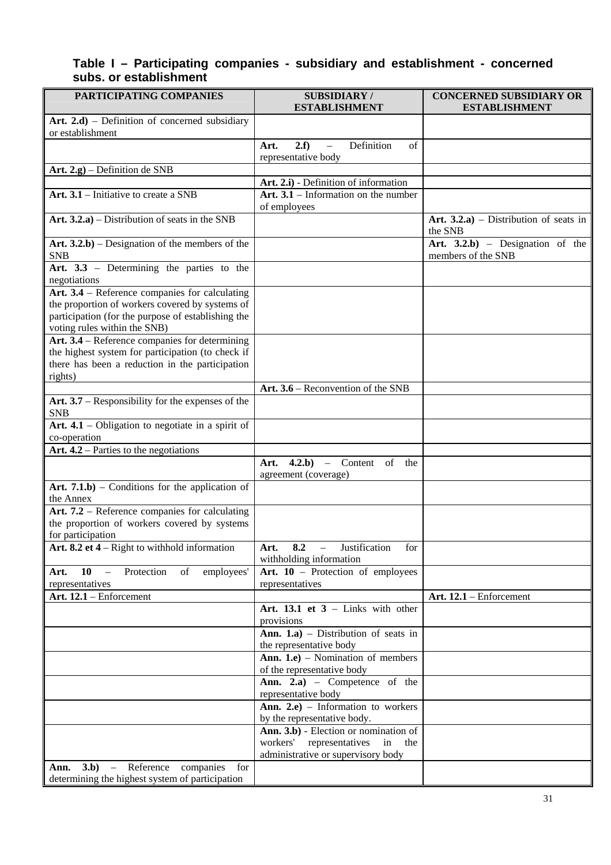### **Table I – Participating companies - subsidiary and establishment - concerned subs. or establishment**

| PARTICIPATING COMPANIES                                                                                                               | <b>SUBSIDIARY/</b><br><b>ESTABLISHMENT</b>                                            | <b>CONCERNED SUBSIDIARY OR</b><br><b>ESTABLISHMENT</b>  |
|---------------------------------------------------------------------------------------------------------------------------------------|---------------------------------------------------------------------------------------|---------------------------------------------------------|
| Art. $2.d$ ) – Definition of concerned subsidiary<br>or establishment                                                                 |                                                                                       |                                                         |
|                                                                                                                                       | Definition<br>2.f<br>Art.<br>of<br>$\equiv$<br>representative body                    |                                                         |
| Art. 2.g) - Definition de SNB                                                                                                         |                                                                                       |                                                         |
|                                                                                                                                       | Art. 2.i) - Definition of information                                                 |                                                         |
| Art. $3.1$ – Initiative to create a SNB                                                                                               | Art. $3.1$ – Information on the number<br>of employees                                |                                                         |
| Art. $3.2.a$ ) – Distribution of seats in the SNB                                                                                     |                                                                                       | Art. $3.2.a$ ) – Distribution of seats in<br>the SNB    |
| Art. $3.2.b$ ) – Designation of the members of the<br><b>SNB</b>                                                                      |                                                                                       | Art. $3.2.b$ – Designation of the<br>members of the SNB |
| Art. 3.3 - Determining the parties to the<br>negotiations                                                                             |                                                                                       |                                                         |
| Art. 3.4 – Reference companies for calculating                                                                                        |                                                                                       |                                                         |
| the proportion of workers covered by systems of<br>participation (for the purpose of establishing the<br>voting rules within the SNB) |                                                                                       |                                                         |
| Art. 3.4 – Reference companies for determining                                                                                        |                                                                                       |                                                         |
| the highest system for participation (to check if<br>there has been a reduction in the participation                                  |                                                                                       |                                                         |
| rights)                                                                                                                               |                                                                                       |                                                         |
| Art. $3.7$ – Responsibility for the expenses of the<br><b>SNB</b>                                                                     | Art. 3.6 – Reconvention of the SNB                                                    |                                                         |
| Art. $4.1$ – Obligation to negotiate in a spirit of                                                                                   |                                                                                       |                                                         |
| co-operation                                                                                                                          |                                                                                       |                                                         |
| Art. $4.2$ – Parties to the negotiations                                                                                              | $(4.2.b)$ – Content of<br>Art.<br>the                                                 |                                                         |
|                                                                                                                                       | agreement (coverage)                                                                  |                                                         |
| Art. $7.1.b$ ) – Conditions for the application of<br>the Annex                                                                       |                                                                                       |                                                         |
| Art. 7.2 - Reference companies for calculating                                                                                        |                                                                                       |                                                         |
| the proportion of workers covered by systems                                                                                          |                                                                                       |                                                         |
| for participation<br>Art. 8.2 et $4 -$ Right to withhold information                                                                  | 8.2<br>for<br>Art.<br>Justification                                                   |                                                         |
|                                                                                                                                       | withholding information                                                               |                                                         |
| 10<br>employees'<br>Protection<br>of<br>$\overline{\phantom{a}}$<br>Art.<br>representatives                                           | Art. $10$ – Protection of employees<br>representatives                                |                                                         |
| Art. 12.1 - Enforcement                                                                                                               |                                                                                       | Art. 12.1 - Enforcement                                 |
|                                                                                                                                       | Art. 13.1 et $3$ – Links with other<br>provisions                                     |                                                         |
|                                                                                                                                       | <b>Ann.</b> 1.a) – Distribution of seats in                                           |                                                         |
|                                                                                                                                       | the representative body<br><b>Ann. 1.e</b> ) – Nomination of members                  |                                                         |
|                                                                                                                                       | of the representative body                                                            |                                                         |
|                                                                                                                                       | Ann. 2.a) - Competence of the<br>representative body                                  |                                                         |
|                                                                                                                                       | $\overline{\text{Ann.}}$ 2.e) – Information to workers<br>by the representative body. |                                                         |
|                                                                                                                                       | Ann. 3.b) - Election or nomination of                                                 |                                                         |
|                                                                                                                                       | workers' representatives<br>in<br>the<br>administrative or supervisory body           |                                                         |
| $3.b$ – Reference<br>companies<br>for<br>Ann.<br>determining the highest system of participation                                      |                                                                                       |                                                         |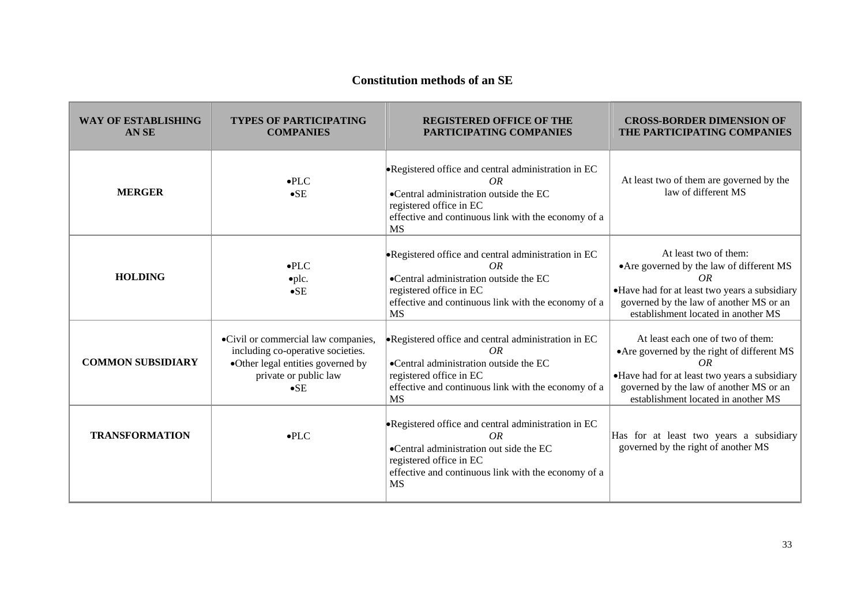#### **Constitution methods of an SE**

| <b>WAY OF ESTABLISHING</b><br>AN <sub>SE</sub> | <b>TYPES OF PARTICIPATING</b><br><b>COMPANIES</b>                                                                                                      | <b>REGISTERED OFFICE OF THE</b><br>PARTICIPATING COMPANIES                                                                                                                                          | <b>CROSS-BORDER DIMENSION OF</b><br>THE PARTICIPATING COMPANIES                                                                                                                                                           |
|------------------------------------------------|--------------------------------------------------------------------------------------------------------------------------------------------------------|-----------------------------------------------------------------------------------------------------------------------------------------------------------------------------------------------------|---------------------------------------------------------------------------------------------------------------------------------------------------------------------------------------------------------------------------|
| <b>MERGER</b>                                  | $\bullet$ PLC<br>$\bullet$ SE                                                                                                                          | • Registered office and central administration in EC<br>OR<br>•Central administration outside the EC<br>registered office in EC<br>effective and continuous link with the economy of a<br><b>MS</b> | At least two of them are governed by the<br>law of different MS                                                                                                                                                           |
| <b>HOLDING</b>                                 | $\bullet$ PLC<br>$\noph.$<br>$\bullet$ SE                                                                                                              | • Registered office and central administration in EC<br>OR<br>•Central administration outside the EC<br>registered office in EC<br>effective and continuous link with the economy of a<br><b>MS</b> | At least two of them:<br>• Are governed by the law of different MS<br>OR<br>•Have had for at least two years a subsidiary<br>governed by the law of another MS or an<br>establishment located in another MS               |
| <b>COMMON SUBSIDIARY</b>                       | ·Civil or commercial law companies,<br>including co-operative societies.<br>•Other legal entities governed by<br>private or public law<br>$\bullet$ SE | • Registered office and central administration in EC<br>OR<br>·Central administration outside the EC<br>registered office in EC<br>effective and continuous link with the economy of a<br><b>MS</b> | At least each one of two of them:<br>• Are governed by the right of different MS<br>OR<br>·Have had for at least two years a subsidiary<br>governed by the law of another MS or an<br>establishment located in another MS |
| <b>TRANSFORMATION</b>                          | $\bullet$ PLC                                                                                                                                          | •Registered office and central administration in EC<br>OR<br>•Central administration out side the EC<br>registered office in EC<br>effective and continuous link with the economy of a<br><b>MS</b> | Has for at least two years a subsidiary<br>governed by the right of another MS                                                                                                                                            |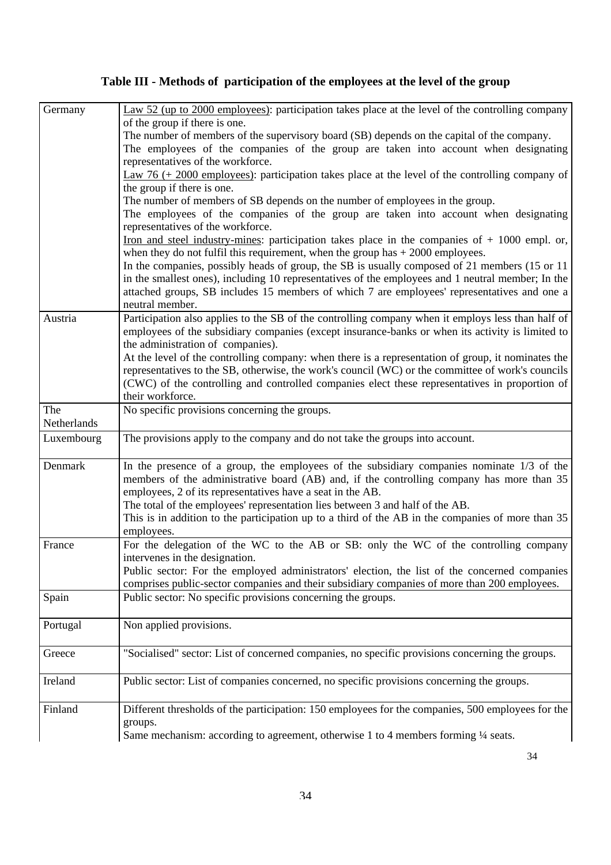# **Table III - Methods of participation of the employees at the level of the group**

| Germany     | $\frac{\text{Law } 52 \text{ (up to } 2000 \text{ employees)}}{\text{participation takes place at the level of the controlling company}}$                                                                                                              |
|-------------|--------------------------------------------------------------------------------------------------------------------------------------------------------------------------------------------------------------------------------------------------------|
|             | of the group if there is one.                                                                                                                                                                                                                          |
|             | The number of members of the supervisory board (SB) depends on the capital of the company.                                                                                                                                                             |
|             | The employees of the companies of the group are taken into account when designating                                                                                                                                                                    |
|             | representatives of the workforce.                                                                                                                                                                                                                      |
|             | Law 76 (+ 2000 employees): participation takes place at the level of the controlling company of                                                                                                                                                        |
|             | the group if there is one.                                                                                                                                                                                                                             |
|             | The number of members of SB depends on the number of employees in the group.                                                                                                                                                                           |
|             | The employees of the companies of the group are taken into account when designating<br>representatives of the workforce.                                                                                                                               |
|             | Iron and steel industry-mines: participation takes place in the companies of $+1000$ empl. or,<br>when they do not fulfil this requirement, when the group has $+2000$ employees.                                                                      |
|             | In the companies, possibly heads of group, the SB is usually composed of 21 members (15 or 11)                                                                                                                                                         |
|             | in the smallest ones), including 10 representatives of the employees and 1 neutral member; In the<br>attached groups, SB includes 15 members of which 7 are employees' representatives and one a                                                       |
|             | neutral member.                                                                                                                                                                                                                                        |
| Austria     | Participation also applies to the SB of the controlling company when it employs less than half of<br>employees of the subsidiary companies (except insurance-banks or when its activity is limited to<br>the administration of companies).             |
|             | At the level of the controlling company: when there is a representation of group, it nominates the                                                                                                                                                     |
|             | representatives to the SB, otherwise, the work's council (WC) or the committee of work's councils                                                                                                                                                      |
|             | (CWC) of the controlling and controlled companies elect these representatives in proportion of                                                                                                                                                         |
|             | their workforce.                                                                                                                                                                                                                                       |
| The         | No specific provisions concerning the groups.                                                                                                                                                                                                          |
| Netherlands |                                                                                                                                                                                                                                                        |
| Luxembourg  | The provisions apply to the company and do not take the groups into account.                                                                                                                                                                           |
| Denmark     | In the presence of a group, the employees of the subsidiary companies nominate $1/3$ of the<br>members of the administrative board (AB) and, if the controlling company has more than 35<br>employees, 2 of its representatives have a seat in the AB. |
|             | The total of the employees' representation lies between 3 and half of the AB.                                                                                                                                                                          |
|             | This is in addition to the participation up to a third of the AB in the companies of more than 35                                                                                                                                                      |
|             | employees.                                                                                                                                                                                                                                             |
| France      | For the delegation of the WC to the AB or SB: only the WC of the controlling company                                                                                                                                                                   |
|             | intervenes in the designation.                                                                                                                                                                                                                         |
|             | Public sector: For the employed administrators' election, the list of the concerned companies                                                                                                                                                          |
|             | comprises public-sector companies and their subsidiary companies of more than 200 employees.                                                                                                                                                           |
| Spain       | Public sector: No specific provisions concerning the groups.                                                                                                                                                                                           |
| Portugal    | Non applied provisions.                                                                                                                                                                                                                                |
|             |                                                                                                                                                                                                                                                        |
| Greece      | "Socialised" sector: List of concerned companies, no specific provisions concerning the groups.                                                                                                                                                        |
| Ireland     | Public sector: List of companies concerned, no specific provisions concerning the groups.                                                                                                                                                              |
| Finland     | Different thresholds of the participation: 150 employees for the companies, 500 employees for the<br>groups.                                                                                                                                           |
|             | Same mechanism: according to agreement, otherwise 1 to 4 members forming 1/4 seats.                                                                                                                                                                    |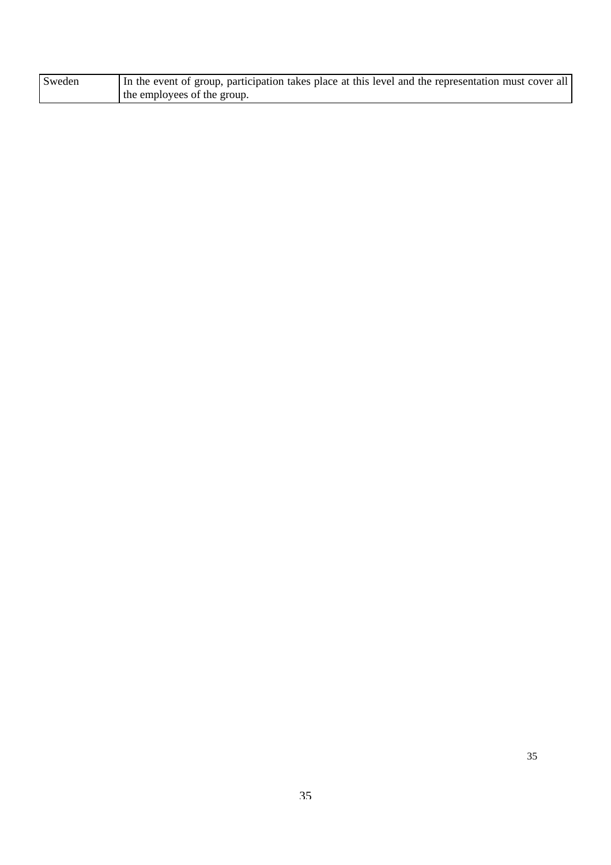| Sweden | In the event of group, participation takes place at this level and the representation must cover all |
|--------|------------------------------------------------------------------------------------------------------|
|        | the employees of the group.                                                                          |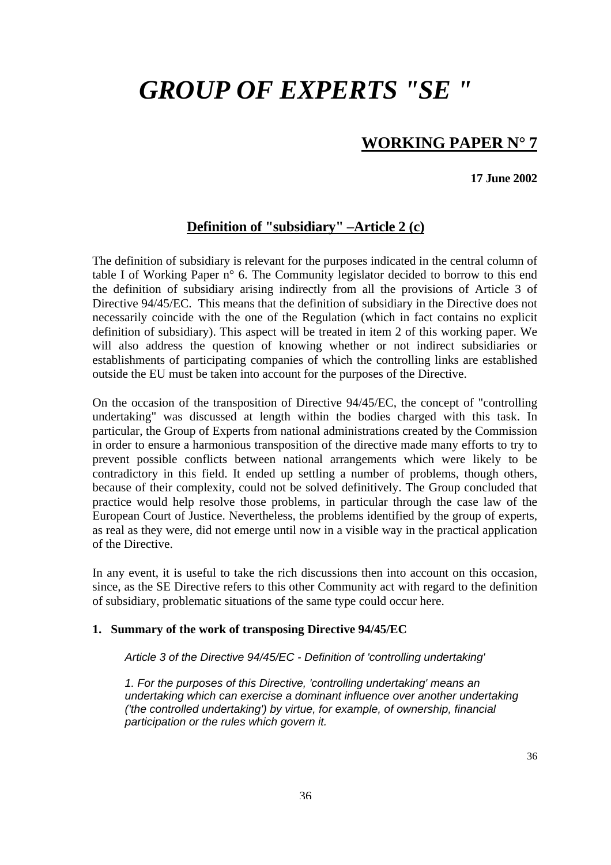# *GROUP OF EXPERTS "SE "*

# **WORKING PAPER N° 7**

**17 June 2002** 

## **Definition of "subsidiary" –Article 2 (c)**

The definition of subsidiary is relevant for the purposes indicated in the central column of table I of Working Paper n° 6. The Community legislator decided to borrow to this end the definition of subsidiary arising indirectly from all the provisions of Article 3 of Directive 94/45/EC. This means that the definition of subsidiary in the Directive does not necessarily coincide with the one of the Regulation (which in fact contains no explicit definition of subsidiary). This aspect will be treated in item 2 of this working paper. We will also address the question of knowing whether or not indirect subsidiaries or establishments of participating companies of which the controlling links are established outside the EU must be taken into account for the purposes of the Directive.

On the occasion of the transposition of Directive 94/45/EC, the concept of "controlling undertaking" was discussed at length within the bodies charged with this task. In particular, the Group of Experts from national administrations created by the Commission in order to ensure a harmonious transposition of the directive made many efforts to try to prevent possible conflicts between national arrangements which were likely to be contradictory in this field. It ended up settling a number of problems, though others, because of their complexity, could not be solved definitively. The Group concluded that practice would help resolve those problems, in particular through the case law of the European Court of Justice. Nevertheless, the problems identified by the group of experts, as real as they were, did not emerge until now in a visible way in the practical application of the Directive.

In any event, it is useful to take the rich discussions then into account on this occasion, since, as the SE Directive refers to this other Community act with regard to the definition of subsidiary, problematic situations of the same type could occur here.

#### **1. Summary of the work of transposing Directive 94/45/EC**

*Article 3 of the Directive 94/45/EC - Definition of 'controlling undertaking'* 

*1. For the purposes of this Directive, 'controlling undertaking' means an undertaking which can exercise a dominant influence over another undertaking ('the controlled undertaking') by virtue, for example, of ownership, financial participation or the rules which govern it.*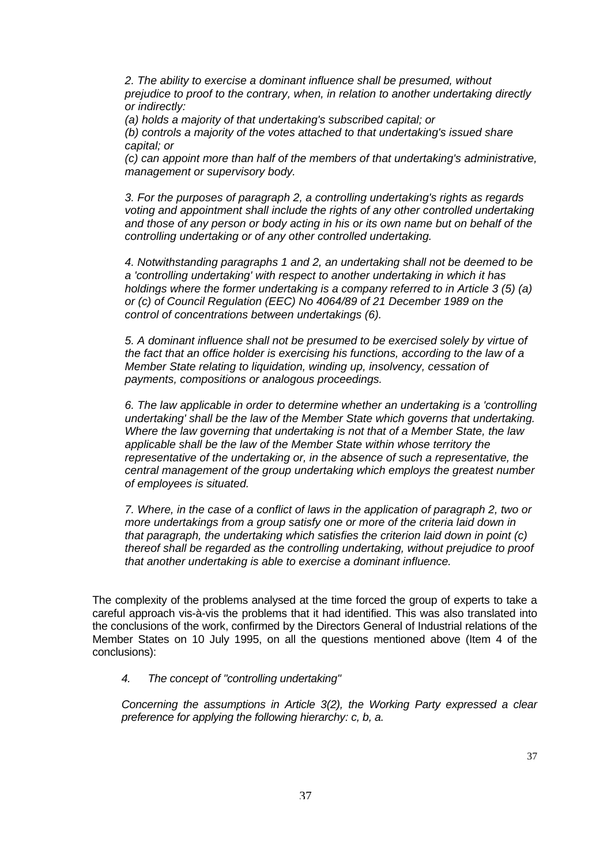*2. The ability to exercise a dominant influence shall be presumed, without prejudice to proof to the contrary, when, in relation to another undertaking directly or indirectly:* 

*(a) holds a majority of that undertaking's subscribed capital; or* 

*(b) controls a majority of the votes attached to that undertaking's issued share capital; or* 

*(c) can appoint more than half of the members of that undertaking's administrative, management or supervisory body.* 

*3. For the purposes of paragraph 2, a controlling undertaking's rights as regards voting and appointment shall include the rights of any other controlled undertaking and those of any person or body acting in his or its own name but on behalf of the controlling undertaking or of any other controlled undertaking.* 

*4. Notwithstanding paragraphs 1 and 2, an undertaking shall not be deemed to be a 'controlling undertaking' with respect to another undertaking in which it has holdings where the former undertaking is a company referred to in Article 3 (5) (a) or (c) of Council Regulation (EEC) No 4064/89 of 21 December 1989 on the control of concentrations between undertakings (6).* 

*5. A dominant influence shall not be presumed to be exercised solely by virtue of the fact that an office holder is exercising his functions, according to the law of a Member State relating to liquidation, winding up, insolvency, cessation of payments, compositions or analogous proceedings.* 

*6. The law applicable in order to determine whether an undertaking is a 'controlling undertaking' shall be the law of the Member State which governs that undertaking. Where the law governing that undertaking is not that of a Member State, the law applicable shall be the law of the Member State within whose territory the representative of the undertaking or, in the absence of such a representative, the central management of the group undertaking which employs the greatest number of employees is situated.* 

*7. Where, in the case of a conflict of laws in the application of paragraph 2, two or more undertakings from a group satisfy one or more of the criteria laid down in that paragraph, the undertaking which satisfies the criterion laid down in point (c) thereof shall be regarded as the controlling undertaking, without prejudice to proof that another undertaking is able to exercise a dominant influence.* 

The complexity of the problems analysed at the time forced the group of experts to take a careful approach vis-à-vis the problems that it had identified. This was also translated into the conclusions of the work, confirmed by the Directors General of Industrial relations of the Member States on 10 July 1995, on all the questions mentioned above (Item 4 of the conclusions):

#### *4. The concept of "controlling undertaking"*

*Concerning the assumptions in Article 3(2), the Working Party expressed a clear preference for applying the following hierarchy: c, b, a.*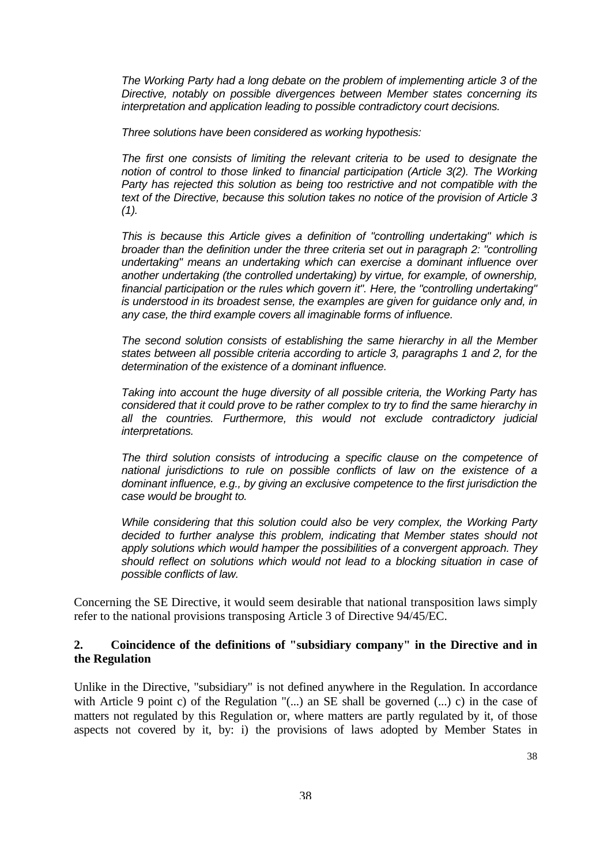*The Working Party had a long debate on the problem of implementing article 3 of the Directive, notably on possible divergences between Member states concerning its interpretation and application leading to possible contradictory court decisions.* 

*Three solutions have been considered as working hypothesis:* 

*The first one consists of limiting the relevant criteria to be used to designate the notion of control to those linked to financial participation (Article 3(2). The Working Party has rejected this solution as being too restrictive and not compatible with the text of the Directive, because this solution takes no notice of the provision of Article 3 (1).* 

*This is because this Article gives a definition of "controlling undertaking" which is broader than the definition under the three criteria set out in paragraph 2: "controlling undertaking" means an undertaking which can exercise a dominant influence over another undertaking (the controlled undertaking) by virtue, for example, of ownership, financial participation or the rules which govern it". Here, the "controlling undertaking" is understood in its broadest sense, the examples are given for guidance only and, in any case, the third example covers all imaginable forms of influence.* 

*The second solution consists of establishing the same hierarchy in all the Member states between all possible criteria according to article 3, paragraphs 1 and 2, for the determination of the existence of a dominant influence.* 

*Taking into account the huge diversity of all possible criteria, the Working Party has considered that it could prove to be rather complex to try to find the same hierarchy in all the countries. Furthermore, this would not exclude contradictory judicial interpretations.* 

*The third solution consists of introducing a specific clause on the competence of national jurisdictions to rule on possible conflicts of law on the existence of a dominant influence, e.g., by giving an exclusive competence to the first jurisdiction the case would be brought to.* 

*While considering that this solution could also be very complex, the Working Party decided to further analyse this problem, indicating that Member states should not apply solutions which would hamper the possibilities of a convergent approach. They should reflect on solutions which would not lead to a blocking situation in case of possible conflicts of law.* 

Concerning the SE Directive, it would seem desirable that national transposition laws simply refer to the national provisions transposing Article 3 of Directive 94/45/EC.

#### **2. Coincidence of the definitions of "subsidiary company" in the Directive and in the Regulation**

Unlike in the Directive, "subsidiary" is not defined anywhere in the Regulation. In accordance with Article 9 point c) of the Regulation "(...) an SE shall be governed (...) c) in the case of matters not regulated by this Regulation or, where matters are partly regulated by it, of those aspects not covered by it, by: i) the provisions of laws adopted by Member States in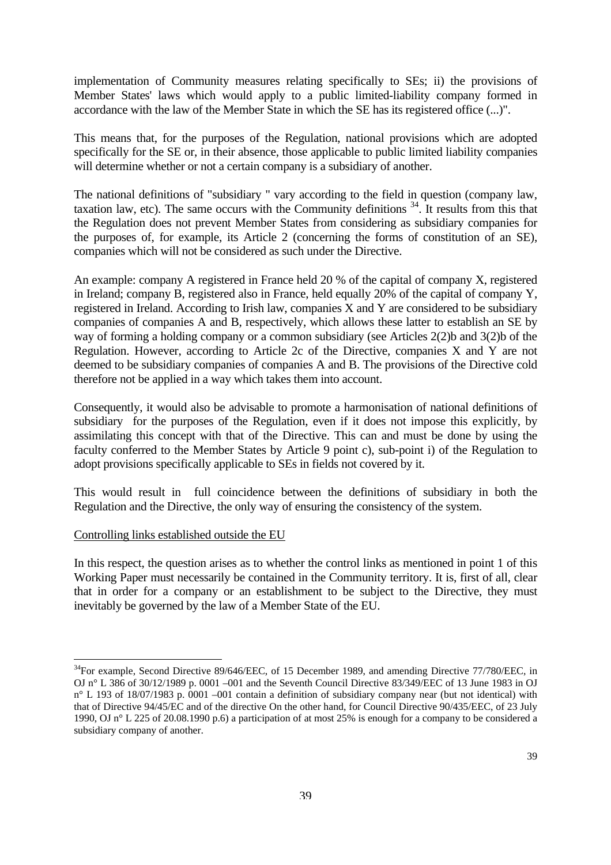implementation of Community measures relating specifically to SEs; ii) the provisions of Member States' laws which would apply to a public limited-liability company formed in accordance with the law of the Member State in which the SE has its registered office (...)".

This means that, for the purposes of the Regulation, national provisions which are adopted specifically for the SE or, in their absence, those applicable to public limited liability companies will determine whether or not a certain company is a subsidiary of another.

The national definitions of "subsidiary " vary according to the field in question (company law, taxation law, etc). The same occurs with the Community definitions  $34$ . It results from this that the Regulation does not prevent Member States from considering as subsidiary companies for the purposes of, for example, its Article 2 (concerning the forms of constitution of an SE), companies which will not be considered as such under the Directive.

An example: company A registered in France held 20 % of the capital of company X, registered in Ireland; company B, registered also in France, held equally 20% of the capital of company Y, registered in Ireland. According to Irish law, companies X and Y are considered to be subsidiary companies of companies A and B, respectively, which allows these latter to establish an SE by way of forming a holding company or a common subsidiary (see Articles 2(2)b and 3(2)b of the Regulation. However, according to Article 2c of the Directive, companies X and Y are not deemed to be subsidiary companies of companies A and B. The provisions of the Directive cold therefore not be applied in a way which takes them into account.

Consequently, it would also be advisable to promote a harmonisation of national definitions of subsidiary for the purposes of the Regulation, even if it does not impose this explicitly, by assimilating this concept with that of the Directive. This can and must be done by using the faculty conferred to the Member States by Article 9 point c), sub-point i) of the Regulation to adopt provisions specifically applicable to SEs in fields not covered by it.

This would result in full coincidence between the definitions of subsidiary in both the Regulation and the Directive, the only way of ensuring the consistency of the system.

#### Controlling links established outside the EU

 $\overline{a}$ 

In this respect, the question arises as to whether the control links as mentioned in point 1 of this Working Paper must necessarily be contained in the Community territory. It is, first of all, clear that in order for a company or an establishment to be subject to the Directive, they must inevitably be governed by the law of a Member State of the EU.

<span id="page-37-0"></span><sup>&</sup>lt;sup>34</sup>For example, Second Directive 89/646/EEC, of 15 December 1989, and amending Directive 77/780/EEC, in OJ n° L 386 of 30/12/1989 p. 0001 –001 and the Seventh Council Directive 83/349/EEC of 13 June 1983 in OJ n° L 193 of 18/07/1983 p. 0001 –001 contain a definition of subsidiary company near (but not identical) with that of Directive 94/45/EC and of the directive On the other hand, for Council Directive 90/435/EEC, of 23 July 1990, OJ n° L 225 of 20.08.1990 p.6) a participation of at most 25% is enough for a company to be considered a subsidiary company of another.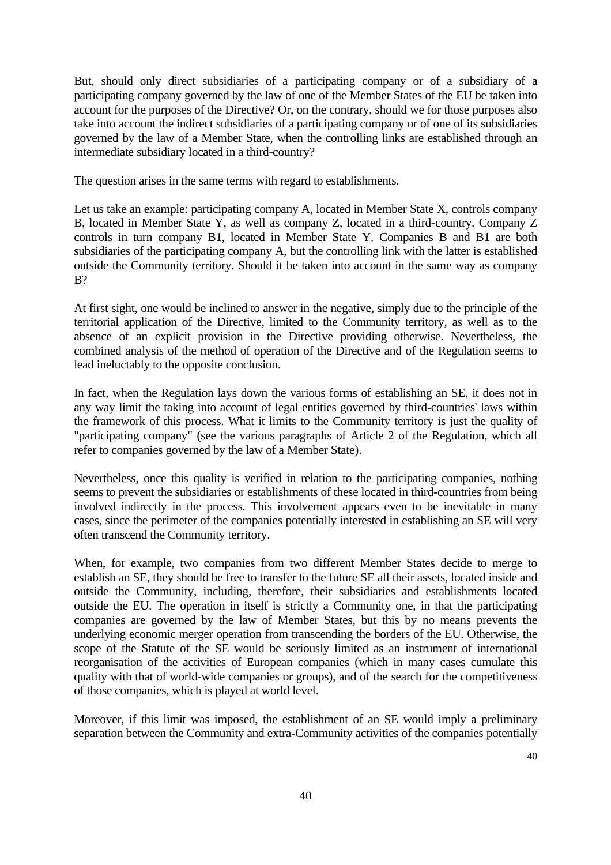But, should only direct subsidiaries of a participating company or of a subsidiary of a participating company governed by the law of one of the Member States of the EU be taken into account for the purposes of the Directive? Or, on the contrary, should we for those purposes also take into account the indirect subsidiaries of a participating company or of one of its subsidiaries governed by the law of a Member State, when the controlling links are established through an intermediate subsidiary located in a third-country?

The question arises in the same terms with regard to establishments.

Let us take an example: participating company A, located in Member State X, controls company B, located in Member State Y, as well as company Z, located in a third-country. Company Z controls in turn company B1, located in Member State Y. Companies B and B1 are both subsidiaries of the participating company A, but the controlling link with the latter is established outside the Community territory. Should it be taken into account in the same way as company B?

At first sight, one would be inclined to answer in the negative, simply due to the principle of the territorial application of the Directive, limited to the Community territory, as well as to the absence of an explicit provision in the Directive providing otherwise. Nevertheless, the combined analysis of the method of operation of the Directive and of the Regulation seems to lead ineluctably to the opposite conclusion.

In fact, when the Regulation lays down the various forms of establishing an SE, it does not in any way limit the taking into account of legal entities governed by third-countries' laws within the framework of this process. What it limits to the Community territory is just the quality of "participating company" (see the various paragraphs of Article 2 of the Regulation, which all refer to companies governed by the law of a Member State).

Nevertheless, once this quality is verified in relation to the participating companies, nothing seems to prevent the subsidiaries or establishments of these located in third-countries from being involved indirectly in the process. This involvement appears even to be inevitable in many cases, since the perimeter of the companies potentially interested in establishing an SE will very often transcend the Community territory.

When, for example, two companies from two different Member States decide to merge to establish an SE, they should be free to transfer to the future SE all their assets, located inside and outside the Community, including, therefore, their subsidiaries and establishments located outside the EU. The operation in itself is strictly a Community one, in that the participating companies are governed by the law of Member States, but this by no means prevents the underlying economic merger operation from transcending the borders of the EU. Otherwise, the scope of the Statute of the SE would be seriously limited as an instrument of international reorganisation of the activities of European companies (which in many cases cumulate this quality with that of world-wide companies or groups), and of the search for the competitiveness of those companies, which is played at world level.

Moreover, if this limit was imposed, the establishment of an SE would imply a preliminary separation between the Community and extra-Community activities of the companies potentially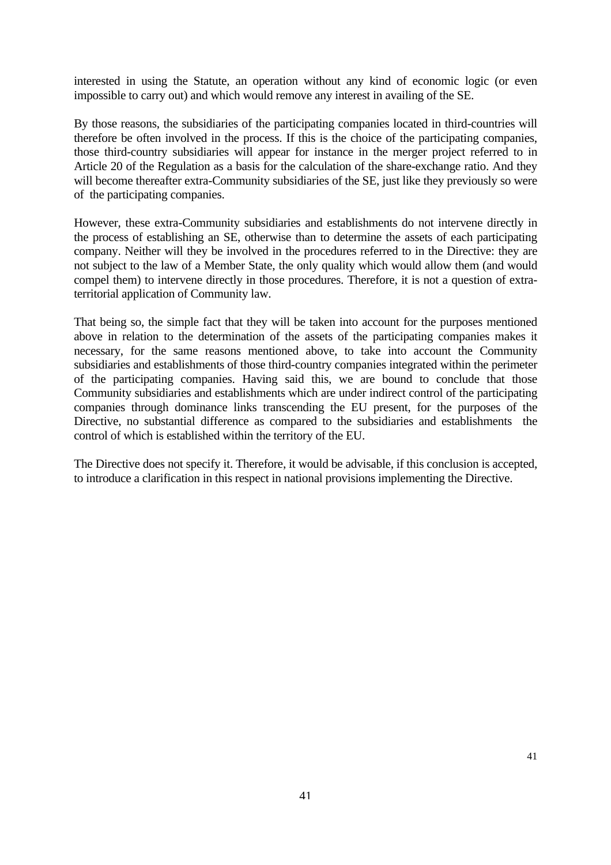interested in using the Statute, an operation without any kind of economic logic (or even impossible to carry out) and which would remove any interest in availing of the SE.

By those reasons, the subsidiaries of the participating companies located in third-countries will therefore be often involved in the process. If this is the choice of the participating companies, those third-country subsidiaries will appear for instance in the merger project referred to in Article 20 of the Regulation as a basis for the calculation of the share-exchange ratio. And they will become thereafter extra-Community subsidiaries of the SE, just like they previously so were of the participating companies.

However, these extra-Community subsidiaries and establishments do not intervene directly in the process of establishing an SE, otherwise than to determine the assets of each participating company. Neither will they be involved in the procedures referred to in the Directive: they are not subject to the law of a Member State, the only quality which would allow them (and would compel them) to intervene directly in those procedures. Therefore, it is not a question of extraterritorial application of Community law.

That being so, the simple fact that they will be taken into account for the purposes mentioned above in relation to the determination of the assets of the participating companies makes it necessary, for the same reasons mentioned above, to take into account the Community subsidiaries and establishments of those third-country companies integrated within the perimeter of the participating companies. Having said this, we are bound to conclude that those Community subsidiaries and establishments which are under indirect control of the participating companies through dominance links transcending the EU present, for the purposes of the Directive, no substantial difference as compared to the subsidiaries and establishments the control of which is established within the territory of the EU.

The Directive does not specify it. Therefore, it would be advisable, if this conclusion is accepted, to introduce a clarification in this respect in national provisions implementing the Directive.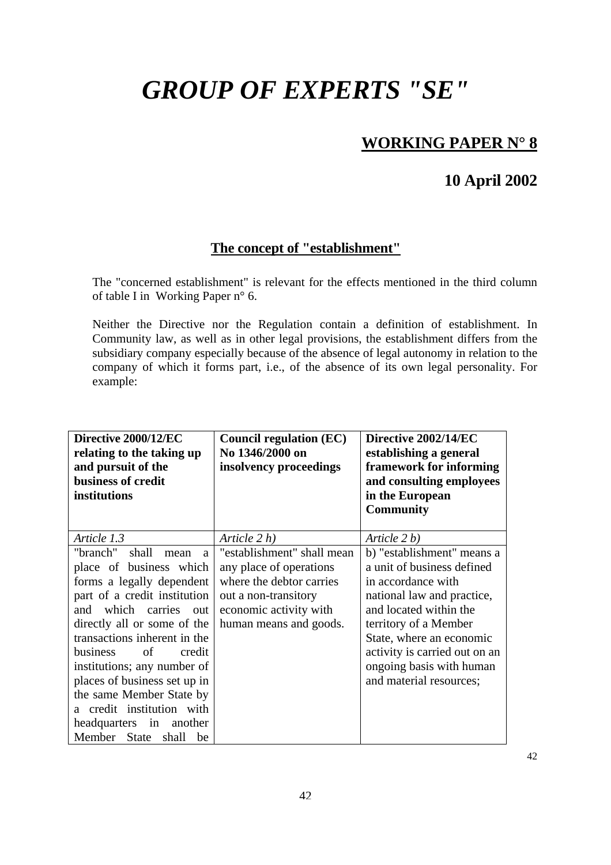# *GROUP OF EXPERTS "SE"*

# **WORKING PAPER N° 8**

## **10 April 2002**

## **The concept of "establishment"**

The "concerned establishment" is relevant for the effects mentioned in the third column of table I in Working Paper n° 6.

Neither the Directive nor the Regulation contain a definition of establishment. In Community law, as well as in other legal provisions, the establishment differs from the subsidiary company especially because of the absence of legal autonomy in relation to the company of which it forms part, i.e., of the absence of its own legal personality. For example:

| Directive 2000/12/EC<br>relating to the taking up<br>and pursuit of the<br>business of credit<br>institutions                                                                                                                                                                                                                                                                                                                             | <b>Council regulation (EC)</b><br>No 1346/2000 on<br>insolvency proceedings                                                                                   | Directive 2002/14/EC<br>establishing a general<br>framework for informing<br>and consulting employees<br>in the European<br><b>Community</b>                                                                                                                                        |
|-------------------------------------------------------------------------------------------------------------------------------------------------------------------------------------------------------------------------------------------------------------------------------------------------------------------------------------------------------------------------------------------------------------------------------------------|---------------------------------------------------------------------------------------------------------------------------------------------------------------|-------------------------------------------------------------------------------------------------------------------------------------------------------------------------------------------------------------------------------------------------------------------------------------|
| Article 1.3                                                                                                                                                                                                                                                                                                                                                                                                                               | Article $2 h$ )                                                                                                                                               | Article 2 b)                                                                                                                                                                                                                                                                        |
| "branch"<br>shall<br>mean<br>a<br>place of business which<br>forms a legally dependent<br>part of a credit institution<br>which carries out<br>and<br>directly all or some of the<br>transactions inherent in the<br>of<br><b>business</b><br>credit<br>institutions; any number of<br>places of business set up in<br>the same Member State by<br>a credit institution with<br>headquarters in<br>another<br>Member State<br>shall<br>be | "establishment" shall mean<br>any place of operations<br>where the debtor carries<br>out a non-transitory<br>economic activity with<br>human means and goods. | b) "establishment" means a<br>a unit of business defined<br>in accordance with<br>national law and practice,<br>and located within the<br>territory of a Member<br>State, where an economic<br>activity is carried out on an<br>ongoing basis with human<br>and material resources; |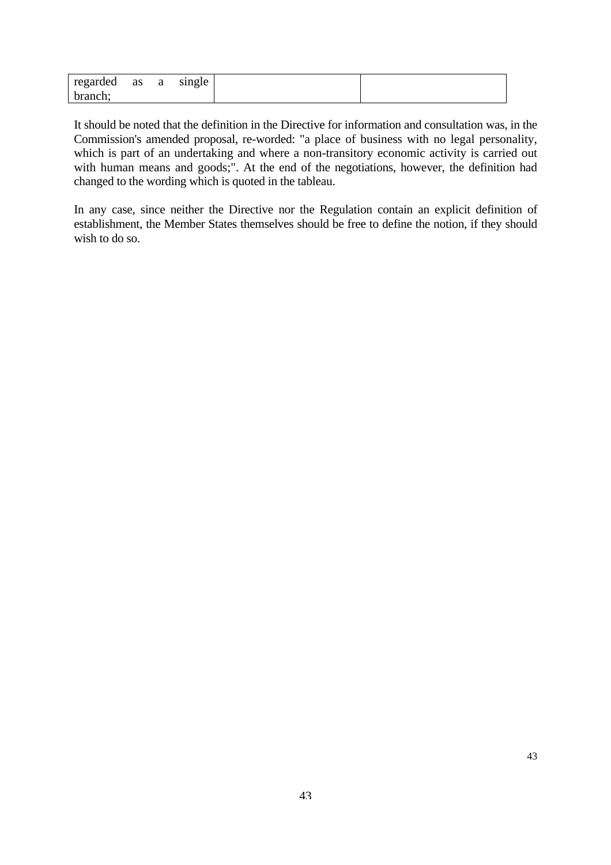| regarded | as | a | single |  |
|----------|----|---|--------|--|
| branch;  |    |   |        |  |

It should be noted that the definition in the Directive for information and consultation was, in the Commission's amended proposal, re-worded: "a place of business with no legal personality, which is part of an undertaking and where a non-transitory economic activity is carried out with human means and goods;". At the end of the negotiations, however, the definition had changed to the wording which is quoted in the tableau.

In any case, since neither the Directive nor the Regulation contain an explicit definition of establishment, the Member States themselves should be free to define the notion, if they should wish to do so.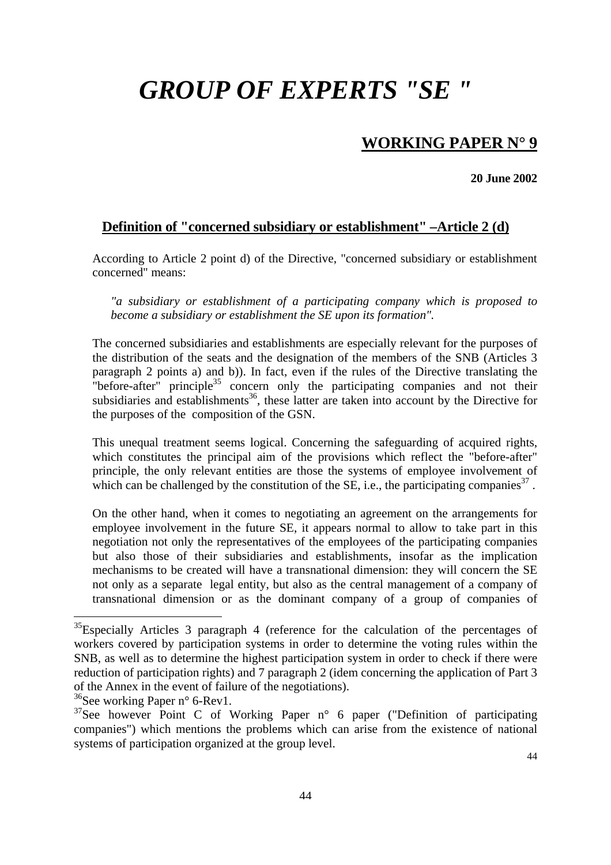# *GROUP OF EXPERTS "SE "*

## **WORKING PAPER N° 9**

**20 June 2002** 

### **Definition of "concerned subsidiary or establishment" –Article 2 (d)**

According to Article 2 point d) of the Directive, "concerned subsidiary or establishment concerned" means:

*"a subsidiary or establishment of a participating company which is proposed to become a subsidiary or establishment the SE upon its formation".* 

The concerned subsidiaries and establishments are especially relevant for the purposes of the distribution of the seats and the designation of the members of the SNB (Articles 3 paragraph 2 points a) and b)). In fact, even if the rules of the Directive translating the "before-after" principle $35$  concern only the participating companies and not their subsidiaries and establishments<sup>36</sup>, these latter are taken into account by the Directive for the purposes of the composition of the GSN.

This unequal treatment seems logical. Concerning the safeguarding of acquired rights, which constitutes the principal aim of the provisions which reflect the "before-after" principle, the only relevant entities are those the systems of employee involvement of which can be challenged by the constitution of the SE, i.e., the participating companies<sup>37</sup>.

On the other hand, when it comes to negotiating an agreement on the arrangements for employee involvement in the future SE, it appears normal to allow to take part in this negotiation not only the representatives of the employees of the participating companies but also those of their subsidiaries and establishments, insofar as the implication mechanisms to be created will have a transnational dimension: they will concern the SE not only as a separate legal entity, but also as the central management of a company of transnational dimension or as the dominant company of a group of companies of

<span id="page-42-0"></span><sup>&</sup>lt;sup>35</sup>Especially Articles 3 paragraph 4 (reference for the calculation of the percentages of workers covered by participation systems in order to determine the voting rules within the SNB, as well as to determine the highest participation system in order to check if there were reduction of participation rights) and 7 paragraph 2 (idem concerning the application of Part 3 of the Annex in the event of failure of the negotiations).

<span id="page-42-1"></span> $36$ See working Paper n° 6-Rev1.

<span id="page-42-2"></span> $37$ See however Point C of Working Paper n° 6 paper ("Definition of participating companies") which mentions the problems which can arise from the existence of national systems of participation organized at the group level.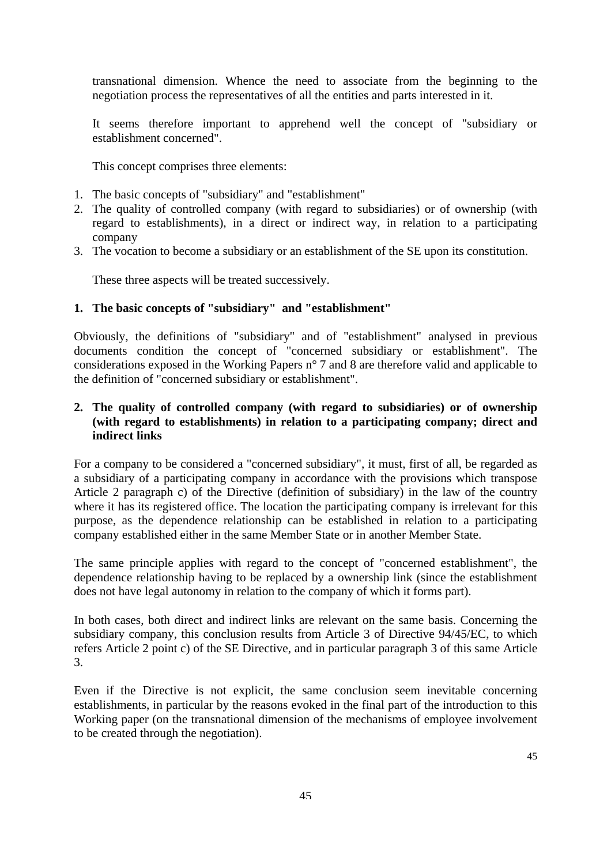transnational dimension. Whence the need to associate from the beginning to the negotiation process the representatives of all the entities and parts interested in it.

It seems therefore important to apprehend well the concept of "subsidiary or establishment concerned".

This concept comprises three elements:

- 1. The basic concepts of "subsidiary" and "establishment"
- 2. The quality of controlled company (with regard to subsidiaries) or of ownership (with regard to establishments), in a direct or indirect way, in relation to a participating company
- 3. The vocation to become a subsidiary or an establishment of the SE upon its constitution.

These three aspects will be treated successively.

#### **1. The basic concepts of "subsidiary" and "establishment"**

Obviously, the definitions of "subsidiary" and of "establishment" analysed in previous documents condition the concept of "concerned subsidiary or establishment". The considerations exposed in the Working Papers n° 7 and 8 are therefore valid and applicable to the definition of "concerned subsidiary or establishment".

#### **2. The quality of controlled company (with regard to subsidiaries) or of ownership (with regard to establishments) in relation to a participating company; direct and indirect links**

For a company to be considered a "concerned subsidiary", it must, first of all, be regarded as a subsidiary of a participating company in accordance with the provisions which transpose Article 2 paragraph c) of the Directive (definition of subsidiary) in the law of the country where it has its registered office. The location the participating company is irrelevant for this purpose, as the dependence relationship can be established in relation to a participating company established either in the same Member State or in another Member State.

The same principle applies with regard to the concept of "concerned establishment", the dependence relationship having to be replaced by a ownership link (since the establishment does not have legal autonomy in relation to the company of which it forms part).

In both cases, both direct and indirect links are relevant on the same basis. Concerning the subsidiary company, this conclusion results from Article 3 of Directive 94/45/EC, to which refers Article 2 point c) of the SE Directive, and in particular paragraph 3 of this same Article 3.

Even if the Directive is not explicit, the same conclusion seem inevitable concerning establishments, in particular by the reasons evoked in the final part of the introduction to this Working paper (on the transnational dimension of the mechanisms of employee involvement to be created through the negotiation).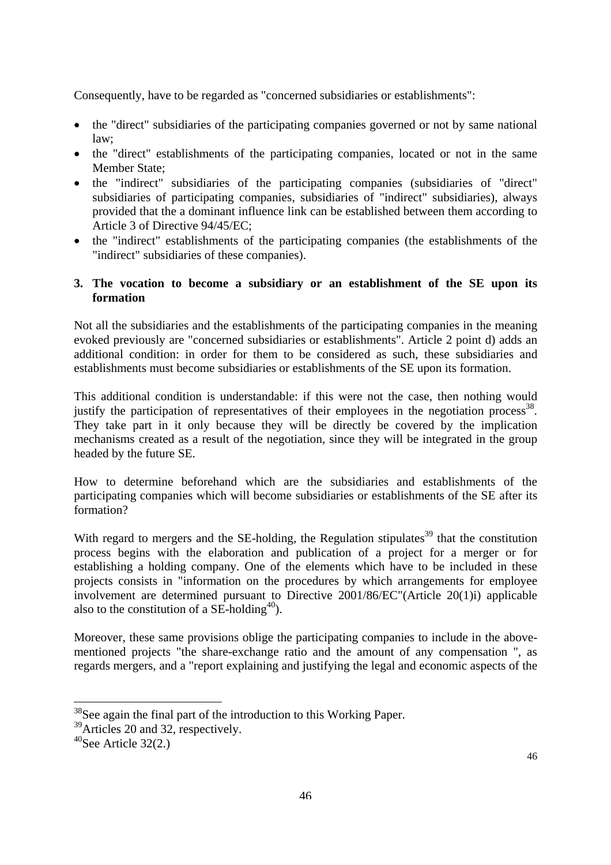Consequently, have to be regarded as "concerned subsidiaries or establishments":

- the "direct" subsidiaries of the participating companies governed or not by same national law;
- the "direct" establishments of the participating companies, located or not in the same Member State;
- the "indirect" subsidiaries of the participating companies (subsidiaries of "direct" subsidiaries of participating companies, subsidiaries of "indirect" subsidiaries), always provided that the a dominant influence link can be established between them according to Article 3 of Directive 94/45/EC;
- the "indirect" establishments of the participating companies (the establishments of the "indirect" subsidiaries of these companies).

#### **3. The vocation to become a subsidiary or an establishment of the SE upon its formation**

Not all the subsidiaries and the establishments of the participating companies in the meaning evoked previously are "concerned subsidiaries or establishments". Article 2 point d) adds an additional condition: in order for them to be considered as such, these subsidiaries and establishments must become subsidiaries or establishments of the SE upon its formation.

This additional condition is understandable: if this were not the case, then nothing would justify the participation of representatives of their employees in the negotiation process<sup>38</sup>. They take part in it only because they will be directly be covered by the implication mechanisms created as a result of the negotiation, since they will be integrated in the group headed by the future SE.

How to determine beforehand which are the subsidiaries and establishments of the participating companies which will become subsidiaries or establishments of the SE after its formation?

With regard to mergers and the SE-holding, the Regulation stipulates<sup>39</sup> that the constitution process begins with the elaboration and publication of a project for a merger or for establishing a holding company. One of the elements which have to be included in these projects consists in "information on the procedures by which arrangements for employee involvement are determined pursuant to Directive 2001/86/EC"(Article 20(1)i) applicable also to the constitution of a SE-holding<sup>40</sup>).

Moreover, these same provisions oblige the participating companies to include in the abovementioned projects "the share-exchange ratio and the amount of any compensation ", as regards mergers, and a "report explaining and justifying the legal and economic aspects of the

<span id="page-44-0"></span><sup>&</sup>lt;sup>38</sup>See again the final part of the introduction to this Working Paper.

<span id="page-44-1"></span><sup>&</sup>lt;sup>39</sup>Articles 20 and 32, respectively.

<span id="page-44-2"></span> $40$ See Article 32(2.)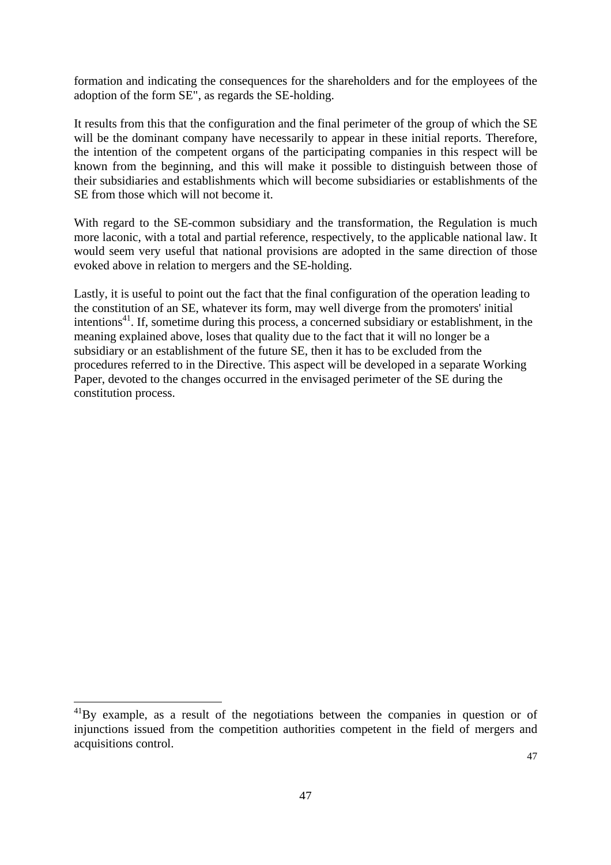formation and indicating the consequences for the shareholders and for the employees of the adoption of the form SE", as regards the SE-holding.

It results from this that the configuration and the final perimeter of the group of which the SE will be the dominant company have necessarily to appear in these initial reports. Therefore, the intention of the competent organs of the participating companies in this respect will be known from the beginning, and this will make it possible to distinguish between those of their subsidiaries and establishments which will become subsidiaries or establishments of the SE from those which will not become it.

With regard to the SE-common subsidiary and the transformation, the Regulation is much more laconic, with a total and partial reference, respectively, to the applicable national law. It would seem very useful that national provisions are adopted in the same direction of those evoked above in relation to mergers and the SE-holding.

Lastly, it is useful to point out the fact that the final configuration of the operation leading to the constitution of an SE, whatever its form, may well diverge from the promoters' initial intentions<sup>41</sup>. If, sometime during this process, a concerned subsidiary or establishment, in the meaning explained above, loses that quality due to the fact that it will no longer be a subsidiary or an establishment of the future SE, then it has to be excluded from the procedures referred to in the Directive. This aspect will be developed in a separate Working Paper, devoted to the changes occurred in the envisaged perimeter of the SE during the constitution process.

<span id="page-45-0"></span> $^{41}$ By example, as a result of the negotiations between the companies in question or of injunctions issued from the competition authorities competent in the field of mergers and acquisitions control.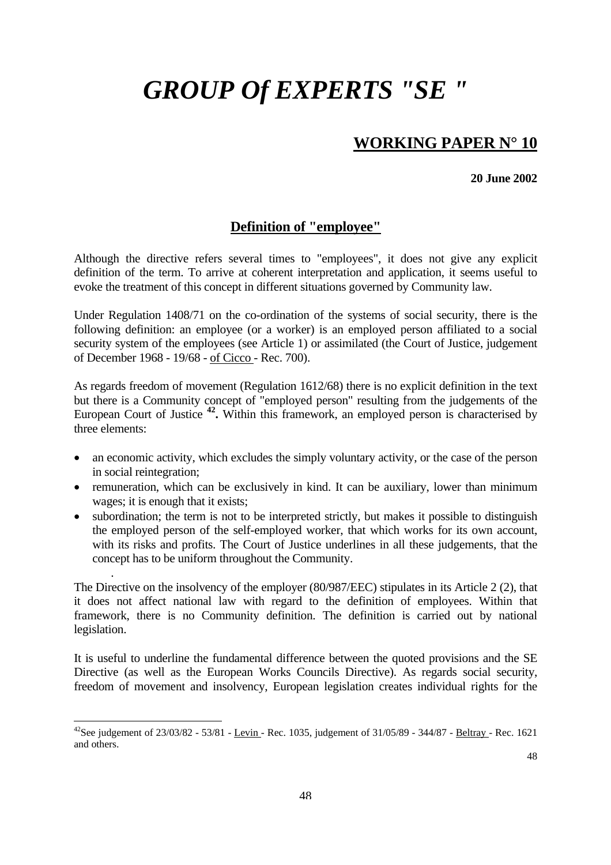# *GROUP Of EXPERTS "SE "*

## **WORKING PAPER N° 10**

**20 June 2002** 

### **Definition of "employee"**

Although the directive refers several times to "employees", it does not give any explicit definition of the term. To arrive at coherent interpretation and application, it seems useful to evoke the treatment of this concept in different situations governed by Community law.

Under Regulation 1408/71 on the co-ordination of the systems of social security, there is the following definition: an employee (or a worker) is an employed person affiliated to a social security system of the employees (see Article 1) or assimilated (the Court of Justice, judgement of December 1968 - 19/68 - of Cicco - Rec. 700).

As regards freedom of movement (Regulation 1612/68) there is no explicit definition in the text but there is a Community concept of "employed person" resulting from the judgements of the European Court of Justice **[42.](#page-46-0)** Within this framework, an employed person is characterised by three elements:

- an economic activity, which excludes the simply voluntary activity, or the case of the person in social reintegration;
- remuneration, which can be exclusively in kind. It can be auxiliary, lower than minimum wages; it is enough that it exists;
- subordination; the term is not to be interpreted strictly, but makes it possible to distinguish the employed person of the self-employed worker, that which works for its own account, with its risks and profits. The Court of Justice underlines in all these judgements, that the concept has to be uniform throughout the Community.

The Directive on the insolvency of the employer (80/987/EEC) stipulates in its Article 2 (2), that it does not affect national law with regard to the definition of employees. Within that framework, there is no Community definition. The definition is carried out by national legislation.

.

 $\overline{a}$ 

It is useful to underline the fundamental difference between the quoted provisions and the SE Directive (as well as the European Works Councils Directive). As regards social security, freedom of movement and insolvency, European legislation creates individual rights for the

<span id="page-46-0"></span><sup>&</sup>lt;sup>42</sup>See judgement of  $23/03/82 - 53/81 - \underline{Levin}$  - Rec. 1035, judgement of  $31/05/89 - 344/87 - \underline{Beltray}$  - Rec. 1621 and others.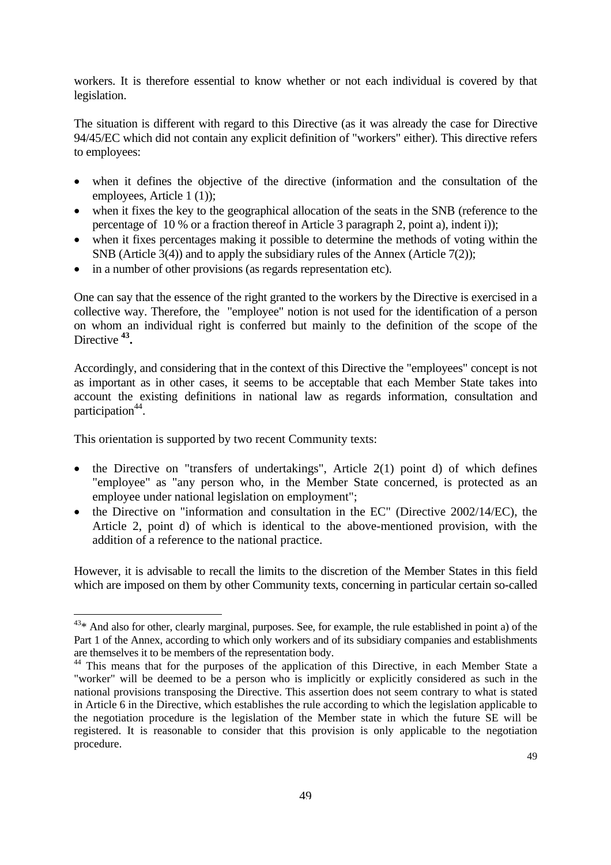workers. It is therefore essential to know whether or not each individual is covered by that legislation.

The situation is different with regard to this Directive (as it was already the case for Directive 94/45/EC which did not contain any explicit definition of "workers" either). This directive refers to employees:

- when it defines the objective of the directive (information and the consultation of the employees, Article 1 (1));
- when it fixes the key to the geographical allocation of the seats in the SNB (reference to the percentage of 10 % or a fraction thereof in Article 3 paragraph 2, point a), indent i));
- when it fixes percentages making it possible to determine the methods of voting within the SNB (Article 3(4)) and to apply the subsidiary rules of the Annex (Article 7(2));
- in a number of other provisions (as regards representation etc).

One can say that the essence of the right granted to the workers by the Directive is exercised in a collective way. Therefore, the "employee" notion is not used for the identification of a person on whom an individual right is conferred but mainly to the definition of the scope of the Directive **[43.](#page-47-0)** 

Accordingly, and considering that in the context of this Directive the "employees" concept is not as important as in other cases, it seems to be acceptable that each Member State takes into account the existing definitions in national law as regards information, consultation and participation $44$ .

This orientation is supported by two recent Community texts:

 $\overline{a}$ 

- the Directive on "transfers of undertakings", Article  $2(1)$  point d) of which defines "employee" as "any person who, in the Member State concerned, is protected as an employee under national legislation on employment";
- the Directive on "information and consultation in the EC" (Directive 2002/14/EC), the Article 2, point d) of which is identical to the above-mentioned provision, with the addition of a reference to the national practice.

However, it is advisable to recall the limits to the discretion of the Member States in this field which are imposed on them by other Community texts, concerning in particular certain so-called

<span id="page-47-0"></span> $43*$  And also for other, clearly marginal, purposes. See, for example, the rule established in point a) of the Part 1 of the Annex, according to which only workers and of its subsidiary companies and establishments are themselves it to be members of the representation body.

<span id="page-47-1"></span><sup>&</sup>lt;sup>44</sup> This means that for the purposes of the application of this Directive, in each Member State a "worker" will be deemed to be a person who is implicitly or explicitly considered as such in the national provisions transposing the Directive. This assertion does not seem contrary to what is stated in Article 6 in the Directive, which establishes the rule according to which the legislation applicable to the negotiation procedure is the legislation of the Member state in which the future SE will be registered. It is reasonable to consider that this provision is only applicable to the negotiation procedure.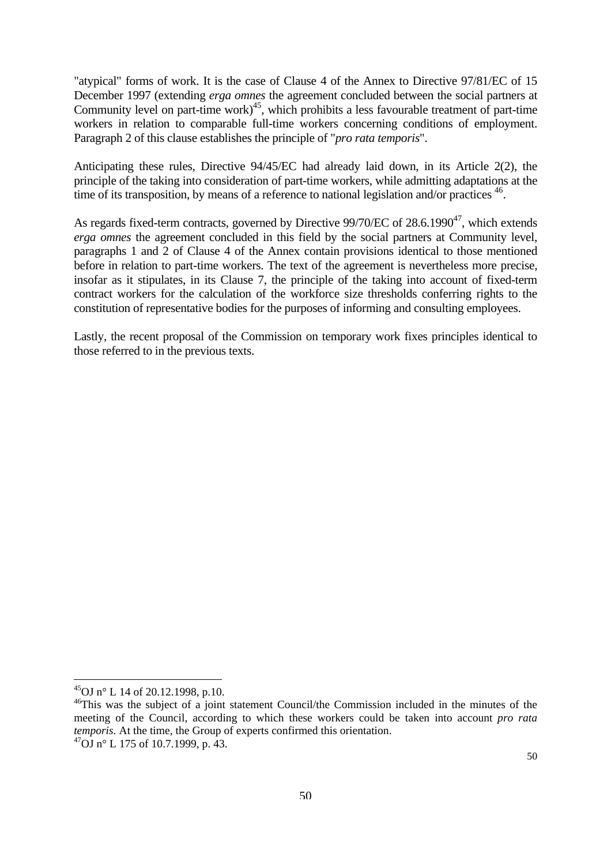"atypical" forms of work. It is the case of Clause 4 of the Annex to Directive 97/81/EC of 15 December 1997 (extending *erga omnes* the agreement concluded between the social partners at Community level on part-time work)<sup>45</sup>, which prohibits a less favourable treatment of part-time workers in relation to comparable full-time workers concerning conditions of employment. Paragraph 2 of this clause establishes the principle of "*pro rata temporis*".

Anticipating these rules, Directive 94/45/EC had already laid down, in its Article 2(2), the principle of the taking into consideration of part-time workers, while admitting adaptations at the time of its transposition, by means of a reference to national legislation and/or practices  $46$ .

As regards fixed-term contracts, governed by Directive  $99/70$ /EC of  $28.6.1990^{47}$ , which extends *erga omnes* the agreement concluded in this field by the social partners at Community level, paragraphs 1 and 2 of Clause 4 of the Annex contain provisions identical to those mentioned before in relation to part-time workers. The text of the agreement is nevertheless more precise, insofar as it stipulates, in its Clause 7, the principle of the taking into account of fixed-term contract workers for the calculation of the workforce size thresholds conferring rights to the constitution of representative bodies for the purposes of informing and consulting employees.

Lastly, the recent proposal of the Commission on temporary work fixes principles identical to those referred to in the previous texts.

<span id="page-48-0"></span><sup>45</sup>OJ n° L 14 of 20.12.1998, p.10.

<span id="page-48-2"></span><span id="page-48-1"></span><sup>&</sup>lt;sup>46</sup>This was the subject of a joint statement Council/the Commission included in the minutes of the meeting of the Council, according to which these workers could be taken into account *pro rata temporis.* At the time, the Group of experts confirmed this orientation.  $^{47}$ OJ n° L 175 of 10.7.1999, p. 43.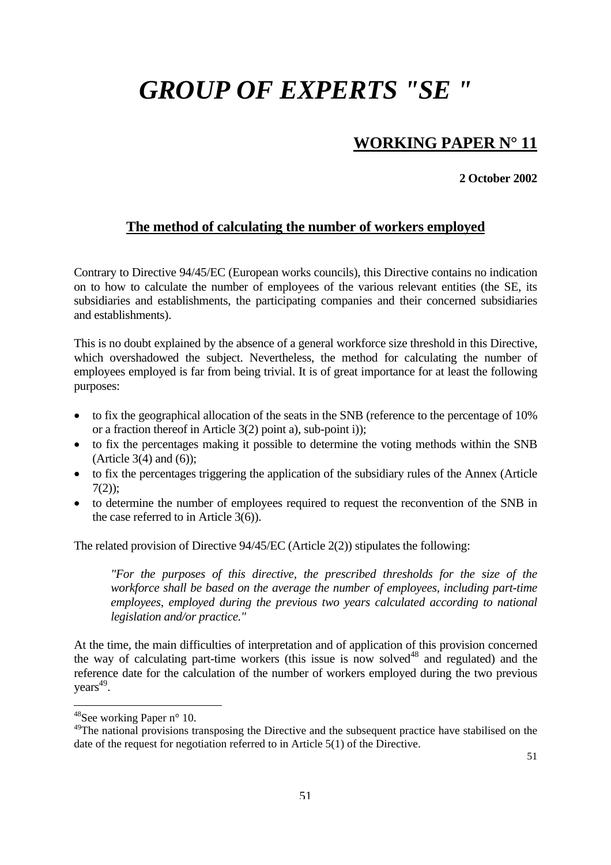# *GROUP OF EXPERTS "SE "*

## **WORKING PAPER N° 11**

**2 October 2002** 

## **The method of calculating the number of workers employed**

Contrary to Directive 94/45/EC (European works councils), this Directive contains no indication on to how to calculate the number of employees of the various relevant entities (the SE, its subsidiaries and establishments, the participating companies and their concerned subsidiaries and establishments).

This is no doubt explained by the absence of a general workforce size threshold in this Directive, which overshadowed the subject. Nevertheless, the method for calculating the number of employees employed is far from being trivial. It is of great importance for at least the following purposes:

- to fix the geographical allocation of the seats in the SNB (reference to the percentage of 10% or a fraction thereof in Article 3(2) point a), sub-point i));
- to fix the percentages making it possible to determine the voting methods within the SNB (Article  $3(4)$  and  $(6)$ );
- to fix the percentages triggering the application of the subsidiary rules of the Annex (Article  $7(2)$ ;
- to determine the number of employees required to request the reconvention of the SNB in the case referred to in Article 3(6)).

The related provision of Directive 94/45/EC (Article 2(2)) stipulates the following:

*"For the purposes of this directive, the prescribed thresholds for the size of the workforce shall be based on the average the number of employees, including part-time employees, employed during the previous two years calculated according to national legislation and/or practice."* 

At the time, the main difficulties of interpretation and of application of this provision concerned the way of calculating part-time workers (this issue is now solved<sup>48</sup> and regulated) and the reference date for the calculation of the number of workers employed during the two previous years<sup>49</sup>.

 $\overline{a}$ 

51

<span id="page-49-0"></span> $48$ See working Paper n° 10.

<span id="page-49-1"></span><sup>&</sup>lt;sup>49</sup>The national provisions transposing the Directive and the subsequent practice have stabilised on the date of the request for negotiation referred to in Article 5(1) of the Directive.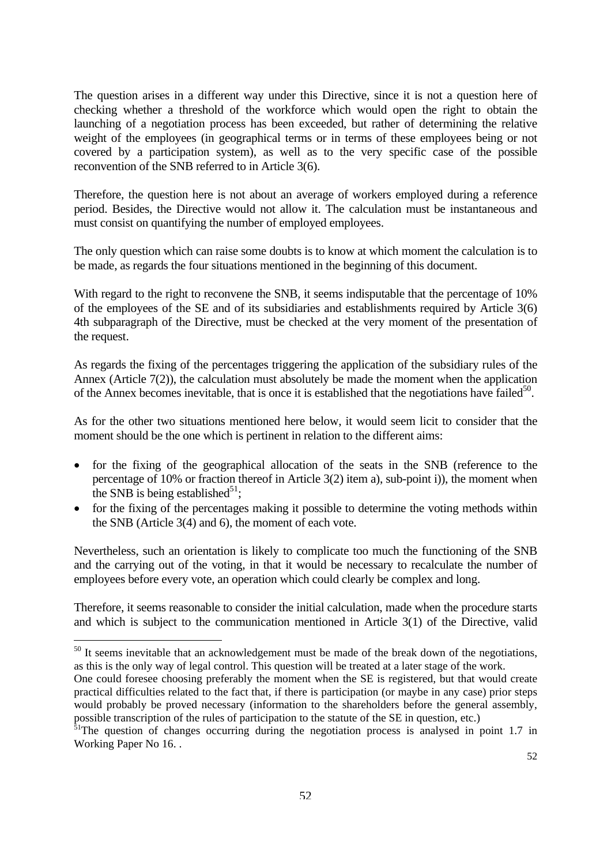The question arises in a different way under this Directive, since it is not a question here of checking whether a threshold of the workforce which would open the right to obtain the launching of a negotiation process has been exceeded, but rather of determining the relative weight of the employees (in geographical terms or in terms of these employees being or not covered by a participation system), as well as to the very specific case of the possible reconvention of the SNB referred to in Article 3(6).

Therefore, the question here is not about an average of workers employed during a reference period. Besides, the Directive would not allow it. The calculation must be instantaneous and must consist on quantifying the number of employed employees.

The only question which can raise some doubts is to know at which moment the calculation is to be made, as regards the four situations mentioned in the beginning of this document.

With regard to the right to reconvene the SNB, it seems indisputable that the percentage of 10% of the employees of the SE and of its subsidiaries and establishments required by Article 3(6) 4th subparagraph of the Directive, must be checked at the very moment of the presentation of the request.

As regards the fixing of the percentages triggering the application of the subsidiary rules of the Annex (Article 7(2)), the calculation must absolutely be made the moment when the application of the Annex becomes inevitable, that is once it is established that the negotiations have failed<sup>50</sup>.

As for the other two situations mentioned here below, it would seem licit to consider that the moment should be the one which is pertinent in relation to the different aims:

- for the fixing of the geographical allocation of the seats in the SNB (reference to the percentage of 10% or fraction thereof in Article 3(2) item a), sub-point i)), the moment when the SNB is being established $^{51}$ ;
- for the fixing of the percentages making it possible to determine the voting methods within the SNB (Article 3(4) and 6), the moment of each vote.

Nevertheless, such an orientation is likely to complicate too much the functioning of the SNB and the carrying out of the voting, in that it would be necessary to recalculate the number of employees before every vote, an operation which could clearly be complex and long.

Therefore, it seems reasonable to consider the initial calculation, made when the procedure starts and which is subject to the communication mentioned in Article 3(1) of the Directive, valid

<span id="page-50-0"></span><sup>&</sup>lt;sup>50</sup> It seems inevitable that an acknowledgement must be made of the break down of the negotiations, as this is the only way of legal control. This question will be treated at a later stage of the work.

One could foresee choosing preferably the moment when the SE is registered, but that would create practical difficulties related to the fact that, if there is participation (or maybe in any case) prior steps would probably be proved necessary (information to the shareholders before the general assembly, possible transcription of the rules of participation to the statute of the SE in question, etc.)

<span id="page-50-1"></span><sup>&</sup>lt;sup>51</sup>The question of changes occurring during the negotiation process is analysed in point 1.7 in Working Paper No 16. .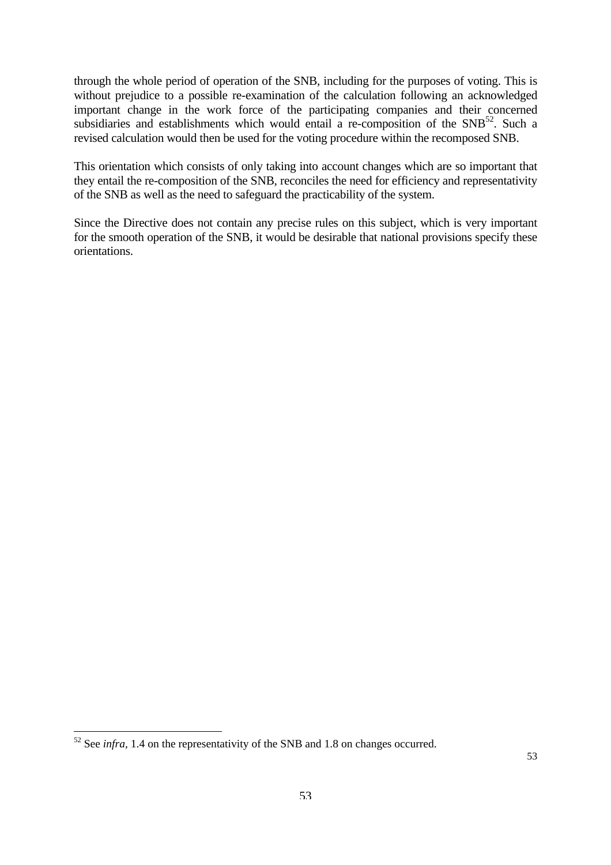through the whole period of operation of the SNB, including for the purposes of voting. This is without prejudice to a possible re-examination of the calculation following an acknowledged important change in the work force of the participating companies and their concerned subsidiaries and establishments which would entail a re-composition of the  $SNB<sup>52</sup>$ . Such a revised calculation would then be used for the voting procedure within the recomposed SNB.

This orientation which consists of only taking into account changes which are so important that they entail the re-composition of the SNB, reconciles the need for efficiency and representativity of the SNB as well as the need to safeguard the practicability of the system.

Since the Directive does not contain any precise rules on this subject, which is very important for the smooth operation of the SNB, it would be desirable that national provisions specify these orientations.

<span id="page-51-0"></span> $52$  See *infra*, 1.4 on the representativity of the SNB and 1.8 on changes occurred.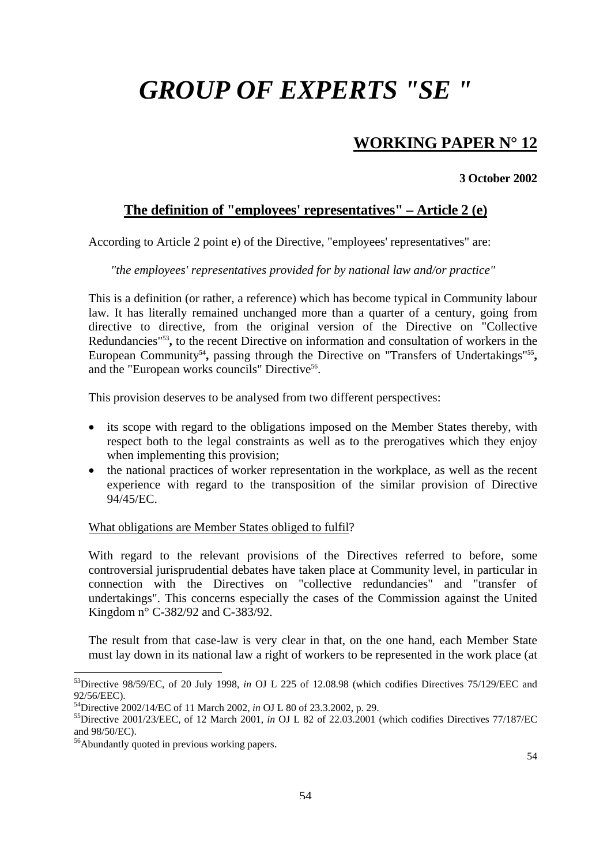# *GROUP OF EXPERTS "SE "*

## **WORKING PAPER N° 12**

#### **3 October 2002**

### **The definition of "employees' representatives" – Article 2 (e)**

According to Article 2 point e) of the Directive, "employees' representatives" are:

#### *"the employees' representatives provided for by national law and/or practice"*

This is a definition (or rather, a reference) which has become typical in Community labour law. It has literally remained unchanged more than a quarter of a century, going from directive to directive, from the original version of the Directive on "Collective Redundancies["53](#page-52-0)**,** to the recent Directive on information and consultation of workers in the European Community<sup>54</sup>, passing through the Directive on "Transfers of Undertakings"<sup>55</sup>, and the "European works councils" Directive<sup>56</sup>.

This provision deserves to be analysed from two different perspectives:

- its scope with regard to the obligations imposed on the Member States thereby, with respect both to the legal constraints as well as to the prerogatives which they enjoy when implementing this provision;
- the national practices of worker representation in the workplace, as well as the recent experience with regard to the transposition of the similar provision of Directive 94/45/EC.

#### What obligations are Member States obliged to fulfil?

With regard to the relevant provisions of the Directives referred to before, some controversial jurisprudential debates have taken place at Community level, in particular in connection with the Directives on "collective redundancies" and "transfer of undertakings". This concerns especially the cases of the Commission against the United Kingdom n° C-382/92 and C-383/92.

The result from that case-law is very clear in that, on the one hand, each Member State must lay down in its national law a right of workers to be represented in the work place (at

<span id="page-52-0"></span><sup>53</sup>Directive 98/59/EC, of 20 July 1998, *in* OJ L 225 of 12.08.98 (which codifies Directives 75/129/EEC and

<span id="page-52-2"></span><span id="page-52-1"></span>

<sup>92/56/</sup>EEC).<br><sup>54</sup>Directive 2002/14/EC of 11 March 2002, *in* OJ L 80 of 23.3.2002, p. 29.<br><sup>55</sup>Directive 2001/23/EEC, of 12 March 2001, *in* OJ L 82 of 22.03.2001 (which codifies Directives 77/187/EC and 98/50/EC).

<span id="page-52-3"></span><sup>&</sup>lt;sup>56</sup>Abundantly quoted in previous working papers.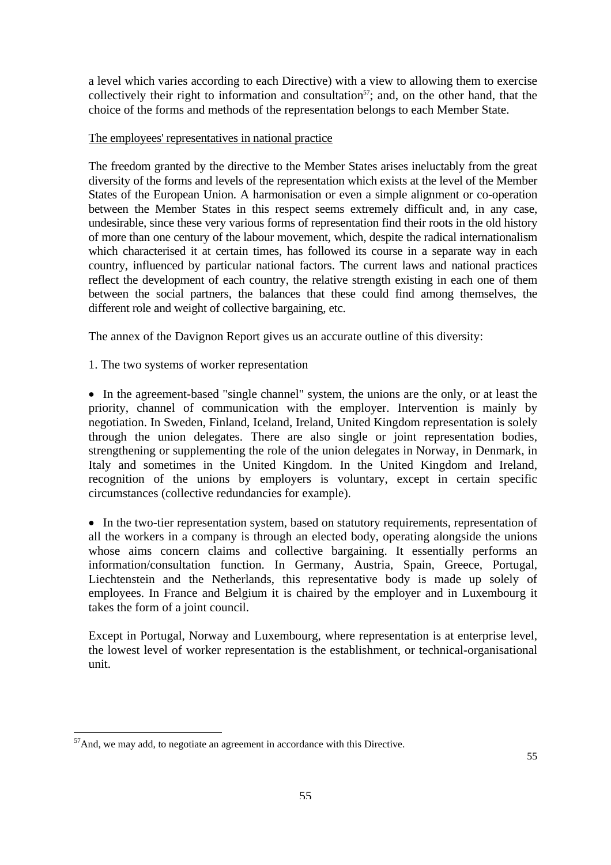a level which varies according to each Directive) with a view to allowing them to exercise collectively their right to information and consultation<sup>57</sup>; and, on the other hand, that the choice of the forms and methods of the representation belongs to each Member State.

#### The employees' representatives in national practice

The freedom granted by the directive to the Member States arises ineluctably from the great diversity of the forms and levels of the representation which exists at the level of the Member States of the European Union. A harmonisation or even a simple alignment or co-operation between the Member States in this respect seems extremely difficult and, in any case, undesirable, since these very various forms of representation find their roots in the old history of more than one century of the labour movement, which, despite the radical internationalism which characterised it at certain times, has followed its course in a separate way in each country, influenced by particular national factors. The current laws and national practices reflect the development of each country, the relative strength existing in each one of them between the social partners, the balances that these could find among themselves, the different role and weight of collective bargaining, etc.

The annex of the Davignon Report gives us an accurate outline of this diversity:

1. The two systems of worker representation

• In the agreement-based "single channel" system, the unions are the only, or at least the priority, channel of communication with the employer. Intervention is mainly by negotiation. In Sweden, Finland, Iceland, Ireland, United Kingdom representation is solely through the union delegates. There are also single or joint representation bodies, strengthening or supplementing the role of the union delegates in Norway, in Denmark, in Italy and sometimes in the United Kingdom. In the United Kingdom and Ireland, recognition of the unions by employers is voluntary, except in certain specific circumstances (collective redundancies for example).

• In the two-tier representation system, based on statutory requirements, representation of all the workers in a company is through an elected body, operating alongside the unions whose aims concern claims and collective bargaining. It essentially performs an information/consultation function. In Germany, Austria, Spain, Greece, Portugal, Liechtenstein and the Netherlands, this representative body is made up solely of employees. In France and Belgium it is chaired by the employer and in Luxembourg it takes the form of a joint council.

Except in Portugal, Norway and Luxembourg, where representation is at enterprise level, the lowest level of worker representation is the establishment, or technical-organisational unit.

<span id="page-53-0"></span><sup>&</sup>lt;sup>57</sup>And, we may add, to negotiate an agreement in accordance with this Directive.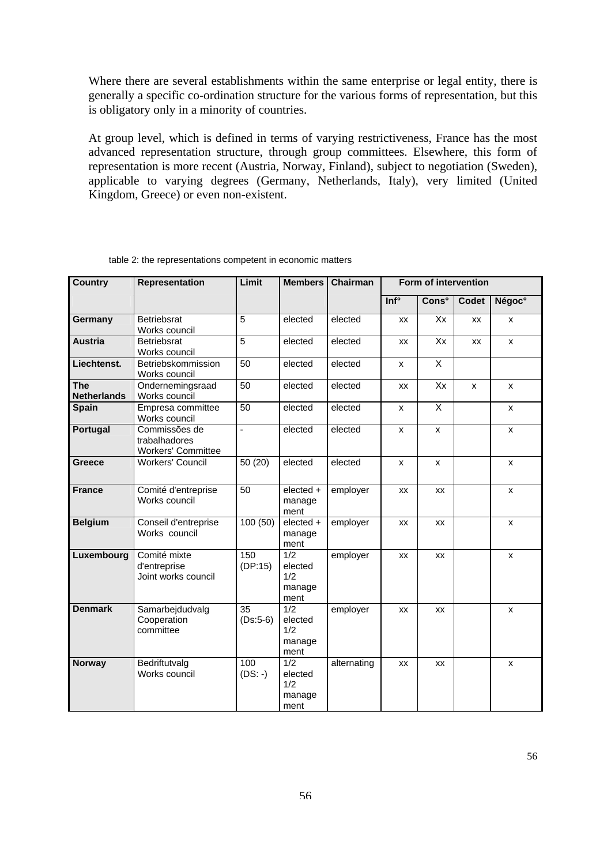Where there are several establishments within the same enterprise or legal entity, there is generally a specific co-ordination structure for the various forms of representation, but this is obligatory only in a minority of countries.

At group level, which is defined in terms of varying restrictiveness, France has the most advanced representation structure, through group committees. Elsewhere, this form of representation is more recent (Austria, Norway, Finland), subject to negotiation (Sweden), applicable to varying degrees (Germany, Netherlands, Italy), very limited (United Kingdom, Greece) or even non-existent.

| <b>Country</b>                   | <b>Representation</b>                                       | Limit                 | <b>Members</b>                                       | Chairman    | Form of intervention |              |           |                    |
|----------------------------------|-------------------------------------------------------------|-----------------------|------------------------------------------------------|-------------|----------------------|--------------|-----------|--------------------|
|                                  |                                                             |                       |                                                      |             | Inf <sup>°</sup>     | <b>Cons°</b> | Codet     | Négoc <sup>°</sup> |
| Germany                          | <b>Betriebsrat</b><br>Works council                         | 5                     | elected                                              | elected     | <b>XX</b>            | Xx           | XX        | X                  |
| <b>Austria</b>                   | <b>Betriebsrat</b><br>Works council                         | 5                     | elected                                              | elected     | <b>XX</b>            | Xx           | <b>XX</b> | X                  |
| Liechtenst.                      | Betriebskommission<br>Works council                         | 50                    | elected                                              | elected     | X                    | X            |           |                    |
| <b>The</b><br><b>Netherlands</b> | Ondernemingsraad<br>Works council                           | 50                    | elected                                              | elected     | <b>XX</b>            | Xx           | X         | X                  |
| <b>Spain</b>                     | Empresa committee<br>Works council                          | $\overline{50}$       | elected                                              | elected     | X                    | X            |           | x                  |
| Portugal                         | Commissões de<br>trabalhadores<br><b>Workers' Committee</b> | $\overline{a}$        | elected                                              | elected     | X                    | x            |           | X                  |
| <b>Greece</b>                    | <b>Workers' Council</b>                                     | 50 (20)               | elected                                              | elected     | x                    | x            |           | x                  |
| <b>France</b>                    | Comité d'entreprise<br>Works council                        | 50                    | elected +<br>manage<br>ment                          | employer    | XX                   | XX           |           | X                  |
| <b>Belgium</b>                   | Conseil d'entreprise<br>Works council                       | $\overline{100}$ (50) | elected +<br>manage<br>ment                          | employer    | <b>XX</b>            | <b>XX</b>    |           | X                  |
| Luxembourg                       | Comité mixte<br>d'entreprise<br>Joint works council         | 150<br>(DP:15)        | $\overline{1/2}$<br>elected<br>1/2<br>manage<br>ment | employer    | <b>XX</b>            | XX           |           | x                  |
| <b>Denmark</b>                   | Samarbejdudvalg<br>Cooperation<br>committee                 | 35<br>$(Ds:5-6)$      | 1/2<br>elected<br>1/2<br>manage<br>ment              | employer    | <b>XX</b>            | <b>XX</b>    |           | X                  |
| <b>Norway</b>                    | Bedriftutvalg<br>Works council                              | 100<br>$(DS: -)$      | 1/2<br>elected<br>1/2<br>manage<br>ment              | alternating | XX                   | <b>XX</b>    |           | X                  |

|  | table 2: the representations competent in economic matters |
|--|------------------------------------------------------------|
|--|------------------------------------------------------------|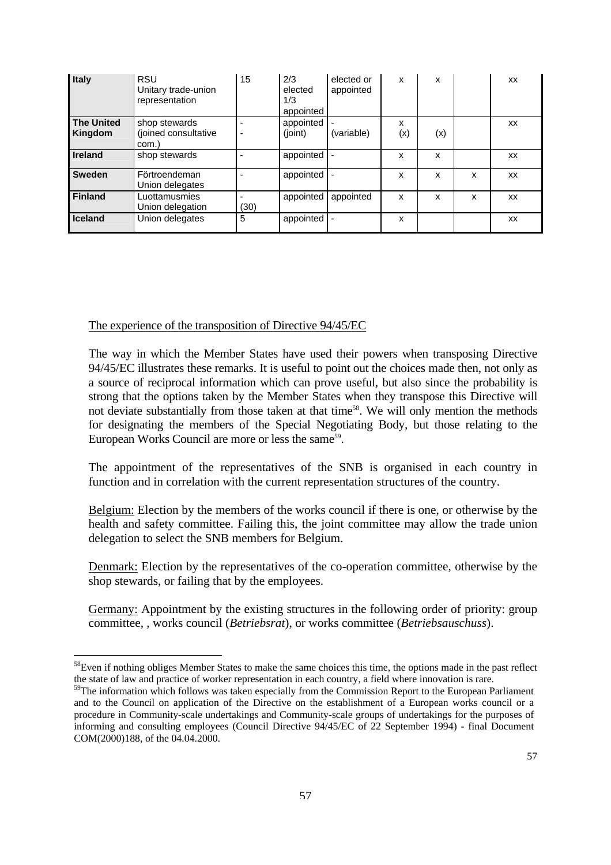| Italy                        | <b>RSU</b><br>Unitary trade-union<br>representation | 15   | 2/3<br>elected<br>1/3<br>appointed | elected or<br>appointed | x        | x   |   | XX        |
|------------------------------|-----------------------------------------------------|------|------------------------------------|-------------------------|----------|-----|---|-----------|
| <b>The United</b><br>Kingdom | shop stewards<br>(joined consultative<br>com.)      | -    | appointed<br>(joint)               | (variable)              | x<br>(x) | (x) |   | XX        |
| Ireland                      | shop stewards                                       |      | appointed                          |                         | x        | x   |   | XX        |
| <b>Sweden</b>                | Förtroendeman<br>Union delegates                    |      | appointed                          |                         | x        | x   | x | <b>XX</b> |
| <b>Finland</b>               | Luottamusmies<br>Union delegation                   | (30) | appointed                          | appointed               | X        | x   | x | <b>XX</b> |
| <b>Iceland</b>               | Union delegates                                     | 5    | appointed                          |                         | x        |     |   | XX        |

#### The experience of the transposition of Directive 94/45/EC

 $\overline{a}$ 

The way in which the Member States have used their powers when transposing Directive 94/45/EC illustrates these remarks. It is useful to point out the choices made then, not only as a source of reciprocal information which can prove useful, but also since the probability is strong that the options taken by the Member States when they transpose this Directive will not deviate substantially from those taken at that time<sup>58</sup>. We will only mention the methods for designating the members of the Special Negotiating Body, but those relating to the European Works Council are more or less the same<sup>59</sup>.

The appointment of the representatives of the SNB is organised in each country in function and in correlation with the current representation structures of the country.

Belgium: Election by the members of the works council if there is one, or otherwise by the health and safety committee. Failing this, the joint committee may allow the trade union delegation to select the SNB members for Belgium.

Denmark: Election by the representatives of the co-operation committee, otherwise by the shop stewards, or failing that by the employees.

Germany: Appointment by the existing structures in the following order of priority: group committee, , works council (*Betriebsrat*), or works committee (*Betriebsauschuss*).

<span id="page-55-0"></span><sup>&</sup>lt;sup>58</sup>Even if nothing obliges Member States to make the same choices this time, the options made in the past reflect the state of law and practice of worker representation in each country, a field where innovation is rare.<br><sup>59</sup>The information which follows was taken especially from the Commission Report to the European Parliament

<span id="page-55-1"></span>and to the Council on application of the Directive on the establishment of a European works council or a procedure in Community-scale undertakings and Community-scale groups of undertakings for the purposes of informing and consulting employees (Council Directive 94/45/EC of 22 September 1994) **-** final Document COM(2000)188, of the 04.04.2000.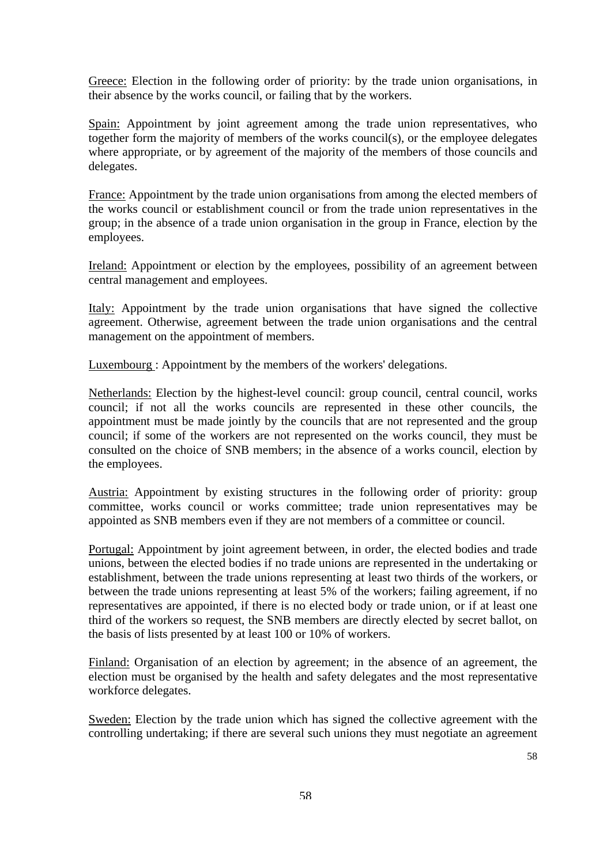Greece: Election in the following order of priority: by the trade union organisations, in their absence by the works council, or failing that by the workers.

Spain: Appointment by joint agreement among the trade union representatives, who together form the majority of members of the works council(s), or the employee delegates where appropriate, or by agreement of the majority of the members of those councils and delegates.

France: Appointment by the trade union organisations from among the elected members of the works council or establishment council or from the trade union representatives in the group; in the absence of a trade union organisation in the group in France, election by the employees.

Ireland: Appointment or election by the employees, possibility of an agreement between central management and employees.

Italy: Appointment by the trade union organisations that have signed the collective agreement. Otherwise, agreement between the trade union organisations and the central management on the appointment of members.

Luxembourg : Appointment by the members of the workers' delegations.

Netherlands: Election by the highest-level council: group council, central council, works council; if not all the works councils are represented in these other councils, the appointment must be made jointly by the councils that are not represented and the group council; if some of the workers are not represented on the works council, they must be consulted on the choice of SNB members; in the absence of a works council, election by the employees.

Austria: Appointment by existing structures in the following order of priority: group committee, works council or works committee; trade union representatives may be appointed as SNB members even if they are not members of a committee or council.

Portugal: Appointment by joint agreement between, in order, the elected bodies and trade unions, between the elected bodies if no trade unions are represented in the undertaking or establishment, between the trade unions representing at least two thirds of the workers, or between the trade unions representing at least 5% of the workers; failing agreement, if no representatives are appointed, if there is no elected body or trade union, or if at least one third of the workers so request, the SNB members are directly elected by secret ballot, on the basis of lists presented by at least 100 or 10% of workers.

Finland: Organisation of an election by agreement; in the absence of an agreement, the election must be organised by the health and safety delegates and the most representative workforce delegates.

Sweden: Election by the trade union which has signed the collective agreement with the controlling undertaking; if there are several such unions they must negotiate an agreement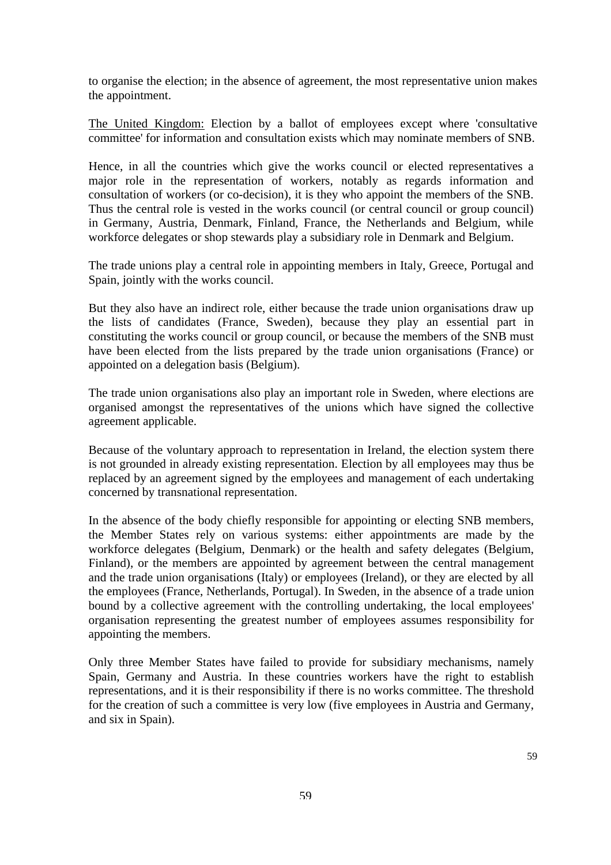to organise the election; in the absence of agreement, the most representative union makes the appointment.

The United Kingdom: Election by a ballot of employees except where 'consultative committee' for information and consultation exists which may nominate members of SNB.

Hence, in all the countries which give the works council or elected representatives a major role in the representation of workers, notably as regards information and consultation of workers (or co-decision), it is they who appoint the members of the SNB. Thus the central role is vested in the works council (or central council or group council) in Germany, Austria, Denmark, Finland, France, the Netherlands and Belgium, while workforce delegates or shop stewards play a subsidiary role in Denmark and Belgium.

The trade unions play a central role in appointing members in Italy, Greece, Portugal and Spain, jointly with the works council.

But they also have an indirect role, either because the trade union organisations draw up the lists of candidates (France, Sweden), because they play an essential part in constituting the works council or group council, or because the members of the SNB must have been elected from the lists prepared by the trade union organisations (France) or appointed on a delegation basis (Belgium).

The trade union organisations also play an important role in Sweden, where elections are organised amongst the representatives of the unions which have signed the collective agreement applicable.

Because of the voluntary approach to representation in Ireland, the election system there is not grounded in already existing representation. Election by all employees may thus be replaced by an agreement signed by the employees and management of each undertaking concerned by transnational representation.

In the absence of the body chiefly responsible for appointing or electing SNB members, the Member States rely on various systems: either appointments are made by the workforce delegates (Belgium, Denmark) or the health and safety delegates (Belgium, Finland), or the members are appointed by agreement between the central management and the trade union organisations (Italy) or employees (Ireland), or they are elected by all the employees (France, Netherlands, Portugal). In Sweden, in the absence of a trade union bound by a collective agreement with the controlling undertaking, the local employees' organisation representing the greatest number of employees assumes responsibility for appointing the members.

Only three Member States have failed to provide for subsidiary mechanisms, namely Spain, Germany and Austria. In these countries workers have the right to establish representations, and it is their responsibility if there is no works committee. The threshold for the creation of such a committee is very low (five employees in Austria and Germany, and six in Spain).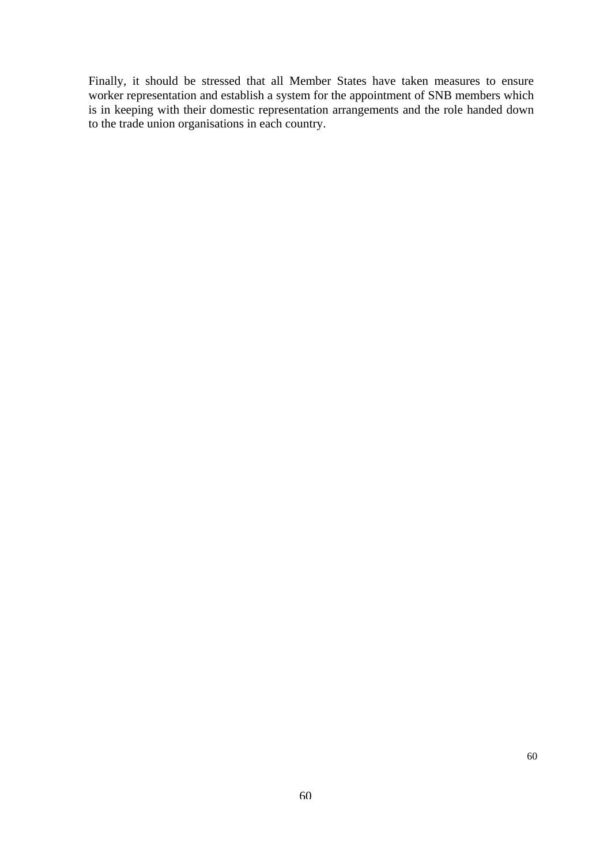Finally, it should be stressed that all Member States have taken measures to ensure worker representation and establish a system for the appointment of SNB members which is in keeping with their domestic representation arrangements and the role handed down to the trade union organisations in each country.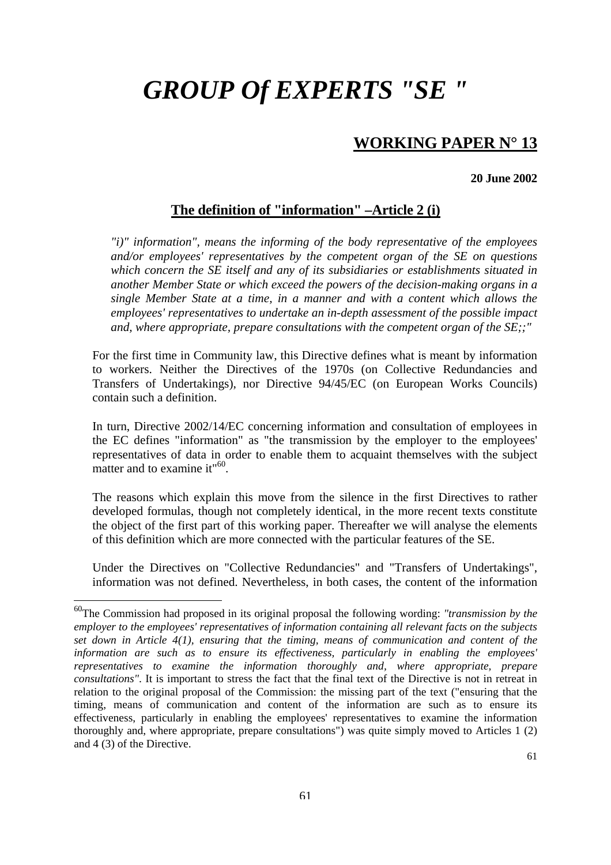# *GROUP Of EXPERTS "SE "*

## **WORKING PAPER N° 13**

#### **20 June 2002**

### **The definition of "information" –Article 2 (i)**

*"i)" information", means the informing of the body representative of the employees and/or employees' representatives by the competent organ of the SE on questions which concern the SE itself and any of its subsidiaries or establishments situated in another Member State or which exceed the powers of the decision-making organs in a single Member State at a time, in a manner and with a content which allows the employees' representatives to undertake an in-depth assessment of the possible impact and, where appropriate, prepare consultations with the competent organ of the SE;;"* 

For the first time in Community law, this Directive defines what is meant by information to workers. Neither the Directives of the 1970s (on Collective Redundancies and Transfers of Undertakings), nor Directive 94/45/EC (on European Works Councils) contain such a definition.

In turn, Directive 2002/14/EC concerning information and consultation of employees in the EC defines "information" as "the transmission by the employer to the employees' representatives of data in order to enable them to acquaint themselves with the subject matter and to examine it"<sup>60</sup>.

The reasons which explain this move from the silence in the first Directives to rather developed formulas, though not completely identical, in the more recent texts constitute the object of the first part of this working paper. Thereafter we will analyse the elements of this definition which are more connected with the particular features of the SE.

Under the Directives on "Collective Redundancies" and "Transfers of Undertakings", information was not defined. Nevertheless, in both cases, the content of the information

<span id="page-59-0"></span><sup>60</sup>The Commission had proposed in its original proposal the following wording: *"transmission by the employer to the employees' representatives of information containing all relevant facts on the subjects set down in Article 4(1), ensuring that the timing, means of communication and content of the information are such as to ensure its effectiveness, particularly in enabling the employees' representatives to examine the information thoroughly and, where appropriate, prepare consultations"*. It is important to stress the fact that the final text of the Directive is not in retreat in relation to the original proposal of the Commission: the missing part of the text ("ensuring that the timing, means of communication and content of the information are such as to ensure its effectiveness, particularly in enabling the employees' representatives to examine the information thoroughly and, where appropriate, prepare consultations") was quite simply moved to Articles 1 (2) and 4 (3) of the Directive.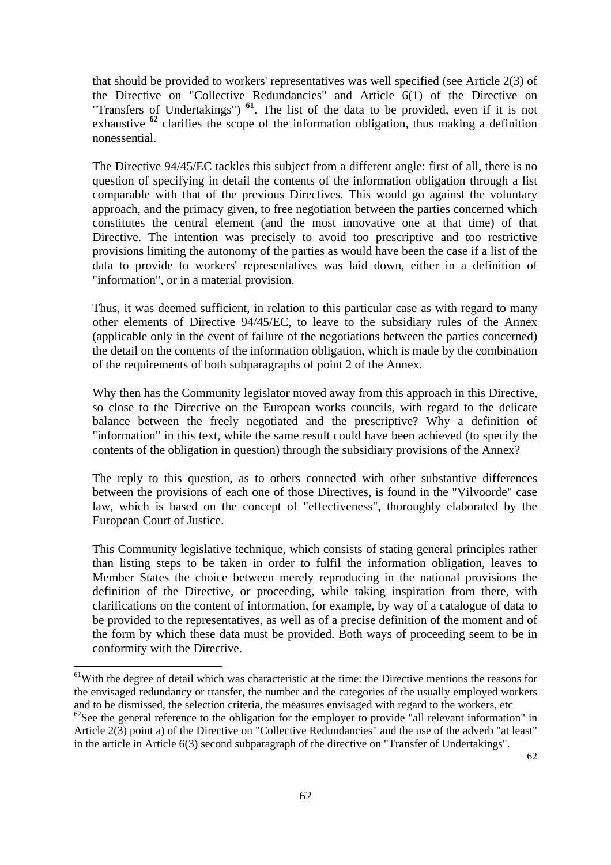that should be provided to workers' representatives was well specified (see Article 2(3) of the Directive on "Collective Redundancies" and Article 6(1) of the Directive on "Transfers of Undertakings") **[61](#page-60-0)**. The list of the data to be provided, even if it is not exhaustive **[62](#page-60-1)** clarifies the scope of the information obligation, thus making a definition nonessential.

The Directive 94/45/EC tackles this subject from a different angle: first of all, there is no question of specifying in detail the contents of the information obligation through a list comparable with that of the previous Directives. This would go against the voluntary approach, and the primacy given, to free negotiation between the parties concerned which constitutes the central element (and the most innovative one at that time) of that Directive. The intention was precisely to avoid too prescriptive and too restrictive provisions limiting the autonomy of the parties as would have been the case if a list of the data to provide to workers' representatives was laid down, either in a definition of "information", or in a material provision.

Thus, it was deemed sufficient, in relation to this particular case as with regard to many other elements of Directive 94/45/EC, to leave to the subsidiary rules of the Annex (applicable only in the event of failure of the negotiations between the parties concerned) the detail on the contents of the information obligation, which is made by the combination of the requirements of both subparagraphs of point 2 of the Annex.

Why then has the Community legislator moved away from this approach in this Directive, so close to the Directive on the European works councils, with regard to the delicate balance between the freely negotiated and the prescriptive? Why a definition of "information" in this text, while the same result could have been achieved (to specify the contents of the obligation in question) through the subsidiary provisions of the Annex?

The reply to this question, as to others connected with other substantive differences between the provisions of each one of those Directives, is found in the "Vilvoorde" case law, which is based on the concept of "effectiveness", thoroughly elaborated by the European Court of Justice.

This Community legislative technique, which consists of stating general principles rather than listing steps to be taken in order to fulfil the information obligation, leaves to Member States the choice between merely reproducing in the national provisions the definition of the Directive, or proceeding, while taking inspiration from there, with clarifications on the content of information, for example, by way of a catalogue of data to be provided to the representatives, as well as of a precise definition of the moment and of the form by which these data must be provided. Both ways of proceeding seem to be in conformity with the Directive.

<span id="page-60-0"></span><sup>&</sup>lt;sup>61</sup>With the degree of detail which was characteristic at the time: the Directive mentions the reasons for the envisaged redundancy or transfer, the number and the categories of the usually employed workers and to be dismissed, the selection criteria, the measures envisaged with regard to the workers, etc

<span id="page-60-1"></span> $^{62}$ See the general reference to the obligation for the employer to provide "all relevant information" in Article 2(3) point a) of the Directive on "Collective Redundancies" and the use of the adverb "at least" in the article in Article 6(3) second subparagraph of the directive on "Transfer of Undertakings".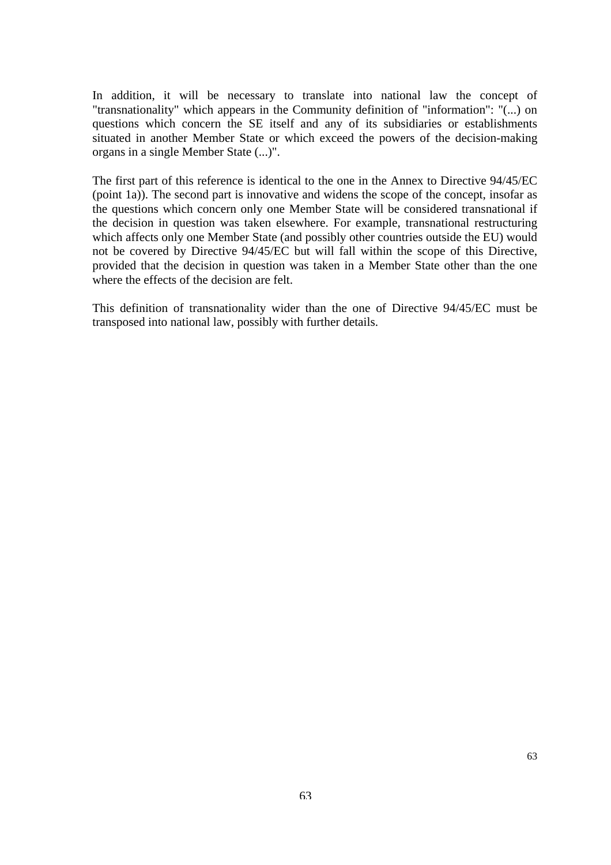In addition, it will be necessary to translate into national law the concept of "transnationality" which appears in the Community definition of "information": "(...) on questions which concern the SE itself and any of its subsidiaries or establishments situated in another Member State or which exceed the powers of the decision-making organs in a single Member State (...)".

The first part of this reference is identical to the one in the Annex to Directive 94/45/EC (point 1a)). The second part is innovative and widens the scope of the concept, insofar as the questions which concern only one Member State will be considered transnational if the decision in question was taken elsewhere. For example, transnational restructuring which affects only one Member State (and possibly other countries outside the EU) would not be covered by Directive 94/45/EC but will fall within the scope of this Directive, provided that the decision in question was taken in a Member State other than the one where the effects of the decision are felt.

This definition of transnationality wider than the one of Directive 94/45/EC must be transposed into national law, possibly with further details.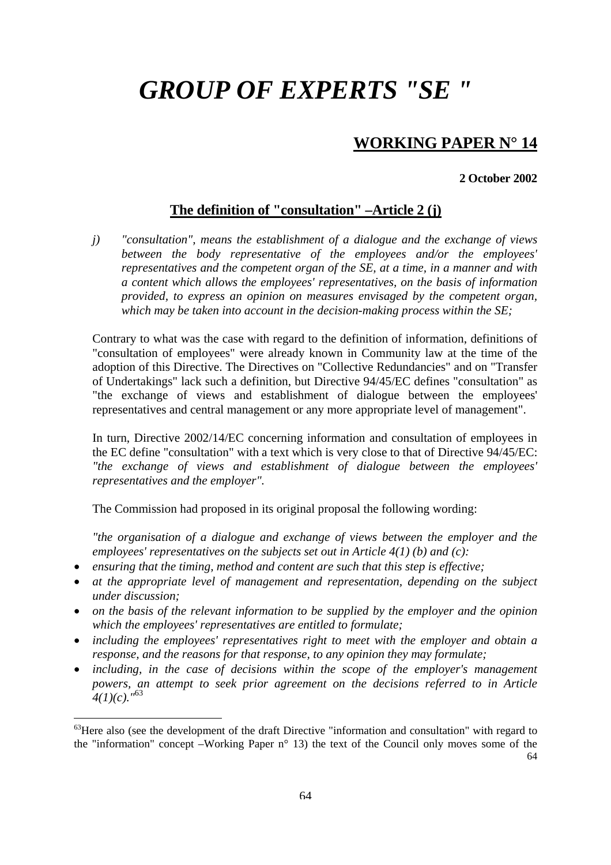# <span id="page-62-0"></span>*GROUP OF EXPERTS "SE "*

## **WORKING PAPER N° 14**

#### **2 October 2002**

### **The definition of "consultation" –Article 2 (j)**

*j) "consultation", means the establishment of a dialogue and the exchange of views between the body representative of the employees and/or the employees' representatives and the competent organ of the SE, at a time, in a manner and with a content which allows the employees' representatives, on the basis of information provided, to express an opinion on measures envisaged by the competent organ, which may be taken into account in the decision-making process within the SE;* 

Contrary to what was the case with regard to the definition of information, definitions of "consultation of employees" were already known in Community law at the time of the adoption of this Directive. The Directives on "Collective Redundancies" and on "Transfer of Undertakings" lack such a definition, but Directive 94/45/EC defines "consultation" as "the exchange of views and establishment of dialogue between the employees' representatives and central management or any more appropriate level of management".

In turn, Directive 2002/14/EC concerning information and consultation of employees in the EC define "consultation" with a text which is very close to that of Directive 94/45/EC: *"the exchange of views and establishment of dialogue between the employees' representatives and the employer".*

The Commission had proposed in its original proposal the following wording:

*"the organisation of a dialogue and exchange of views between the employer and the employees' representatives on the subjects set out in Article 4(1) (b) and (c):* 

• *ensuring that the timing, method and content are such that this step is effective;* 

- *at the appropriate level of management and representation, depending on the subject under discussion;*
- *on the basis of the relevant information to be supplied by the employer and the opinion which the employees' representatives are entitled to formulate;*
- *including the employees' representatives right to meet with the employer and obtain a response, and the reasons for that response, to any opinion they may formulate;*
- *including, in the case of decisions within the scope of the employer's management powers, an attempt to seek prior agreement on the decisions referred to in Article 4(1)(c)."*[63](#page-62-0)

<sup>64</sup> <sup>63</sup>Here also (see the development of the draft Directive "information and consultation" with regard to the "information" concept –Working Paper n° 13) the text of the Council only moves some of the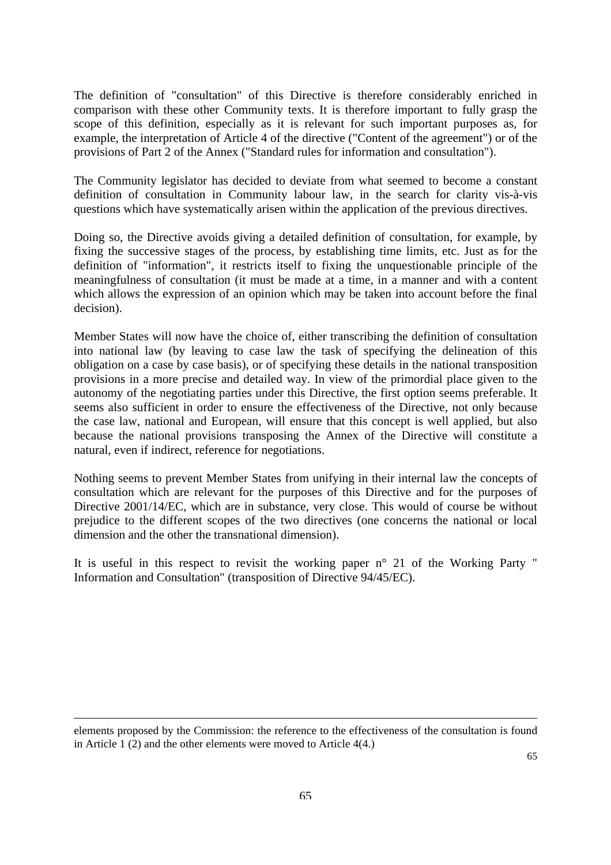The definition of "consultation" of this Directive is therefore considerably enriched in comparison with these other Community texts. It is therefore important to fully grasp the scope of this definition, especially as it is relevant for such important purposes as, for example, the interpretation of Article 4 of the directive ("Content of the agreement") or of the provisions of Part 2 of the Annex ("Standard rules for information and consultation").

The Community legislator has decided to deviate from what seemed to become a constant definition of consultation in Community labour law, in the search for clarity vis-à-vis questions which have systematically arisen within the application of the previous directives.

Doing so, the Directive avoids giving a detailed definition of consultation, for example, by fixing the successive stages of the process, by establishing time limits, etc. Just as for the definition of "information", it restricts itself to fixing the unquestionable principle of the meaningfulness of consultation (it must be made at a time, in a manner and with a content which allows the expression of an opinion which may be taken into account before the final decision).

Member States will now have the choice of, either transcribing the definition of consultation into national law (by leaving to case law the task of specifying the delineation of this obligation on a case by case basis), or of specifying these details in the national transposition provisions in a more precise and detailed way. In view of the primordial place given to the autonomy of the negotiating parties under this Directive, the first option seems preferable. It seems also sufficient in order to ensure the effectiveness of the Directive, not only because the case law, national and European, will ensure that this concept is well applied, but also because the national provisions transposing the Annex of the Directive will constitute a natural, even if indirect, reference for negotiations.

Nothing seems to prevent Member States from unifying in their internal law the concepts of consultation which are relevant for the purposes of this Directive and for the purposes of Directive 2001/14/EC, which are in substance, very close. This would of course be without prejudice to the different scopes of the two directives (one concerns the national or local dimension and the other the transnational dimension).

It is useful in this respect to revisit the working paper n° 21 of the Working Party " Information and Consultation" (transposition of Directive 94/45/EC).

elements proposed by the Commission: the reference to the effectiveness of the consultation is found in Article 1 (2) and the other elements were moved to Article 4(4.)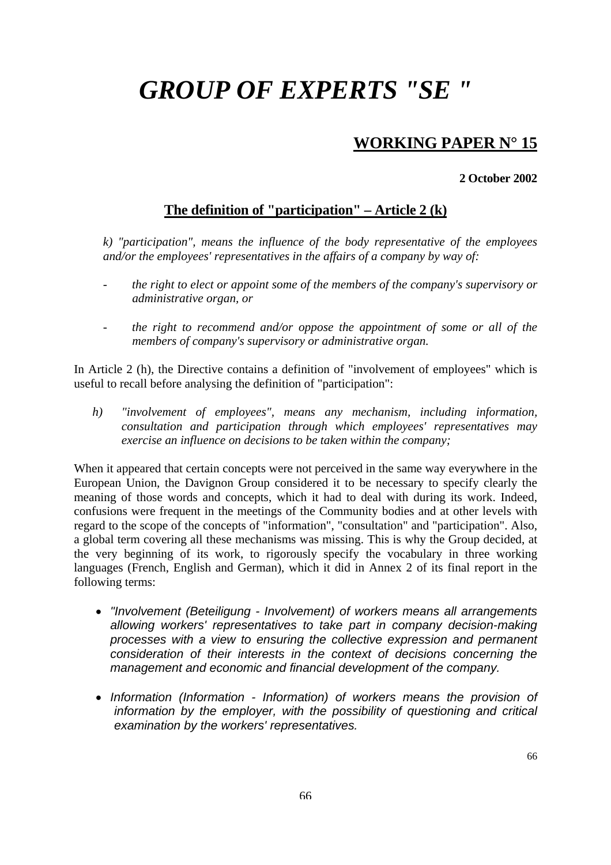# *GROUP OF EXPERTS "SE "*

## **WORKING PAPER N° 15**

#### **2 October 2002**

### **The definition of "participation" – Article 2 (k)**

*k) "participation", means the influence of the body representative of the employees and/or the employees' representatives in the affairs of a company by way of:* 

- *the right to elect or appoint some of the members of the company's supervisory or administrative organ, or*
- *the right to recommend and/or oppose the appointment of some or all of the members of company's supervisory or administrative organ.*

In Article 2 (h), the Directive contains a definition of "involvement of employees" which is useful to recall before analysing the definition of "participation":

*h) "involvement of employees", means any mechanism, including information, consultation and participation through which employees' representatives may exercise an influence on decisions to be taken within the company;* 

When it appeared that certain concepts were not perceived in the same way everywhere in the European Union, the Davignon Group considered it to be necessary to specify clearly the meaning of those words and concepts, which it had to deal with during its work. Indeed, confusions were frequent in the meetings of the Community bodies and at other levels with regard to the scope of the concepts of "information", "consultation" and "participation". Also, a global term covering all these mechanisms was missing. This is why the Group decided, at the very beginning of its work, to rigorously specify the vocabulary in three working languages (French, English and German), which it did in Annex 2 of its final report in the following terms:

- *"Involvement (Beteiligung Involvement) of workers means all arrangements allowing workers' representatives to take part in company decision-making processes with a view to ensuring the collective expression and permanent consideration of their interests in the context of decisions concerning the management and economic and financial development of the company.*
- *Information (Information Information) of workers means the provision of information by the employer, with the possibility of questioning and critical examination by the workers' representatives.*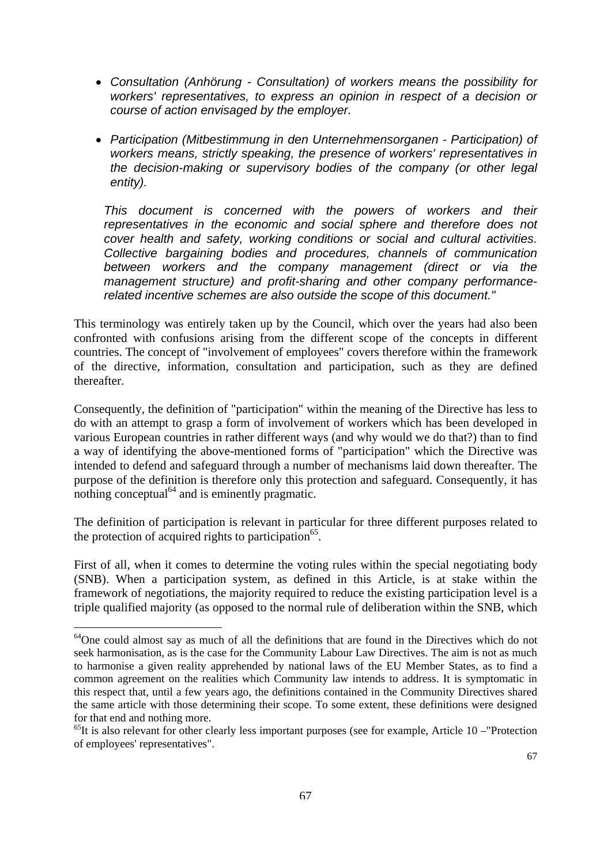- *Consultation (Anhörung Consultation) of workers means the possibility for workers' representatives, to express an opinion in respect of a decision or course of action envisaged by the employer.*
- *Participation (Mitbestimmung in den Unternehmensorganen Participation) of workers means, strictly speaking, the presence of workers' representatives in the decision-making or supervisory bodies of the company (or other legal entity).*

*This document is concerned with the powers of workers and their representatives in the economic and social sphere and therefore does not cover health and safety, working conditions or social and cultural activities. Collective bargaining bodies and procedures, channels of communication between workers and the company management (direct or via the management structure) and profit-sharing and other company performancerelated incentive schemes are also outside the scope of this document."* 

This terminology was entirely taken up by the Council, which over the years had also been confronted with confusions arising from the different scope of the concepts in different countries. The concept of "involvement of employees" covers therefore within the framework of the directive, information, consultation and participation, such as they are defined thereafter.

Consequently, the definition of "participation" within the meaning of the Directive has less to do with an attempt to grasp a form of involvement of workers which has been developed in various European countries in rather different ways (and why would we do that?) than to find a way of identifying the above-mentioned forms of "participation" which the Directive was intended to defend and safeguard through a number of mechanisms laid down thereafter. The purpose of the definition is therefore only this protection and safeguard. Consequently, it has nothing conceptual<sup> $64$ </sup> and is eminently pragmatic.

The definition of participation is relevant in particular for three different purposes related to the protection of acquired rights to participation<sup>65</sup>.

First of all, when it comes to determine the voting rules within the special negotiating body (SNB). When a participation system, as defined in this Article, is at stake within the framework of negotiations, the majority required to reduce the existing participation level is a triple qualified majority (as opposed to the normal rule of deliberation within the SNB, which

<span id="page-65-0"></span><sup>&</sup>lt;sup>64</sup>One could almost say as much of all the definitions that are found in the Directives which do not seek harmonisation, as is the case for the Community Labour Law Directives. The aim is not as much to harmonise a given reality apprehended by national laws of the EU Member States, as to find a common agreement on the realities which Community law intends to address. It is symptomatic in this respect that, until a few years ago, the definitions contained in the Community Directives shared the same article with those determining their scope. To some extent, these definitions were designed

<span id="page-65-1"></span>for that end and nothing more.<br><sup>65</sup>It is also relevant for other clearly less important purposes (see for example, Article 10 –"Protection of employees' representatives".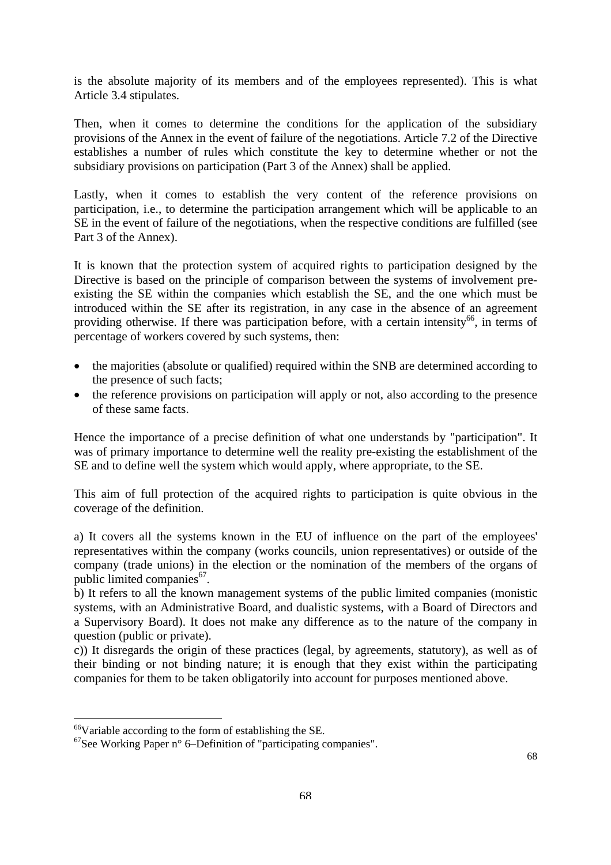is the absolute majority of its members and of the employees represented). This is what Article 3.4 stipulates.

Then, when it comes to determine the conditions for the application of the subsidiary provisions of the Annex in the event of failure of the negotiations. Article 7.2 of the Directive establishes a number of rules which constitute the key to determine whether or not the subsidiary provisions on participation (Part 3 of the Annex) shall be applied.

Lastly, when it comes to establish the very content of the reference provisions on participation, i.e., to determine the participation arrangement which will be applicable to an SE in the event of failure of the negotiations, when the respective conditions are fulfilled (see Part 3 of the Annex).

It is known that the protection system of acquired rights to participation designed by the Directive is based on the principle of comparison between the systems of involvement preexisting the SE within the companies which establish the SE, and the one which must be introduced within the SE after its registration, in any case in the absence of an agreement providing otherwise. If there was participation before, with a certain intensity<sup>66</sup>, in terms of percentage of workers covered by such systems, then:

- the majorities (absolute or qualified) required within the SNB are determined according to the presence of such facts;
- the reference provisions on participation will apply or not, also according to the presence of these same facts.

Hence the importance of a precise definition of what one understands by "participation". It was of primary importance to determine well the reality pre-existing the establishment of the SE and to define well the system which would apply, where appropriate, to the SE.

This aim of full protection of the acquired rights to participation is quite obvious in the coverage of the definition.

a) It covers all the systems known in the EU of influence on the part of the employees' representatives within the company (works councils, union representatives) or outside of the company (trade unions) in the election or the nomination of the members of the organs of public limited companies<sup>67</sup>.

b) It refers to all the known management systems of the public limited companies (monistic systems, with an Administrative Board, and dualistic systems, with a Board of Directors and a Supervisory Board). It does not make any difference as to the nature of the company in question (public or private).

c)) It disregards the origin of these practices (legal, by agreements, statutory), as well as of their binding or not binding nature; it is enough that they exist within the participating companies for them to be taken obligatorily into account for purposes mentioned above.

<span id="page-66-1"></span><span id="page-66-0"></span>

<sup>&</sup>lt;sup>66</sup>Variable according to the form of establishing the SE.<br><sup>67</sup>See Working Paper n° 6–Definition of "participating companies".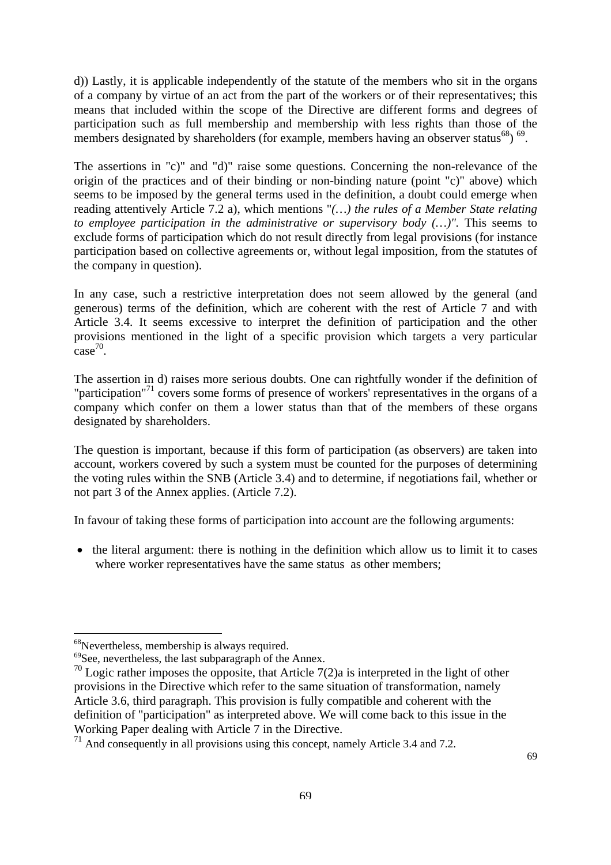d)) Lastly, it is applicable independently of the statute of the members who sit in the organs of a company by virtue of an act from the part of the workers or of their representatives; this means that included within the scope of the Directive are different forms and degrees of participation such as full membership and membership with less rights than those of the members designated by shareholders (for example, members having an observer status<sup>68</sup>)<sup>69</sup>.

The assertions in "c)" and "d)" raise some questions. Concerning the non-relevance of the origin of the practices and of their binding or non-binding nature (point "c)" above) which seems to be imposed by the general terms used in the definition, a doubt could emerge when reading attentively Article 7.2 a), which mentions "*(…) the rules of a Member State relating to employee participation in the administrative or supervisory body (...)".* This seems to exclude forms of participation which do not result directly from legal provisions (for instance participation based on collective agreements or, without legal imposition, from the statutes of the company in question).

In any case, such a restrictive interpretation does not seem allowed by the general (and generous) terms of the definition, which are coherent with the rest of Article 7 and with Article 3.4. It seems excessive to interpret the definition of participation and the other provisions mentioned in the light of a specific provision which targets a very particular  $\text{case}^{70}$ .

The assertion in d) raises more serious doubts. One can rightfully wonder if the definition of "participation"<sup>71</sup> covers some forms of presence of workers' representatives in the organs of a company which confer on them a lower status than that of the members of these organs designated by shareholders.

The question is important, because if this form of participation (as observers) are taken into account, workers covered by such a system must be counted for the purposes of determining the voting rules within the SNB (Article 3.4) and to determine, if negotiations fail, whether or not part 3 of the Annex applies. (Article 7.2).

In favour of taking these forms of participation into account are the following arguments:

• the literal argument: there is nothing in the definition which allow us to limit it to cases where worker representatives have the same status as other members;

<span id="page-67-0"></span>

<span id="page-67-2"></span><span id="page-67-1"></span>

<sup>&</sup>lt;sup>68</sup>Nevertheless, membership is always required.<br><sup>69</sup>See, nevertheless, the last subparagraph of the Annex.<br><sup>70</sup> Logic rather imposes the opposite, that Article 7(2)a is interpreted in the light of other provisions in the Directive which refer to the same situation of transformation, namely Article 3.6, third paragraph. This provision is fully compatible and coherent with the definition of "participation" as interpreted above. We will come back to this issue in the Working Paper dealing with Article 7 in the Directive.

<span id="page-67-3"></span><sup>&</sup>lt;sup>71</sup> And consequently in all provisions using this concept, namely Article 3.4 and 7.2.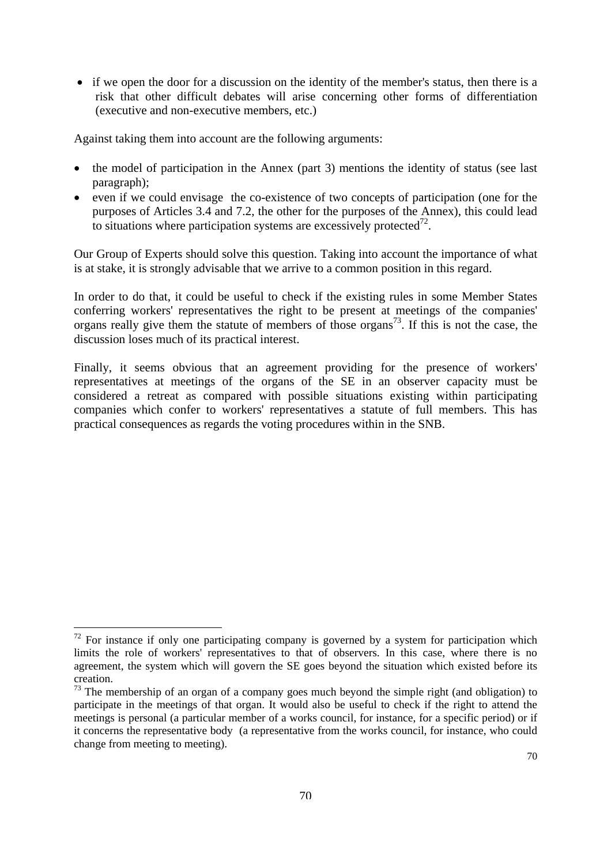• if we open the door for a discussion on the identity of the member's status, then there is a risk that other difficult debates will arise concerning other forms of differentiation (executive and non-executive members, etc.)

Against taking them into account are the following arguments:

- the model of participation in the Annex (part 3) mentions the identity of status (see last paragraph);
- even if we could envisage the co-existence of two concepts of participation (one for the purposes of Articles 3.4 and 7.2, the other for the purposes of the Annex), this could lead to situations where participation systems are excessively protected<sup>72</sup>.

Our Group of Experts should solve this question. Taking into account the importance of what is at stake, it is strongly advisable that we arrive to a common position in this regard.

In order to do that, it could be useful to check if the existing rules in some Member States conferring workers' representatives the right to be present at meetings of the companies' organs really give them the statute of members of those organs<sup>73</sup>. If this is not the case, the discussion loses much of its practical interest.

Finally, it seems obvious that an agreement providing for the presence of workers' representatives at meetings of the organs of the SE in an observer capacity must be considered a retreat as compared with possible situations existing within participating companies which confer to workers' representatives a statute of full members. This has practical consequences as regards the voting procedures within in the SNB.

<span id="page-68-0"></span> $72$  For instance if only one participating company is governed by a system for participation which limits the role of workers' representatives to that of observers. In this case, where there is no agreement, the system which will govern the SE goes beyond the situation which existed before its creation.

<span id="page-68-1"></span> $73$  The membership of an organ of a company goes much beyond the simple right (and obligation) to participate in the meetings of that organ. It would also be useful to check if the right to attend the meetings is personal (a particular member of a works council, for instance, for a specific period) or if it concerns the representative body (a representative from the works council, for instance, who could change from meeting to meeting).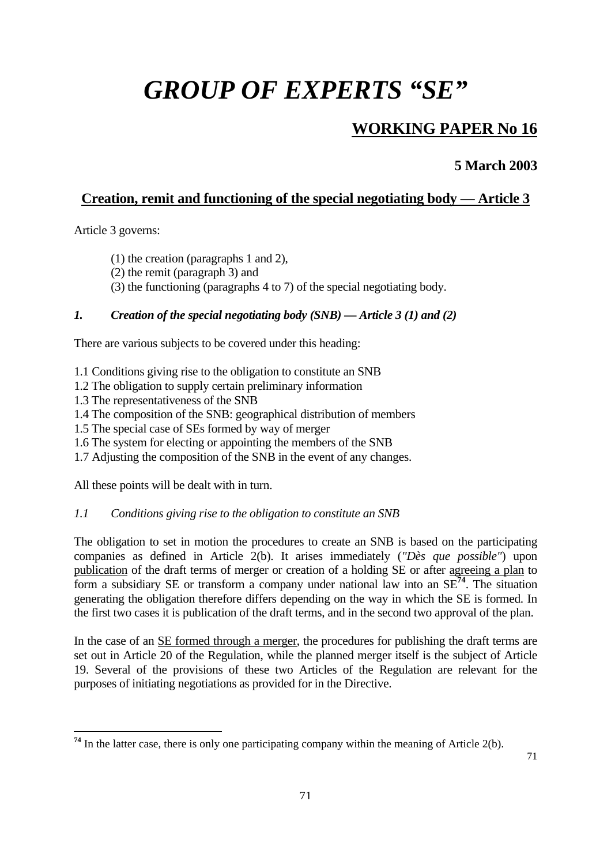# *GROUP OF EXPERTS "SE"*

## **WORKING PAPER No 16**

**5 March 2003** 

### **Creation, remit and functioning of the special negotiating body — Article 3**

Article 3 governs:

 $\overline{a}$ 

- (1) the creation (paragraphs 1 and 2),
- (2) the remit (paragraph 3) and
- (3) the functioning (paragraphs 4 to 7) of the special negotiating body.

### *1. Creation of the special negotiating body (SNB) — Article 3 (1) and (2)*

There are various subjects to be covered under this heading:

- 1.1 Conditions giving rise to the obligation to constitute an SNB
- 1.2 The obligation to supply certain preliminary information
- 1.3 The representativeness of the SNB
- 1.4 The composition of the SNB: geographical distribution of members
- 1.5 The special case of SEs formed by way of merger
- 1.6 The system for electing or appointing the members of the SNB
- 1.7 Adjusting the composition of the SNB in the event of any changes.

All these points will be dealt with in turn.

#### *1.1 Conditions giving rise to the obligation to constitute an SNB*

The obligation to set in motion the procedures to create an SNB is based on the participating companies as defined in Article 2(b). It arises immediately (*"Dès que possible"*) upon publication of the draft terms of merger or creation of a holding SE or after agreeing a plan to form a subsidiary SE or transform a company under national law into an SE**[74](#page-69-0)**. The situation generating the obligation therefore differs depending on the way in which the SE is formed. In the first two cases it is publication of the draft terms, and in the second two approval of the plan.

In the case of an SE formed through a merger, the procedures for publishing the draft terms are set out in Article 20 of the Regulation, while the planned merger itself is the subject of Article 19. Several of the provisions of these two Articles of the Regulation are relevant for the purposes of initiating negotiations as provided for in the Directive.

<span id="page-69-0"></span><sup>&</sup>lt;sup>74</sup> In the latter case, there is only one participating company within the meaning of Article 2(b).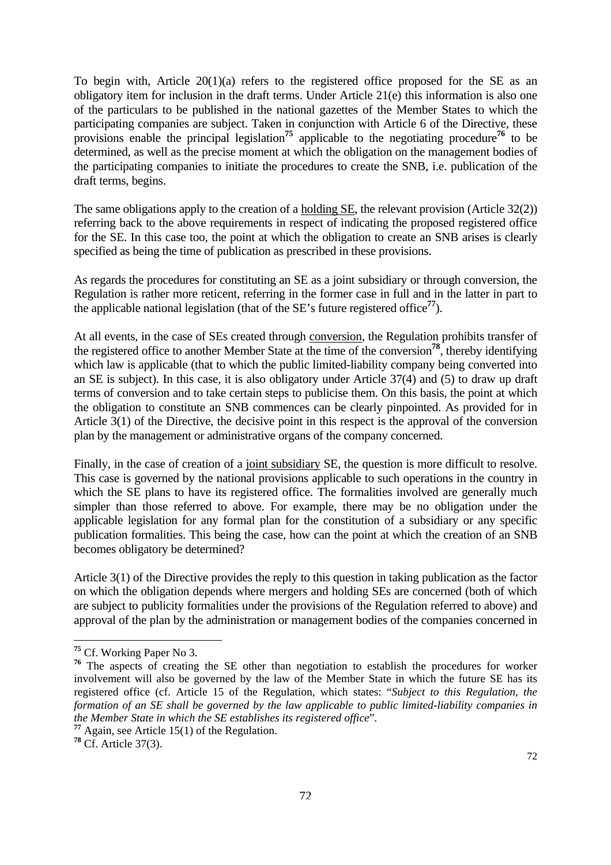To begin with, Article 20(1)(a) refers to the registered office proposed for the SE as an obligatory item for inclusion in the draft terms. Under Article 21(e) this information is also one of the particulars to be published in the national gazettes of the Member States to which the participating companies are subject. Taken in conjunction with Article 6 of the Directive, these provisions enable the principal legislation<sup>[75](#page-70-0)</sup> applicable to the negotiating procedure<sup>[76](#page-70-1)</sup> to be determined, as well as the precise moment at which the obligation on the management bodies of the participating companies to initiate the procedures to create the SNB, i.e. publication of the draft terms, begins.

The same obligations apply to the creation of a holding SE, the relevant provision (Article 32(2)) referring back to the above requirements in respect of indicating the proposed registered office for the SE. In this case too, the point at which the obligation to create an SNB arises is clearly specified as being the time of publication as prescribed in these provisions.

As regards the procedures for constituting an SE as a joint subsidiary or through conversion, the Regulation is rather more reticent, referring in the former case in full and in the latter in part to the applicable national legislation (that of the SE's future registered office**[77](#page-70-2)**).

At all events, in the case of SEs created through conversion, the Regulation prohibits transfer of the registered office to another Member State at the time of the conversion**[78](#page-70-3)**, thereby identifying which law is applicable (that to which the public limited-liability company being converted into an SE is subject). In this case, it is also obligatory under Article 37(4) and (5) to draw up draft terms of conversion and to take certain steps to publicise them. On this basis, the point at which the obligation to constitute an SNB commences can be clearly pinpointed. As provided for in Article 3(1) of the Directive, the decisive point in this respect is the approval of the conversion plan by the management or administrative organs of the company concerned.

Finally, in the case of creation of a joint subsidiary SE, the question is more difficult to resolve. This case is governed by the national provisions applicable to such operations in the country in which the SE plans to have its registered office. The formalities involved are generally much simpler than those referred to above. For example, there may be no obligation under the applicable legislation for any formal plan for the constitution of a subsidiary or any specific publication formalities. This being the case, how can the point at which the creation of an SNB becomes obligatory be determined?

Article 3(1) of the Directive provides the reply to this question in taking publication as the factor on which the obligation depends where mergers and holding SEs are concerned (both of which are subject to publicity formalities under the provisions of the Regulation referred to above) and approval of the plan by the administration or management bodies of the companies concerned in

<span id="page-70-0"></span>**<sup>75</sup>** Cf. Working Paper No 3.

<span id="page-70-1"></span><sup>&</sup>lt;sup>76</sup> The aspects of creating the SE other than negotiation to establish the procedures for worker involvement will also be governed by the law of the Member State in which the future SE has its registered office (cf. Article 15 of the Regulation, which states: "*Subject to this Regulation, the formation of an SE shall be governed by the law applicable to public limited-liability companies in the Member State in which the SE establishes its registered office*".

<span id="page-70-2"></span>**<sup>77</sup>** Again, see Article 15(1) of the Regulation.

<span id="page-70-3"></span>**<sup>78</sup>** Cf. Article 37(3).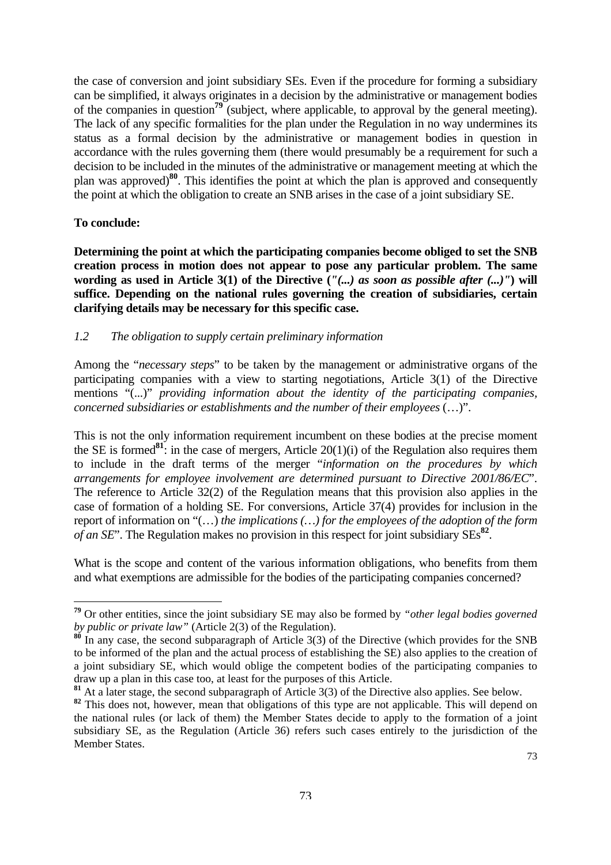the case of conversion and joint subsidiary SEs. Even if the procedure for forming a subsidiary can be simplified, it always originates in a decision by the administrative or management bodies of the companies in question**[79](#page-71-0)** (subject, where applicable, to approval by the general meeting). The lack of any specific formalities for the plan under the Regulation in no way undermines its status as a formal decision by the administrative or management bodies in question in accordance with the rules governing them (there would presumably be a requirement for such a decision to be included in the minutes of the administrative or management meeting at which the plan was approved)**[80](#page-71-1)**. This identifies the point at which the plan is approved and consequently the point at which the obligation to create an SNB arises in the case of a joint subsidiary SE.

#### **To conclude:**

 $\overline{a}$ 

**Determining the point at which the participating companies become obliged to set the SNB creation process in motion does not appear to pose any particular problem. The same wording as used in Article 3(1) of the Directive (***"(...) as soon as possible after (...)"***) will suffice. Depending on the national rules governing the creation of subsidiaries, certain clarifying details may be necessary for this specific case.**

#### *1.2 The obligation to supply certain preliminary information*

Among the "*necessary steps*" to be taken by the management or administrative organs of the participating companies with a view to starting negotiations, Article 3(1) of the Directive mentions "(...)" *providing information about the identity of the participating companies, concerned subsidiaries or establishments and the number of their employees* (…)".

This is not the only information requirement incumbent on these bodies at the precise moment the SE is formed**[81](#page-71-2)**: in the case of mergers, Article 20(1)(i) of the Regulation also requires them to include in the draft terms of the merger "*information on the procedures by which arrangements for employee involvement are determined pursuant to Directive 2001/86/EC*". The reference to Article 32(2) of the Regulation means that this provision also applies in the case of formation of a holding SE. For conversions, Article 37(4) provides for inclusion in the report of information on "(…) *the implications (…) for the employees of the adoption of the form of an SE*". The Regulation makes no provision in this respect for joint subsidiary SEs**[82](#page-71-3)**.

What is the scope and content of the various information obligations, who benefits from them and what exemptions are admissible for the bodies of the participating companies concerned?

<span id="page-71-0"></span>**<sup>79</sup>** Or other entities, since the joint subsidiary SE may also be formed by *"other legal bodies governed by public or private law"* (Article 2(3) of the Regulation).

<span id="page-71-1"></span>**<sup>80</sup>** In any case, the second subparagraph of Article 3(3) of the Directive (which provides for the SNB to be informed of the plan and the actual process of establishing the SE) also applies to the creation of a joint subsidiary SE, which would oblige the competent bodies of the participating companies to draw up a plan in this case too, at least for the purposes of this Article.

<span id="page-71-2"></span>**<sup>81</sup>** At a later stage, the second subparagraph of Article 3(3) of the Directive also applies. See below.

<span id="page-71-3"></span><sup>82</sup> This does not, however, mean that obligations of this type are not applicable. This will depend on the national rules (or lack of them) the Member States decide to apply to the formation of a joint subsidiary SE, as the Regulation (Article 36) refers such cases entirely to the jurisdiction of the Member States.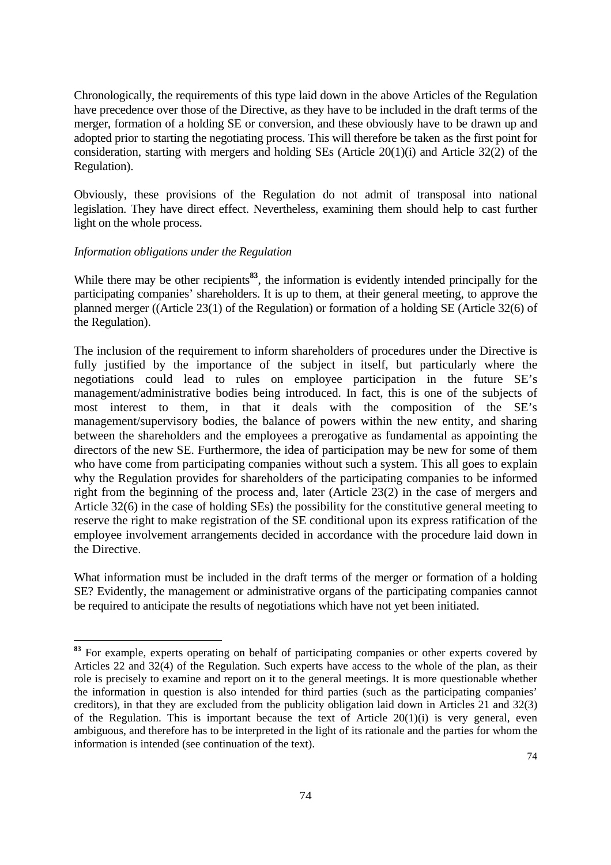Chronologically, the requirements of this type laid down in the above Articles of the Regulation have precedence over those of the Directive, as they have to be included in the draft terms of the merger, formation of a holding SE or conversion, and these obviously have to be drawn up and adopted prior to starting the negotiating process. This will therefore be taken as the first point for consideration, starting with mergers and holding SEs (Article 20(1)(i) and Article 32(2) of the Regulation).

Obviously, these provisions of the Regulation do not admit of transposal into national legislation. They have direct effect. Nevertheless, examining them should help to cast further light on the whole process.

#### *Information obligations under the Regulation*

 $\overline{a}$ 

While there may be other recipients<sup>[83](#page-72-0)</sup>, the information is evidently intended principally for the participating companies' shareholders. It is up to them, at their general meeting, to approve the planned merger ((Article 23(1) of the Regulation) or formation of a holding SE (Article 32(6) of the Regulation).

The inclusion of the requirement to inform shareholders of procedures under the Directive is fully justified by the importance of the subject in itself, but particularly where the negotiations could lead to rules on employee participation in the future SE's management/administrative bodies being introduced. In fact, this is one of the subjects of most interest to them, in that it deals with the composition of the SE's management/supervisory bodies, the balance of powers within the new entity, and sharing between the shareholders and the employees a prerogative as fundamental as appointing the directors of the new SE. Furthermore, the idea of participation may be new for some of them who have come from participating companies without such a system. This all goes to explain why the Regulation provides for shareholders of the participating companies to be informed right from the beginning of the process and, later (Article 23(2) in the case of mergers and Article 32(6) in the case of holding SEs) the possibility for the constitutive general meeting to reserve the right to make registration of the SE conditional upon its express ratification of the employee involvement arrangements decided in accordance with the procedure laid down in the Directive.

What information must be included in the draft terms of the merger or formation of a holding SE? Evidently, the management or administrative organs of the participating companies cannot be required to anticipate the results of negotiations which have not yet been initiated.

<span id="page-72-0"></span>**<sup>83</sup>** For example, experts operating on behalf of participating companies or other experts covered by Articles 22 and 32(4) of the Regulation. Such experts have access to the whole of the plan, as their role is precisely to examine and report on it to the general meetings. It is more questionable whether the information in question is also intended for third parties (such as the participating companies' creditors), in that they are excluded from the publicity obligation laid down in Articles 21 and 32(3) of the Regulation. This is important because the text of Article  $20(1)(i)$  is very general, even ambiguous, and therefore has to be interpreted in the light of its rationale and the parties for whom the information is intended (see continuation of the text).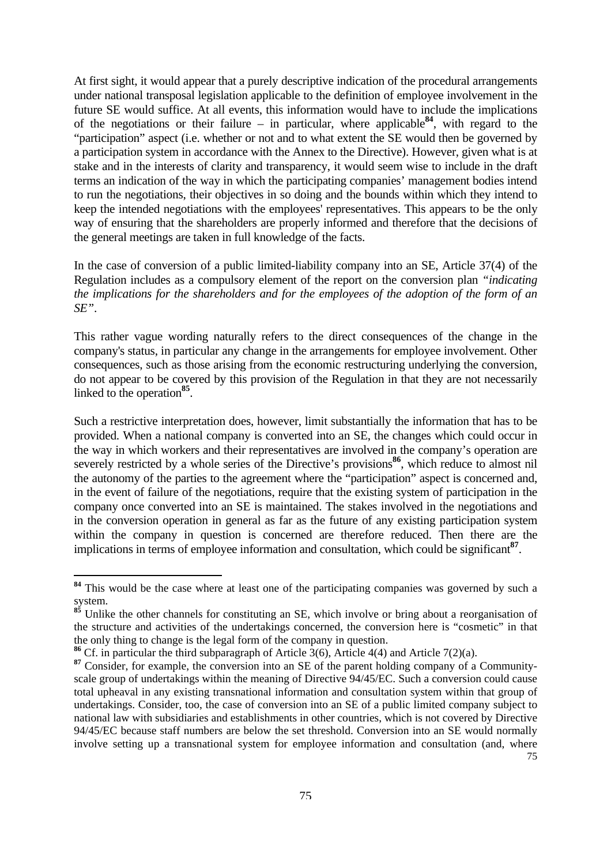<span id="page-73-3"></span>At first sight, it would appear that a purely descriptive indication of the procedural arrangements under national transposal legislation applicable to the definition of employee involvement in the future SE would suffice. At all events, this information would have to include the implications of the negotiations or their failure – in particular, where applicable<sup>[84](#page-73-0)</sup>, with regard to the "participation" aspect (i.e. whether or not and to what extent the SE would then be governed by a participation system in accordance with the Annex to the Directive). However, given what is at stake and in the interests of clarity and transparency, it would seem wise to include in the draft terms an indication of the way in which the participating companies' management bodies intend to run the negotiations, their objectives in so doing and the bounds within which they intend to keep the intended negotiations with the employees' representatives. This appears to be the only way of ensuring that the shareholders are properly informed and therefore that the decisions of the general meetings are taken in full knowledge of the facts.

In the case of conversion of a public limited-liability company into an SE, Article 37(4) of the Regulation includes as a compulsory element of the report on the conversion plan *"indicating the implications for the shareholders and for the employees of the adoption of the form of an SE"*.

This rather vague wording naturally refers to the direct consequences of the change in the company's status, in particular any change in the arrangements for employee involvement. Other consequences, such as those arising from the economic restructuring underlying the conversion, do not appear to be covered by this provision of the Regulation in that they are not necessarily linked to the operation**[85](#page-73-1)**.

Such a restrictive interpretation does, however, limit substantially the information that has to be provided. When a national company is converted into an SE, the changes which could occur in the way in which workers and their representatives are involved in the company's operation are severely restricted by a whole series of the Directive's provisions<sup>[86](#page-73-2)</sup>, which reduce to almost nil the autonomy of the parties to the agreement where the "participation" aspect is concerned and, in the event of failure of the negotiations, require that the existing system of participation in the company once converted into an SE is maintained. The stakes involved in the negotiations and in the conversion operation in general as far as the future of any existing participation system within the company in question is concerned are therefore reduced. Then there are the implications in terms of employee information and consultation, which could be significant**[87](#page-73-3)**.

<span id="page-73-0"></span><sup>&</sup>lt;sup>84</sup> This would be the case where at least one of the participating companies was governed by such a system.

<span id="page-73-1"></span><sup>&</sup>lt;sup>85</sup> Unlike the other channels for constituting an SE, which involve or bring about a reorganisation of the structure and activities of the undertakings concerned, the conversion here is "cosmetic" in that the only thing to change is the legal form of the company in question.

<span id="page-73-2"></span>**<sup>86</sup>** Cf. in particular the third subparagraph of Article 3(6), Article 4(4) and Article 7(2)(a).

<sup>75</sup> **<sup>87</sup>** Consider, for example, the conversion into an SE of the parent holding company of a Communityscale group of undertakings within the meaning of Directive 94/45/EC. Such a conversion could cause total upheaval in any existing transnational information and consultation system within that group of undertakings. Consider, too, the case of conversion into an SE of a public limited company subject to national law with subsidiaries and establishments in other countries, which is not covered by Directive 94/45/EC because staff numbers are below the set threshold. Conversion into an SE would normally involve setting up a transnational system for employee information and consultation (and, where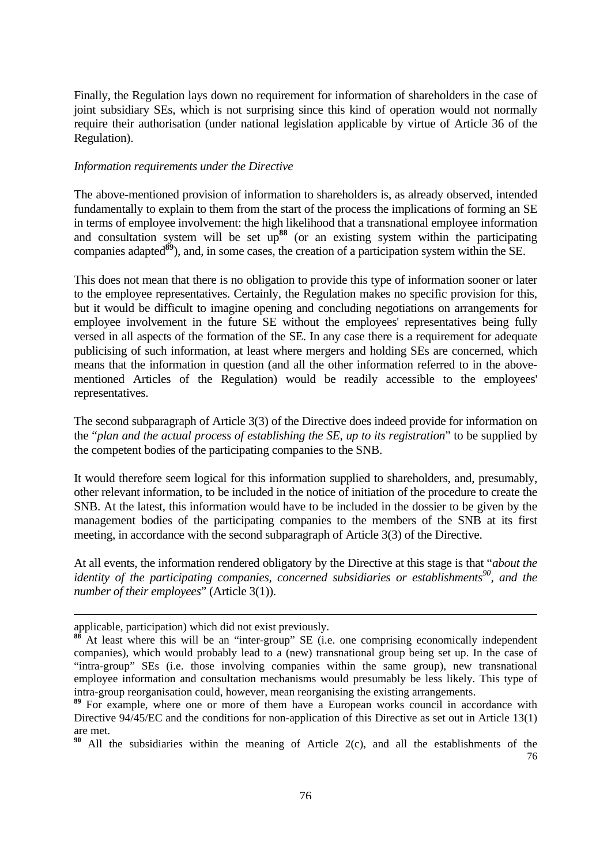<span id="page-74-2"></span>Finally, the Regulation lays down no requirement for information of shareholders in the case of joint subsidiary SEs, which is not surprising since this kind of operation would not normally require their authorisation (under national legislation applicable by virtue of Article 36 of the Regulation).

#### *Information requirements under the Directive*

The above-mentioned provision of information to shareholders is, as already observed, intended fundamentally to explain to them from the start of the process the implications of forming an SE in terms of employee involvement: the high likelihood that a transnational employee information and consultation system will be set up**[88](#page-74-0)** (or an existing system within the participating companies adapted<sup>[89](#page-74-1)</sup>), and, in some cases, the creation of a participation system within the SE.

This does not mean that there is no obligation to provide this type of information sooner or later to the employee representatives. Certainly, the Regulation makes no specific provision for this, but it would be difficult to imagine opening and concluding negotiations on arrangements for employee involvement in the future SE without the employees' representatives being fully versed in all aspects of the formation of the SE. In any case there is a requirement for adequate publicising of such information, at least where mergers and holding SEs are concerned, which means that the information in question (and all the other information referred to in the abovementioned Articles of the Regulation) would be readily accessible to the employees' representatives.

The second subparagraph of Article 3(3) of the Directive does indeed provide for information on the "*plan and the actual process of establishing the SE, up to its registration*" to be supplied by the competent bodies of the participating companies to the SNB.

It would therefore seem logical for this information supplied to shareholders, and, presumably, other relevant information, to be included in the notice of initiation of the procedure to create the SNB. At the latest, this information would have to be included in the dossier to be given by the management bodies of the participating companies to the members of the SNB at its first meeting, in accordance with the second subparagraph of Article 3(3) of the Directive.

At all events, the information rendered obligatory by the Directive at this stage is that "*about the identity of the participating companies, concerned subsidiaries or establishments*<sup>90</sup>, and the *number of their employees*" (Article 3(1)).

applicable, participation) which did not exist previously.

<span id="page-74-0"></span>At least where this will be an "inter-group" SE (i.e. one comprising economically independent companies), which would probably lead to a (new) transnational group being set up. In the case of "intra-group" SEs (i.e. those involving companies within the same group), new transnational employee information and consultation mechanisms would presumably be less likely. This type of intra-group reorganisation could, however, mean reorganising the existing arrangements.

<span id="page-74-1"></span>**<sup>89</sup>** For example, where one or more of them have a European works council in accordance with Directive 94/45/EC and the conditions for non-application of this Directive as set out in Article 13(1) are met.

<sup>76</sup> **<sup>90</sup>** All the subsidiaries within the meaning of Article 2(c), and all the establishments of the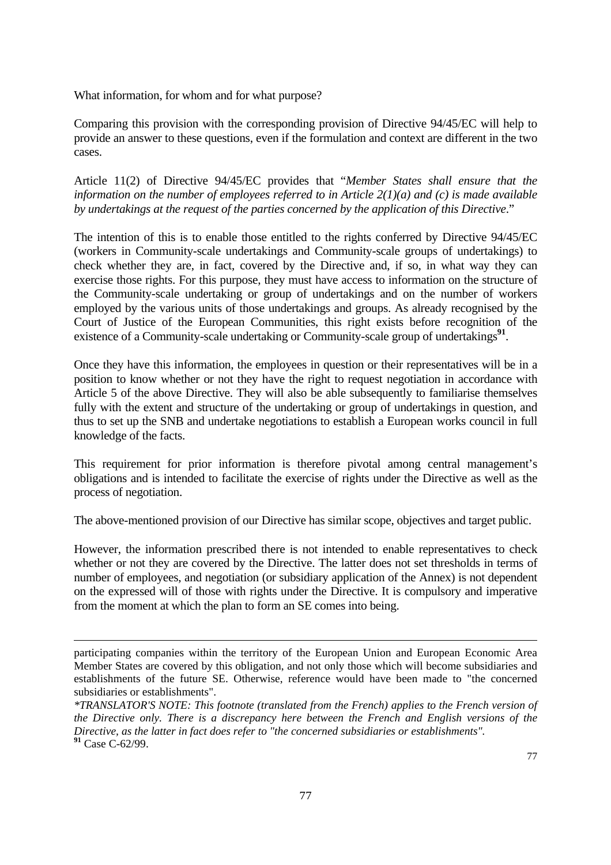What information, for whom and for what purpose?

 $\overline{a}$ 

Comparing this provision with the corresponding provision of Directive 94/45/EC will help to provide an answer to these questions, even if the formulation and context are different in the two cases.

Article 11(2) of Directive 94/45/EC provides that "*Member States shall ensure that the information on the number of employees referred to in Article 2(1)(a) and (c) is made available by undertakings at the request of the parties concerned by the application of this Directive*."

The intention of this is to enable those entitled to the rights conferred by Directive 94/45/EC (workers in Community-scale undertakings and Community-scale groups of undertakings) to check whether they are, in fact, covered by the Directive and, if so, in what way they can exercise those rights. For this purpose, they must have access to information on the structure of the Community-scale undertaking or group of undertakings and on the number of workers employed by the various units of those undertakings and groups. As already recognised by the Court of Justice of the European Communities, this right exists before recognition of the existence of a Community-scale undertaking or Community-scale group of undertakings<sup>[91](#page-75-0)</sup>.

Once they have this information, the employees in question or their representatives will be in a position to know whether or not they have the right to request negotiation in accordance with Article 5 of the above Directive. They will also be able subsequently to familiarise themselves fully with the extent and structure of the undertaking or group of undertakings in question, and thus to set up the SNB and undertake negotiations to establish a European works council in full knowledge of the facts.

This requirement for prior information is therefore pivotal among central management's obligations and is intended to facilitate the exercise of rights under the Directive as well as the process of negotiation.

The above-mentioned provision of our Directive has similar scope, objectives and target public.

However, the information prescribed there is not intended to enable representatives to check whether or not they are covered by the Directive. The latter does not set thresholds in terms of number of employees, and negotiation (or subsidiary application of the Annex) is not dependent on the expressed will of those with rights under the Directive. It is compulsory and imperative from the moment at which the plan to form an SE comes into being.

participating companies within the territory of the European Union and European Economic Area Member States are covered by this obligation, and not only those which will become subsidiaries and establishments of the future SE. Otherwise, reference would have been made to "the concerned subsidiaries or establishments".

<span id="page-75-0"></span>*<sup>\*</sup>TRANSLATOR'S NOTE: This footnote (translated from the French) applies to the French version of the Directive only. There is a discrepancy here between the French and English versions of the Directive, as the latter in fact does refer to "the concerned subsidiaries or establishments".*  **<sup>91</sup>** Case C-62/99.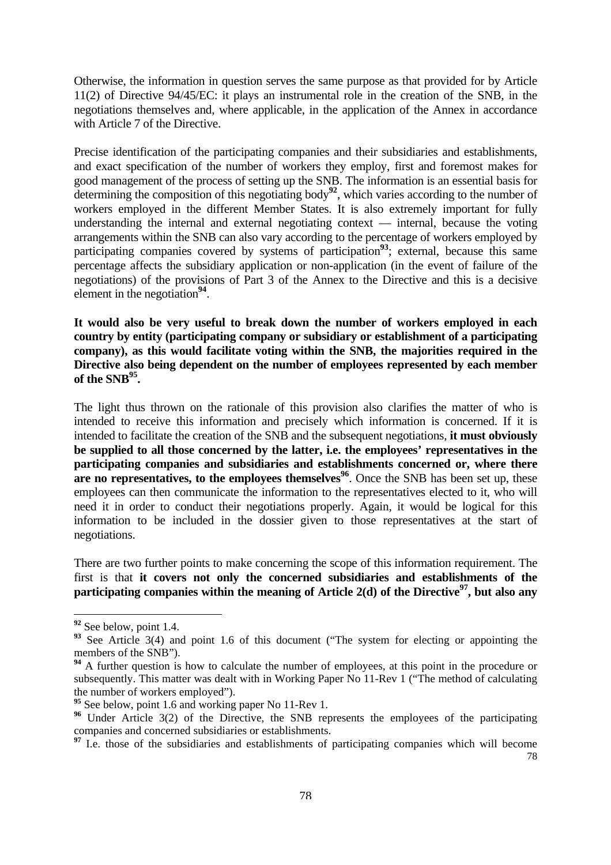<span id="page-76-5"></span>Otherwise, the information in question serves the same purpose as that provided for by Article 11(2) of Directive 94/45/EC: it plays an instrumental role in the creation of the SNB, in the negotiations themselves and, where applicable, in the application of the Annex in accordance with Article 7 of the Directive.

Precise identification of the participating companies and their subsidiaries and establishments, and exact specification of the number of workers they employ, first and foremost makes for good management of the process of setting up the SNB. The information is an essential basis for determining the composition of this negotiating body<sup>[92](#page-76-0)</sup>, which varies according to the number of workers employed in the different Member States. It is also extremely important for fully understanding the internal and external negotiating context — internal, because the voting arrangements within the SNB can also vary according to the percentage of workers employed by participating companies covered by systems of participation<sup>[93](#page-76-1)</sup>; external, because this same percentage affects the subsidiary application or non-application (in the event of failure of the negotiations) of the provisions of Part 3 of the Annex to the Directive and this is a decisive element in the negotiation**[94](#page-76-2)**.

**It would also be very useful to break down the number of workers employed in each country by entity (participating company or subsidiary or establishment of a participating company), as this would facilitate voting within the SNB, the majorities required in the Directive also being dependent on the number of employees represented by each member of the SNB[95.](#page-76-3)** 

The light thus thrown on the rationale of this provision also clarifies the matter of who is intended to receive this information and precisely which information is concerned. If it is intended to facilitate the creation of the SNB and the subsequent negotiations, **it must obviously be supplied to all those concerned by the latter, i.e. the employees' representatives in the participating companies and subsidiaries and establishments concerned or, where there are no representatives, to the employees themselves<sup>[96](#page-76-4)</sup>. Once the SNB has been set up, these** employees can then communicate the information to the representatives elected to it, who will need it in order to conduct their negotiations properly. Again, it would be logical for this information to be included in the dossier given to those representatives at the start of negotiations.

There are two further points to make concerning the scope of this information requirement. The first is that **it covers not only the concerned subsidiaries and establishments of the participating companies within the meaning of Article 2(d) of the Directive<sup>97</sup>, but also any** 

<span id="page-76-0"></span>**<sup>92</sup>** See below, point 1.4.

<span id="page-76-1"></span><sup>&</sup>lt;sup>93</sup> See Article 3(4) and point 1.6 of this document ("The system for electing or appointing the members of the SNB").

<span id="page-76-2"></span><sup>&</sup>lt;sup>94</sup> A further question is how to calculate the number of employees, at this point in the procedure or subsequently. This matter was dealt with in Working Paper No 11-Rev 1 ("The method of calculating the number of workers employed").

<span id="page-76-3"></span><sup>&</sup>lt;sup>95</sup> See below, point 1.6 and working paper No 11-Rev 1.

<span id="page-76-4"></span><sup>&</sup>lt;sup>96</sup> Under Article 3(2) of the Directive, the SNB represents the employees of the participating companies and concerned subsidiaries or establishments.

<sup>78</sup> <sup>97</sup> I.e. those of the subsidiaries and establishments of participating companies which will become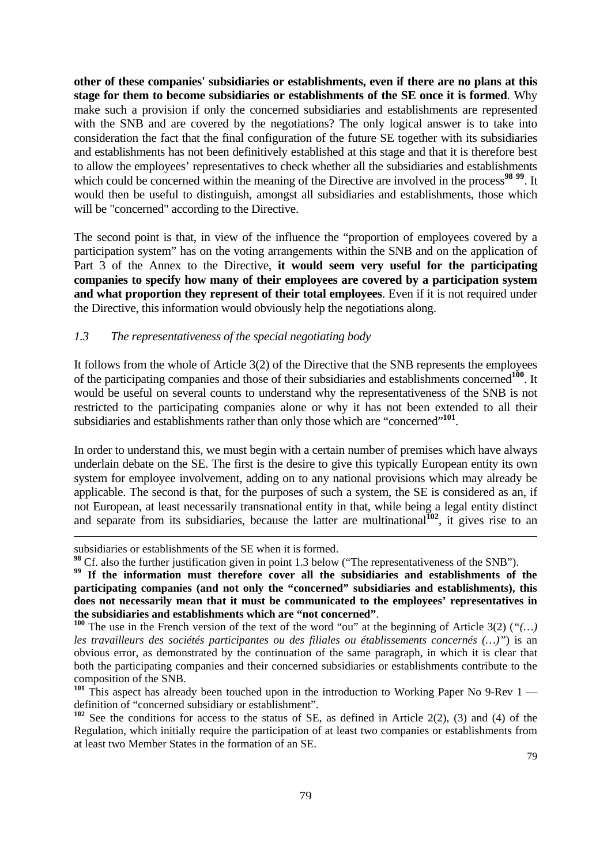**other of these companies' subsidiaries or establishments, even if there are no plans at this stage for them to become subsidiaries or establishments of the SE once it is formed**. Why make such a provision if only the concerned subsidiaries and establishments are represented with the SNB and are covered by the negotiations? The only logical answer is to take into consideration the fact that the final configuration of the future SE together with its subsidiaries and establishments has not been definitively established at this stage and that it is therefore best to allow the employees' representatives to check whether all the subsidiaries and establishments which could be concerned within the meaning of the Directive are involved in the process<sup>[98](#page-77-0)</sup> <sup>[99](#page-77-1)</sup>. It would then be useful to distinguish, amongst all subsidiaries and establishments, those which will be "concerned" according to the Directive.

The second point is that, in view of the influence the "proportion of employees covered by a participation system" has on the voting arrangements within the SNB and on the application of Part 3 of the Annex to the Directive, **it would seem very useful for the participating companies to specify how many of their employees are covered by a participation system and what proportion they represent of their total employees**. Even if it is not required under the Directive, this information would obviously help the negotiations along.

#### *1.3 The representativeness of the special negotiating body*

It follows from the whole of Article 3(2) of the Directive that the SNB represents the employees of the participating companies and those of their subsidiaries and establishments concerned**[100](#page-77-2)**. It would be useful on several counts to understand why the representativeness of the SNB is not restricted to the participating companies alone or why it has not been extended to all their subsidiaries and establishments rather than only those which are "concerned"**[101](#page-77-3)**.

In order to understand this, we must begin with a certain number of premises which have always underlain debate on the SE. The first is the desire to give this typically European entity its own system for employee involvement, adding on to any national provisions which may already be applicable. The second is that, for the purposes of such a system, the SE is considered as an, if not European, at least necessarily transnational entity in that, while being a legal entity distinct and separate from its subsidiaries, because the latter are multinational<sup>[102](#page-77-4)</sup>, it gives rise to an

subsidiaries or establishments of the SE when it is formed.

<span id="page-77-0"></span>**<sup>98</sup>** Cf. also the further justification given in point 1.3 below ("The representativeness of the SNB").

<span id="page-77-1"></span><sup>&</sup>lt;sup>99</sup> If the information must therefore cover all the subsidiaries and establishments of the **participating companies (and not only the "concerned" subsidiaries and establishments), this does not necessarily mean that it must be communicated to the employees' representatives in the subsidiaries and establishments which are "not concerned"**.<br><sup>100</sup> The use in the French version of the text of the word "ou" at the beginning of Article 3(2) ("(...)

<span id="page-77-2"></span>*les travailleurs des sociétés participantes ou des filiales ou établissements concernés (…)"*) is an obvious error, as demonstrated by the continuation of the same paragraph, in which it is clear that both the participating companies and their concerned subsidiaries or establishments contribute to the composition of the SNB.

<span id="page-77-3"></span><sup>&</sup>lt;sup>101</sup> This aspect has already been touched upon in the introduction to Working Paper No 9-Rev 1 definition of "concerned subsidiary or establishment".

<span id="page-77-4"></span>**<sup>102</sup>** See the conditions for access to the status of SE, as defined in Article 2(2), (3) and (4) of the Regulation, which initially require the participation of at least two companies or establishments from at least two Member States in the formation of an SE.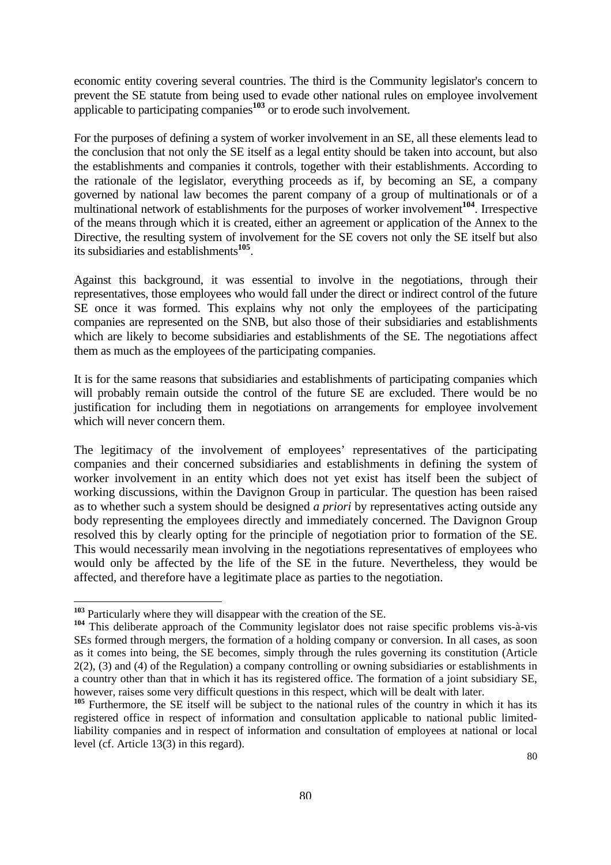economic entity covering several countries. The third is the Community legislator's concern to prevent the SE statute from being used to evade other national rules on employee involvement applicable to participating companies**[103](#page-78-0)** or to erode such involvement.

For the purposes of defining a system of worker involvement in an SE, all these elements lead to the conclusion that not only the SE itself as a legal entity should be taken into account, but also the establishments and companies it controls, together with their establishments. According to the rationale of the legislator, everything proceeds as if, by becoming an SE, a company governed by national law becomes the parent company of a group of multinationals or of a multinational network of establishments for the purposes of worker involvement**[104](#page-78-1)**. Irrespective of the means through which it is created, either an agreement or application of the Annex to the Directive, the resulting system of involvement for the SE covers not only the SE itself but also its subsidiaries and establishments**[105](#page-78-2)**.

Against this background, it was essential to involve in the negotiations, through their representatives, those employees who would fall under the direct or indirect control of the future SE once it was formed. This explains why not only the employees of the participating companies are represented on the SNB, but also those of their subsidiaries and establishments which are likely to become subsidiaries and establishments of the SE. The negotiations affect them as much as the employees of the participating companies.

It is for the same reasons that subsidiaries and establishments of participating companies which will probably remain outside the control of the future SE are excluded. There would be no justification for including them in negotiations on arrangements for employee involvement which will never concern them.

The legitimacy of the involvement of employees' representatives of the participating companies and their concerned subsidiaries and establishments in defining the system of worker involvement in an entity which does not yet exist has itself been the subject of working discussions, within the Davignon Group in particular. The question has been raised as to whether such a system should be designed *a priori* by representatives acting outside any body representing the employees directly and immediately concerned. The Davignon Group resolved this by clearly opting for the principle of negotiation prior to formation of the SE. This would necessarily mean involving in the negotiations representatives of employees who would only be affected by the life of the SE in the future. Nevertheless, they would be affected, and therefore have a legitimate place as parties to the negotiation.

<span id="page-78-0"></span>**<sup>103</sup>** Particularly where they will disappear with the creation of the SE.

<span id="page-78-1"></span>**<sup>104</sup>** This deliberate approach of the Community legislator does not raise specific problems vis-à-vis SEs formed through mergers, the formation of a holding company or conversion. In all cases, as soon as it comes into being, the SE becomes, simply through the rules governing its constitution (Article 2(2), (3) and (4) of the Regulation) a company controlling or owning subsidiaries or establishments in a country other than that in which it has its registered office. The formation of a joint subsidiary SE, however, raises some very difficult questions in this respect, which will be dealt with later.

<span id="page-78-2"></span><sup>&</sup>lt;sup>105</sup> Furthermore, the SE itself will be subject to the national rules of the country in which it has its registered office in respect of information and consultation applicable to national public limitedliability companies and in respect of information and consultation of employees at national or local level (cf. Article 13(3) in this regard).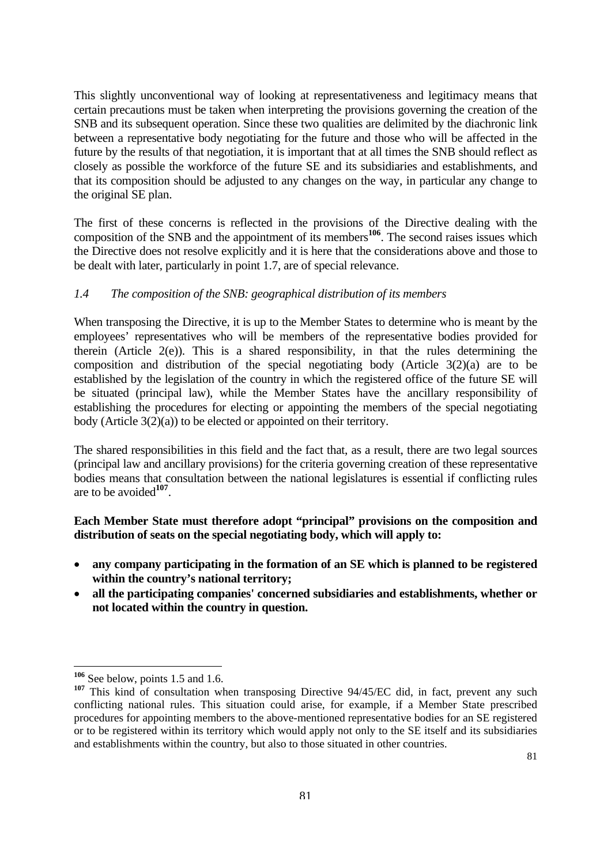This slightly unconventional way of looking at representativeness and legitimacy means that certain precautions must be taken when interpreting the provisions governing the creation of the SNB and its subsequent operation. Since these two qualities are delimited by the diachronic link between a representative body negotiating for the future and those who will be affected in the future by the results of that negotiation, it is important that at all times the SNB should reflect as closely as possible the workforce of the future SE and its subsidiaries and establishments, and that its composition should be adjusted to any changes on the way, in particular any change to the original SE plan.

The first of these concerns is reflected in the provisions of the Directive dealing with the composition of the SNB and the appointment of its members<sup>[106](#page-79-0)</sup>. The second raises issues which the Directive does not resolve explicitly and it is here that the considerations above and those to be dealt with later, particularly in point 1.7, are of special relevance.

# *1.4 The composition of the SNB: geographical distribution of its members*

When transposing the Directive, it is up to the Member States to determine who is meant by the employees' representatives who will be members of the representative bodies provided for therein (Article  $2(e)$ ). This is a shared responsibility, in that the rules determining the composition and distribution of the special negotiating body (Article 3(2)(a) are to be established by the legislation of the country in which the registered office of the future SE will be situated (principal law), while the Member States have the ancillary responsibility of establishing the procedures for electing or appointing the members of the special negotiating body (Article 3(2)(a)) to be elected or appointed on their territory.

The shared responsibilities in this field and the fact that, as a result, there are two legal sources (principal law and ancillary provisions) for the criteria governing creation of these representative bodies means that consultation between the national legislatures is essential if conflicting rules are to be avoided**[107](#page-79-1)**.

# **Each Member State must therefore adopt "principal" provisions on the composition and distribution of seats on the special negotiating body, which will apply to:**

- **any company participating in the formation of an SE which is planned to be registered within the country's national territory;**
- **all the participating companies' concerned subsidiaries and establishments, whether or not located within the country in question.**

<span id="page-79-0"></span>**<sup>106</sup>** See below, points 1.5 and 1.6.

<span id="page-79-1"></span><sup>&</sup>lt;sup>107</sup> This kind of consultation when transposing Directive 94/45/EC did, in fact, prevent any such conflicting national rules. This situation could arise, for example, if a Member State prescribed procedures for appointing members to the above-mentioned representative bodies for an SE registered or to be registered within its territory which would apply not only to the SE itself and its subsidiaries and establishments within the country, but also to those situated in other countries.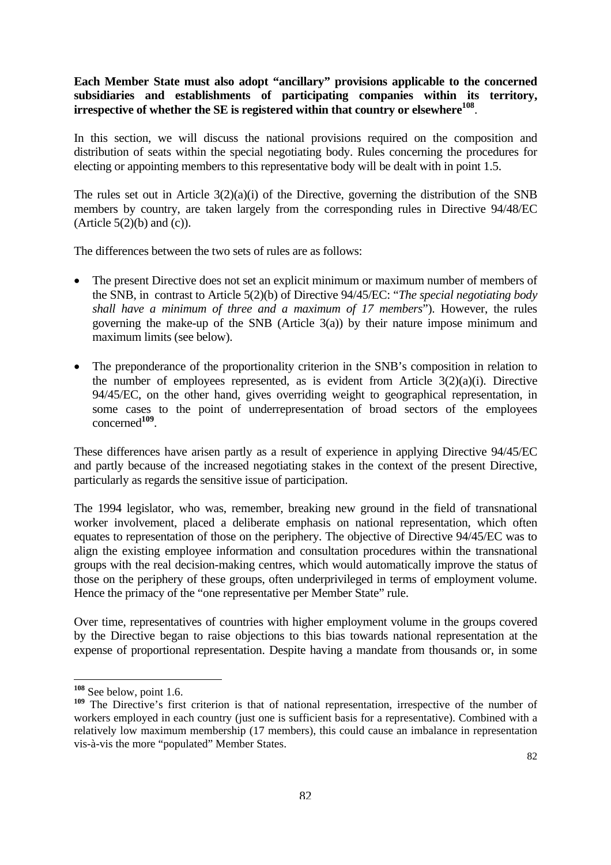# **Each Member State must also adopt "ancillary" provisions applicable to the concerned subsidiaries and establishments of participating companies within its territory,**  irrespective of whether the SE is registered within that country or elsewhere<sup>108</sup>.

In this section, we will discuss the national provisions required on the composition and distribution of seats within the special negotiating body. Rules concerning the procedures for electing or appointing members to this representative body will be dealt with in point 1.5.

The rules set out in Article 3(2)(a)(i) of the Directive, governing the distribution of the SNB members by country, are taken largely from the corresponding rules in Directive 94/48/EC (Article  $5(2)(b)$  and  $(c)$ ).

The differences between the two sets of rules are as follows:

- The present Directive does not set an explicit minimum or maximum number of members of the SNB, in contrast to Article 5(2)(b) of Directive 94/45/EC: "*The special negotiating body shall have a minimum of three and a maximum of 17 members*"). However, the rules governing the make-up of the SNB (Article 3(a)) by their nature impose minimum and maximum limits (see below).
- The preponderance of the proportionality criterion in the SNB's composition in relation to the number of employees represented, as is evident from Article  $3(2)(a)(i)$ . Directive 94/45/EC, on the other hand, gives overriding weight to geographical representation, in some cases to the point of underrepresentation of broad sectors of the employees concerned**[109](#page-80-1)**.

These differences have arisen partly as a result of experience in applying Directive 94/45/EC and partly because of the increased negotiating stakes in the context of the present Directive, particularly as regards the sensitive issue of participation.

The 1994 legislator, who was, remember, breaking new ground in the field of transnational worker involvement, placed a deliberate emphasis on national representation, which often equates to representation of those on the periphery. The objective of Directive 94/45/EC was to align the existing employee information and consultation procedures within the transnational groups with the real decision-making centres, which would automatically improve the status of those on the periphery of these groups, often underprivileged in terms of employment volume. Hence the primacy of the "one representative per Member State" rule.

Over time, representatives of countries with higher employment volume in the groups covered by the Directive began to raise objections to this bias towards national representation at the expense of proportional representation. Despite having a mandate from thousands or, in some

<span id="page-80-0"></span>**<sup>108</sup>** See below, point 1.6.

<span id="page-80-1"></span><sup>&</sup>lt;sup>109</sup> The Directive's first criterion is that of national representation, irrespective of the number of workers employed in each country (just one is sufficient basis for a representative). Combined with a relatively low maximum membership (17 members), this could cause an imbalance in representation vis-à-vis the more "populated" Member States.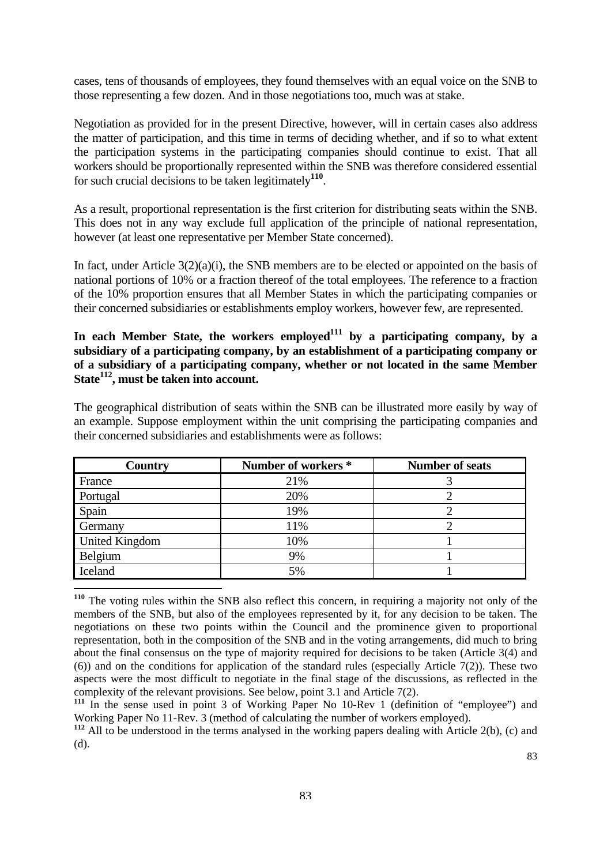cases, tens of thousands of employees, they found themselves with an equal voice on the SNB to those representing a few dozen. And in those negotiations too, much was at stake.

Negotiation as provided for in the present Directive, however, will in certain cases also address the matter of participation, and this time in terms of deciding whether, and if so to what extent the participation systems in the participating companies should continue to exist. That all workers should be proportionally represented within the SNB was therefore considered essential for such crucial decisions to be taken legitimately**[110](#page-81-0)**.

As a result, proportional representation is the first criterion for distributing seats within the SNB. This does not in any way exclude full application of the principle of national representation, however (at least one representative per Member State concerned).

In fact, under Article  $3(2)(a)(i)$ , the SNB members are to be elected or appointed on the basis of national portions of 10% or a fraction thereof of the total employees. The reference to a fraction of the 10% proportion ensures that all Member States in which the participating companies or their concerned subsidiaries or establishments employ workers, however few, are represented.

In each Member State, the workers employed<sup>111</sup> by a participating company, by a **subsidiary of a participating company, by an establishment of a participating company or of a subsidiary of a participating company, whether or not located in the same Member Stat[e112,](#page-81-2) must be taken into account.** 

The geographical distribution of seats within the SNB can be illustrated more easily by way of an example. Suppose employment within the unit comprising the participating companies and their concerned subsidiaries and establishments were as follows:

| <b>Country</b>        | Number of workers * | <b>Number of seats</b> |
|-----------------------|---------------------|------------------------|
| France                | 21%                 |                        |
| Portugal              | 20%                 |                        |
| Spain                 | 19%                 |                        |
| Germany               | 11%                 |                        |
| <b>United Kingdom</b> | 10%                 |                        |
| Belgium               | 9%                  |                        |
| Iceland               | 5%                  |                        |
|                       |                     |                        |

<span id="page-81-0"></span>**<sup>110</sup>** The voting rules within the SNB also reflect this concern, in requiring a majority not only of the members of the SNB, but also of the employees represented by it, for any decision to be taken. The negotiations on these two points within the Council and the prominence given to proportional representation, both in the composition of the SNB and in the voting arrangements, did much to bring about the final consensus on the type of majority required for decisions to be taken (Article 3(4) and (6)) and on the conditions for application of the standard rules (especially Article 7(2)). These two aspects were the most difficult to negotiate in the final stage of the discussions, as reflected in the complexity of the relevant provisions. See below, point 3.1 and Article 7(2).

<span id="page-81-1"></span><sup>&</sup>lt;sup>111</sup> In the sense used in point 3 of Working Paper No 10-Rev 1 (definition of "employee") and Working Paper No 11-Rev. 3 (method of calculating the number of workers employed).

<span id="page-81-2"></span><sup>&</sup>lt;sup>112</sup> All to be understood in the terms analysed in the working papers dealing with Article 2(b), (c) and (d).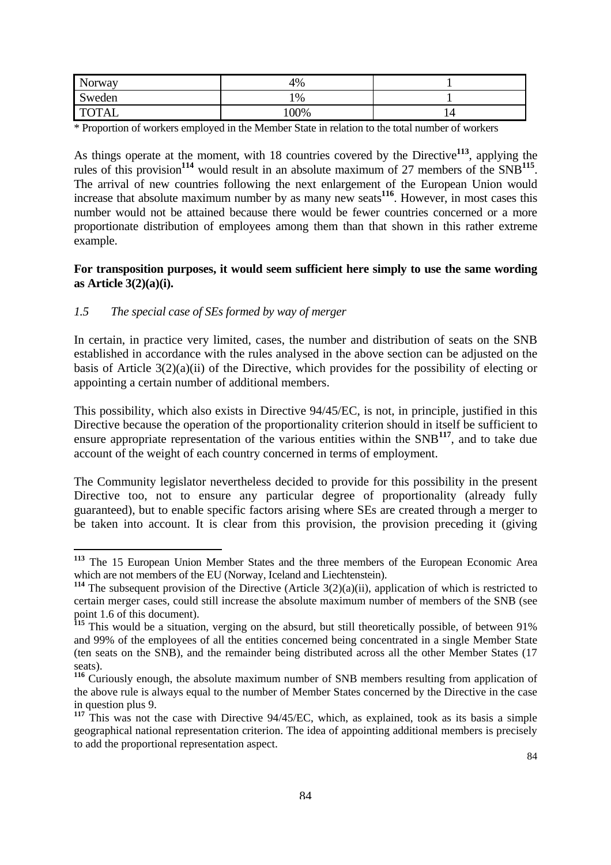| Norway       | 4%     |   |
|--------------|--------|---|
| Sweden       | 1%     |   |
| <b>TOTAL</b> | $00\%$ | 4 |

\* Proportion of workers employed in the Member State in relation to the total number of workers

As things operate at the moment, with 18 countries covered by the Directive**[113](#page-82-0)**, applying the rules of this provision**[114](#page-82-1)** would result in an absolute maximum of 27 members of the SNB**[115](#page-82-2)**. The arrival of new countries following the next enlargement of the European Union would increase that absolute maximum number by as many new seats**[116](#page-82-3)**. However, in most cases this number would not be attained because there would be fewer countries concerned or a more proportionate distribution of employees among them than that shown in this rather extreme example.

### **For transposition purposes, it would seem sufficient here simply to use the same wording as Article 3(2)(a)(i).**

# *1.5 The special case of SEs formed by way of merger*

 $\overline{a}$ 

In certain, in practice very limited, cases, the number and distribution of seats on the SNB established in accordance with the rules analysed in the above section can be adjusted on the basis of Article  $3(2)(a)(i)$  of the Directive, which provides for the possibility of electing or appointing a certain number of additional members.

This possibility, which also exists in Directive 94/45/EC, is not, in principle, justified in this Directive because the operation of the proportionality criterion should in itself be sufficient to ensure appropriate representation of the various entities within the SNB**[117](#page-82-4)**, and to take due account of the weight of each country concerned in terms of employment.

The Community legislator nevertheless decided to provide for this possibility in the present Directive too, not to ensure any particular degree of proportionality (already fully guaranteed), but to enable specific factors arising where SEs are created through a merger to be taken into account. It is clear from this provision, the provision preceding it (giving

<span id="page-82-0"></span>**<sup>113</sup>** The 15 European Union Member States and the three members of the European Economic Area which are not members of the EU (Norway, Iceland and Liechtenstein).

<span id="page-82-1"></span>**<sup>114</sup>** The subsequent provision of the Directive (Article 3(2)(a)(ii), application of which is restricted to certain merger cases, could still increase the absolute maximum number of members of the SNB (see point 1.6 of this document).

<span id="page-82-2"></span><sup>&</sup>lt;sup>115</sup> This would be a situation, verging on the absurd, but still theoretically possible, of between 91% and 99% of the employees of all the entities concerned being concentrated in a single Member State (ten seats on the SNB), and the remainder being distributed across all the other Member States (17 seats).

<span id="page-82-3"></span>**<sup>116</sup>** Curiously enough, the absolute maximum number of SNB members resulting from application of the above rule is always equal to the number of Member States concerned by the Directive in the case in question plus 9.

<span id="page-82-4"></span><sup>&</sup>lt;sup>117</sup> This was not the case with Directive 94/45/EC, which, as explained, took as its basis a simple geographical national representation criterion. The idea of appointing additional members is precisely to add the proportional representation aspect.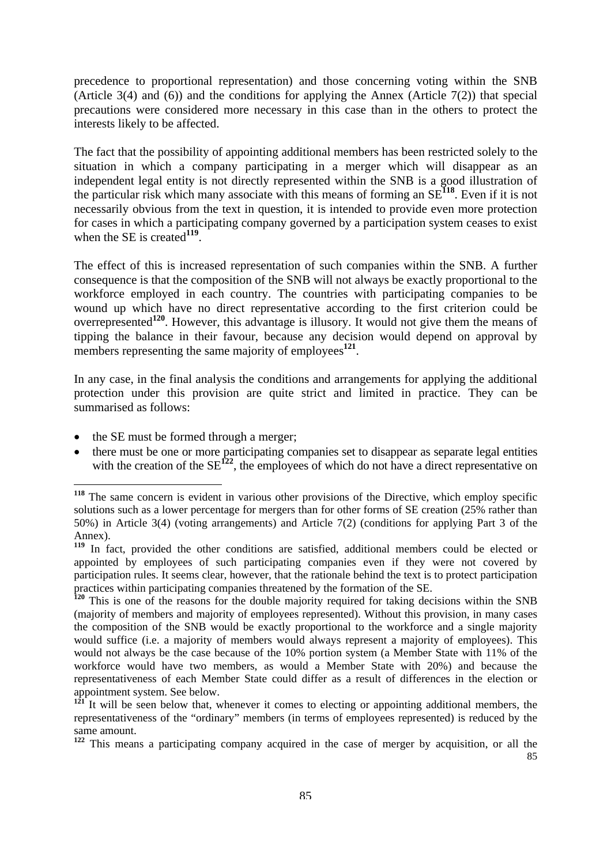<span id="page-83-4"></span>precedence to proportional representation) and those concerning voting within the SNB (Article 3(4) and (6)) and the conditions for applying the Annex (Article 7(2)) that special precautions were considered more necessary in this case than in the others to protect the interests likely to be affected.

The fact that the possibility of appointing additional members has been restricted solely to the situation in which a company participating in a merger which will disappear as an independent legal entity is not directly represented within the SNB is a good illustration of the particular risk which many associate with this means of forming an SE**[118](#page-83-0)**. Even if it is not necessarily obvious from the text in question, it is intended to provide even more protection for cases in which a participating company governed by a participation system ceases to exist when the SE is created<sup>[119](#page-83-1)</sup>.

The effect of this is increased representation of such companies within the SNB. A further consequence is that the composition of the SNB will not always be exactly proportional to the workforce employed in each country. The countries with participating companies to be wound up which have no direct representative according to the first criterion could be overrepresented**[120](#page-83-2)**. However, this advantage is illusory. It would not give them the means of tipping the balance in their favour, because any decision would depend on approval by members representing the same majority of employees<sup>[121](#page-83-3)</sup>.

In any case, in the final analysis the conditions and arrangements for applying the additional protection under this provision are quite strict and limited in practice. They can be summarised as follows:

the SE must be formed through a merger;

 $\overline{a}$ 

• there must be one or more participating companies set to disappear as separate legal entities with the creation of the  $SE^{122}$  $SE^{122}$  $SE^{122}$ , the employees of which do not have a direct representative on

<span id="page-83-0"></span>**<sup>118</sup>** The same concern is evident in various other provisions of the Directive, which employ specific solutions such as a lower percentage for mergers than for other forms of SE creation (25% rather than 50%) in Article 3(4) (voting arrangements) and Article 7(2) (conditions for applying Part 3 of the Annex).

<span id="page-83-1"></span><sup>&</sup>lt;sup>119</sup> In fact, provided the other conditions are satisfied, additional members could be elected or appointed by employees of such participating companies even if they were not covered by participation rules. It seems clear, however, that the rationale behind the text is to protect participation practices within participating companies threatened by the formation of the SE.

<span id="page-83-2"></span>**<sup>120</sup>** This is one of the reasons for the double majority required for taking decisions within the SNB (majority of members and majority of employees represented). Without this provision, in many cases the composition of the SNB would be exactly proportional to the workforce and a single majority would suffice (i.e. a majority of members would always represent a majority of employees). This would not always be the case because of the 10% portion system (a Member State with 11% of the workforce would have two members, as would a Member State with 20%) and because the representativeness of each Member State could differ as a result of differences in the election or appointment system. See below.

<span id="page-83-3"></span>**<sup>121</sup>** It will be seen below that, whenever it comes to electing or appointing additional members, the representativeness of the "ordinary" members (in terms of employees represented) is reduced by the same amount.

<sup>85</sup> **<sup>122</sup>** This means a participating company acquired in the case of merger by acquisition, or all the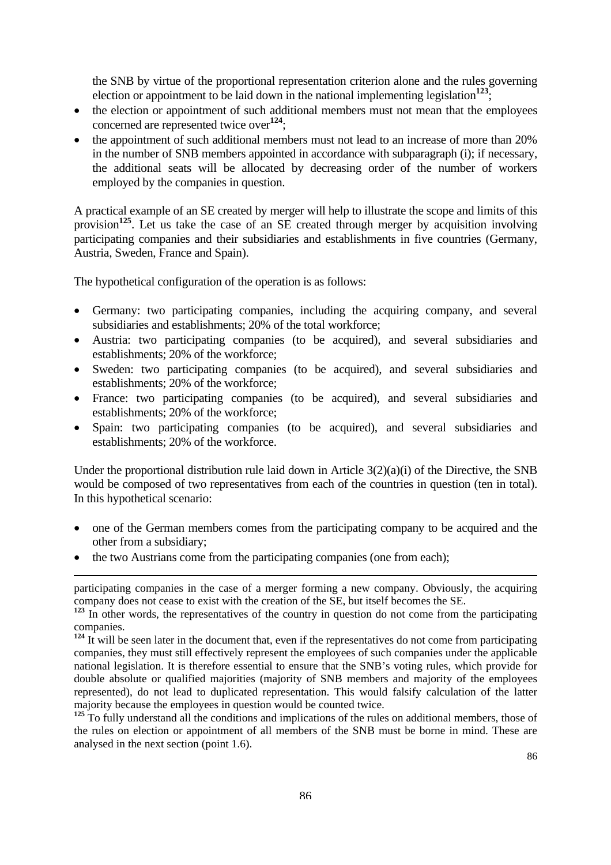the SNB by virtue of the proportional representation criterion alone and the rules governing election or appointment to be laid down in the national implementing legislation<sup>[123](#page-84-0)</sup>;

- the election or appointment of such additional members must not mean that the employees concerned are represented twice over<sup>[124](#page-84-1)</sup>;
- the appointment of such additional members must not lead to an increase of more than 20% in the number of SNB members appointed in accordance with subparagraph (i); if necessary, the additional seats will be allocated by decreasing order of the number of workers employed by the companies in question.

A practical example of an SE created by merger will help to illustrate the scope and limits of this provision**[125](#page-84-2)**. Let us take the case of an SE created through merger by acquisition involving participating companies and their subsidiaries and establishments in five countries (Germany, Austria, Sweden, France and Spain).

The hypothetical configuration of the operation is as follows:

- Germany: two participating companies, including the acquiring company, and several subsidiaries and establishments; 20% of the total workforce;
- Austria: two participating companies (to be acquired), and several subsidiaries and establishments; 20% of the workforce;
- Sweden: two participating companies (to be acquired), and several subsidiaries and establishments; 20% of the workforce;
- France: two participating companies (to be acquired), and several subsidiaries and establishments; 20% of the workforce;
- Spain: two participating companies (to be acquired), and several subsidiaries and establishments; 20% of the workforce.

Under the proportional distribution rule laid down in Article  $3(2)(a)(i)$  of the Directive, the SNB would be composed of two representatives from each of the countries in question (ten in total). In this hypothetical scenario:

- one of the German members comes from the participating company to be acquired and the other from a subsidiary;
- the two Austrians come from the participating companies (one from each);

 $\overline{a}$ participating companies in the case of a merger forming a new company. Obviously, the acquiring company does not cease to exist with the creation of the SE, but itself becomes the SE.

<span id="page-84-2"></span><sup>125</sup> To fully understand all the conditions and implications of the rules on additional members, those of the rules on election or appointment of all members of the SNB must be borne in mind. These are analysed in the next section (point 1.6).

<span id="page-84-0"></span>**<sup>123</sup>** In other words, the representatives of the country in question do not come from the participating companies.

<span id="page-84-1"></span><sup>&</sup>lt;sup>124</sup> It will be seen later in the document that, even if the representatives do not come from participating companies, they must still effectively represent the employees of such companies under the applicable national legislation. It is therefore essential to ensure that the SNB's voting rules, which provide for double absolute or qualified majorities (majority of SNB members and majority of the employees represented), do not lead to duplicated representation. This would falsify calculation of the latter majority because the employees in question would be counted twice.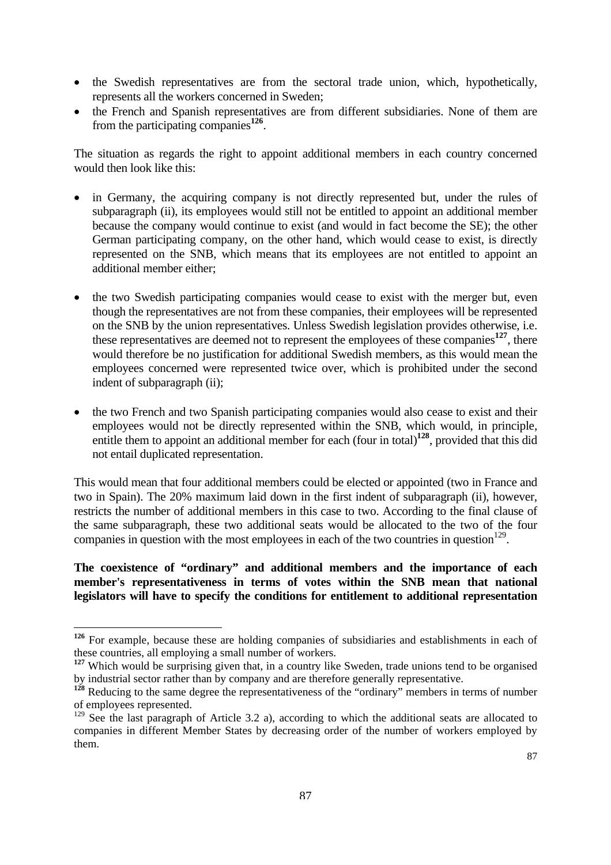- the Swedish representatives are from the sectoral trade union, which, hypothetically, represents all the workers concerned in Sweden;
- the French and Spanish representatives are from different subsidiaries. None of them are from the participating companies**[126](#page-85-0)**.

The situation as regards the right to appoint additional members in each country concerned would then look like this:

- in Germany, the acquiring company is not directly represented but, under the rules of subparagraph (ii), its employees would still not be entitled to appoint an additional member because the company would continue to exist (and would in fact become the SE); the other German participating company, on the other hand, which would cease to exist, is directly represented on the SNB, which means that its employees are not entitled to appoint an additional member either;
- the two Swedish participating companies would cease to exist with the merger but, even though the representatives are not from these companies, their employees will be represented on the SNB by the union representatives. Unless Swedish legislation provides otherwise, i.e. these representatives are deemed not to represent the employees of these companies**[127](#page-85-1)**, there would therefore be no justification for additional Swedish members, as this would mean the employees concerned were represented twice over, which is prohibited under the second indent of subparagraph (ii);
- the two French and two Spanish participating companies would also cease to exist and their employees would not be directly represented within the SNB, which would, in principle, entitle them to appoint an additional member for each (four in total)<sup>[128](#page-85-2)</sup>, provided that this did not entail duplicated representation.

This would mean that four additional members could be elected or appointed (two in France and two in Spain). The 20% maximum laid down in the first indent of subparagraph (ii), however, restricts the number of additional members in this case to two. According to the final clause of the same subparagraph, these two additional seats would be allocated to the two of the four companies in question with the most employees in each of the two countries in question<sup>129</sup>.

### **The coexistence of "ordinary" and additional members and the importance of each member's representativeness in terms of votes within the SNB mean that national legislators will have to specify the conditions for entitlement to additional representation**

<span id="page-85-0"></span>**<sup>126</sup>** For example, because these are holding companies of subsidiaries and establishments in each of these countries, all employing a small number of workers.

<span id="page-85-1"></span><sup>&</sup>lt;sup>127</sup> Which would be surprising given that, in a country like Sweden, trade unions tend to be organised by industrial sector rather than by company and are therefore generally representative.

<span id="page-85-2"></span><sup>&</sup>lt;sup>128</sup> Reducing to the same degree the representativeness of the "ordinary" members in terms of number of employees represented.

<span id="page-85-3"></span><sup>&</sup>lt;sup>129</sup> See the last paragraph of Article 3.2 a), according to which the additional seats are allocated to companies in different Member States by decreasing order of the number of workers employed by them.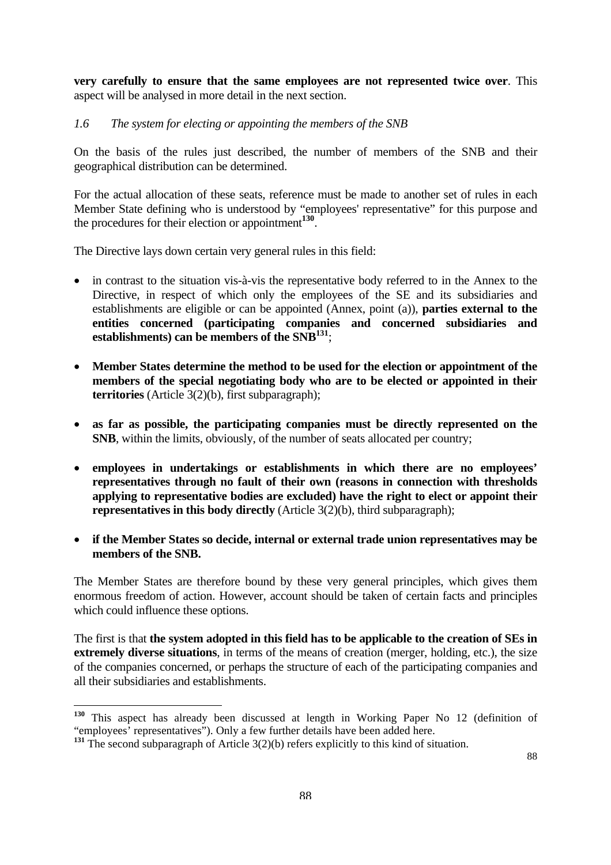**very carefully to ensure that the same employees are not represented twice over**. This aspect will be analysed in more detail in the next section.

### *1.6 The system for electing or appointing the members of the SNB*

On the basis of the rules just described, the number of members of the SNB and their geographical distribution can be determined.

For the actual allocation of these seats, reference must be made to another set of rules in each Member State defining who is understood by "employees' representative" for this purpose and the procedures for their election or appointment**[130](#page-86-0)**.

The Directive lays down certain very general rules in this field:

- in contrast to the situation vis-à-vis the representative body referred to in the Annex to the Directive, in respect of which only the employees of the SE and its subsidiaries and establishments are eligible or can be appointed (Annex, point (a)), **parties external to the entities concerned (participating companies and concerned subsidiaries and establishments) can be members of the SNB[131](#page-86-1)**;
- **Member States determine the method to be used for the election or appointment of the members of the special negotiating body who are to be elected or appointed in their territories** (Article 3(2)(b), first subparagraph);
- **as far as possible, the participating companies must be directly represented on the SNB**, within the limits, obviously, of the number of seats allocated per country;
- **employees in undertakings or establishments in which there are no employees' representatives through no fault of their own (reasons in connection with thresholds applying to representative bodies are excluded) have the right to elect or appoint their representatives in this body directly** (Article 3(2)(b), third subparagraph);
- **if the Member States so decide, internal or external trade union representatives may be members of the SNB.**

The Member States are therefore bound by these very general principles, which gives them enormous freedom of action. However, account should be taken of certain facts and principles which could influence these options.

The first is that **the system adopted in this field has to be applicable to the creation of SEs in extremely diverse situations**, in terms of the means of creation (merger, holding, etc.), the size of the companies concerned, or perhaps the structure of each of the participating companies and all their subsidiaries and establishments.

<span id="page-86-0"></span>**<sup>130</sup>** This aspect has already been discussed at length in Working Paper No 12 (definition of "employees' representatives"). Only a few further details have been added here.

<span id="page-86-1"></span><sup>&</sup>lt;sup>131</sup> The second subparagraph of Article 3(2)(b) refers explicitly to this kind of situation.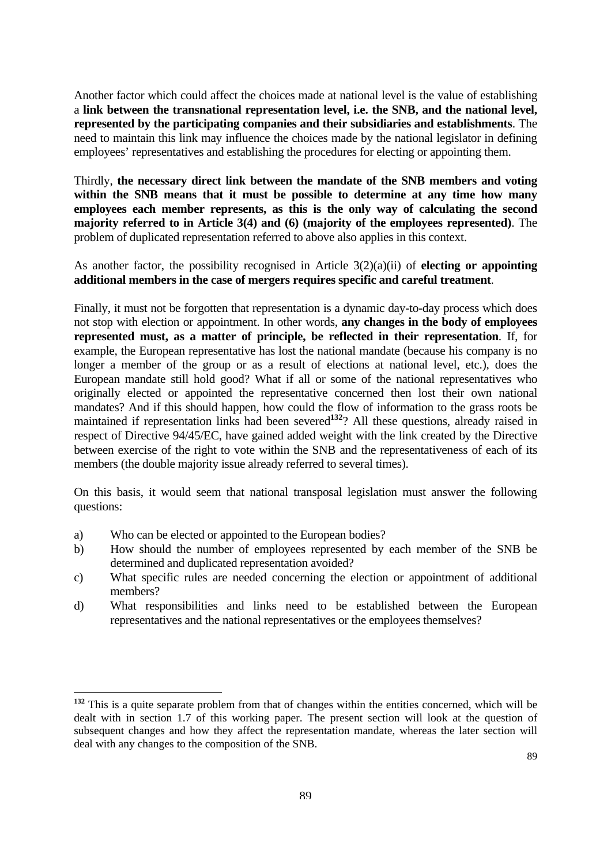Another factor which could affect the choices made at national level is the value of establishing a **link between the transnational representation level, i.e. the SNB, and the national level, represented by the participating companies and their subsidiaries and establishments**. The need to maintain this link may influence the choices made by the national legislator in defining employees' representatives and establishing the procedures for electing or appointing them.

Thirdly, **the necessary direct link between the mandate of the SNB members and voting within the SNB means that it must be possible to determine at any time how many employees each member represents, as this is the only way of calculating the second majority referred to in Article 3(4) and (6) (majority of the employees represented)**. The problem of duplicated representation referred to above also applies in this context.

As another factor, the possibility recognised in Article 3(2)(a)(ii) of **electing or appointing additional members in the case of mergers requires specific and careful treatment**.

Finally, it must not be forgotten that representation is a dynamic day-to-day process which does not stop with election or appointment. In other words, **any changes in the body of employees represented must, as a matter of principle, be reflected in their representation**. If, for example, the European representative has lost the national mandate (because his company is no longer a member of the group or as a result of elections at national level, etc.), does the European mandate still hold good? What if all or some of the national representatives who originally elected or appointed the representative concerned then lost their own national mandates? And if this should happen, how could the flow of information to the grass roots be maintained if representation links had been severed<sup>[132](#page-87-0)</sup>? All these questions, already raised in respect of Directive 94/45/EC, have gained added weight with the link created by the Directive between exercise of the right to vote within the SNB and the representativeness of each of its members (the double majority issue already referred to several times).

On this basis, it would seem that national transposal legislation must answer the following questions:

- a) Who can be elected or appointed to the European bodies?
- b) How should the number of employees represented by each member of the SNB be determined and duplicated representation avoided?
- c) What specific rules are needed concerning the election or appointment of additional members?
- d) What responsibilities and links need to be established between the European representatives and the national representatives or the employees themselves?

<span id="page-87-0"></span> $\overline{a}$ **<sup>132</sup>** This is a quite separate problem from that of changes within the entities concerned, which will be dealt with in section 1.7 of this working paper. The present section will look at the question of subsequent changes and how they affect the representation mandate, whereas the later section will deal with any changes to the composition of the SNB.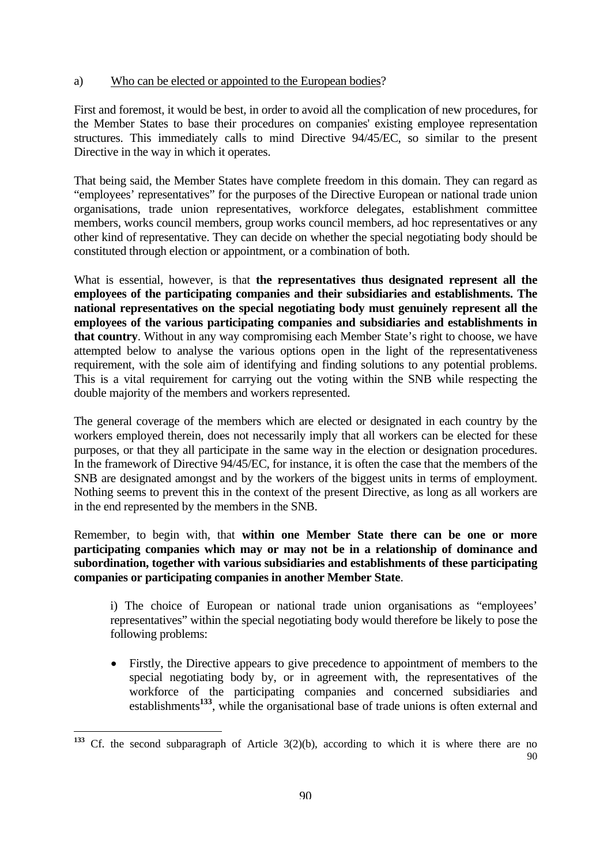#### <span id="page-88-0"></span>a) Who can be elected or appointed to the European bodies?

First and foremost, it would be best, in order to avoid all the complication of new procedures, for the Member States to base their procedures on companies' existing employee representation structures. This immediately calls to mind Directive 94/45/EC, so similar to the present Directive in the way in which it operates.

That being said, the Member States have complete freedom in this domain. They can regard as "employees' representatives" for the purposes of the Directive European or national trade union organisations, trade union representatives, workforce delegates, establishment committee members, works council members, group works council members, ad hoc representatives or any other kind of representative. They can decide on whether the special negotiating body should be constituted through election or appointment, or a combination of both.

What is essential, however, is that **the representatives thus designated represent all the employees of the participating companies and their subsidiaries and establishments. The national representatives on the special negotiating body must genuinely represent all the employees of the various participating companies and subsidiaries and establishments in that country**. Without in any way compromising each Member State's right to choose, we have attempted below to analyse the various options open in the light of the representativeness requirement, with the sole aim of identifying and finding solutions to any potential problems. This is a vital requirement for carrying out the voting within the SNB while respecting the double majority of the members and workers represented.

The general coverage of the members which are elected or designated in each country by the workers employed therein, does not necessarily imply that all workers can be elected for these purposes, or that they all participate in the same way in the election or designation procedures. In the framework of Directive 94/45/EC, for instance, it is often the case that the members of the SNB are designated amongst and by the workers of the biggest units in terms of employment. Nothing seems to prevent this in the context of the present Directive, as long as all workers are in the end represented by the members in the SNB.

Remember, to begin with, that **within one Member State there can be one or more participating companies which may or may not be in a relationship of dominance and subordination, together with various subsidiaries and establishments of these participating companies or participating companies in another Member State**.

i) The choice of European or national trade union organisations as "employees' representatives" within the special negotiating body would therefore be likely to pose the following problems:

• Firstly, the Directive appears to give precedence to appointment of members to the special negotiating body by, or in agreement with, the representatives of the workforce of the participating companies and concerned subsidiaries and establishments<sup>[133](#page-88-0)</sup>, while the organisational base of trade unions is often external and

 $90$ **<sup>133</sup>** Cf. the second subparagraph of Article 3(2)(b), according to which it is where there are no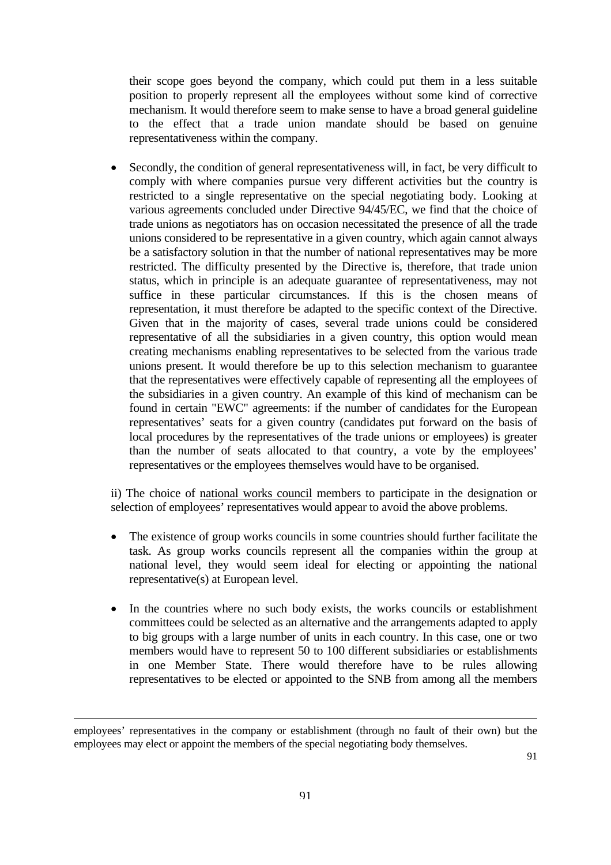their scope goes beyond the company, which could put them in a less suitable position to properly represent all the employees without some kind of corrective mechanism. It would therefore seem to make sense to have a broad general guideline to the effect that a trade union mandate should be based on genuine representativeness within the company.

Secondly, the condition of general representativeness will, in fact, be very difficult to comply with where companies pursue very different activities but the country is restricted to a single representative on the special negotiating body. Looking at various agreements concluded under Directive 94/45/EC, we find that the choice of trade unions as negotiators has on occasion necessitated the presence of all the trade unions considered to be representative in a given country, which again cannot always be a satisfactory solution in that the number of national representatives may be more restricted. The difficulty presented by the Directive is, therefore, that trade union status, which in principle is an adequate guarantee of representativeness, may not suffice in these particular circumstances. If this is the chosen means of representation, it must therefore be adapted to the specific context of the Directive. Given that in the majority of cases, several trade unions could be considered representative of all the subsidiaries in a given country, this option would mean creating mechanisms enabling representatives to be selected from the various trade unions present. It would therefore be up to this selection mechanism to guarantee that the representatives were effectively capable of representing all the employees of the subsidiaries in a given country. An example of this kind of mechanism can be found in certain "EWC" agreements: if the number of candidates for the European representatives' seats for a given country (candidates put forward on the basis of local procedures by the representatives of the trade unions or employees) is greater than the number of seats allocated to that country, a vote by the employees' representatives or the employees themselves would have to be organised.

ii) The choice of national works council members to participate in the designation or selection of employees' representatives would appear to avoid the above problems.

- The existence of group works councils in some countries should further facilitate the task. As group works councils represent all the companies within the group at national level, they would seem ideal for electing or appointing the national representative(s) at European level.
- In the countries where no such body exists, the works councils or establishment committees could be selected as an alternative and the arrangements adapted to apply to big groups with a large number of units in each country. In this case, one or two members would have to represent 50 to 100 different subsidiaries or establishments in one Member State. There would therefore have to be rules allowing representatives to be elected or appointed to the SNB from among all the members

employees' representatives in the company or establishment (through no fault of their own) but the employees may elect or appoint the members of the special negotiating body themselves.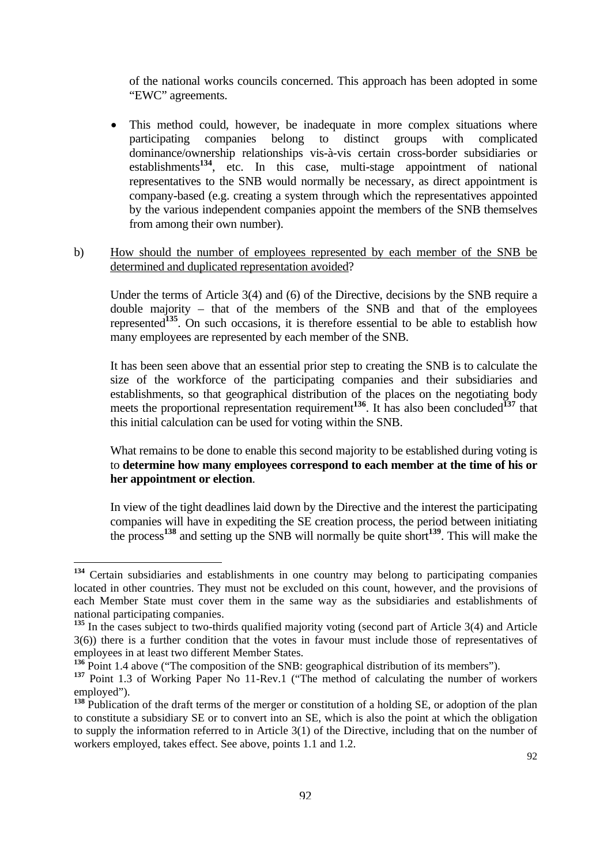of the national works councils concerned. This approach has been adopted in some "EWC" agreements.

• This method could, however, be inadequate in more complex situations where participating companies belong to distinct groups with complicated dominance/ownership relationships vis-à-vis certain cross-border subsidiaries or establishments**[134](#page-90-0)**, etc. In this case, multi-stage appointment of national representatives to the SNB would normally be necessary, as direct appointment is company-based (e.g. creating a system through which the representatives appointed by the various independent companies appoint the members of the SNB themselves from among their own number).

#### b) How should the number of employees represented by each member of the SNB be determined and duplicated representation avoided?

 Under the terms of Article 3(4) and (6) of the Directive, decisions by the SNB require a double majority – that of the members of the SNB and that of the employees represented**[135](#page-90-1)**. On such occasions, it is therefore essential to be able to establish how many employees are represented by each member of the SNB.

 It has been seen above that an essential prior step to creating the SNB is to calculate the size of the workforce of the participating companies and their subsidiaries and establishments, so that geographical distribution of the places on the negotiating body meets the proportional representation requirement<sup>[136](#page-90-2)</sup>. It has also been concluded<sup>[137](#page-90-3)</sup> that this initial calculation can be used for voting within the SNB.

 What remains to be done to enable this second majority to be established during voting is to **determine how many employees correspond to each member at the time of his or her appointment or election**.

 In view of the tight deadlines laid down by the Directive and the interest the participating companies will have in expediting the SE creation process, the period between initiating the process**[138](#page-90-4)** and setting up the SNB will normally be quite short**[139](#page-90-5)**. This will make the

<span id="page-90-0"></span>**<sup>134</sup>** Certain subsidiaries and establishments in one country may belong to participating companies located in other countries. They must not be excluded on this count, however, and the provisions of each Member State must cover them in the same way as the subsidiaries and establishments of national participating companies.

<span id="page-90-5"></span><span id="page-90-1"></span>**<sup>135</sup>** In the cases subject to two-thirds qualified majority voting (second part of Article 3(4) and Article 3(6)) there is a further condition that the votes in favour must include those of representatives of employees in at least two different Member States.

<span id="page-90-2"></span>**<sup>136</sup>** Point 1.4 above ("The composition of the SNB: geographical distribution of its members").

<span id="page-90-3"></span>**<sup>137</sup>** Point 1.3 of Working Paper No 11-Rev.1 ("The method of calculating the number of workers employed").

<span id="page-90-4"></span>**<sup>138</sup>** Publication of the draft terms of the merger or constitution of a holding SE, or adoption of the plan to constitute a subsidiary SE or to convert into an SE, which is also the point at which the obligation to supply the information referred to in Article 3(1) of the Directive, including that on the number of workers employed, takes effect. See above, points 1.1 and 1.2.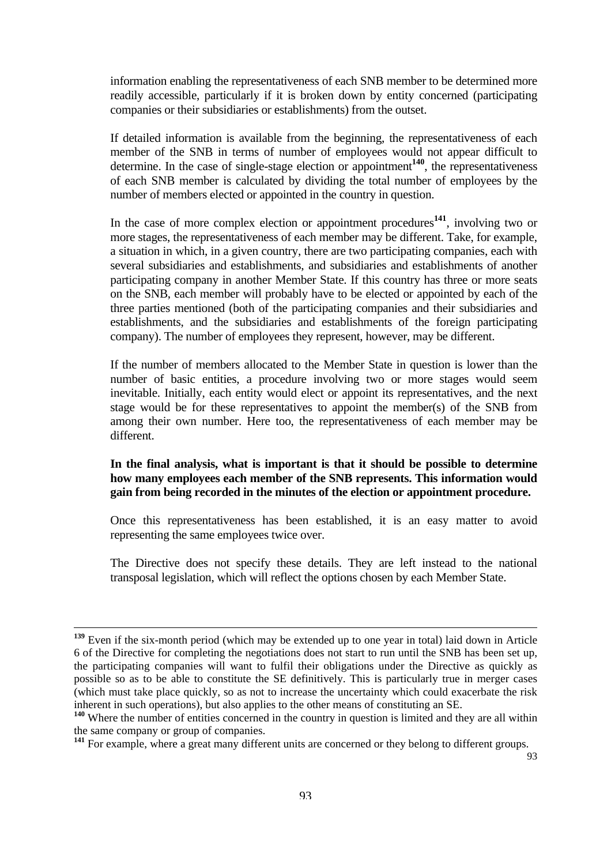information enabling the representativeness of each SNB member to be determined more readily accessible, particularly if it is broken down by entity concerned (participating companies or their subsidiaries or establishments) from the outset.

 If detailed information is available from the beginning, the representativeness of each member of the SNB in terms of number of employees would not appear difficult to determine. In the case of single-stage election or appointment**[140](#page-91-0)**, the representativeness of each SNB member is calculated by dividing the total number of employees by the number of members elected or appointed in the country in question.

 In the case of more complex election or appointment procedures**[141](#page-91-1)**, involving two or more stages, the representativeness of each member may be different. Take, for example, a situation in which, in a given country, there are two participating companies, each with several subsidiaries and establishments, and subsidiaries and establishments of another participating company in another Member State. If this country has three or more seats on the SNB, each member will probably have to be elected or appointed by each of the three parties mentioned (both of the participating companies and their subsidiaries and establishments, and the subsidiaries and establishments of the foreign participating company). The number of employees they represent, however, may be different.

 If the number of members allocated to the Member State in question is lower than the number of basic entities, a procedure involving two or more stages would seem inevitable. Initially, each entity would elect or appoint its representatives, and the next stage would be for these representatives to appoint the member(s) of the SNB from among their own number. Here too, the representativeness of each member may be different.

#### **In the final analysis, what is important is that it should be possible to determine how many employees each member of the SNB represents. This information would gain from being recorded in the minutes of the election or appointment procedure.**

 Once this representativeness has been established, it is an easy matter to avoid representing the same employees twice over.

 The Directive does not specify these details. They are left instead to the national transposal legislation, which will reflect the options chosen by each Member State.

**<sup>139</sup>** Even if the six-month period (which may be extended up to one year in total) laid down in Article 6 of the Directive for completing the negotiations does not start to run until the SNB has been set up, the participating companies will want to fulfil their obligations under the Directive as quickly as possible so as to be able to constitute the SE definitively. This is particularly true in merger cases (which must take place quickly, so as not to increase the uncertainty which could exacerbate the risk inherent in such operations), but also applies to the other means of constituting an SE.

<span id="page-91-0"></span><sup>&</sup>lt;sup>140</sup> Where the number of entities concerned in the country in question is limited and they are all within the same company or group of companies.

<span id="page-91-1"></span><sup>&</sup>lt;sup>141</sup> For example, where a great many different units are concerned or they belong to different groups.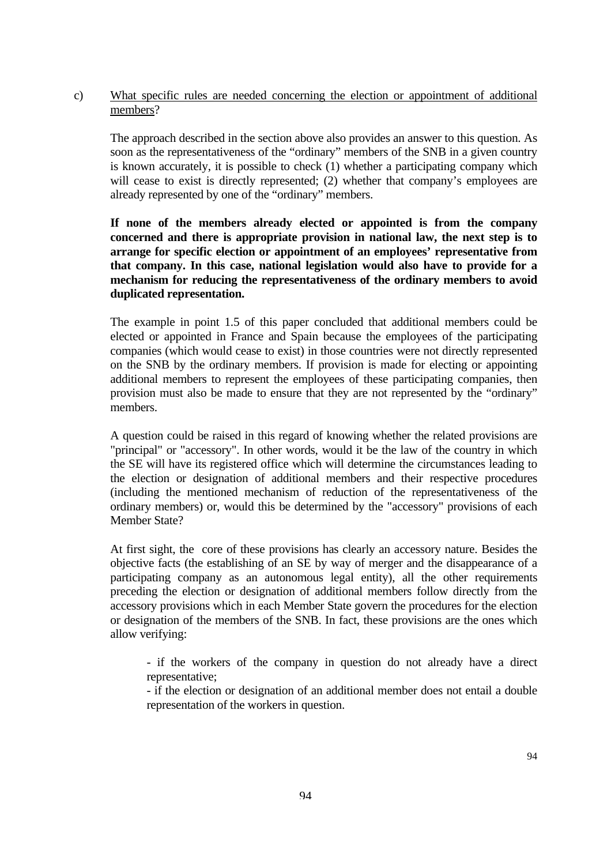## c) What specific rules are needed concerning the election or appointment of additional members?

 The approach described in the section above also provides an answer to this question. As soon as the representativeness of the "ordinary" members of the SNB in a given country is known accurately, it is possible to check (1) whether a participating company which will cease to exist is directly represented; (2) whether that company's employees are already represented by one of the "ordinary" members.

### **If none of the members already elected or appointed is from the company concerned and there is appropriate provision in national law, the next step is to arrange for specific election or appointment of an employees' representative from that company. In this case, national legislation would also have to provide for a mechanism for reducing the representativeness of the ordinary members to avoid duplicated representation.**

 The example in point 1.5 of this paper concluded that additional members could be elected or appointed in France and Spain because the employees of the participating companies (which would cease to exist) in those countries were not directly represented on the SNB by the ordinary members. If provision is made for electing or appointing additional members to represent the employees of these participating companies, then provision must also be made to ensure that they are not represented by the "ordinary" members.

 A question could be raised in this regard of knowing whether the related provisions are "principal" or "accessory". In other words, would it be the law of the country in which the SE will have its registered office which will determine the circumstances leading to the election or designation of additional members and their respective procedures (including the mentioned mechanism of reduction of the representativeness of the ordinary members) or, would this be determined by the "accessory" provisions of each Member State?

 At first sight, the core of these provisions has clearly an accessory nature. Besides the objective facts (the establishing of an SE by way of merger and the disappearance of a participating company as an autonomous legal entity), all the other requirements preceding the election or designation of additional members follow directly from the accessory provisions which in each Member State govern the procedures for the election or designation of the members of the SNB. In fact, these provisions are the ones which allow verifying:

 - if the workers of the company in question do not already have a direct representative;

 - if the election or designation of an additional member does not entail a double representation of the workers in question.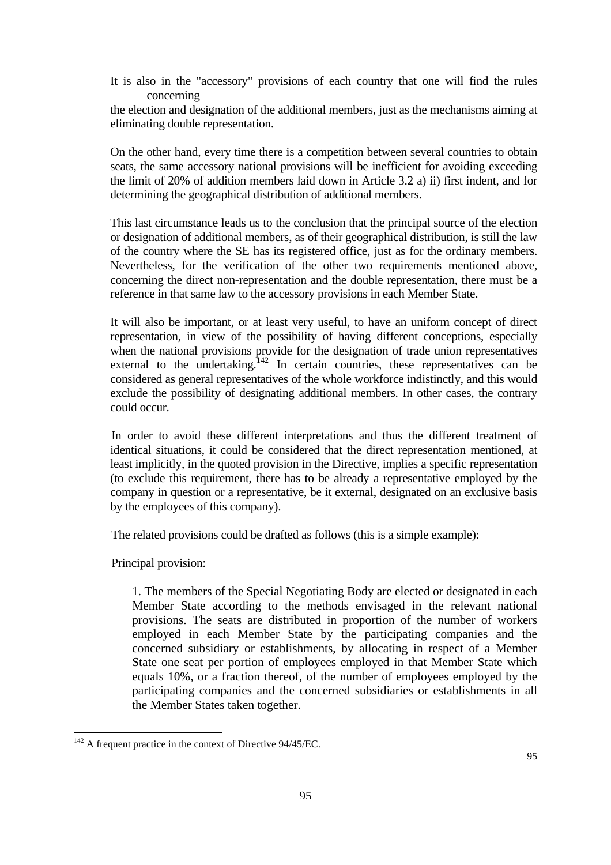It is also in the "accessory" provisions of each country that one will find the rules concerning

the election and designation of the additional members, just as the mechanisms aiming at eliminating double representation.

On the other hand, every time there is a competition between several countries to obtain seats, the same accessory national provisions will be inefficient for avoiding exceeding the limit of 20% of addition members laid down in Article 3.2 a) ii) first indent, and for determining the geographical distribution of additional members.

This last circumstance leads us to the conclusion that the principal source of the election or designation of additional members, as of their geographical distribution, is still the law of the country where the SE has its registered office, just as for the ordinary members. Nevertheless, for the verification of the other two requirements mentioned above, concerning the direct non-representation and the double representation, there must be a reference in that same law to the accessory provisions in each Member State.

It will also be important, or at least very useful, to have an uniform concept of direct representation, in view of the possibility of having different conceptions, especially when the national provisions provide for the designation of trade union representatives external to the undertaking.<sup>142</sup> In certain countries, these representatives can be considered as general representatives of the whole workforce indistinctly, and this would exclude the possibility of designating additional members. In other cases, the contrary could occur.

In order to avoid these different interpretations and thus the different treatment of identical situations, it could be considered that the direct representation mentioned, at least implicitly, in the quoted provision in the Directive, implies a specific representation (to exclude this requirement, there has to be already a representative employed by the company in question or a representative, be it external, designated on an exclusive basis by the employees of this company).

The related provisions could be drafted as follows (this is a simple example):

Principal provision:

 $\overline{a}$ 

1. The members of the Special Negotiating Body are elected or designated in each Member State according to the methods envisaged in the relevant national provisions. The seats are distributed in proportion of the number of workers employed in each Member State by the participating companies and the concerned subsidiary or establishments, by allocating in respect of a Member State one seat per portion of employees employed in that Member State which equals 10%, or a fraction thereof, of the number of employees employed by the participating companies and the concerned subsidiaries or establishments in all the Member States taken together.

<span id="page-93-0"></span> $142$  A frequent practice in the context of Directive 94/45/EC.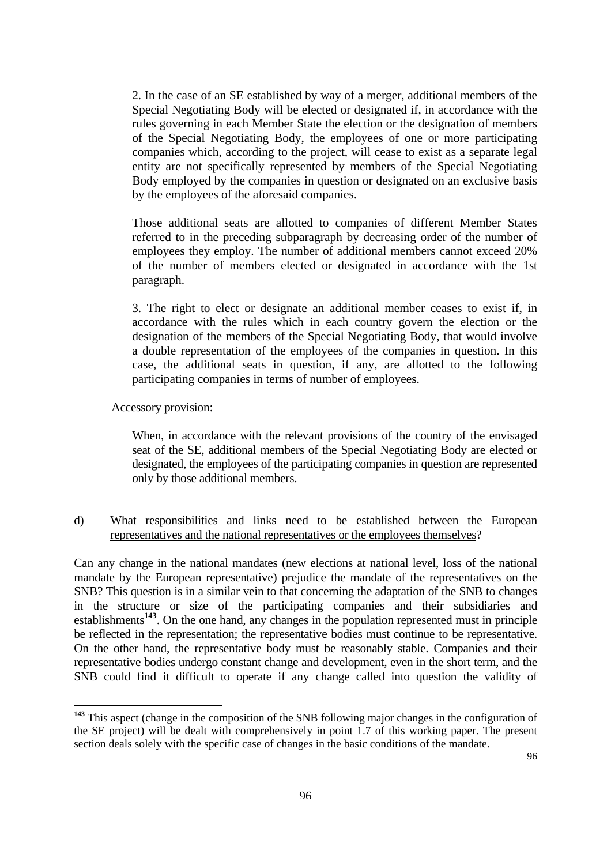2. In the case of an SE established by way of a merger, additional members of the Special Negotiating Body will be elected or designated if, in accordance with the rules governing in each Member State the election or the designation of members of the Special Negotiating Body, the employees of one or more participating companies which, according to the project, will cease to exist as a separate legal entity are not specifically represented by members of the Special Negotiating Body employed by the companies in question or designated on an exclusive basis by the employees of the aforesaid companies.

 Those additional seats are allotted to companies of different Member States referred to in the preceding subparagraph by decreasing order of the number of employees they employ. The number of additional members cannot exceed 20% of the number of members elected or designated in accordance with the 1st paragraph.

 3. The right to elect or designate an additional member ceases to exist if, in accordance with the rules which in each country govern the election or the designation of the members of the Special Negotiating Body, that would involve a double representation of the employees of the companies in question. In this case, the additional seats in question, if any, are allotted to the following participating companies in terms of number of employees.

Accessory provision:

 $\overline{a}$ 

When, in accordance with the relevant provisions of the country of the envisaged seat of the SE, additional members of the Special Negotiating Body are elected or designated, the employees of the participating companies in question are represented only by those additional members.

### d) What responsibilities and links need to be established between the European representatives and the national representatives or the employees themselves?

Can any change in the national mandates (new elections at national level, loss of the national mandate by the European representative) prejudice the mandate of the representatives on the SNB? This question is in a similar vein to that concerning the adaptation of the SNB to changes in the structure or size of the participating companies and their subsidiaries and establishments**[143](#page-94-0)**. On the one hand, any changes in the population represented must in principle be reflected in the representation; the representative bodies must continue to be representative. On the other hand, the representative body must be reasonably stable. Companies and their representative bodies undergo constant change and development, even in the short term, and the SNB could find it difficult to operate if any change called into question the validity of

<span id="page-94-0"></span>**<sup>143</sup>** This aspect (change in the composition of the SNB following major changes in the configuration of the SE project) will be dealt with comprehensively in point 1.7 of this working paper. The present section deals solely with the specific case of changes in the basic conditions of the mandate.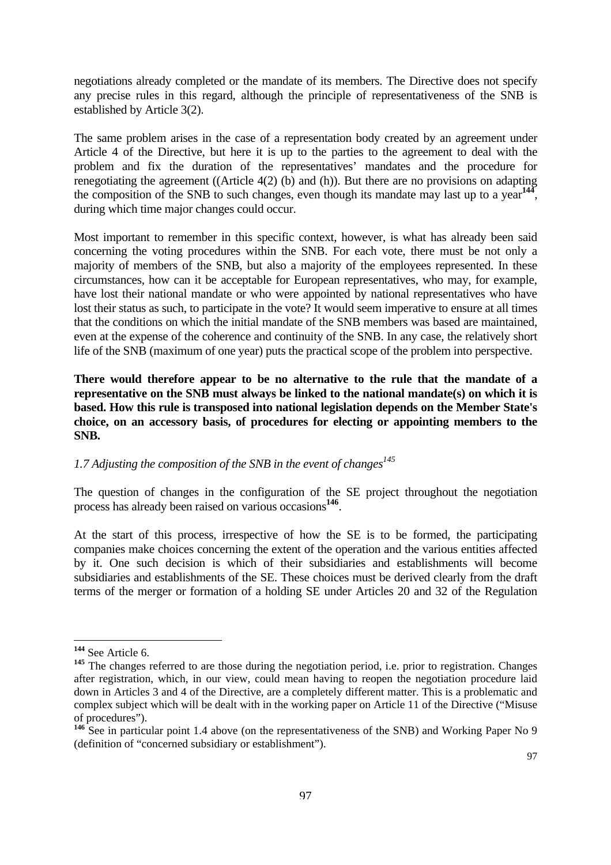negotiations already completed or the mandate of its members. The Directive does not specify any precise rules in this regard, although the principle of representativeness of the SNB is established by Article 3(2).

The same problem arises in the case of a representation body created by an agreement under Article 4 of the Directive, but here it is up to the parties to the agreement to deal with the problem and fix the duration of the representatives' mandates and the procedure for renegotiating the agreement ((Article 4(2) (b) and (h)). But there are no provisions on adapting the composition of the SNB to such changes, even though its mandate may last up to a year**[144](#page-95-0)**, during which time major changes could occur.

Most important to remember in this specific context, however, is what has already been said concerning the voting procedures within the SNB. For each vote, there must be not only a majority of members of the SNB, but also a majority of the employees represented. In these circumstances, how can it be acceptable for European representatives, who may, for example, have lost their national mandate or who were appointed by national representatives who have lost their status as such, to participate in the vote? It would seem imperative to ensure at all times that the conditions on which the initial mandate of the SNB members was based are maintained, even at the expense of the coherence and continuity of the SNB. In any case, the relatively short life of the SNB (maximum of one year) puts the practical scope of the problem into perspective.

**There would therefore appear to be no alternative to the rule that the mandate of a representative on the SNB must always be linked to the national mandate(s) on which it is based. How this rule is transposed into national legislation depends on the Member State's choice, on an accessory basis, of procedures for electing or appointing members to the SNB.** 

# *1.7 Adjusting the composition of the SNB in the event of changes*<sup>145</sup>

The question of changes in the configuration of the SE project throughout the negotiation process has already been raised on various occasions**[146](#page-95-2)**.

At the start of this process, irrespective of how the SE is to be formed, the participating companies make choices concerning the extent of the operation and the various entities affected by it. One such decision is which of their subsidiaries and establishments will become subsidiaries and establishments of the SE. These choices must be derived clearly from the draft terms of the merger or formation of a holding SE under Articles 20 and 32 of the Regulation

<span id="page-95-0"></span>**<sup>144</sup>** See Article 6.

<span id="page-95-1"></span><sup>&</sup>lt;sup>145</sup> The changes referred to are those during the negotiation period, i.e. prior to registration. Changes after registration, which, in our view, could mean having to reopen the negotiation procedure laid down in Articles 3 and 4 of the Directive, are a completely different matter. This is a problematic and complex subject which will be dealt with in the working paper on Article 11 of the Directive ("Misuse of procedures").

<span id="page-95-2"></span><sup>&</sup>lt;sup>146</sup> See in particular point 1.4 above (on the representativeness of the SNB) and Working Paper No 9 (definition of "concerned subsidiary or establishment").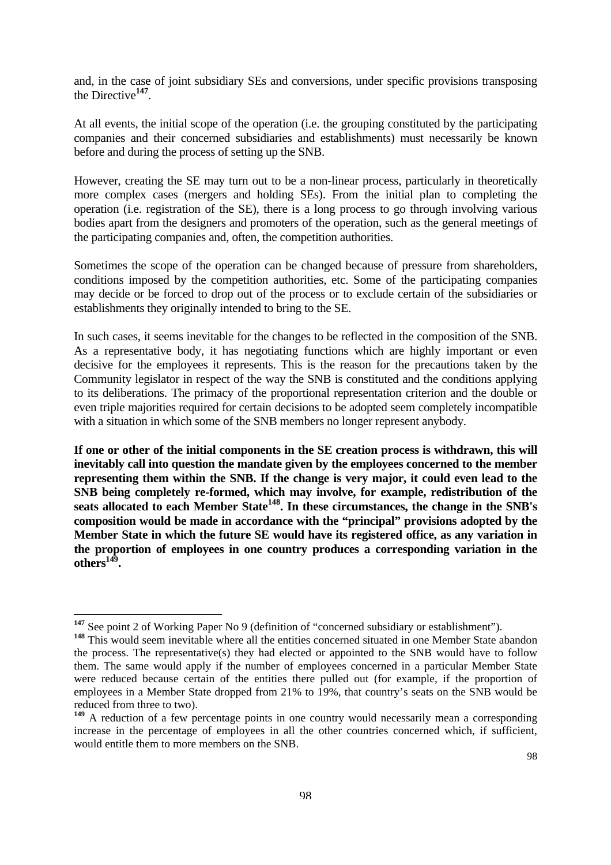and, in the case of joint subsidiary SEs and conversions, under specific provisions transposing the Directive**[147](#page-96-0)**.

At all events, the initial scope of the operation (i.e. the grouping constituted by the participating companies and their concerned subsidiaries and establishments) must necessarily be known before and during the process of setting up the SNB.

However, creating the SE may turn out to be a non-linear process, particularly in theoretically more complex cases (mergers and holding SEs). From the initial plan to completing the operation (i.e. registration of the SE), there is a long process to go through involving various bodies apart from the designers and promoters of the operation, such as the general meetings of the participating companies and, often, the competition authorities.

Sometimes the scope of the operation can be changed because of pressure from shareholders, conditions imposed by the competition authorities, etc. Some of the participating companies may decide or be forced to drop out of the process or to exclude certain of the subsidiaries or establishments they originally intended to bring to the SE.

In such cases, it seems inevitable for the changes to be reflected in the composition of the SNB. As a representative body, it has negotiating functions which are highly important or even decisive for the employees it represents. This is the reason for the precautions taken by the Community legislator in respect of the way the SNB is constituted and the conditions applying to its deliberations. The primacy of the proportional representation criterion and the double or even triple majorities required for certain decisions to be adopted seem completely incompatible with a situation in which some of the SNB members no longer represent anybody.

**If one or other of the initial components in the SE creation process is withdrawn, this will inevitably call into question the mandate given by the employees concerned to the member representing them within the SNB. If the change is very major, it could even lead to the SNB being completely re-formed, which may involve, for example, redistribution of the**  seats allocated to each Member State<sup>148</sup>. In these circumstances, the change in the SNB's **composition would be made in accordance with the "principal" provisions adopted by the Member State in which the future SE would have its registered office, as any variation in the proportion of employees in one country produces a corresponding variation in the**   $\frac{1}{49}$ .

<span id="page-96-0"></span>**<sup>147</sup>** See point 2 of Working Paper No 9 (definition of "concerned subsidiary or establishment").

<span id="page-96-1"></span><sup>&</sup>lt;sup>148</sup> This would seem inevitable where all the entities concerned situated in one Member State abandon the process. The representative(s) they had elected or appointed to the SNB would have to follow them. The same would apply if the number of employees concerned in a particular Member State were reduced because certain of the entities there pulled out (for example, if the proportion of employees in a Member State dropped from 21% to 19%, that country's seats on the SNB would be reduced from three to two).

<span id="page-96-2"></span><sup>&</sup>lt;sup>149</sup> A reduction of a few percentage points in one country would necessarily mean a corresponding increase in the percentage of employees in all the other countries concerned which, if sufficient, would entitle them to more members on the SNB.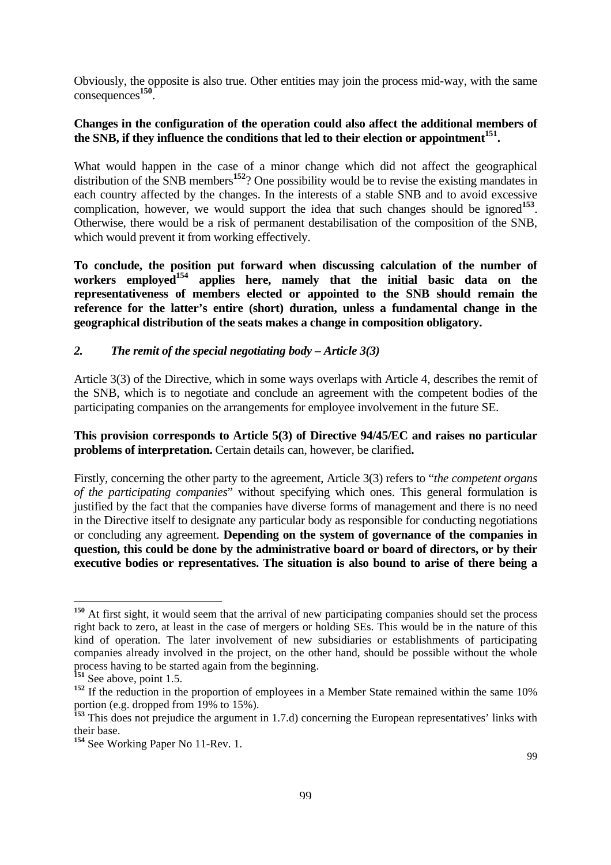Obviously, the opposite is also true. Other entities may join the process mid-way, with the same consequences**[150](#page-97-0)**.

### **Changes in the configuration of the operation could also affect the additional members of**  the SNB, if they influence the conditions that led to their election or appointment<sup>151</sup>.

What would happen in the case of a minor change which did not affect the geographical distribution of the SNB members<sup>[152](#page-97-2)</sup>? One possibility would be to revise the existing mandates in each country affected by the changes. In the interests of a stable SNB and to avoid excessive complication, however, we would support the idea that such changes should be ignored<sup>[153](#page-97-3)</sup>. Otherwise, there would be a risk of permanent destabilisation of the composition of the SNB, which would prevent it from working effectively.

**To conclude, the position put forward when discussing calculation of the number of workers employed[154](#page-97-4) applies here, namely that the initial basic data on the representativeness of members elected or appointed to the SNB should remain the reference for the latter's entire (short) duration, unless a fundamental change in the geographical distribution of the seats makes a change in composition obligatory.** 

### *2. The remit of the special negotiating body – Article 3(3)*

Article 3(3) of the Directive, which in some ways overlaps with Article 4, describes the remit of the SNB, which is to negotiate and conclude an agreement with the competent bodies of the participating companies on the arrangements for employee involvement in the future SE.

### **This provision corresponds to Article 5(3) of Directive 94/45/EC and raises no particular problems of interpretation.** Certain details can, however, be clarified**.**

Firstly, concerning the other party to the agreement, Article 3(3) refers to "*the competent organs of the participating companies*" without specifying which ones. This general formulation is justified by the fact that the companies have diverse forms of management and there is no need in the Directive itself to designate any particular body as responsible for conducting negotiations or concluding any agreement. **Depending on the system of governance of the companies in question, this could be done by the administrative board or board of directors, or by their executive bodies or representatives. The situation is also bound to arise of there being a** 

<span id="page-97-0"></span>**<sup>150</sup>** At first sight, it would seem that the arrival of new participating companies should set the process right back to zero, at least in the case of mergers or holding SEs. This would be in the nature of this kind of operation. The later involvement of new subsidiaries or establishments of participating companies already involved in the project, on the other hand, should be possible without the whole process having to be started again from the beginning.

<span id="page-97-1"></span>**<sup>151</sup>** See above, point 1.5.

<span id="page-97-2"></span><sup>&</sup>lt;sup>152</sup> If the reduction in the proportion of employees in a Member State remained within the same 10% portion (e.g. dropped from 19% to 15%).

<span id="page-97-3"></span>**<sup>153</sup>** This does not prejudice the argument in 1.7.d) concerning the European representatives' links with their base.

<span id="page-97-4"></span>**<sup>154</sup>** See Working Paper No 11-Rev. 1.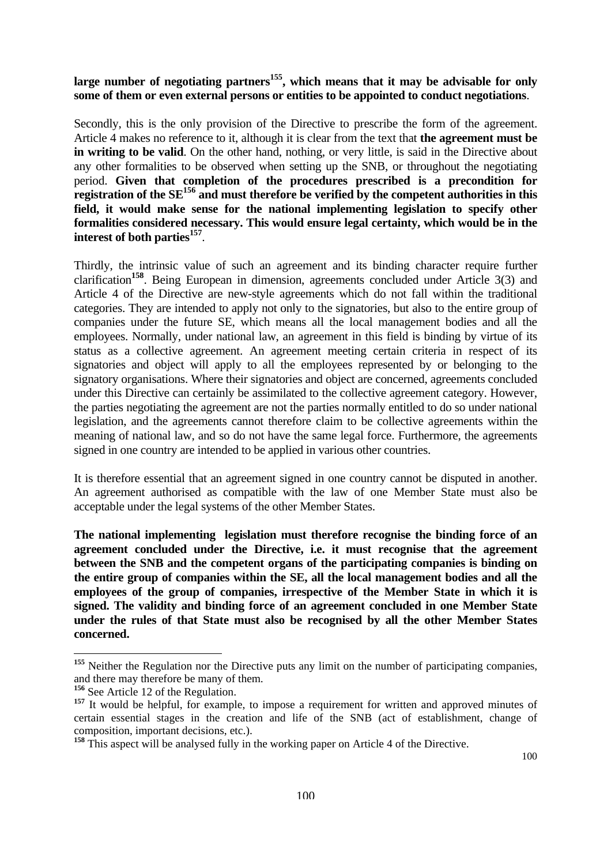# large number of negotiating partners<sup>155</sup>, which means that it may be advisable for only **some of them or even external persons or entities to be appointed to conduct negotiations**.

Secondly, this is the only provision of the Directive to prescribe the form of the agreement. Article 4 makes no reference to it, although it is clear from the text that **the agreement must be in writing to be valid.** On the other hand, nothing, or very little, is said in the Directive about any other formalities to be observed when setting up the SNB, or throughout the negotiating period. **Given that completion of the procedures prescribed is a precondition for registration of the SE[156](#page-98-1) and must therefore be verified by the competent authorities in this field, it would make sense for the national implementing legislation to specify other formalities considered necessary. This would ensure legal certainty, which would be in the interest of both parties[157](#page-98-2)**.

Thirdly, the intrinsic value of such an agreement and its binding character require further clarification**[158](#page-98-3)**. Being European in dimension, agreements concluded under Article 3(3) and Article 4 of the Directive are new-style agreements which do not fall within the traditional categories. They are intended to apply not only to the signatories, but also to the entire group of companies under the future SE, which means all the local management bodies and all the employees. Normally, under national law, an agreement in this field is binding by virtue of its status as a collective agreement. An agreement meeting certain criteria in respect of its signatories and object will apply to all the employees represented by or belonging to the signatory organisations. Where their signatories and object are concerned, agreements concluded under this Directive can certainly be assimilated to the collective agreement category. However, the parties negotiating the agreement are not the parties normally entitled to do so under national legislation, and the agreements cannot therefore claim to be collective agreements within the meaning of national law, and so do not have the same legal force. Furthermore, the agreements signed in one country are intended to be applied in various other countries.

It is therefore essential that an agreement signed in one country cannot be disputed in another. An agreement authorised as compatible with the law of one Member State must also be acceptable under the legal systems of the other Member States.

**The national implementing legislation must therefore recognise the binding force of an agreement concluded under the Directive, i.e. it must recognise that the agreement between the SNB and the competent organs of the participating companies is binding on the entire group of companies within the SE, all the local management bodies and all the employees of the group of companies, irrespective of the Member State in which it is signed. The validity and binding force of an agreement concluded in one Member State under the rules of that State must also be recognised by all the other Member States concerned.** 

<span id="page-98-0"></span><sup>&</sup>lt;sup>155</sup> Neither the Regulation nor the Directive puts any limit on the number of participating companies, and there may therefore be many of them.

<span id="page-98-1"></span>**<sup>156</sup>** See Article 12 of the Regulation.

<span id="page-98-2"></span><sup>&</sup>lt;sup>157</sup> It would be helpful, for example, to impose a requirement for written and approved minutes of certain essential stages in the creation and life of the SNB (act of establishment, change of composition, important decisions, etc.).

<span id="page-98-3"></span><sup>&</sup>lt;sup>158</sup> This aspect will be analysed fully in the working paper on Article 4 of the Directive.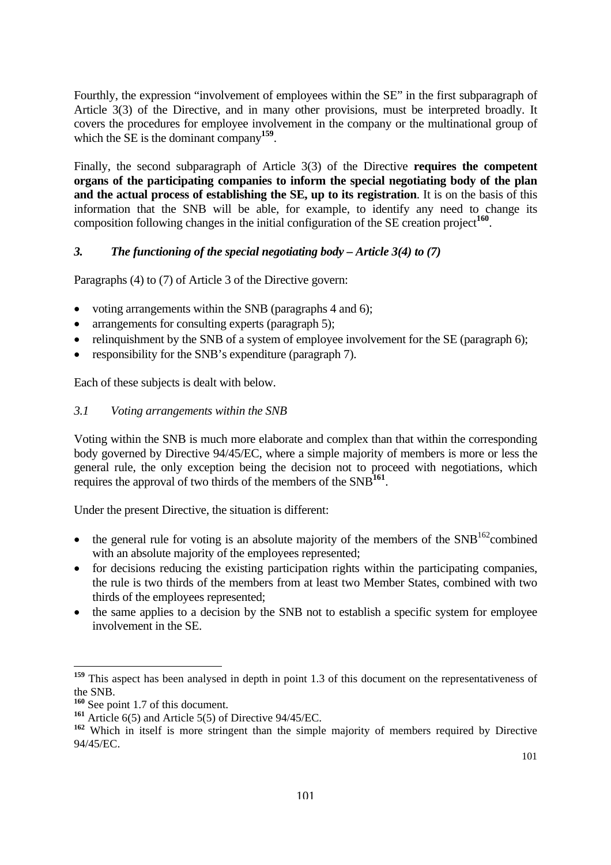Fourthly, the expression "involvement of employees within the SE" in the first subparagraph of Article 3(3) of the Directive, and in many other provisions, must be interpreted broadly. It covers the procedures for employee involvement in the company or the multinational group of which the SE is the dominant company**[159](#page-99-0)**.

Finally, the second subparagraph of Article 3(3) of the Directive **requires the competent organs of the participating companies to inform the special negotiating body of the plan and the actual process of establishing the SE, up to its registration**. It is on the basis of this information that the SNB will be able, for example, to identify any need to change its composition following changes in the initial configuration of the SE creation project**[160](#page-99-1)**.

# *3. The functioning of the special negotiating body – Article 3(4) to (7)*

Paragraphs (4) to (7) of Article 3 of the Directive govern:

- voting arrangements within the SNB (paragraphs 4 and 6);
- arrangements for consulting experts (paragraph 5);
- relinguishment by the SNB of a system of employee involvement for the SE (paragraph 6);
- responsibility for the SNB's expenditure (paragraph 7).

Each of these subjects is dealt with below.

# *3.1 Voting arrangements within the SNB*

Voting within the SNB is much more elaborate and complex than that within the corresponding body governed by Directive 94/45/EC, where a simple majority of members is more or less the general rule, the only exception being the decision not to proceed with negotiations, which requires the approval of two thirds of the members of the SNB**[161](#page-99-2)**.

Under the present Directive, the situation is different:

- the general rule for voting is an absolute majority of the members of the  $SNB<sup>162</sup>$ combined with an absolute majority of the employees represented;
- for decisions reducing the existing participation rights within the participating companies, the rule is two thirds of the members from at least two Member States, combined with two thirds of the employees represented;
- the same applies to a decision by the SNB not to establish a specific system for employee involvement in the SE.

<span id="page-99-0"></span>**<sup>159</sup>** This aspect has been analysed in depth in point 1.3 of this document on the representativeness of the SNB.

<span id="page-99-1"></span>**<sup>160</sup>** See point 1.7 of this document.

<span id="page-99-2"></span>**<sup>161</sup>** Article 6(5) and Article 5(5) of Directive 94/45/EC.

<span id="page-99-3"></span><sup>&</sup>lt;sup>162</sup> Which in itself is more stringent than the simple majority of members required by Directive 94/45/EC.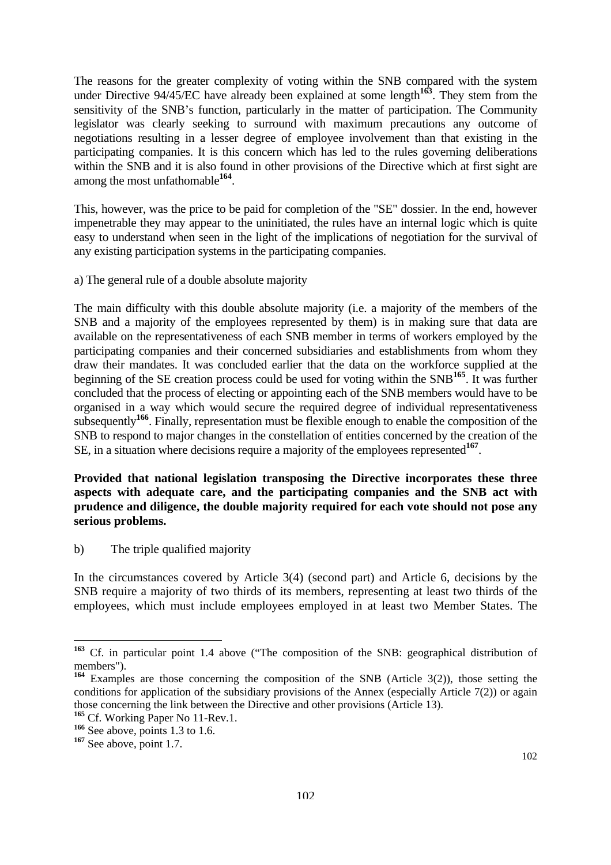The reasons for the greater complexity of voting within the SNB compared with the system under Directive 94/45/EC have already been explained at some length<sup>[163](#page-100-0)</sup>. They stem from the sensitivity of the SNB's function, particularly in the matter of participation. The Community legislator was clearly seeking to surround with maximum precautions any outcome of negotiations resulting in a lesser degree of employee involvement than that existing in the participating companies. It is this concern which has led to the rules governing deliberations within the SNB and it is also found in other provisions of the Directive which at first sight are among the most unfathomable**[164](#page-100-1)**.

This, however, was the price to be paid for completion of the "SE" dossier. In the end, however impenetrable they may appear to the uninitiated, the rules have an internal logic which is quite easy to understand when seen in the light of the implications of negotiation for the survival of any existing participation systems in the participating companies.

a) The general rule of a double absolute majority

The main difficulty with this double absolute majority (i.e. a majority of the members of the SNB and a majority of the employees represented by them) is in making sure that data are available on the representativeness of each SNB member in terms of workers employed by the participating companies and their concerned subsidiaries and establishments from whom they draw their mandates. It was concluded earlier that the data on the workforce supplied at the beginning of the SE creation process could be used for voting within the SNB**[165](#page-100-2)**. It was further concluded that the process of electing or appointing each of the SNB members would have to be organised in a way which would secure the required degree of individual representativeness subsequently**[166](#page-100-3)**. Finally, representation must be flexible enough to enable the composition of the SNB to respond to major changes in the constellation of entities concerned by the creation of the SE, in a situation where decisions require a majority of the employees represented**[167](#page-100-4)**.

### **Provided that national legislation transposing the Directive incorporates these three aspects with adequate care, and the participating companies and the SNB act with prudence and diligence, the double majority required for each vote should not pose any serious problems.**

b) The triple qualified majority

In the circumstances covered by Article 3(4) (second part) and Article 6, decisions by the SNB require a majority of two thirds of its members, representing at least two thirds of the employees, which must include employees employed in at least two Member States. The

<span id="page-100-0"></span>**<sup>163</sup>** Cf. in particular point 1.4 above ("The composition of the SNB: geographical distribution of members").

<span id="page-100-1"></span>**<sup>164</sup>** Examples are those concerning the composition of the SNB (Article 3(2)), those setting the conditions for application of the subsidiary provisions of the Annex (especially Article 7(2)) or again those concerning the link between the Directive and other provisions (Article 13).

<span id="page-100-2"></span><sup>&</sup>lt;sup>165</sup> Cf. Working Paper No 11-Rev.1.

<span id="page-100-3"></span>**<sup>166</sup>** See above, points 1.3 to 1.6.

<span id="page-100-4"></span>**<sup>167</sup>** See above, point 1.7.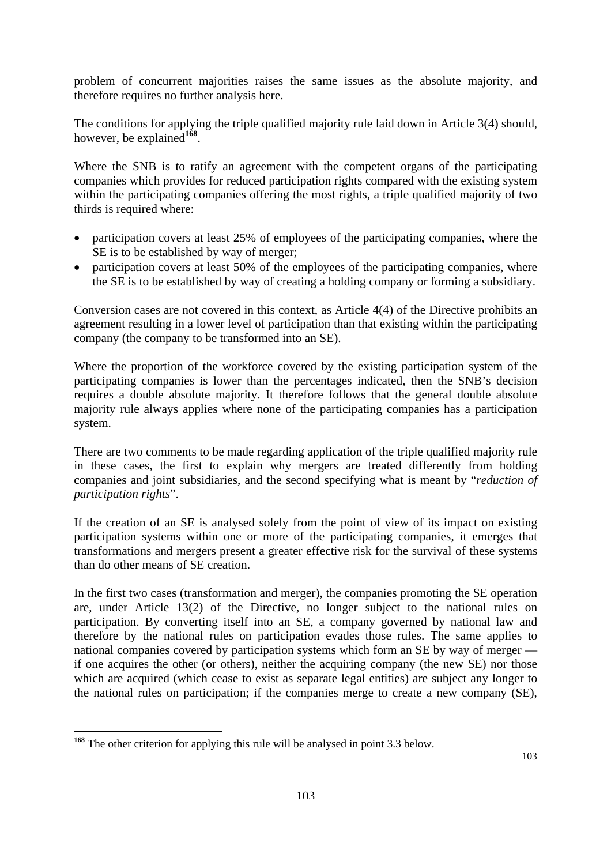problem of concurrent majorities raises the same issues as the absolute majority, and therefore requires no further analysis here.

The conditions for applying the triple qualified majority rule laid down in Article 3(4) should, however, be explained**[168](#page-101-0)**.

Where the SNB is to ratify an agreement with the competent organs of the participating companies which provides for reduced participation rights compared with the existing system within the participating companies offering the most rights, a triple qualified majority of two thirds is required where:

- participation covers at least 25% of employees of the participating companies, where the SE is to be established by way of merger;
- participation covers at least 50% of the employees of the participating companies, where the SE is to be established by way of creating a holding company or forming a subsidiary.

Conversion cases are not covered in this context, as Article 4(4) of the Directive prohibits an agreement resulting in a lower level of participation than that existing within the participating company (the company to be transformed into an SE).

Where the proportion of the workforce covered by the existing participation system of the participating companies is lower than the percentages indicated, then the SNB's decision requires a double absolute majority. It therefore follows that the general double absolute majority rule always applies where none of the participating companies has a participation system.

There are two comments to be made regarding application of the triple qualified majority rule in these cases, the first to explain why mergers are treated differently from holding companies and joint subsidiaries, and the second specifying what is meant by "*reduction of participation rights*".

If the creation of an SE is analysed solely from the point of view of its impact on existing participation systems within one or more of the participating companies, it emerges that transformations and mergers present a greater effective risk for the survival of these systems than do other means of SE creation.

In the first two cases (transformation and merger), the companies promoting the SE operation are, under Article 13(2) of the Directive, no longer subject to the national rules on participation. By converting itself into an SE, a company governed by national law and therefore by the national rules on participation evades those rules. The same applies to national companies covered by participation systems which form an SE by way of merger if one acquires the other (or others), neither the acquiring company (the new SE) nor those which are acquired (which cease to exist as separate legal entities) are subject any longer to the national rules on participation; if the companies merge to create a new company (SE),

<span id="page-101-0"></span>**<sup>168</sup>** The other criterion for applying this rule will be analysed in point 3.3 below.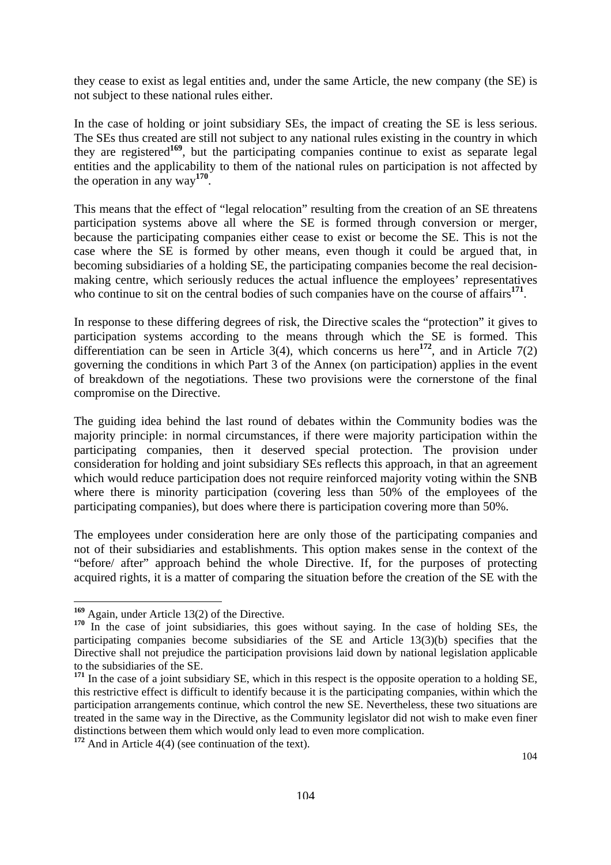they cease to exist as legal entities and, under the same Article, the new company (the SE) is not subject to these national rules either.

In the case of holding or joint subsidiary SEs, the impact of creating the SE is less serious. The SEs thus created are still not subject to any national rules existing in the country in which they are registered**[169](#page-102-0)**, but the participating companies continue to exist as separate legal entities and the applicability to them of the national rules on participation is not affected by the operation in any way**[170](#page-102-1)**.

This means that the effect of "legal relocation" resulting from the creation of an SE threatens participation systems above all where the SE is formed through conversion or merger, because the participating companies either cease to exist or become the SE. This is not the case where the SE is formed by other means, even though it could be argued that, in becoming subsidiaries of a holding SE, the participating companies become the real decisionmaking centre, which seriously reduces the actual influence the employees' representatives who continue to sit on the central bodies of such companies have on the course of affairs<sup>[171](#page-102-2)</sup>.

In response to these differing degrees of risk, the Directive scales the "protection" it gives to participation systems according to the means through which the SE is formed. This differentiation can be seen in Article 3(4), which concerns us here<sup>[172](#page-102-3)</sup>, and in Article 7(2) governing the conditions in which Part 3 of the Annex (on participation) applies in the event of breakdown of the negotiations. These two provisions were the cornerstone of the final compromise on the Directive.

The guiding idea behind the last round of debates within the Community bodies was the majority principle: in normal circumstances, if there were majority participation within the participating companies, then it deserved special protection. The provision under consideration for holding and joint subsidiary SEs reflects this approach, in that an agreement which would reduce participation does not require reinforced majority voting within the SNB where there is minority participation (covering less than 50% of the employees of the participating companies), but does where there is participation covering more than 50%.

The employees under consideration here are only those of the participating companies and not of their subsidiaries and establishments. This option makes sense in the context of the "before/ after" approach behind the whole Directive. If, for the purposes of protecting acquired rights, it is a matter of comparing the situation before the creation of the SE with the

<span id="page-102-0"></span>**<sup>169</sup>** Again, under Article 13(2) of the Directive.

<span id="page-102-1"></span>**<sup>170</sup>** In the case of joint subsidiaries, this goes without saying. In the case of holding SEs, the participating companies become subsidiaries of the SE and Article 13(3)(b) specifies that the Directive shall not prejudice the participation provisions laid down by national legislation applicable to the subsidiaries of the SE.

<span id="page-102-2"></span>**<sup>171</sup>** In the case of a joint subsidiary SE, which in this respect is the opposite operation to a holding SE, this restrictive effect is difficult to identify because it is the participating companies, within which the participation arrangements continue, which control the new SE. Nevertheless, these two situations are treated in the same way in the Directive, as the Community legislator did not wish to make even finer distinctions between them which would only lead to even more complication.

<span id="page-102-3"></span>**<sup>172</sup>** And in Article 4(4) (see continuation of the text).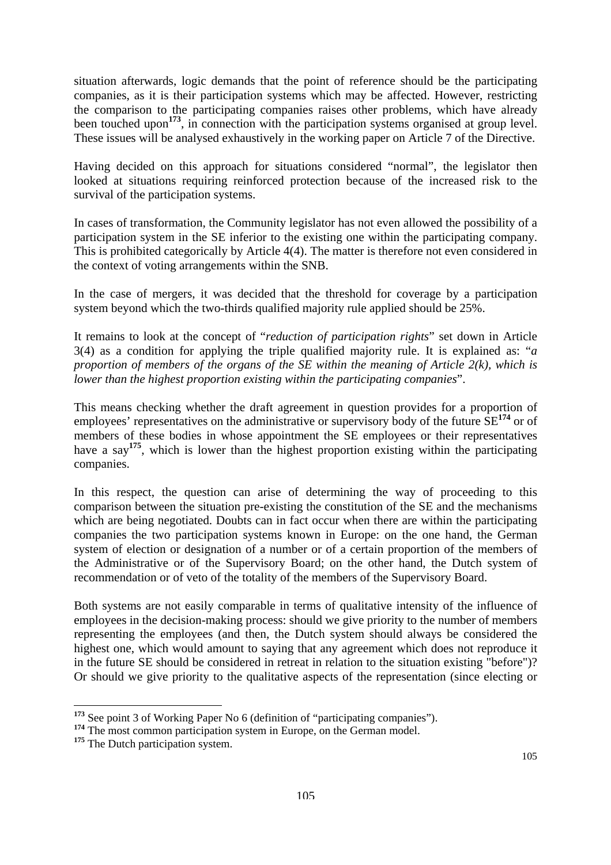situation afterwards, logic demands that the point of reference should be the participating companies, as it is their participation systems which may be affected. However, restricting the comparison to the participating companies raises other problems, which have already been touched upon<sup>[173](#page-103-0)</sup>, in connection with the participation systems organised at group level. These issues will be analysed exhaustively in the working paper on Article 7 of the Directive.

Having decided on this approach for situations considered "normal", the legislator then looked at situations requiring reinforced protection because of the increased risk to the survival of the participation systems.

In cases of transformation, the Community legislator has not even allowed the possibility of a participation system in the SE inferior to the existing one within the participating company. This is prohibited categorically by Article 4(4). The matter is therefore not even considered in the context of voting arrangements within the SNB.

In the case of mergers, it was decided that the threshold for coverage by a participation system beyond which the two-thirds qualified majority rule applied should be 25%.

It remains to look at the concept of "*reduction of participation rights*" set down in Article 3(4) as a condition for applying the triple qualified majority rule. It is explained as: "*a proportion of members of the organs of the SE within the meaning of Article 2(k), which is lower than the highest proportion existing within the participating companies*".

This means checking whether the draft agreement in question provides for a proportion of employees' representatives on the administrative or supervisory body of the future SE**[174](#page-103-1)** or of members of these bodies in whose appointment the SE employees or their representatives have a say**[175](#page-103-2)**, which is lower than the highest proportion existing within the participating companies.

In this respect, the question can arise of determining the way of proceeding to this comparison between the situation pre-existing the constitution of the SE and the mechanisms which are being negotiated. Doubts can in fact occur when there are within the participating companies the two participation systems known in Europe: on the one hand, the German system of election or designation of a number or of a certain proportion of the members of the Administrative or of the Supervisory Board; on the other hand, the Dutch system of recommendation or of veto of the totality of the members of the Supervisory Board.

Both systems are not easily comparable in terms of qualitative intensity of the influence of employees in the decision-making process: should we give priority to the number of members representing the employees (and then, the Dutch system should always be considered the highest one, which would amount to saying that any agreement which does not reproduce it in the future SE should be considered in retreat in relation to the situation existing "before")? Or should we give priority to the qualitative aspects of the representation (since electing or

<span id="page-103-0"></span>**<sup>173</sup>** See point 3 of Working Paper No 6 (definition of "participating companies").

<span id="page-103-1"></span><sup>&</sup>lt;sup>174</sup> The most common participation system in Europe, on the German model.

<span id="page-103-2"></span><sup>&</sup>lt;sup>175</sup> The Dutch participation system.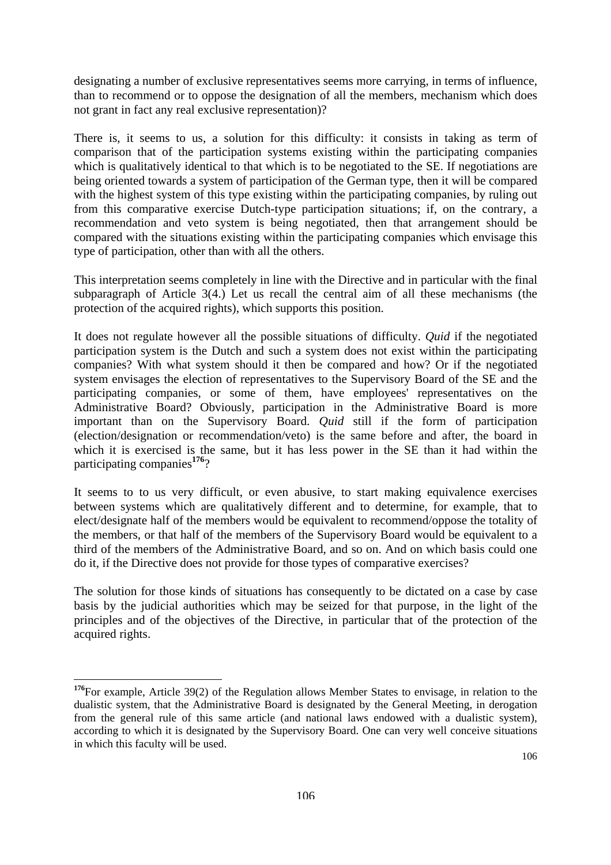designating a number of exclusive representatives seems more carrying, in terms of influence, than to recommend or to oppose the designation of all the members, mechanism which does not grant in fact any real exclusive representation)?

There is, it seems to us, a solution for this difficulty: it consists in taking as term of comparison that of the participation systems existing within the participating companies which is qualitatively identical to that which is to be negotiated to the SE. If negotiations are being oriented towards a system of participation of the German type, then it will be compared with the highest system of this type existing within the participating companies, by ruling out from this comparative exercise Dutch-type participation situations; if, on the contrary, a recommendation and veto system is being negotiated, then that arrangement should be compared with the situations existing within the participating companies which envisage this type of participation, other than with all the others.

This interpretation seems completely in line with the Directive and in particular with the final subparagraph of Article 3(4.) Let us recall the central aim of all these mechanisms (the protection of the acquired rights), which supports this position.

It does not regulate however all the possible situations of difficulty. *Quid* if the negotiated participation system is the Dutch and such a system does not exist within the participating companies? With what system should it then be compared and how? Or if the negotiated system envisages the election of representatives to the Supervisory Board of the SE and the participating companies, or some of them, have employees' representatives on the Administrative Board? Obviously, participation in the Administrative Board is more important than on the Supervisory Board. *Quid* still if the form of participation (election/designation or recommendation/veto) is the same before and after, the board in which it is exercised is the same, but it has less power in the SE than it had within the participating companies**[176](#page-104-0)**?

It seems to to us very difficult, or even abusive, to start making equivalence exercises between systems which are qualitatively different and to determine, for example, that to elect/designate half of the members would be equivalent to recommend/oppose the totality of the members, or that half of the members of the Supervisory Board would be equivalent to a third of the members of the Administrative Board, and so on. And on which basis could one do it, if the Directive does not provide for those types of comparative exercises?

The solution for those kinds of situations has consequently to be dictated on a case by case basis by the judicial authorities which may be seized for that purpose, in the light of the principles and of the objectives of the Directive, in particular that of the protection of the acquired rights.

<span id="page-104-0"></span>**<sup>176</sup>**For example, Article 39(2) of the Regulation allows Member States to envisage, in relation to the dualistic system, that the Administrative Board is designated by the General Meeting, in derogation from the general rule of this same article (and national laws endowed with a dualistic system), according to which it is designated by the Supervisory Board. One can very well conceive situations in which this faculty will be used.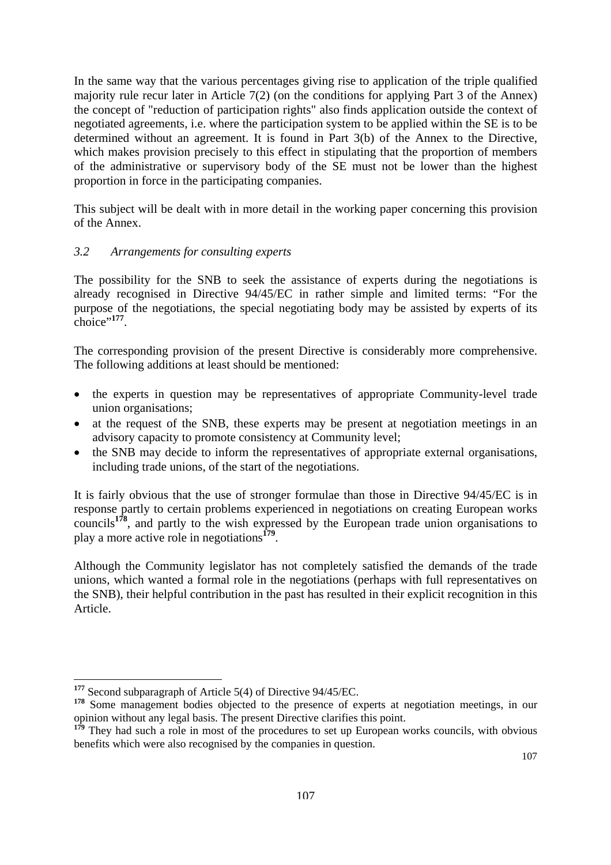In the same way that the various percentages giving rise to application of the triple qualified majority rule recur later in Article 7(2) (on the conditions for applying Part 3 of the Annex) the concept of "reduction of participation rights" also finds application outside the context of negotiated agreements, i.e. where the participation system to be applied within the SE is to be determined without an agreement. It is found in Part 3(b) of the Annex to the Directive, which makes provision precisely to this effect in stipulating that the proportion of members of the administrative or supervisory body of the SE must not be lower than the highest proportion in force in the participating companies.

This subject will be dealt with in more detail in the working paper concerning this provision of the Annex.

### *3.2 Arrangements for consulting experts*

The possibility for the SNB to seek the assistance of experts during the negotiations is already recognised in Directive 94/45/EC in rather simple and limited terms: "For the purpose of the negotiations, the special negotiating body may be assisted by experts of its choice"**[177](#page-105-0)**.

The corresponding provision of the present Directive is considerably more comprehensive. The following additions at least should be mentioned:

- the experts in question may be representatives of appropriate Community-level trade union organisations;
- at the request of the SNB, these experts may be present at negotiation meetings in an advisory capacity to promote consistency at Community level;
- the SNB may decide to inform the representatives of appropriate external organisations, including trade unions, of the start of the negotiations.

It is fairly obvious that the use of stronger formulae than those in Directive 94/45/EC is in response partly to certain problems experienced in negotiations on creating European works councils**[178](#page-105-1)**, and partly to the wish expressed by the European trade union organisations to play a more active role in negotiations**[179](#page-105-2)**.

Although the Community legislator has not completely satisfied the demands of the trade unions, which wanted a formal role in the negotiations (perhaps with full representatives on the SNB), their helpful contribution in the past has resulted in their explicit recognition in this Article.

<span id="page-105-0"></span>**<sup>177</sup>** Second subparagraph of Article 5(4) of Directive 94/45/EC.

<span id="page-105-1"></span><sup>&</sup>lt;sup>178</sup> Some management bodies objected to the presence of experts at negotiation meetings, in our opinion without any legal basis. The present Directive clarifies this point.

<span id="page-105-2"></span><sup>&</sup>lt;sup>179</sup> They had such a role in most of the procedures to set up European works councils, with obvious benefits which were also recognised by the companies in question.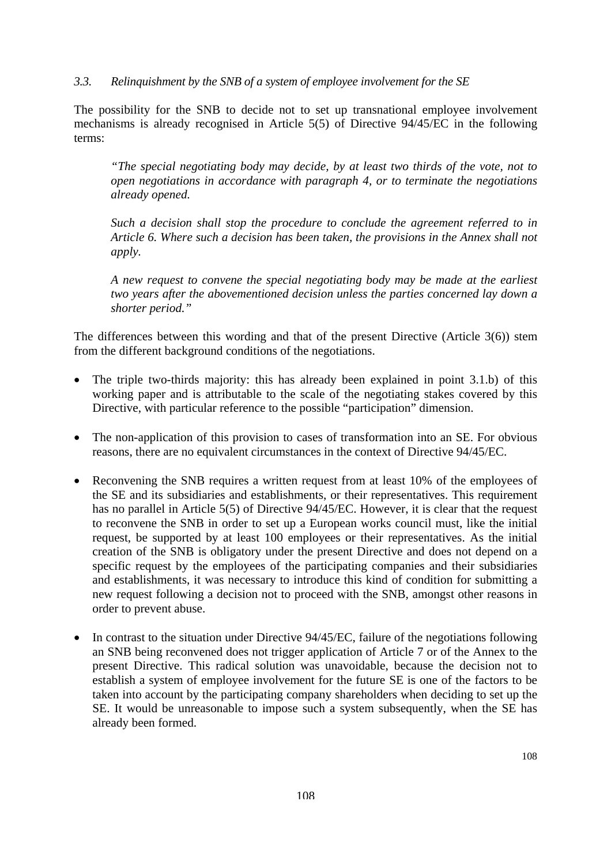#### *3.3. Relinquishment by the SNB of a system of employee involvement for the SE*

The possibility for the SNB to decide not to set up transnational employee involvement mechanisms is already recognised in Article 5(5) of Directive 94/45/EC in the following terms:

*"The special negotiating body may decide, by at least two thirds of the vote, not to open negotiations in accordance with paragraph 4, or to terminate the negotiations already opened.* 

*Such a decision shall stop the procedure to conclude the agreement referred to in Article 6. Where such a decision has been taken, the provisions in the Annex shall not apply.* 

*A new request to convene the special negotiating body may be made at the earliest two years after the abovementioned decision unless the parties concerned lay down a shorter period."* 

The differences between this wording and that of the present Directive (Article 3(6)) stem from the different background conditions of the negotiations.

- The triple two-thirds majority: this has already been explained in point 3.1.b) of this working paper and is attributable to the scale of the negotiating stakes covered by this Directive, with particular reference to the possible "participation" dimension.
- The non-application of this provision to cases of transformation into an SE. For obvious reasons, there are no equivalent circumstances in the context of Directive 94/45/EC.
- Reconvening the SNB requires a written request from at least 10% of the employees of the SE and its subsidiaries and establishments, or their representatives. This requirement has no parallel in Article 5(5) of Directive 94/45/EC. However, it is clear that the request to reconvene the SNB in order to set up a European works council must, like the initial request, be supported by at least 100 employees or their representatives. As the initial creation of the SNB is obligatory under the present Directive and does not depend on a specific request by the employees of the participating companies and their subsidiaries and establishments, it was necessary to introduce this kind of condition for submitting a new request following a decision not to proceed with the SNB, amongst other reasons in order to prevent abuse.
- In contrast to the situation under Directive 94/45/EC, failure of the negotiations following an SNB being reconvened does not trigger application of Article 7 or of the Annex to the present Directive. This radical solution was unavoidable, because the decision not to establish a system of employee involvement for the future SE is one of the factors to be taken into account by the participating company shareholders when deciding to set up the SE. It would be unreasonable to impose such a system subsequently, when the SE has already been formed.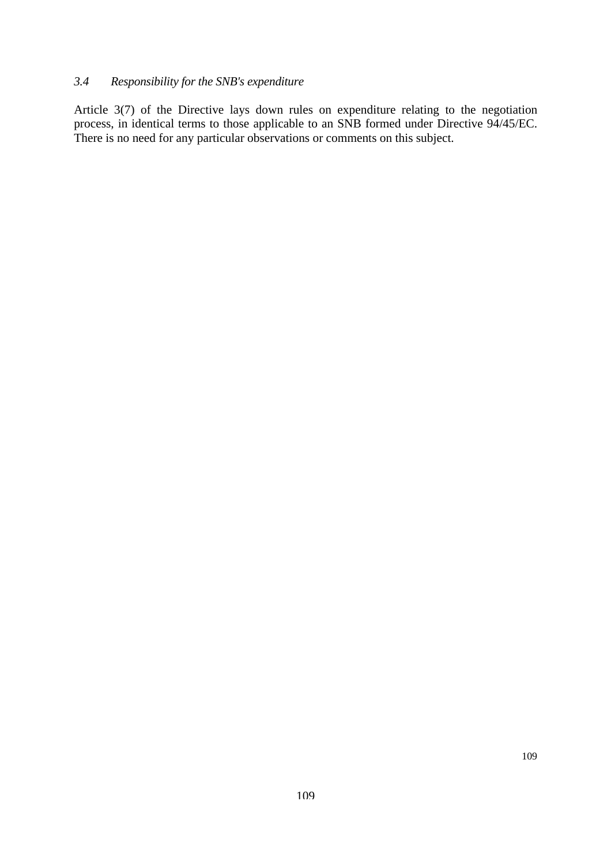# *3.4 Responsibility for the SNB's expenditure*

Article 3(7) of the Directive lays down rules on expenditure relating to the negotiation process, in identical terms to those applicable to an SNB formed under Directive 94/45/EC. There is no need for any particular observations or comments on this subject.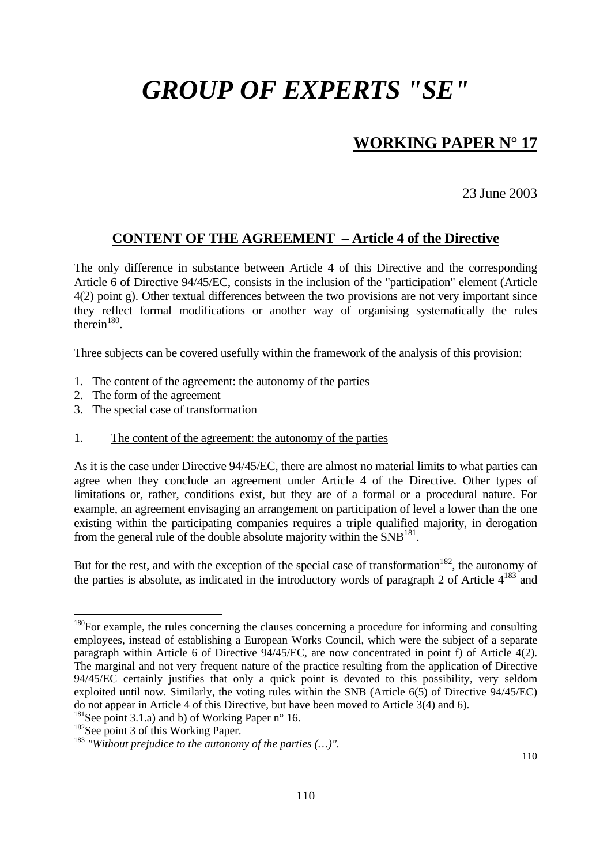# **WORKING PAPER N° 17**

23 June 2003

## **CONTENT OF THE AGREEMENT – Article 4 of the Directive**

The only difference in substance between Article 4 of this Directive and the corresponding Article 6 of Directive 94/45/EC, consists in the inclusion of the "participation" element (Article 4(2) point g). Other textual differences between the two provisions are not very important since they reflect formal modifications or another way of organising systematically the rules  $t$ herein<sup>180</sup>.

Three subjects can be covered usefully within the framework of the analysis of this provision:

- 1. The content of the agreement: the autonomy of the parties
- 2. The form of the agreement
- 3. The special case of transformation
- 1. The content of the agreement: the autonomy of the parties

As it is the case under Directive 94/45/EC, there are almost no material limits to what parties can agree when they conclude an agreement under Article 4 of the Directive. Other types of limitations or, rather, conditions exist, but they are of a formal or a procedural nature. For example, an agreement envisaging an arrangement on participation of level a lower than the one existing within the participating companies requires a triple qualified majority, in derogation from the general rule of the double absolute majority within the  $SNB<sup>181</sup>$ .

But for the rest, and with the exception of the special case of transformation<sup>182</sup>, the autonomy of the parties is absolute, as indicated in the introductory words of paragraph 2 of Article  $4^{183}$  and

<span id="page-108-0"></span><sup>&</sup>lt;sup>180</sup>For example, the rules concerning the clauses concerning a procedure for informing and consulting employees, instead of establishing a European Works Council, which were the subject of a separate paragraph within Article 6 of Directive 94/45/EC, are now concentrated in point f) of Article 4(2). The marginal and not very frequent nature of the practice resulting from the application of Directive 94/45/EC certainly justifies that only a quick point is devoted to this possibility, very seldom exploited until now. Similarly, the voting rules within the SNB (Article  $6(5)$  of Directive 94/45/EC) do not appear in Article 4 of this Directive, but have been moved to Article 3(4) and 6).

<span id="page-108-1"></span><sup>&</sup>lt;sup>181</sup>See point 3.1.a) and b) of Working Paper n° 16.

<span id="page-108-2"></span><sup>&</sup>lt;sup>182</sup>See point 3 of this Working Paper.

<span id="page-108-3"></span><sup>183</sup> *"Without prejudice to the autonomy of the parties (…)".*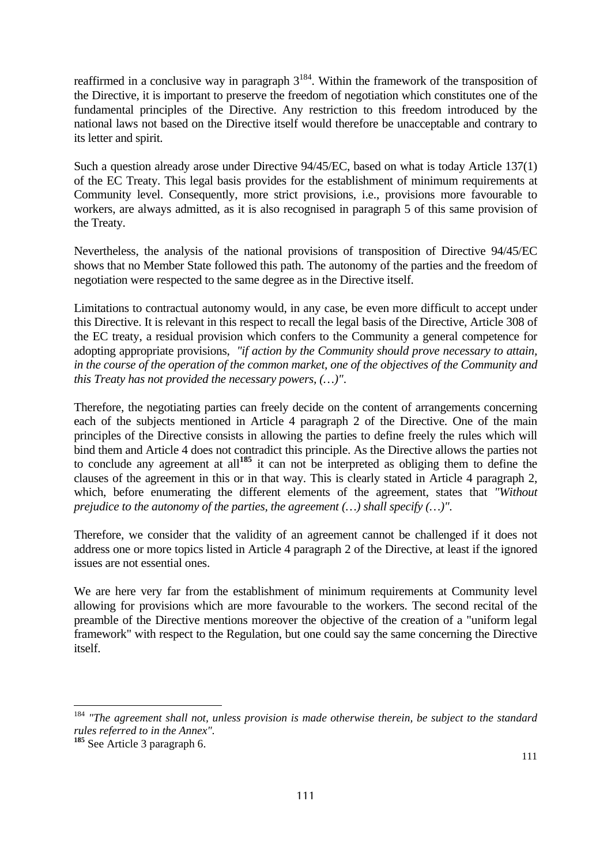reaffirmed in a conclusive way in paragraph  $3^{184}$ . Within the framework of the transposition of the Directive, it is important to preserve the freedom of negotiation which constitutes one of the fundamental principles of the Directive. Any restriction to this freedom introduced by the national laws not based on the Directive itself would therefore be unacceptable and contrary to its letter and spirit.

Such a question already arose under Directive 94/45/EC, based on what is today Article 137(1) of the EC Treaty. This legal basis provides for the establishment of minimum requirements at Community level. Consequently, more strict provisions, i.e., provisions more favourable to workers, are always admitted, as it is also recognised in paragraph 5 of this same provision of the Treaty.

Nevertheless, the analysis of the national provisions of transposition of Directive 94/45/EC shows that no Member State followed this path. The autonomy of the parties and the freedom of negotiation were respected to the same degree as in the Directive itself.

Limitations to contractual autonomy would, in any case, be even more difficult to accept under this Directive. It is relevant in this respect to recall the legal basis of the Directive, Article 308 of the EC treaty, a residual provision which confers to the Community a general competence for adopting appropriate provisions, *"if action by the Community should prove necessary to attain, in the course of the operation of the common market, one of the objectives of the Community and this Treaty has not provided the necessary powers, (…)"*.

Therefore, the negotiating parties can freely decide on the content of arrangements concerning each of the subjects mentioned in Article 4 paragraph 2 of the Directive. One of the main principles of the Directive consists in allowing the parties to define freely the rules which will bind them and Article 4 does not contradict this principle. As the Directive allows the parties not to conclude any agreement at all**[185](#page-109-1)** it can not be interpreted as obliging them to define the clauses of the agreement in this or in that way. This is clearly stated in Article 4 paragraph 2, which, before enumerating the different elements of the agreement, states that *"Without prejudice to the autonomy of the parties, the agreement (…) shall specify (…)"*.

Therefore, we consider that the validity of an agreement cannot be challenged if it does not address one or more topics listed in Article 4 paragraph 2 of the Directive, at least if the ignored issues are not essential ones.

We are here very far from the establishment of minimum requirements at Community level allowing for provisions which are more favourable to the workers. The second recital of the preamble of the Directive mentions moreover the objective of the creation of a "uniform legal framework" with respect to the Regulation, but one could say the same concerning the Directive itself.

<span id="page-109-0"></span><sup>184</sup> *"The agreement shall not, unless provision is made otherwise therein, be subject to the standard rules referred to in the Annex"*. **<sup>185</sup>** See Article 3 paragraph 6.

<span id="page-109-1"></span>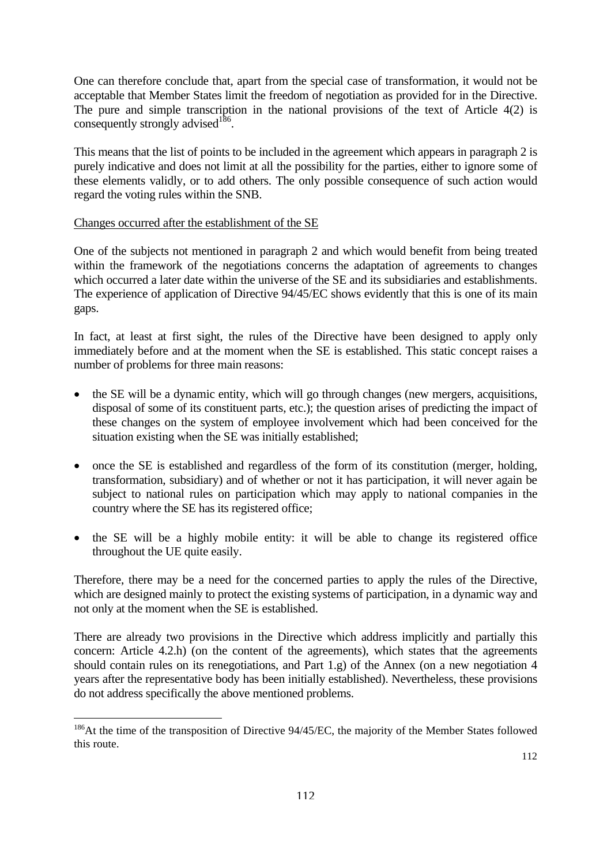One can therefore conclude that, apart from the special case of transformation, it would not be acceptable that Member States limit the freedom of negotiation as provided for in the Directive. The pure and simple transcription in the national provisions of the text of Article 4(2) is consequently strongly advised<sup>186</sup>.

This means that the list of points to be included in the agreement which appears in paragraph 2 is purely indicative and does not limit at all the possibility for the parties, either to ignore some of these elements validly, or to add others. The only possible consequence of such action would regard the voting rules within the SNB.

#### Changes occurred after the establishment of the SE

 $\overline{a}$ 

One of the subjects not mentioned in paragraph 2 and which would benefit from being treated within the framework of the negotiations concerns the adaptation of agreements to changes which occurred a later date within the universe of the SE and its subsidiaries and establishments. The experience of application of Directive 94/45/EC shows evidently that this is one of its main gaps.

In fact, at least at first sight, the rules of the Directive have been designed to apply only immediately before and at the moment when the SE is established. This static concept raises a number of problems for three main reasons:

- the SE will be a dynamic entity, which will go through changes (new mergers, acquisitions, disposal of some of its constituent parts, etc.); the question arises of predicting the impact of these changes on the system of employee involvement which had been conceived for the situation existing when the SE was initially established;
- once the SE is established and regardless of the form of its constitution (merger, holding, transformation, subsidiary) and of whether or not it has participation, it will never again be subject to national rules on participation which may apply to national companies in the country where the SE has its registered office;
- the SE will be a highly mobile entity: it will be able to change its registered office throughout the UE quite easily.

Therefore, there may be a need for the concerned parties to apply the rules of the Directive, which are designed mainly to protect the existing systems of participation, in a dynamic way and not only at the moment when the SE is established.

There are already two provisions in the Directive which address implicitly and partially this concern: Article 4.2.h) (on the content of the agreements), which states that the agreements should contain rules on its renegotiations, and Part 1.g) of the Annex (on a new negotiation 4 years after the representative body has been initially established). Nevertheless, these provisions do not address specifically the above mentioned problems.

<span id="page-110-0"></span><sup>&</sup>lt;sup>186</sup>At the time of the transposition of Directive 94/45/EC, the majority of the Member States followed this route.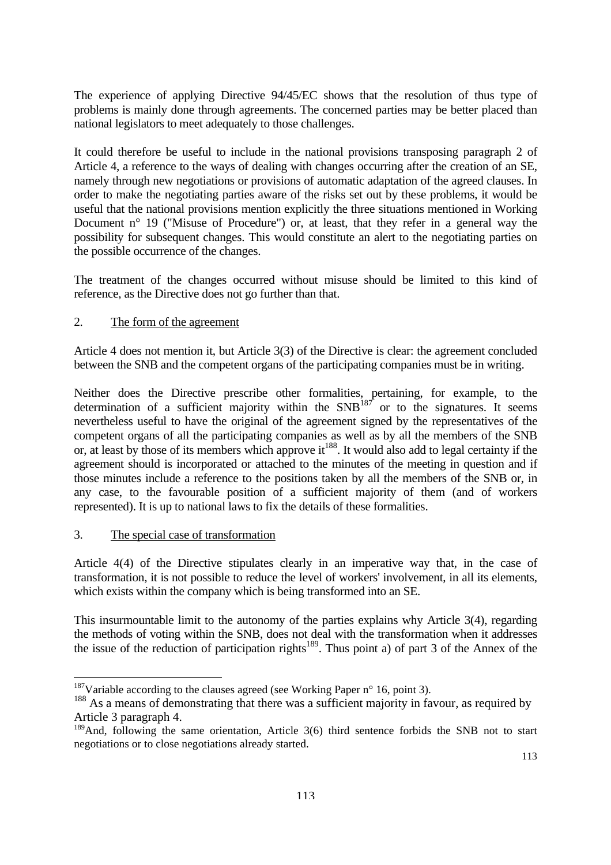The experience of applying Directive 94/45/EC shows that the resolution of thus type of problems is mainly done through agreements. The concerned parties may be better placed than national legislators to meet adequately to those challenges.

It could therefore be useful to include in the national provisions transposing paragraph 2 of Article 4, a reference to the ways of dealing with changes occurring after the creation of an SE, namely through new negotiations or provisions of automatic adaptation of the agreed clauses. In order to make the negotiating parties aware of the risks set out by these problems, it would be useful that the national provisions mention explicitly the three situations mentioned in Working Document n<sup>o</sup> 19 ("Misuse of Procedure") or, at least, that they refer in a general way the possibility for subsequent changes. This would constitute an alert to the negotiating parties on the possible occurrence of the changes.

The treatment of the changes occurred without misuse should be limited to this kind of reference, as the Directive does not go further than that.

#### 2. The form of the agreement

Article 4 does not mention it, but Article 3(3) of the Directive is clear: the agreement concluded between the SNB and the competent organs of the participating companies must be in writing.

Neither does the Directive prescribe other formalities, pertaining, for example, to the determination of a sufficient majority within the  $SNB<sup>187</sup>$  or to the signatures. It seems nevertheless useful to have the original of the agreement signed by the representatives of the competent organs of all the participating companies as well as by all the members of the SNB or, at least by those of its members which approve it<sup>188</sup>. It would also add to legal certainty if the agreement should is incorporated or attached to the minutes of the meeting in question and if those minutes include a reference to the positions taken by all the members of the SNB or, in any case, to the favourable position of a sufficient majority of them (and of workers represented). It is up to national laws to fix the details of these formalities.

#### 3. The special case of transformation

 $\overline{a}$ 

Article 4(4) of the Directive stipulates clearly in an imperative way that, in the case of transformation, it is not possible to reduce the level of workers' involvement, in all its elements, which exists within the company which is being transformed into an SE.

This insurmountable limit to the autonomy of the parties explains why Article 3(4), regarding the methods of voting within the SNB, does not deal with the transformation when it addresses the issue of the reduction of participation rights<sup>189</sup>. Thus point a) of part 3 of the Annex of the

<span id="page-111-0"></span><sup>&</sup>lt;sup>187</sup>Variable according to the clauses agreed (see Working Paper  $n^{\circ}$  16, point 3).

<span id="page-111-1"></span><sup>&</sup>lt;sup>188</sup> As a means of demonstrating that there was a sufficient majority in favour, as required by Article 3 paragraph 4.

<span id="page-111-2"></span><sup>&</sup>lt;sup>189</sup>And, following the same orientation, Article 3(6) third sentence forbids the SNB not to start negotiations or to close negotiations already started.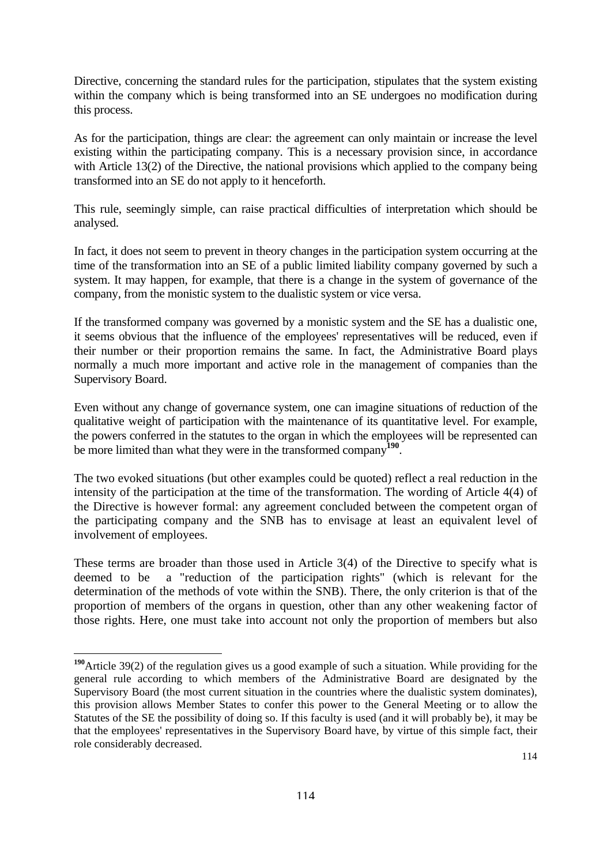Directive, concerning the standard rules for the participation, stipulates that the system existing within the company which is being transformed into an SE undergoes no modification during this process.

As for the participation, things are clear: the agreement can only maintain or increase the level existing within the participating company. This is a necessary provision since, in accordance with Article 13(2) of the Directive, the national provisions which applied to the company being transformed into an SE do not apply to it henceforth.

This rule, seemingly simple, can raise practical difficulties of interpretation which should be analysed.

In fact, it does not seem to prevent in theory changes in the participation system occurring at the time of the transformation into an SE of a public limited liability company governed by such a system. It may happen, for example, that there is a change in the system of governance of the company, from the monistic system to the dualistic system or vice versa.

If the transformed company was governed by a monistic system and the SE has a dualistic one, it seems obvious that the influence of the employees' representatives will be reduced, even if their number or their proportion remains the same. In fact, the Administrative Board plays normally a much more important and active role in the management of companies than the Supervisory Board.

Even without any change of governance system, one can imagine situations of reduction of the qualitative weight of participation with the maintenance of its quantitative level. For example, the powers conferred in the statutes to the organ in which the employees will be represented can be more limited than what they were in the transformed company**[190](#page-112-0)**.

The two evoked situations (but other examples could be quoted) reflect a real reduction in the intensity of the participation at the time of the transformation. The wording of Article 4(4) of the Directive is however formal: any agreement concluded between the competent organ of the participating company and the SNB has to envisage at least an equivalent level of involvement of employees.

These terms are broader than those used in Article 3(4) of the Directive to specify what is deemed to be a "reduction of the participation rights" (which is relevant for the determination of the methods of vote within the SNB). There, the only criterion is that of the proportion of members of the organs in question, other than any other weakening factor of those rights. Here, one must take into account not only the proportion of members but also

<span id="page-112-0"></span>**<sup>190</sup>**Article 39(2) of the regulation gives us a good example of such a situation. While providing for the general rule according to which members of the Administrative Board are designated by the Supervisory Board (the most current situation in the countries where the dualistic system dominates), this provision allows Member States to confer this power to the General Meeting or to allow the Statutes of the SE the possibility of doing so. If this faculty is used (and it will probably be), it may be that the employees' representatives in the Supervisory Board have, by virtue of this simple fact, their role considerably decreased.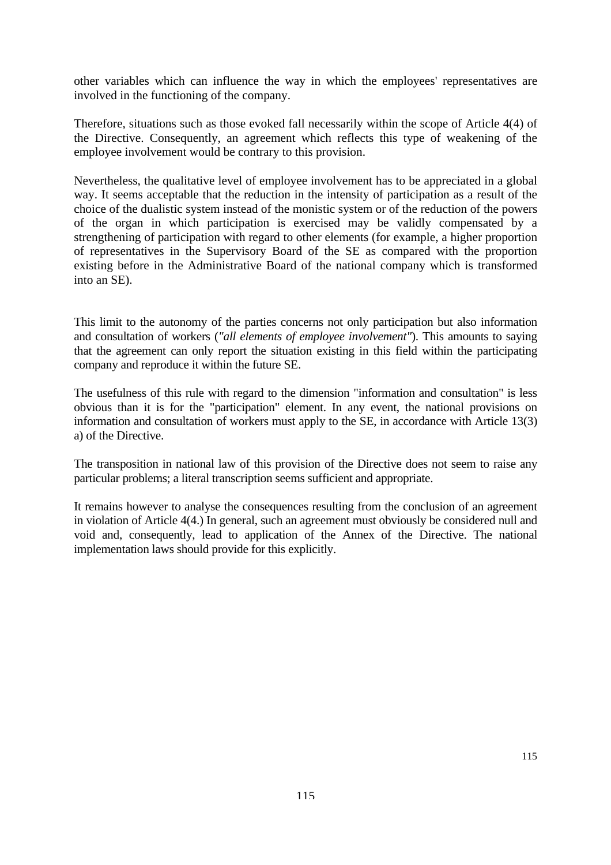other variables which can influence the way in which the employees' representatives are involved in the functioning of the company.

Therefore, situations such as those evoked fall necessarily within the scope of Article 4(4) of the Directive. Consequently, an agreement which reflects this type of weakening of the employee involvement would be contrary to this provision.

Nevertheless, the qualitative level of employee involvement has to be appreciated in a global way. It seems acceptable that the reduction in the intensity of participation as a result of the choice of the dualistic system instead of the monistic system or of the reduction of the powers of the organ in which participation is exercised may be validly compensated by a strengthening of participation with regard to other elements (for example, a higher proportion of representatives in the Supervisory Board of the SE as compared with the proportion existing before in the Administrative Board of the national company which is transformed into an SE).

This limit to the autonomy of the parties concerns not only participation but also information and consultation of workers (*"all elements of employee involvement"*). This amounts to saying that the agreement can only report the situation existing in this field within the participating company and reproduce it within the future SE.

The usefulness of this rule with regard to the dimension "information and consultation" is less obvious than it is for the "participation" element. In any event, the national provisions on information and consultation of workers must apply to the SE, in accordance with Article 13(3) a) of the Directive.

The transposition in national law of this provision of the Directive does not seem to raise any particular problems; a literal transcription seems sufficient and appropriate.

It remains however to analyse the consequences resulting from the conclusion of an agreement in violation of Article 4(4.) In general, such an agreement must obviously be considered null and void and, consequently, lead to application of the Annex of the Directive. The national implementation laws should provide for this explicitly.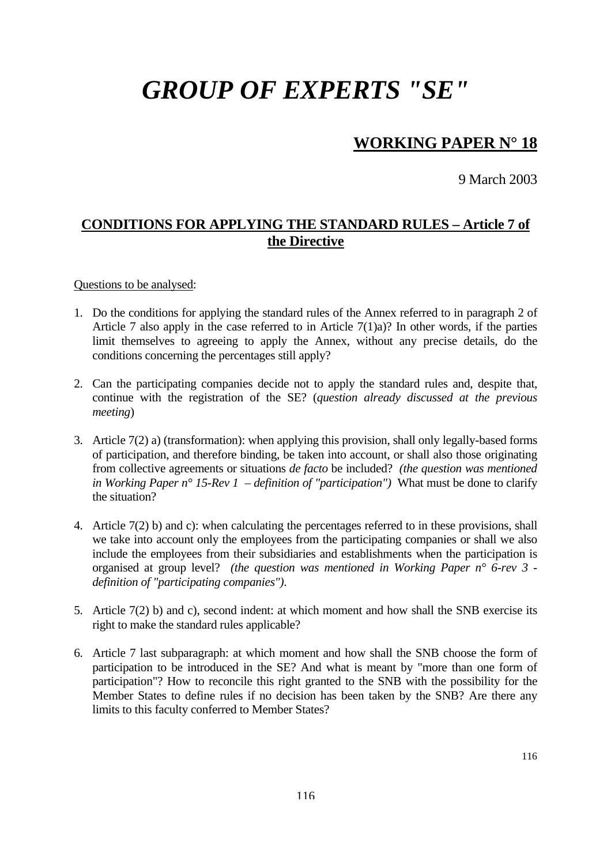## **WORKING PAPER N° 18**

9 March 2003

## **CONDITIONS FOR APPLYING THE STANDARD RULES – Article 7 of the Directive**

Questions to be analysed:

- 1. Do the conditions for applying the standard rules of the Annex referred to in paragraph 2 of Article 7 also apply in the case referred to in Article 7(1)a)? In other words, if the parties limit themselves to agreeing to apply the Annex, without any precise details, do the conditions concerning the percentages still apply?
- 2. Can the participating companies decide not to apply the standard rules and, despite that, continue with the registration of the SE? (*question already discussed at the previous meeting*)
- 3. Article 7(2) a) (transformation): when applying this provision, shall only legally-based forms of participation, and therefore binding, be taken into account, or shall also those originating from collective agreements or situations *de facto* be included? *(the question was mentioned in Working Paper n° 15-Rev 1 – definition of "participation")* What must be done to clarify the situation?
- 4. Article 7(2) b) and c): when calculating the percentages referred to in these provisions, shall we take into account only the employees from the participating companies or shall we also include the employees from their subsidiaries and establishments when the participation is organised at group level? *(the question was mentioned in Working Paper n° 6-rev 3 definition of "participating companies")*.
- 5. Article 7(2) b) and c), second indent: at which moment and how shall the SNB exercise its right to make the standard rules applicable?
- 6. Article 7 last subparagraph: at which moment and how shall the SNB choose the form of participation to be introduced in the SE? And what is meant by "more than one form of participation"? How to reconcile this right granted to the SNB with the possibility for the Member States to define rules if no decision has been taken by the SNB? Are there any limits to this faculty conferred to Member States?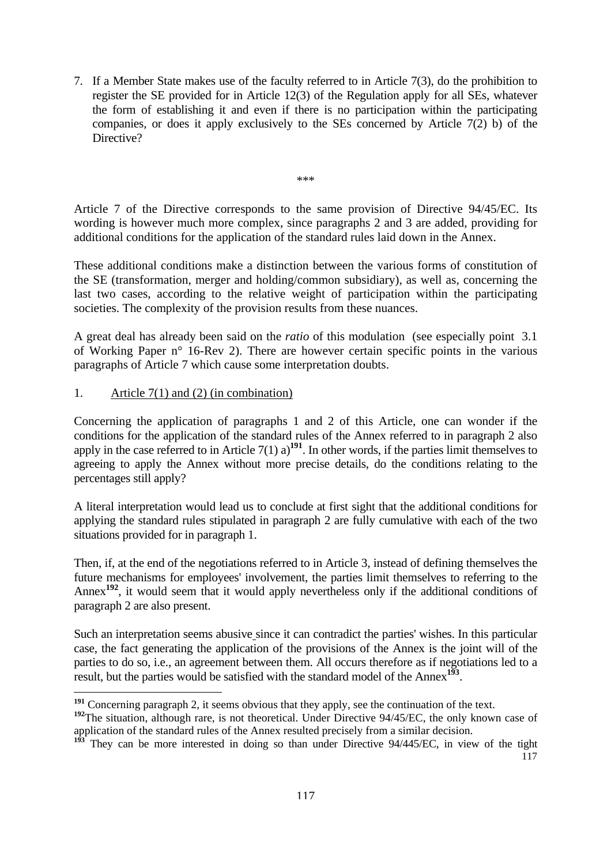<span id="page-115-2"></span>7. If a Member State makes use of the faculty referred to in Article 7(3), do the prohibition to register the SE provided for in Article 12(3) of the Regulation apply for all SEs, whatever the form of establishing it and even if there is no participation within the participating companies, or does it apply exclusively to the SEs concerned by Article 7(2) b) of the Directive?

Article 7 of the Directive corresponds to the same provision of Directive 94/45/EC. Its wording is however much more complex, since paragraphs 2 and 3 are added, providing for additional conditions for the application of the standard rules laid down in the Annex.

\*\*\*

These additional conditions make a distinction between the various forms of constitution of the SE (transformation, merger and holding/common subsidiary), as well as, concerning the last two cases, according to the relative weight of participation within the participating societies. The complexity of the provision results from these nuances.

A great deal has already been said on the *ratio* of this modulation (see especially point 3.1 of Working Paper n° 16-Rev 2). There are however certain specific points in the various paragraphs of Article 7 which cause some interpretation doubts.

1. Article 7(1) and (2) (in combination)

Concerning the application of paragraphs 1 and 2 of this Article, one can wonder if the conditions for the application of the standard rules of the Annex referred to in paragraph 2 also apply in the case referred to in Article  $7(1)$  a)<sup>[191](#page-115-0)</sup>. In other words, if the parties limit themselves to agreeing to apply the Annex without more precise details, do the conditions relating to the percentages still apply?

A literal interpretation would lead us to conclude at first sight that the additional conditions for applying the standard rules stipulated in paragraph 2 are fully cumulative with each of the two situations provided for in paragraph 1.

Then, if, at the end of the negotiations referred to in Article 3, instead of defining themselves the future mechanisms for employees' involvement, the parties limit themselves to referring to the Annex**[192](#page-115-1)**, it would seem that it would apply nevertheless only if the additional conditions of paragraph 2 are also present.

Such an interpretation seems abusive since it can contradict the parties' wishes. In this particular case, the fact generating the application of the provisions of the Annex is the joint will of the parties to do so, i.e., an agreement between them. All occurs therefore as if negotiations led to a result, but the parties would be satisfied with the standard model of the Annex**[193](#page-115-2)**.

<span id="page-115-0"></span> $\overline{a}$ **<sup>191</sup>** Concerning paragraph 2, it seems obvious that they apply, see the continuation of the text.

<span id="page-115-1"></span><sup>&</sup>lt;sup>192</sup>The situation, although rare, is not theoretical. Under Directive 94/45/EC, the only known case of application of the standard rules of the Annex resulted precisely from a similar decision.

<sup>117</sup> **<sup>193</sup>** They can be more interested in doing so than under Directive 94/445/EC, in view of the tight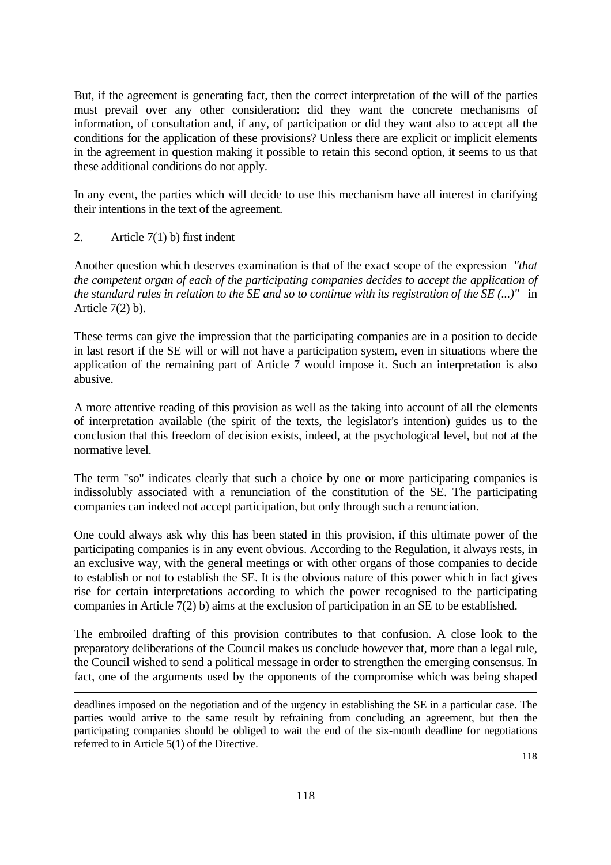But, if the agreement is generating fact, then the correct interpretation of the will of the parties must prevail over any other consideration: did they want the concrete mechanisms of information, of consultation and, if any, of participation or did they want also to accept all the conditions for the application of these provisions? Unless there are explicit or implicit elements in the agreement in question making it possible to retain this second option, it seems to us that these additional conditions do not apply.

In any event, the parties which will decide to use this mechanism have all interest in clarifying their intentions in the text of the agreement.

#### 2. Article 7(1) b) first indent

 $\overline{a}$ 

Another question which deserves examination is that of the exact scope of the expression *"that the competent organ of each of the participating companies decides to accept the application of the standard rules in relation to the SE and so to continue with its registration of the SE (...)"* in Article  $7(2)$  b).

These terms can give the impression that the participating companies are in a position to decide in last resort if the SE will or will not have a participation system, even in situations where the application of the remaining part of Article 7 would impose it. Such an interpretation is also abusive.

A more attentive reading of this provision as well as the taking into account of all the elements of interpretation available (the spirit of the texts, the legislator's intention) guides us to the conclusion that this freedom of decision exists, indeed, at the psychological level, but not at the normative level.

The term "so" indicates clearly that such a choice by one or more participating companies is indissolubly associated with a renunciation of the constitution of the SE. The participating companies can indeed not accept participation, but only through such a renunciation.

One could always ask why this has been stated in this provision, if this ultimate power of the participating companies is in any event obvious. According to the Regulation, it always rests, in an exclusive way, with the general meetings or with other organs of those companies to decide to establish or not to establish the SE. It is the obvious nature of this power which in fact gives rise for certain interpretations according to which the power recognised to the participating companies in Article 7(2) b) aims at the exclusion of participation in an SE to be established.

The embroiled drafting of this provision contributes to that confusion. A close look to the preparatory deliberations of the Council makes us conclude however that, more than a legal rule, the Council wished to send a political message in order to strengthen the emerging consensus. In fact, one of the arguments used by the opponents of the compromise which was being shaped

deadlines imposed on the negotiation and of the urgency in establishing the SE in a particular case. The parties would arrive to the same result by refraining from concluding an agreement, but then the participating companies should be obliged to wait the end of the six-month deadline for negotiations referred to in Article 5(1) of the Directive.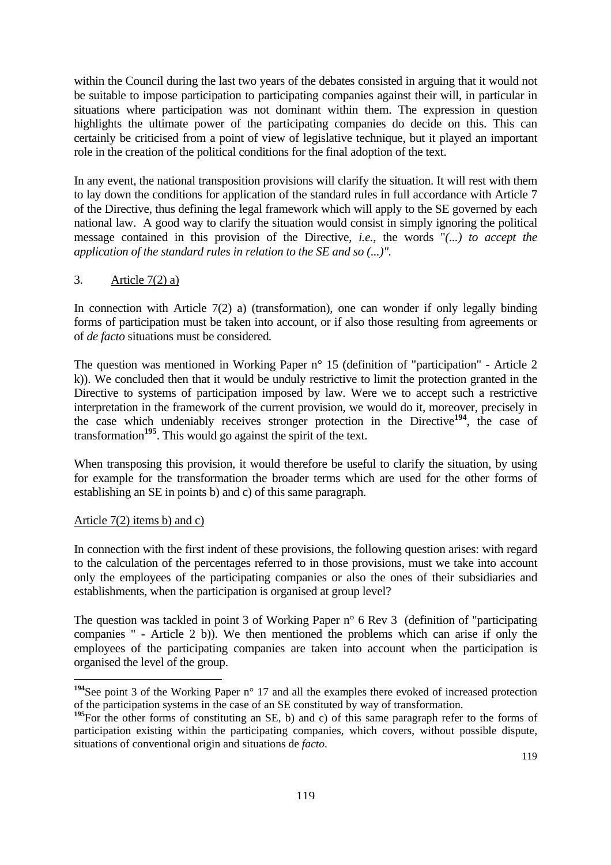within the Council during the last two years of the debates consisted in arguing that it would not be suitable to impose participation to participating companies against their will, in particular in situations where participation was not dominant within them. The expression in question highlights the ultimate power of the participating companies do decide on this. This can certainly be criticised from a point of view of legislative technique, but it played an important role in the creation of the political conditions for the final adoption of the text.

In any event, the national transposition provisions will clarify the situation. It will rest with them to lay down the conditions for application of the standard rules in full accordance with Article 7 of the Directive, thus defining the legal framework which will apply to the SE governed by each national law. A good way to clarify the situation would consist in simply ignoring the political message contained in this provision of the Directive, *i.e.*, the words "*(...) to accept the application of the standard rules in relation to the SE and so (...)".* 

### 3. Article 7(2) a)

In connection with Article  $7(2)$  a) (transformation), one can wonder if only legally binding forms of participation must be taken into account, or if also those resulting from agreements or of *de facto* situations must be considered*.* 

The question was mentioned in Working Paper n° 15 (definition of "participation" - Article 2 k)). We concluded then that it would be unduly restrictive to limit the protection granted in the Directive to systems of participation imposed by law. Were we to accept such a restrictive interpretation in the framework of the current provision, we would do it, moreover, precisely in the case which undeniably receives stronger protection in the Directive**[194](#page-117-0)**, the case of transformation**[195](#page-117-1)**. This would go against the spirit of the text.

When transposing this provision, it would therefore be useful to clarify the situation, by using for example for the transformation the broader terms which are used for the other forms of establishing an SE in points b) and c) of this same paragraph.

### Article 7(2) items b) and c)

 $\overline{a}$ 

In connection with the first indent of these provisions, the following question arises: with regard to the calculation of the percentages referred to in those provisions, must we take into account only the employees of the participating companies or also the ones of their subsidiaries and establishments, when the participation is organised at group level?

The question was tackled in point 3 of Working Paper n° 6 Rev 3 (definition of "participating companies " - Article 2 b)). We then mentioned the problems which can arise if only the employees of the participating companies are taken into account when the participation is organised the level of the group.

<span id="page-117-0"></span><sup>&</sup>lt;sup>194</sup>See point 3 of the Working Paper n<sup>o</sup> 17 and all the examples there evoked of increased protection of the participation systems in the case of an SE constituted by way of transformation.

<span id="page-117-1"></span><sup>&</sup>lt;sup>195</sup>For the other forms of constituting an SE, b) and c) of this same paragraph refer to the forms of participation existing within the participating companies, which covers, without possible dispute, situations of conventional origin and situations de *facto*.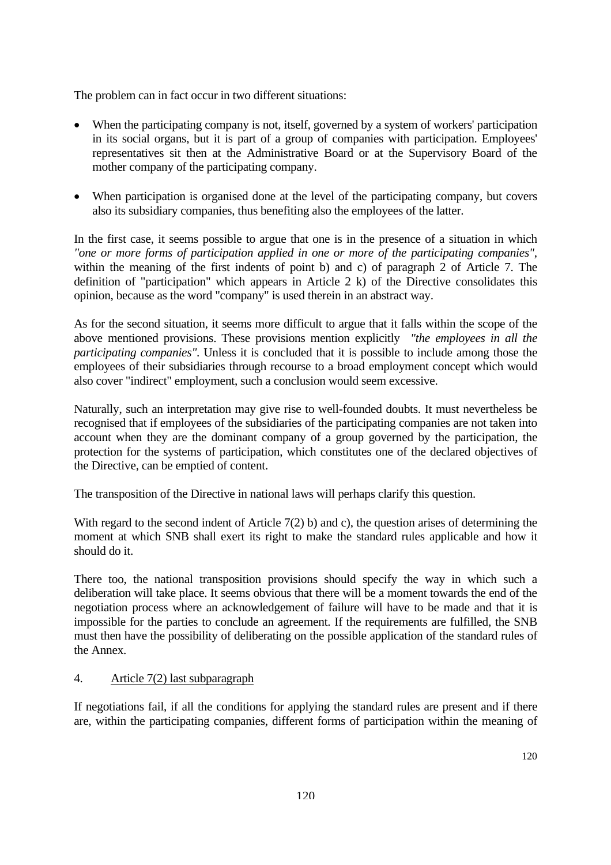The problem can in fact occur in two different situations:

- When the participating company is not, itself, governed by a system of workers' participation in its social organs, but it is part of a group of companies with participation. Employees' representatives sit then at the Administrative Board or at the Supervisory Board of the mother company of the participating company.
- When participation is organised done at the level of the participating company, but covers also its subsidiary companies, thus benefiting also the employees of the latter.

In the first case, it seems possible to argue that one is in the presence of a situation in which *"one or more forms of participation applied in one or more of the participating companies"*, within the meaning of the first indents of point b) and c) of paragraph 2 of Article 7. The definition of "participation" which appears in Article 2 k) of the Directive consolidates this opinion, because as the word "company" is used therein in an abstract way.

As for the second situation, it seems more difficult to argue that it falls within the scope of the above mentioned provisions. These provisions mention explicitly *"the employees in all the participating companies"*. Unless it is concluded that it is possible to include among those the employees of their subsidiaries through recourse to a broad employment concept which would also cover "indirect" employment, such a conclusion would seem excessive.

Naturally, such an interpretation may give rise to well-founded doubts. It must nevertheless be recognised that if employees of the subsidiaries of the participating companies are not taken into account when they are the dominant company of a group governed by the participation, the protection for the systems of participation, which constitutes one of the declared objectives of the Directive, can be emptied of content.

The transposition of the Directive in national laws will perhaps clarify this question.

With regard to the second indent of Article 7(2) b) and c), the question arises of determining the moment at which SNB shall exert its right to make the standard rules applicable and how it should do it.

There too, the national transposition provisions should specify the way in which such a deliberation will take place. It seems obvious that there will be a moment towards the end of the negotiation process where an acknowledgement of failure will have to be made and that it is impossible for the parties to conclude an agreement. If the requirements are fulfilled, the SNB must then have the possibility of deliberating on the possible application of the standard rules of the Annex.

#### 4. Article 7(2) last subparagraph

If negotiations fail, if all the conditions for applying the standard rules are present and if there are, within the participating companies, different forms of participation within the meaning of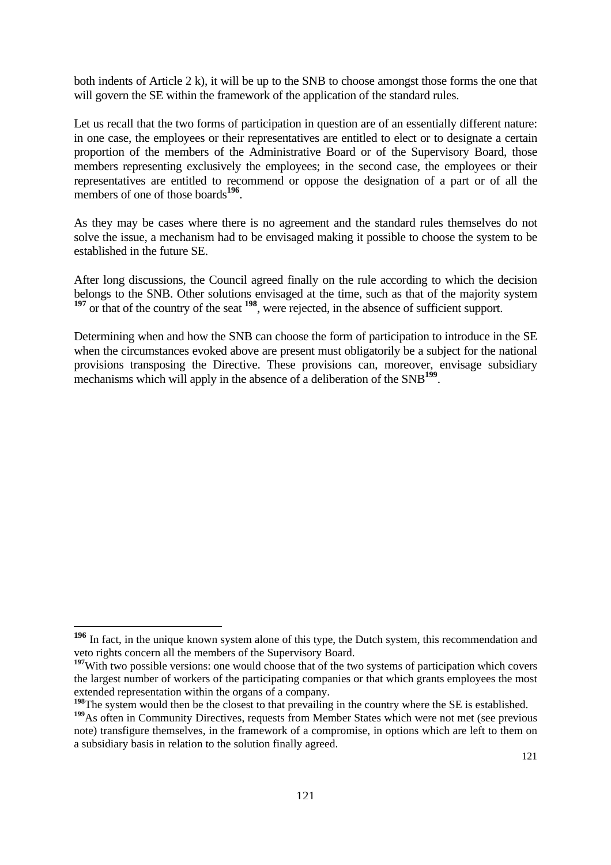both indents of Article 2 k), it will be up to the SNB to choose amongst those forms the one that will govern the SE within the framework of the application of the standard rules.

Let us recall that the two forms of participation in question are of an essentially different nature: in one case, the employees or their representatives are entitled to elect or to designate a certain proportion of the members of the Administrative Board or of the Supervisory Board, those members representing exclusively the employees; in the second case, the employees or their representatives are entitled to recommend or oppose the designation of a part or of all the members of one of those boards<sup>[196](#page-119-0)</sup>.

As they may be cases where there is no agreement and the standard rules themselves do not solve the issue, a mechanism had to be envisaged making it possible to choose the system to be established in the future SE.

After long discussions, the Council agreed finally on the rule according to which the decision belongs to the SNB. Other solutions envisaged at the time, such as that of the majority system <sup>[197](#page-119-1)</sup> or that of the country of the seat <sup>[198](#page-119-2)</sup>, were rejected, in the absence of sufficient support.

Determining when and how the SNB can choose the form of participation to introduce in the SE when the circumstances evoked above are present must obligatorily be a subject for the national provisions transposing the Directive. These provisions can, moreover, envisage subsidiary mechanisms which will apply in the absence of a deliberation of the SNB<sup>[199](#page-119-3)</sup>.

<span id="page-119-0"></span>**<sup>196</sup>** In fact, in the unique known system alone of this type, the Dutch system, this recommendation and veto rights concern all the members of the Supervisory Board.

<span id="page-119-1"></span><sup>&</sup>lt;sup>197</sup>With two possible versions: one would choose that of the two systems of participation which covers the largest number of workers of the participating companies or that which grants employees the most extended representation within the organs of a company.

<span id="page-119-2"></span><sup>&</sup>lt;sup>198</sup>The system would then be the closest to that prevailing in the country where the SE is established.

<span id="page-119-3"></span><sup>&</sup>lt;sup>199</sup>As often in Community Directives, requests from Member States which were not met (see previous note) transfigure themselves, in the framework of a compromise, in options which are left to them on a subsidiary basis in relation to the solution finally agreed.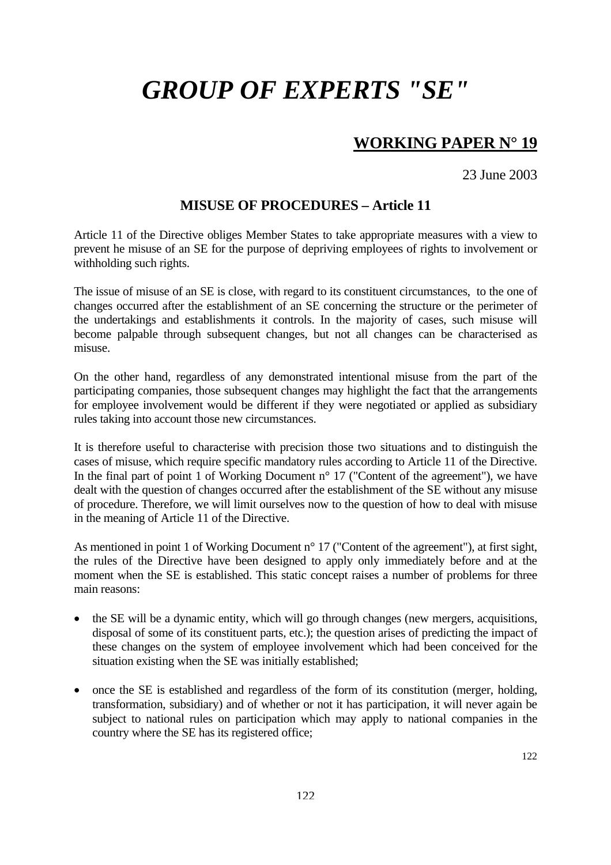## **WORKING PAPER N° 19**

23 June 2003

### **MISUSE OF PROCEDURES – Article 11**

Article 11 of the Directive obliges Member States to take appropriate measures with a view to prevent he misuse of an SE for the purpose of depriving employees of rights to involvement or withholding such rights.

The issue of misuse of an SE is close, with regard to its constituent circumstances, to the one of changes occurred after the establishment of an SE concerning the structure or the perimeter of the undertakings and establishments it controls. In the majority of cases, such misuse will become palpable through subsequent changes, but not all changes can be characterised as misuse.

On the other hand, regardless of any demonstrated intentional misuse from the part of the participating companies, those subsequent changes may highlight the fact that the arrangements for employee involvement would be different if they were negotiated or applied as subsidiary rules taking into account those new circumstances.

It is therefore useful to characterise with precision those two situations and to distinguish the cases of misuse, which require specific mandatory rules according to Article 11 of the Directive. In the final part of point 1 of Working Document  $n^{\circ}$  17 ("Content of the agreement"), we have dealt with the question of changes occurred after the establishment of the SE without any misuse of procedure. Therefore, we will limit ourselves now to the question of how to deal with misuse in the meaning of Article 11 of the Directive.

As mentioned in point 1 of Working Document n<sup>o</sup> 17 ("Content of the agreement"), at first sight, the rules of the Directive have been designed to apply only immediately before and at the moment when the SE is established. This static concept raises a number of problems for three main reasons:

- the SE will be a dynamic entity, which will go through changes (new mergers, acquisitions, disposal of some of its constituent parts, etc.); the question arises of predicting the impact of these changes on the system of employee involvement which had been conceived for the situation existing when the SE was initially established;
- once the SE is established and regardless of the form of its constitution (merger, holding, transformation, subsidiary) and of whether or not it has participation, it will never again be subject to national rules on participation which may apply to national companies in the country where the SE has its registered office;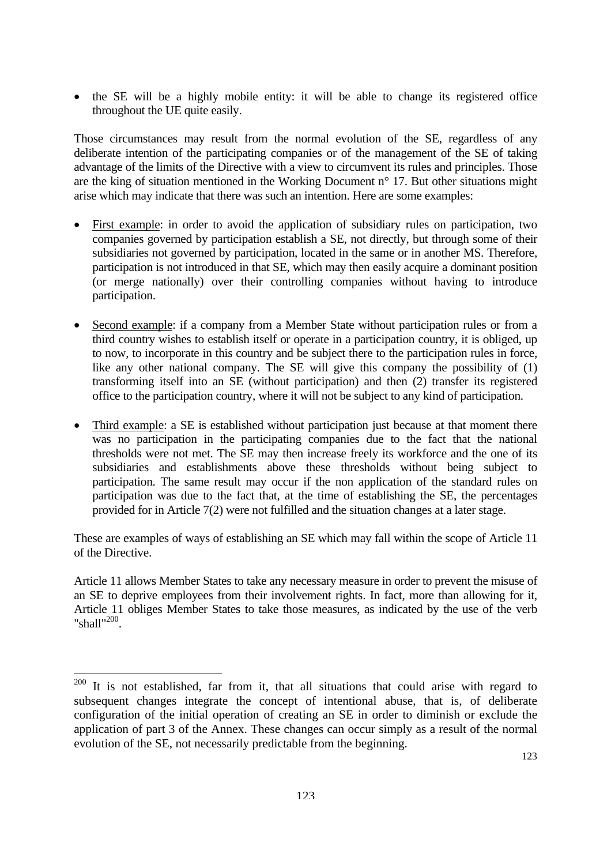• the SE will be a highly mobile entity: it will be able to change its registered office throughout the UE quite easily.

Those circumstances may result from the normal evolution of the SE, regardless of any deliberate intention of the participating companies or of the management of the SE of taking advantage of the limits of the Directive with a view to circumvent its rules and principles. Those are the king of situation mentioned in the Working Document n° 17. But other situations might arise which may indicate that there was such an intention. Here are some examples:

- First example: in order to avoid the application of subsidiary rules on participation, two companies governed by participation establish a SE, not directly, but through some of their subsidiaries not governed by participation, located in the same or in another MS. Therefore, participation is not introduced in that SE, which may then easily acquire a dominant position (or merge nationally) over their controlling companies without having to introduce participation.
- Second example: if a company from a Member State without participation rules or from a third country wishes to establish itself or operate in a participation country, it is obliged, up to now, to incorporate in this country and be subject there to the participation rules in force, like any other national company. The SE will give this company the possibility of (1) transforming itself into an SE (without participation) and then (2) transfer its registered office to the participation country, where it will not be subject to any kind of participation.
- Third example: a SE is established without participation just because at that moment there was no participation in the participating companies due to the fact that the national thresholds were not met. The SE may then increase freely its workforce and the one of its subsidiaries and establishments above these thresholds without being subject to participation. The same result may occur if the non application of the standard rules on participation was due to the fact that, at the time of establishing the SE, the percentages provided for in Article 7(2) were not fulfilled and the situation changes at a later stage.

These are examples of ways of establishing an SE which may fall within the scope of Article 11 of the Directive.

Article 11 allows Member States to take any necessary measure in order to prevent the misuse of an SE to deprive employees from their involvement rights. In fact, more than allowing for it, Article 11 obliges Member States to take those measures, as indicated by the use of the verb "shall"<sup>200</sup>.

<span id="page-121-0"></span> $200$  It is not established, far from it, that all situations that could arise with regard to subsequent changes integrate the concept of intentional abuse, that is, of deliberate configuration of the initial operation of creating an SE in order to diminish or exclude the application of part 3 of the Annex. These changes can occur simply as a result of the normal evolution of the SE, not necessarily predictable from the beginning.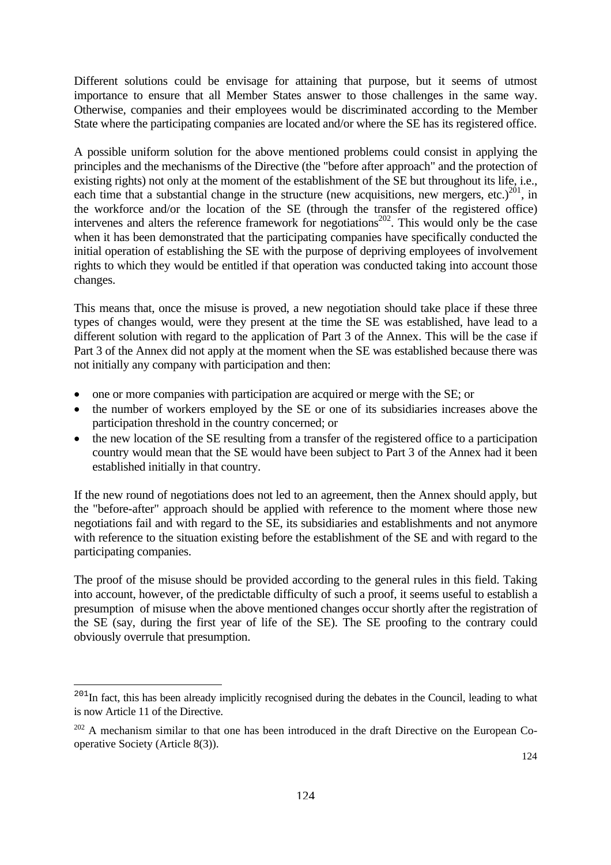Different solutions could be envisage for attaining that purpose, but it seems of utmost importance to ensure that all Member States answer to those challenges in the same way. Otherwise, companies and their employees would be discriminated according to the Member State where the participating companies are located and/or where the SE has its registered office.

A possible uniform solution for the above mentioned problems could consist in applying the principles and the mechanisms of the Directive (the "before after approach" and the protection of existing rights) not only at the moment of the establishment of the SE but throughout its life, i.e., each time that a substantial change in the structure (new acquisitions, new mergers, etc.)<sup>201</sup>, in the workforce and/or the location of the SE (through the transfer of the registered office) intervenes and alters the reference framework for negotiations<sup>202</sup>. This would only be the case when it has been demonstrated that the participating companies have specifically conducted the initial operation of establishing the SE with the purpose of depriving employees of involvement rights to which they would be entitled if that operation was conducted taking into account those changes.

This means that, once the misuse is proved, a new negotiation should take place if these three types of changes would, were they present at the time the SE was established, have lead to a different solution with regard to the application of Part 3 of the Annex. This will be the case if Part 3 of the Annex did not apply at the moment when the SE was established because there was not initially any company with participation and then:

- one or more companies with participation are acquired or merge with the SE; or
- the number of workers employed by the SE or one of its subsidiaries increases above the participation threshold in the country concerned; or
- the new location of the SE resulting from a transfer of the registered office to a participation country would mean that the SE would have been subject to Part 3 of the Annex had it been established initially in that country.

If the new round of negotiations does not led to an agreement, then the Annex should apply, but the "before-after" approach should be applied with reference to the moment where those new negotiations fail and with regard to the SE, its subsidiaries and establishments and not anymore with reference to the situation existing before the establishment of the SE and with regard to the participating companies.

The proof of the misuse should be provided according to the general rules in this field. Taking into account, however, of the predictable difficulty of such a proof, it seems useful to establish a presumption of misuse when the above mentioned changes occur shortly after the registration of the SE (say, during the first year of life of the SE). The SE proofing to the contrary could obviously overrule that presumption.

<span id="page-122-0"></span><sup>&</sup>lt;sup>201</sup>In fact, this has been already implicitly recognised during the debates in the Council, leading to what is now Article 11 of the Directive.

<span id="page-122-1"></span><sup>&</sup>lt;sup>202</sup> A mechanism similar to that one has been introduced in the draft Directive on the European Cooperative Society (Article 8(3)).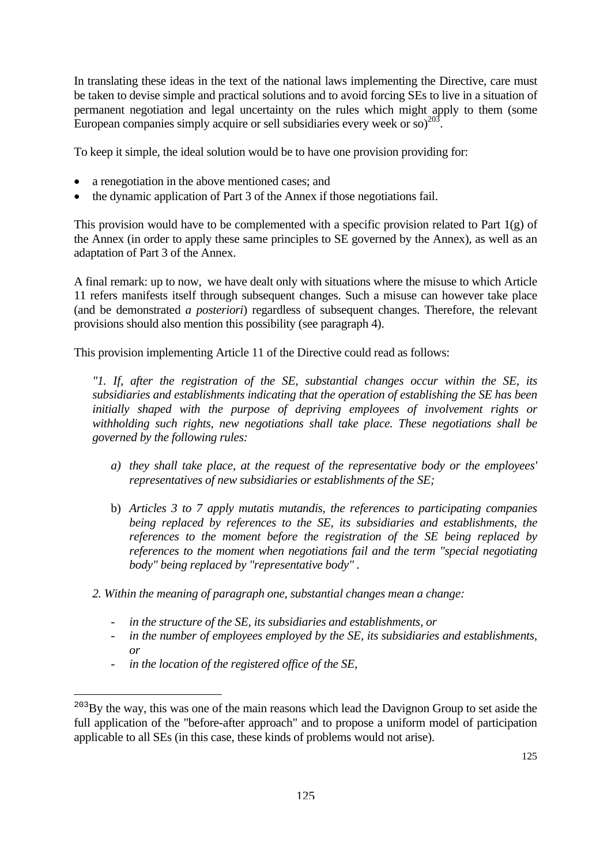In translating these ideas in the text of the national laws implementing the Directive, care must be taken to devise simple and practical solutions and to avoid forcing SEs to live in a situation of permanent negotiation and legal uncertainty on the rules which might apply to them (some European companies simply acquire or sell subsidiaries every week or so) $^{203}$ .

To keep it simple, the ideal solution would be to have one provision providing for:

- a renegotiation in the above mentioned cases; and
- the dynamic application of Part 3 of the Annex if those negotiations fail.

This provision would have to be complemented with a specific provision related to Part  $1(g)$  of the Annex (in order to apply these same principles to SE governed by the Annex), as well as an adaptation of Part 3 of the Annex.

A final remark: up to now, we have dealt only with situations where the misuse to which Article 11 refers manifests itself through subsequent changes. Such a misuse can however take place (and be demonstrated *a posteriori*) regardless of subsequent changes. Therefore, the relevant provisions should also mention this possibility (see paragraph 4).

This provision implementing Article 11 of the Directive could read as follows:

*"1. If, after the registration of the SE, substantial changes occur within the SE, its subsidiaries and establishments indicating that the operation of establishing the SE has been initially shaped with the purpose of depriving employees of involvement rights or withholding such rights, new negotiations shall take place. These negotiations shall be governed by the following rules:* 

- *a) they shall take place, at the request of the representative body or the employees' representatives of new subsidiaries or establishments of the SE;*
- b) *Articles 3 to 7 apply mutatis mutandis, the references to participating companies being replaced by references to the SE, its subsidiaries and establishments, the references to the moment before the registration of the SE being replaced by references to the moment when negotiations fail and the term "special negotiating body" being replaced by "representative body" .*
- *2. Within the meaning of paragraph one, substantial changes mean a change:* 
	- in the structure of the SE, its subsidiaries and establishments, or
	- *in the number of employees employed by the SE, its subsidiaries and establishments, or*
	- *in the location of the registered office of the SE,*

<span id="page-123-0"></span><sup>&</sup>lt;sup>203</sup>By the way, this was one of the main reasons which lead the Davignon Group to set aside the full application of the "before-after approach" and to propose a uniform model of participation applicable to all SEs (in this case, these kinds of problems would not arise).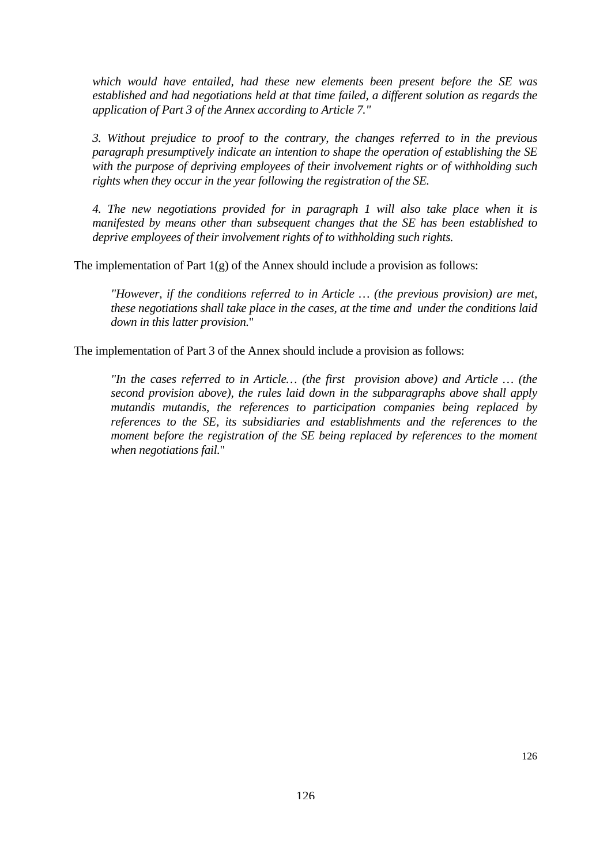*which would have entailed, had these new elements been present before the SE was established and had negotiations held at that time failed, a different solution as regards the application of Part 3 of the Annex according to Article 7."* 

*3. Without prejudice to proof to the contrary, the changes referred to in the previous paragraph presumptively indicate an intention to shape the operation of establishing the SE with the purpose of depriving employees of their involvement rights or of withholding such rights when they occur in the year following the registration of the SE.* 

*4. The new negotiations provided for in paragraph 1 will also take place when it is manifested by means other than subsequent changes that the SE has been established to deprive employees of their involvement rights of to withholding such rights.* 

The implementation of Part 1(g) of the Annex should include a provision as follows:

*"However, if the conditions referred to in Article … (the previous provision) are met, these negotiations shall take place in the cases, at the time and under the conditions laid down in this latter provision.*"

The implementation of Part 3 of the Annex should include a provision as follows:

*"In the cases referred to in Article… (the first provision above) and Article … (the second provision above), the rules laid down in the subparagraphs above shall apply mutandis mutandis, the references to participation companies being replaced by references to the SE, its subsidiaries and establishments and the references to the moment before the registration of the SE being replaced by references to the moment when negotiations fail.*"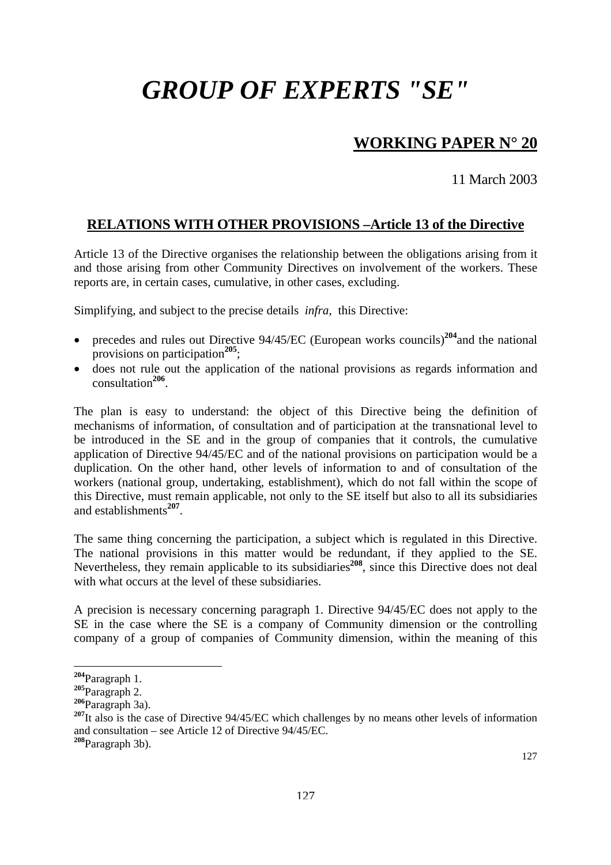# **WORKING PAPER N° 20**

11 March 2003

## **RELATIONS WITH OTHER PROVISIONS –Article 13 of the Directive**

Article 13 of the Directive organises the relationship between the obligations arising from it and those arising from other Community Directives on involvement of the workers. These reports are, in certain cases, cumulative, in other cases, excluding.

Simplifying, and subject to the precise details *infra*, this Directive:

- precedes and rules out Directive 94/45/EC (European works councils)<sup>[204](#page-125-0)</sup>and the national provisions on participation**[205](#page-125-1)**;
- does not rule out the application of the national provisions as regards information and consultation**[206](#page-125-2)**.

The plan is easy to understand: the object of this Directive being the definition of mechanisms of information, of consultation and of participation at the transnational level to be introduced in the SE and in the group of companies that it controls, the cumulative application of Directive 94/45/EC and of the national provisions on participation would be a duplication. On the other hand, other levels of information to and of consultation of the workers (national group, undertaking, establishment), which do not fall within the scope of this Directive, must remain applicable, not only to the SE itself but also to all its subsidiaries and establishments**[207](#page-125-3)**.

The same thing concerning the participation, a subject which is regulated in this Directive. The national provisions in this matter would be redundant, if they applied to the SE. Nevertheless, they remain applicable to its subsidiaries<sup>[208](#page-125-4)</sup>, since this Directive does not deal with what occurs at the level of these subsidiaries.

A precision is necessary concerning paragraph 1. Directive 94/45/EC does not apply to the SE in the case where the SE is a company of Community dimension or the controlling company of a group of companies of Community dimension, within the meaning of this

<span id="page-125-0"></span>**<sup>204</sup>**Paragraph 1.

<span id="page-125-1"></span>**<sup>205</sup>**Paragraph 2.

<span id="page-125-2"></span>**<sup>206</sup>**Paragraph 3a).

<span id="page-125-3"></span><sup>&</sup>lt;sup>207</sup>It also is the case of Directive 94/45/EC which challenges by no means other levels of information and consultation – see Article 12 of Directive 94/45/EC.

<span id="page-125-4"></span>**<sup>208</sup>**Paragraph 3b).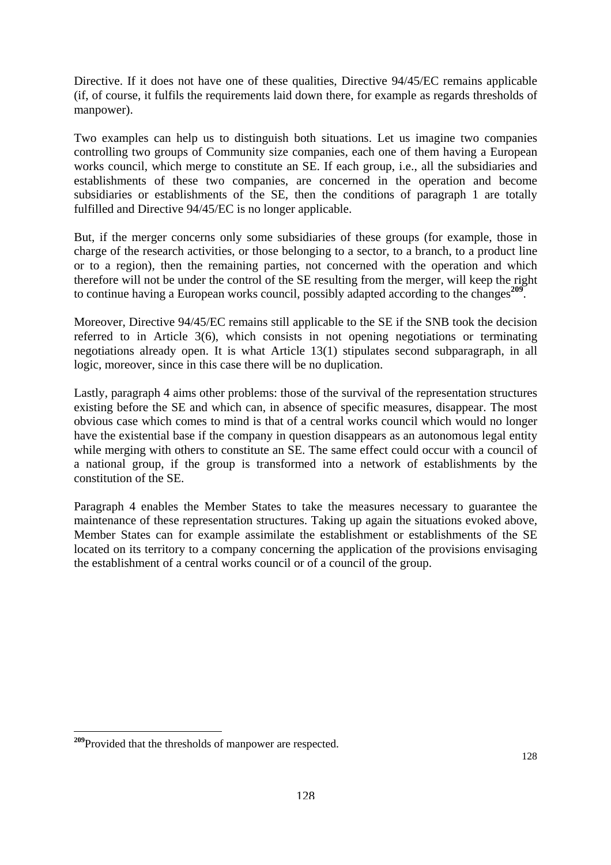Directive. If it does not have one of these qualities, Directive 94/45/EC remains applicable (if, of course, it fulfils the requirements laid down there, for example as regards thresholds of manpower).

Two examples can help us to distinguish both situations. Let us imagine two companies controlling two groups of Community size companies, each one of them having a European works council, which merge to constitute an SE. If each group, i.e., all the subsidiaries and establishments of these two companies, are concerned in the operation and become subsidiaries or establishments of the SE, then the conditions of paragraph 1 are totally fulfilled and Directive 94/45/EC is no longer applicable.

But, if the merger concerns only some subsidiaries of these groups (for example, those in charge of the research activities, or those belonging to a sector, to a branch, to a product line or to a region), then the remaining parties, not concerned with the operation and which therefore will not be under the control of the SE resulting from the merger, will keep the right to continue having a European works council, possibly adapted according to the changes**[209](#page-126-0)**.

Moreover, Directive 94/45/EC remains still applicable to the SE if the SNB took the decision referred to in Article 3(6), which consists in not opening negotiations or terminating negotiations already open. It is what Article 13(1) stipulates second subparagraph, in all logic, moreover, since in this case there will be no duplication.

Lastly, paragraph 4 aims other problems: those of the survival of the representation structures existing before the SE and which can, in absence of specific measures, disappear. The most obvious case which comes to mind is that of a central works council which would no longer have the existential base if the company in question disappears as an autonomous legal entity while merging with others to constitute an SE. The same effect could occur with a council of a national group, if the group is transformed into a network of establishments by the constitution of the SE.

Paragraph 4 enables the Member States to take the measures necessary to guarantee the maintenance of these representation structures. Taking up again the situations evoked above, Member States can for example assimilate the establishment or establishments of the SE located on its territory to a company concerning the application of the provisions envisaging the establishment of a central works council or of a council of the group.

<span id="page-126-0"></span>**<sup>209</sup>**Provided that the thresholds of manpower are respected.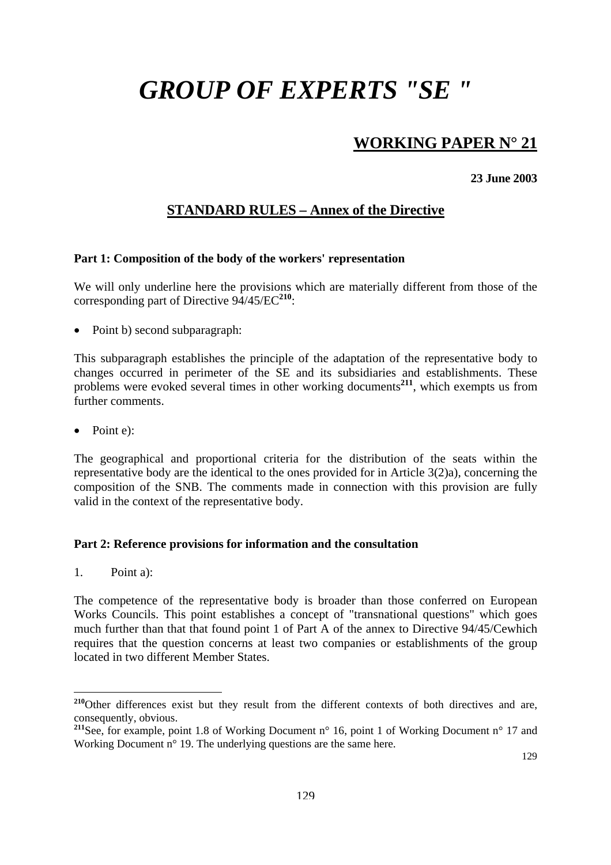## **WORKING PAPER N° 21**

**23 June 2003** 

## **STANDARD RULES – Annex of the Directive**

#### **Part 1: Composition of the body of the workers' representation**

We will only underline here the provisions which are materially different from those of the corresponding part of Directive 94/45/EC**[210](#page-127-0)**:

• Point b) second subparagraph:

This subparagraph establishes the principle of the adaptation of the representative body to changes occurred in perimeter of the SE and its subsidiaries and establishments. These problems were evoked several times in other working documents**[211](#page-127-1)**, which exempts us from further comments.

• Point e):

The geographical and proportional criteria for the distribution of the seats within the representative body are the identical to the ones provided for in Article 3(2)a), concerning the composition of the SNB. The comments made in connection with this provision are fully valid in the context of the representative body.

#### **Part 2: Reference provisions for information and the consultation**

1. Point a):

 $\overline{a}$ 

The competence of the representative body is broader than those conferred on European Works Councils. This point establishes a concept of "transnational questions" which goes much further than that that found point 1 of Part A of the annex to Directive 94/45/Cewhich requires that the question concerns at least two companies or establishments of the group located in two different Member States.

129

<span id="page-127-0"></span><sup>&</sup>lt;sup>210</sup>Other differences exist but they result from the different contexts of both directives and are, consequently, obvious.

<span id="page-127-1"></span><sup>&</sup>lt;sup>211</sup>See, for example, point 1.8 of Working Document n° 16, point 1 of Working Document n° 17 and Working Document n° 19. The underlying questions are the same here.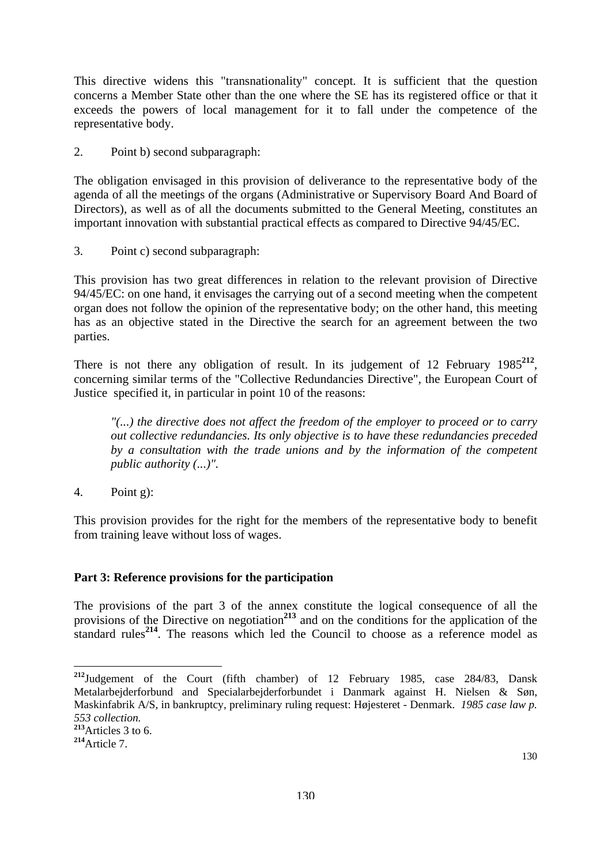This directive widens this "transnationality" concept. It is sufficient that the question concerns a Member State other than the one where the SE has its registered office or that it exceeds the powers of local management for it to fall under the competence of the representative body.

2. Point b) second subparagraph:

The obligation envisaged in this provision of deliverance to the representative body of the agenda of all the meetings of the organs (Administrative or Supervisory Board And Board of Directors), as well as of all the documents submitted to the General Meeting, constitutes an important innovation with substantial practical effects as compared to Directive 94/45/EC.

3. Point c) second subparagraph:

This provision has two great differences in relation to the relevant provision of Directive 94/45/EC: on one hand, it envisages the carrying out of a second meeting when the competent organ does not follow the opinion of the representative body; on the other hand, this meeting has as an objective stated in the Directive the search for an agreement between the two parties.

There is not there any obligation of result. In its judgement of 12 February 1985<sup>[212](#page-128-0)</sup>, concerning similar terms of the "Collective Redundancies Directive", the European Court of Justice specified it, in particular in point 10 of the reasons:

*"(...) the directive does not affect the freedom of the employer to proceed or to carry out collective redundancies. Its only objective is to have these redundancies preceded by a consultation with the trade unions and by the information of the competent public authority (...)".* 

4. Point g):

This provision provides for the right for the members of the representative body to benefit from training leave without loss of wages.

### **Part 3: Reference provisions for the participation**

The provisions of the part 3 of the annex constitute the logical consequence of all the provisions of the Directive on negotiation**[213](#page-128-1)** and on the conditions for the application of the standard rules<sup>[214](#page-128-2)</sup>. The reasons which led the Council to choose as a reference model as

<span id="page-128-0"></span>**<sup>212</sup>**Judgement of the Court (fifth chamber) of 12 February 1985, case 284/83, Dansk Metalarbejderforbund and Specialarbejderforbundet i Danmark against H. Nielsen & Søn, Maskinfabrik A/S, in bankruptcy, preliminary ruling request: Højesteret - Denmark. *1985 case law p. 553 collection.* 

<span id="page-128-1"></span>**<sup>213</sup>**Articles 3 to 6.

<span id="page-128-2"></span>**<sup>214</sup>**Article 7.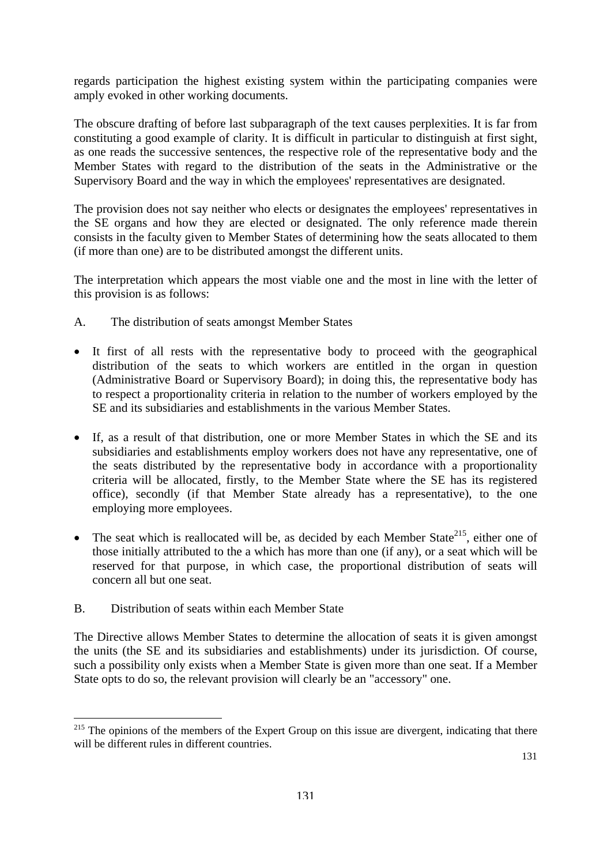regards participation the highest existing system within the participating companies were amply evoked in other working documents.

The obscure drafting of before last subparagraph of the text causes perplexities. It is far from constituting a good example of clarity. It is difficult in particular to distinguish at first sight, as one reads the successive sentences, the respective role of the representative body and the Member States with regard to the distribution of the seats in the Administrative or the Supervisory Board and the way in which the employees' representatives are designated.

The provision does not say neither who elects or designates the employees' representatives in the SE organs and how they are elected or designated. The only reference made therein consists in the faculty given to Member States of determining how the seats allocated to them (if more than one) are to be distributed amongst the different units.

The interpretation which appears the most viable one and the most in line with the letter of this provision is as follows:

- A. The distribution of seats amongst Member States
- It first of all rests with the representative body to proceed with the geographical distribution of the seats to which workers are entitled in the organ in question (Administrative Board or Supervisory Board); in doing this, the representative body has to respect a proportionality criteria in relation to the number of workers employed by the SE and its subsidiaries and establishments in the various Member States.
- If, as a result of that distribution, one or more Member States in which the SE and its subsidiaries and establishments employ workers does not have any representative, one of the seats distributed by the representative body in accordance with a proportionality criteria will be allocated, firstly, to the Member State where the SE has its registered office), secondly (if that Member State already has a representative), to the one employing more employees.
- The seat which is reallocated will be, as decided by each Member State<sup>215</sup>, either one of those initially attributed to the a which has more than one (if any), or a seat which will be reserved for that purpose, in which case, the proportional distribution of seats will concern all but one seat.
- B. Distribution of seats within each Member State

 $\overline{a}$ 

The Directive allows Member States to determine the allocation of seats it is given amongst the units (the SE and its subsidiaries and establishments) under its jurisdiction. Of course, such a possibility only exists when a Member State is given more than one seat. If a Member State opts to do so, the relevant provision will clearly be an "accessory" one.

<span id="page-129-0"></span><sup>&</sup>lt;sup>215</sup> The opinions of the members of the Expert Group on this issue are divergent, indicating that there will be different rules in different countries.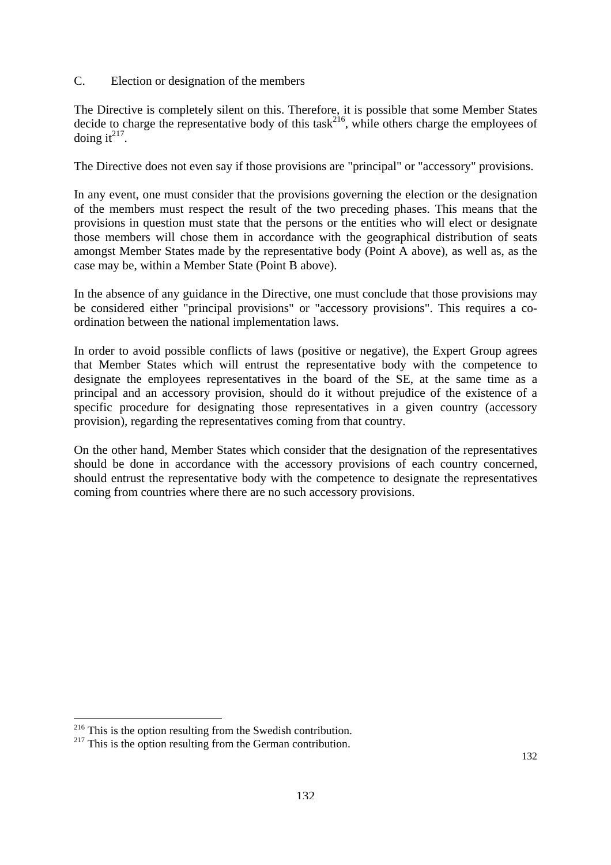C. Election or designation of the members

The Directive is completely silent on this. Therefore, it is possible that some Member States decide to charge the representative body of this task<sup>216</sup>, while others charge the employees of doing it<sup> $217$ </sup>.

The Directive does not even say if those provisions are "principal" or "accessory" provisions.

In any event, one must consider that the provisions governing the election or the designation of the members must respect the result of the two preceding phases. This means that the provisions in question must state that the persons or the entities who will elect or designate those members will chose them in accordance with the geographical distribution of seats amongst Member States made by the representative body (Point A above), as well as, as the case may be, within a Member State (Point B above).

In the absence of any guidance in the Directive, one must conclude that those provisions may be considered either "principal provisions" or "accessory provisions". This requires a coordination between the national implementation laws.

In order to avoid possible conflicts of laws (positive or negative), the Expert Group agrees that Member States which will entrust the representative body with the competence to designate the employees representatives in the board of the SE, at the same time as a principal and an accessory provision, should do it without prejudice of the existence of a specific procedure for designating those representatives in a given country (accessory provision), regarding the representatives coming from that country.

On the other hand, Member States which consider that the designation of the representatives should be done in accordance with the accessory provisions of each country concerned, should entrust the representative body with the competence to designate the representatives coming from countries where there are no such accessory provisions.

<span id="page-130-0"></span> $\overline{a}$ <sup>216</sup> This is the option resulting from the Swedish contribution.

<span id="page-130-1"></span> $2^{17}$  This is the option resulting from the German contribution.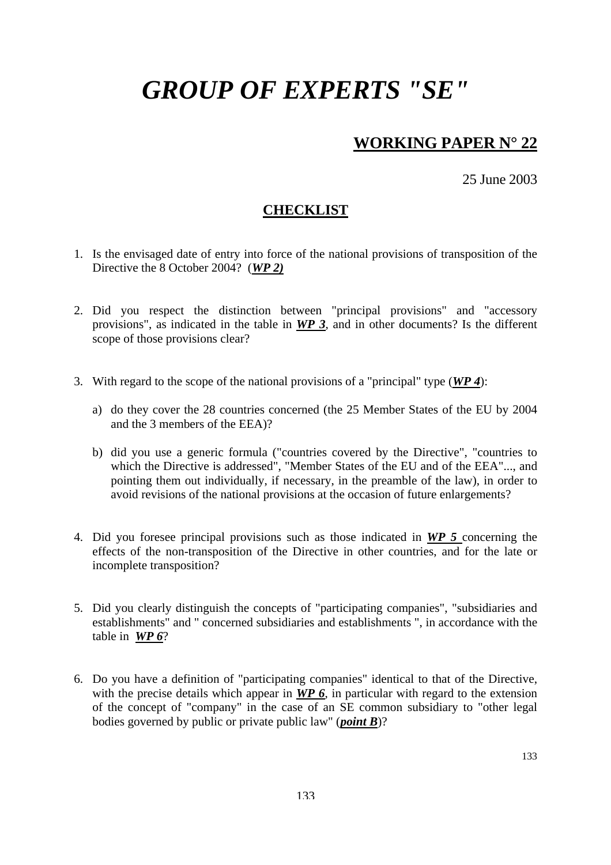## **WORKING PAPER N° 22**

25 June 2003

### **CHECKLIST**

- 1. Is the envisaged date of entry into force of the national provisions of transposition of the Directive the 8 October 2004? (*WP 2)*
- 2. Did you respect the distinction between "principal provisions" and "accessory provisions", as indicated in the table in *WP 3*, and in other documents? Is the different scope of those provisions clear?
- 3. With regard to the scope of the national provisions of a "principal" type (*WP 4*):
	- a) do they cover the 28 countries concerned (the 25 Member States of the EU by 2004 and the 3 members of the EEA)?
	- b) did you use a generic formula ("countries covered by the Directive", "countries to which the Directive is addressed", "Member States of the EU and of the EEA"..., and pointing them out individually, if necessary, in the preamble of the law), in order to avoid revisions of the national provisions at the occasion of future enlargements?
- 4. Did you foresee principal provisions such as those indicated in *WP 5* concerning the effects of the non-transposition of the Directive in other countries, and for the late or incomplete transposition?
- 5. Did you clearly distinguish the concepts of "participating companies", "subsidiaries and establishments" and " concerned subsidiaries and establishments ", in accordance with the table in *WP 6*?
- 6. Do you have a definition of "participating companies" identical to that of the Directive, with the precise details which appear in **WP 6**, in particular with regard to the extension of the concept of "company" in the case of an SE common subsidiary to "other legal bodies governed by public or private public law" (*point B*)?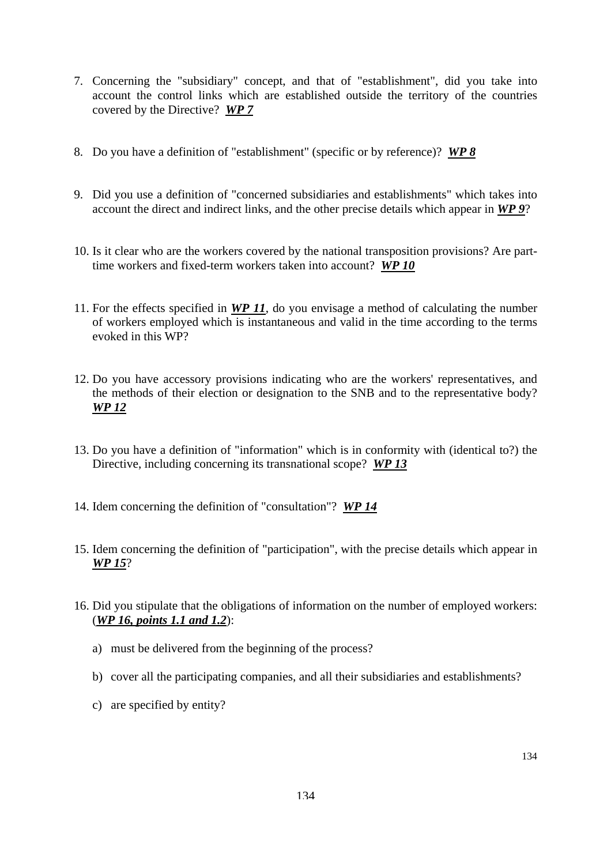- 7. Concerning the "subsidiary" concept, and that of "establishment", did you take into account the control links which are established outside the territory of the countries covered by the Directive? *WP 7*
- 8. Do you have a definition of "establishment" (specific or by reference)? *WP 8*
- 9. Did you use a definition of "concerned subsidiaries and establishments" which takes into account the direct and indirect links, and the other precise details which appear in *WP 9*?
- 10. Is it clear who are the workers covered by the national transposition provisions? Are parttime workers and fixed-term workers taken into account? *WP 10*
- 11. For the effects specified in *WP 11*, do you envisage a method of calculating the number of workers employed which is instantaneous and valid in the time according to the terms evoked in this WP?
- 12. Do you have accessory provisions indicating who are the workers' representatives, and the methods of their election or designation to the SNB and to the representative body? *WP 12*
- 13. Do you have a definition of "information" which is in conformity with (identical to?) the Directive, including concerning its transnational scope? *WP 13*
- 14. Idem concerning the definition of "consultation"? *WP 14*
- 15. Idem concerning the definition of "participation", with the precise details which appear in *WP 15*?
- 16. Did you stipulate that the obligations of information on the number of employed workers: (*WP 16, points 1.1 and 1.2*):
	- a) must be delivered from the beginning of the process?
	- b) cover all the participating companies, and all their subsidiaries and establishments?
	- c) are specified by entity?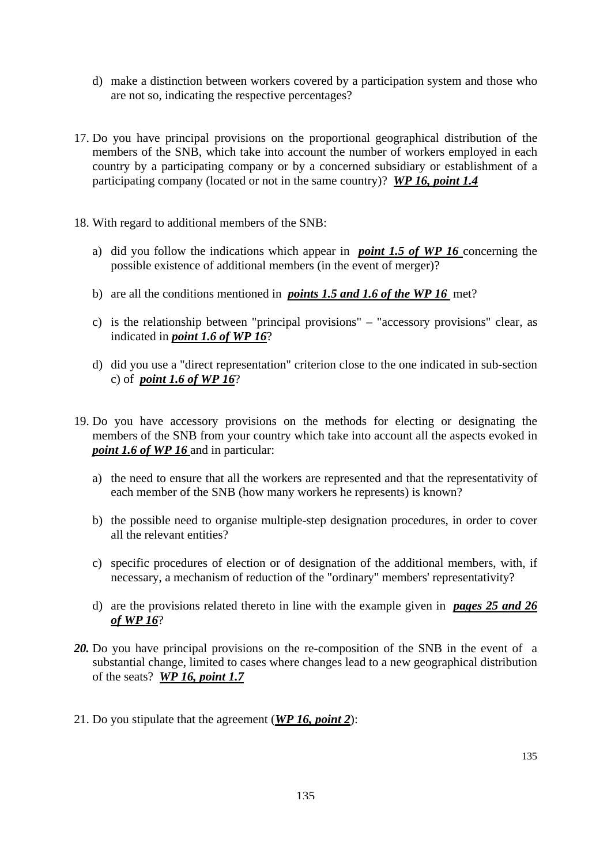- d) make a distinction between workers covered by a participation system and those who are not so, indicating the respective percentages?
- 17. Do you have principal provisions on the proportional geographical distribution of the members of the SNB, which take into account the number of workers employed in each country by a participating company or by a concerned subsidiary or establishment of a participating company (located or not in the same country)? *WP 16, point 1.4*
- 18. With regard to additional members of the SNB:
	- a) did you follow the indications which appear in *point 1.5 of WP 16* concerning the possible existence of additional members (in the event of merger)?
	- b) are all the conditions mentioned in *points 1.5 and 1.6 of the WP 16* met?
	- c) is the relationship between "principal provisions" "accessory provisions" clear, as indicated in *point 1.6 of WP 16*?
	- d) did you use a "direct representation" criterion close to the one indicated in sub-section c) of *point 1.6 of WP 16*?
- 19. Do you have accessory provisions on the methods for electing or designating the members of the SNB from your country which take into account all the aspects evoked in *point 1.6 of WP 16* and in particular:
	- a) the need to ensure that all the workers are represented and that the representativity of each member of the SNB (how many workers he represents) is known?
	- b) the possible need to organise multiple-step designation procedures, in order to cover all the relevant entities?
	- c) specific procedures of election or of designation of the additional members, with, if necessary, a mechanism of reduction of the "ordinary" members' representativity?
	- d) are the provisions related thereto in line with the example given in *pages 25 and 26 of WP 16*?
- *20.* Do you have principal provisions on the re-composition of the SNB in the event of a substantial change, limited to cases where changes lead to a new geographical distribution of the seats? *WP 16, point 1.7*
- 21. Do you stipulate that the agreement (*WP 16, point 2*):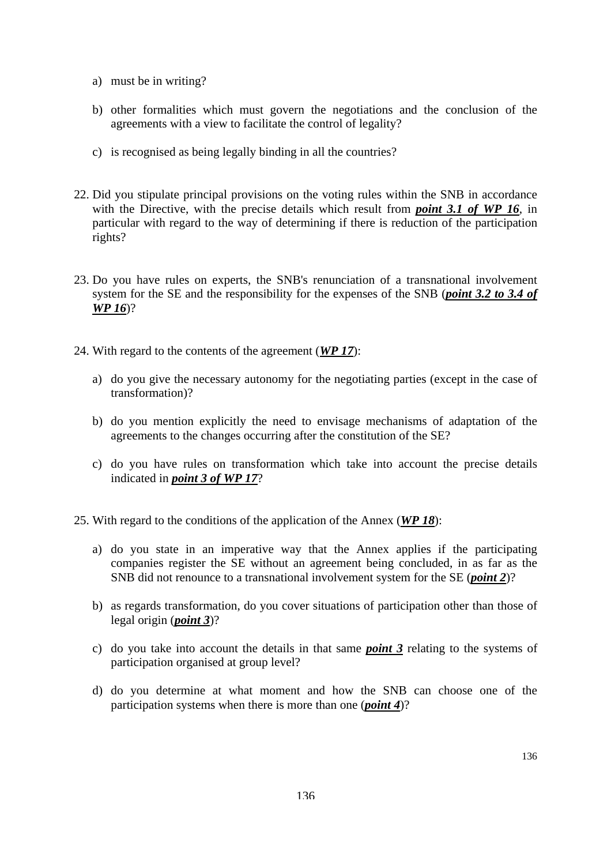- a) must be in writing?
- b) other formalities which must govern the negotiations and the conclusion of the agreements with a view to facilitate the control of legality?
- c) is recognised as being legally binding in all the countries?
- 22. Did you stipulate principal provisions on the voting rules within the SNB in accordance with the Directive, with the precise details which result from *point 3.1 of WP 16*, in particular with regard to the way of determining if there is reduction of the participation rights?
- 23. Do you have rules on experts, the SNB's renunciation of a transnational involvement system for the SE and the responsibility for the expenses of the SNB (*point 3.2 to 3.4 of WP 16*)?
- 24. With regard to the contents of the agreement (*WP 17*):
	- a) do you give the necessary autonomy for the negotiating parties (except in the case of transformation)?
	- b) do you mention explicitly the need to envisage mechanisms of adaptation of the agreements to the changes occurring after the constitution of the SE?
	- c) do you have rules on transformation which take into account the precise details indicated in *point 3 of WP 17*?
- 25. With regard to the conditions of the application of the Annex (*WP 18*):
	- a) do you state in an imperative way that the Annex applies if the participating companies register the SE without an agreement being concluded, in as far as the SNB did not renounce to a transnational involvement system for the SE (*point 2*)?
	- b) as regards transformation, do you cover situations of participation other than those of legal origin (*point 3*)?
	- c) do you take into account the details in that same *point 3* relating to the systems of participation organised at group level?
	- d) do you determine at what moment and how the SNB can choose one of the participation systems when there is more than one (*point 4*)?